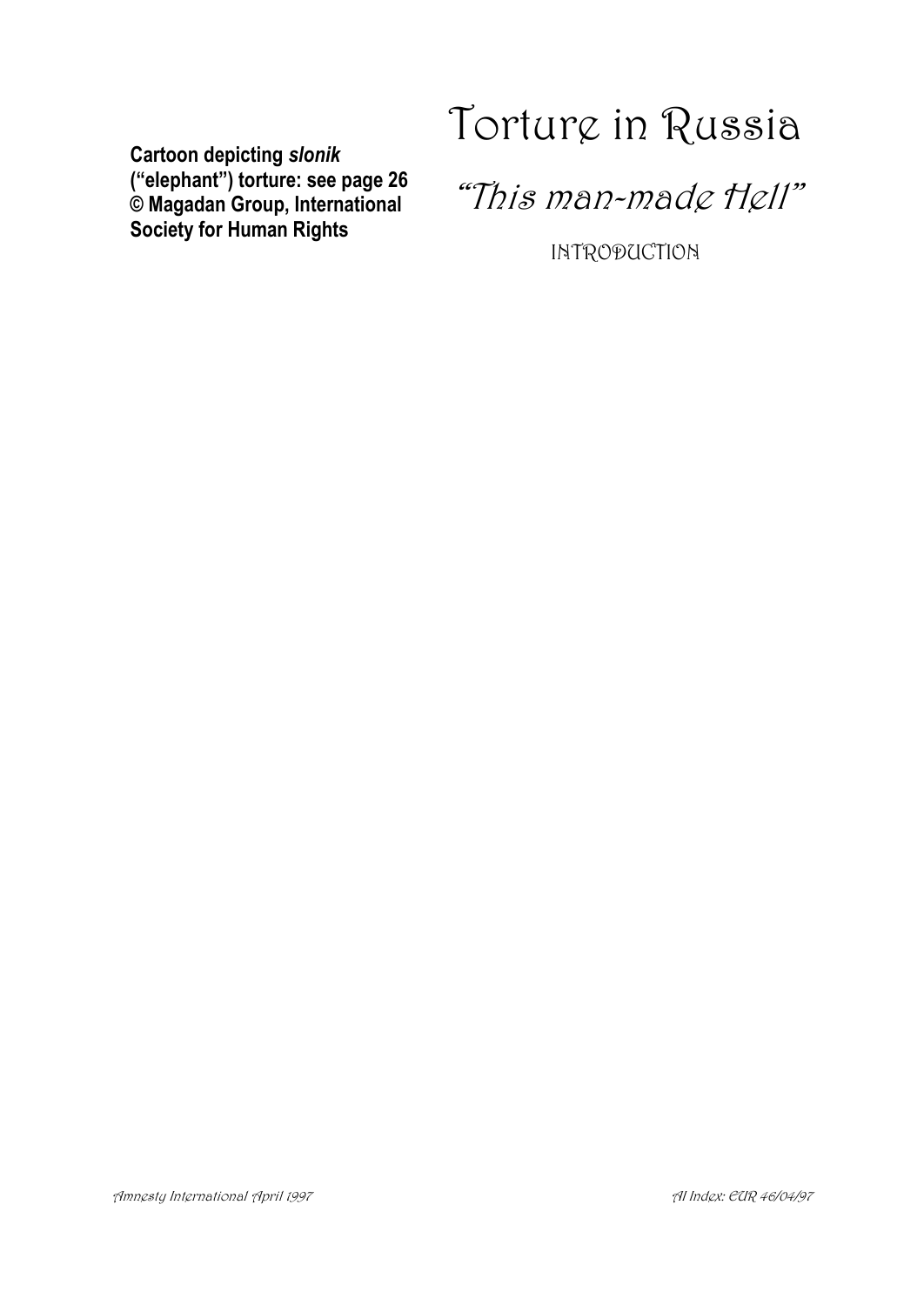# Torture in Russia

**Cartoon depicting** *slonik* **("elephant") torture: see page 26 © Magadan Group, International Society for Human Rights**

## "This man-made Hell"

INTRODUCTION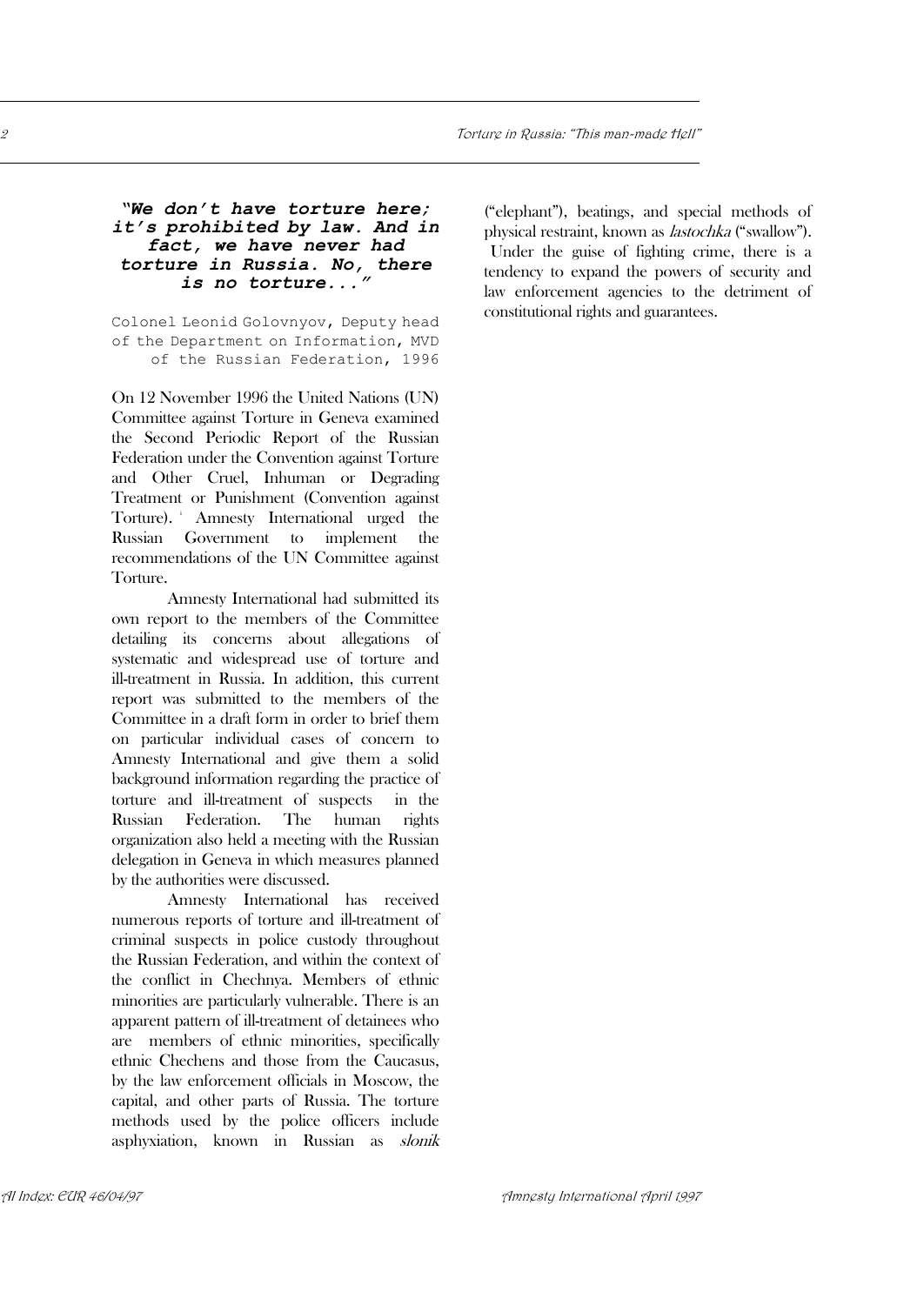## *"We don't have torture here; it's prohibited by law. And in fact, we have never had torture in Russia. No, there is no torture..."*

Colonel Leonid Golovnyov, Deputy head of the Department on Information, MVD of the Russian Federation, 1996

On 12 November 1996 the United Nations (UN) Committee against Torture in Geneva examined the Second Periodic Report of the Russian Federation under the Convention against Torture and Other Cruel, Inhuman or Degrading Treatment or Punishment (Convention against Torture). <sup>i</sup> Amnesty International urged the Russian Government to implement the recommendations of the UN Committee against Torture.

Amnesty International had submitted its own report to the members of the Committee detailing its concerns about allegations of systematic and widespread use of torture and ill-treatment in Russia. In addition, this current report was submitted to the members of the Committee in a draft form in order to brief them on particular individual cases of concern to Amnesty International and give them a solid background information regarding the practice of torture and ill-treatment of suspects in the Russian Federation. The human rights organization also held a meeting with the Russian delegation in Geneva in which measures planned by the authorities were discussed.

Amnesty International has received numerous reports of torture and ill-treatment of criminal suspects in police custody throughout the Russian Federation, and within the context of the conflict in Chechnya. Members of ethnic minorities are particularly vulnerable. There is an apparent pattern of ill-treatment of detainees who are members of ethnic minorities, specifically ethnic Chechens and those from the Caucasus, by the law enforcement officials in Moscow, the capital, and other parts of Russia. The torture methods used by the police officers include asphyxiation, known in Russian as slonik ("elephant"), beatings, and special methods of physical restraint, known as lastochka ("swallow"). Under the guise of fighting crime, there is a tendency to expand the powers of security and law enforcement agencies to the detriment of constitutional rights and guarantees.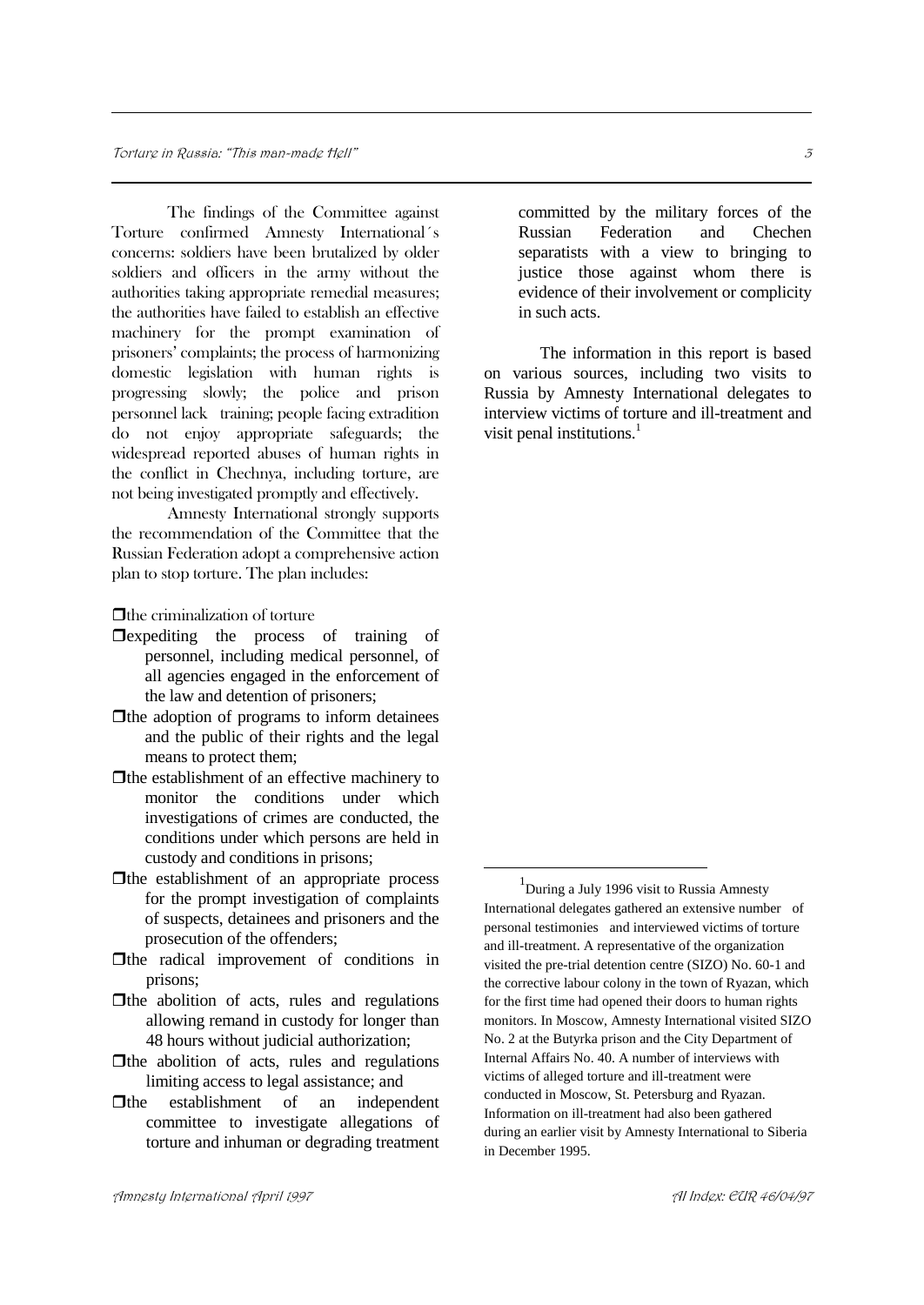The findings of the Committee against Torture confirmed Amnesty International´s concerns: soldiers have been brutalized by older soldiers and officers in the army without the authorities taking appropriate remedial measures; the authorities have failed to establish an effective machinery for the prompt examination of prisoners' complaints; the process of harmonizing domestic legislation with human rights is progressing slowly; the police and prison personnel lack training; people facing extradition do not enjoy appropriate safeguards; the widespread reported abuses of human rights in the conflict in Chechnya, including torture, are not being investigated promptly and effectively.

Amnesty International strongly supports the recommendation of the Committee that the Russian Federation adopt a comprehensive action plan to stop torture. The plan includes:

 $\Box$  the criminalization of torture

- $\square$  expediting the process of training of personnel, including medical personnel, of all agencies engaged in the enforcement of the law and detention of prisoners;
- $\Box$  the adoption of programs to inform detainees and the public of their rights and the legal means to protect them;
- $\Box$  the establishment of an effective machinery to monitor the conditions under which investigations of crimes are conducted, the conditions under which persons are held in custody and conditions in prisons;
- $\Box$  the establishment of an appropriate process for the prompt investigation of complaints of suspects, detainees and prisoners and the prosecution of the offenders;
- $\Box$  the radical improvement of conditions in prisons;
- $\Box$  the abolition of acts, rules and regulations allowing remand in custody for longer than 48 hours without judicial authorization;
- $\Box$  the abolition of acts, rules and regulations limiting access to legal assistance; and
- $\Box$  the establishment of an independent committee to investigate allegations of torture and inhuman or degrading treatment

committed by the military forces of the Russian Federation and Chechen separatists with a view to bringing to justice those against whom there is evidence of their involvement or complicity in such acts.

The information in this report is based on various sources, including two visits to Russia by Amnesty International delegates to interview victims of torture and ill-treatment and visit penal institutions. $<sup>1</sup>$ </sup>

<u>—</u>

<sup>&</sup>lt;sup>1</sup>During a July 1996 visit to Russia Amnesty International delegates gathered an extensive number of personal testimonies and interviewed victims of torture and ill-treatment. A representative of the organization visited the pre-trial detention centre (SIZO) No. 60-1 and the corrective labour colony in the town of Ryazan, which for the first time had opened their doors to human rights monitors. In Moscow, Amnesty International visited SIZO No. 2 at the Butyrka prison and the City Department of Internal Affairs No. 40. A number of interviews with victims of alleged torture and ill-treatment were conducted in Moscow, St. Petersburg and Ryazan. Information on ill-treatment had also been gathered during an earlier visit by Amnesty International to Siberia in December 1995.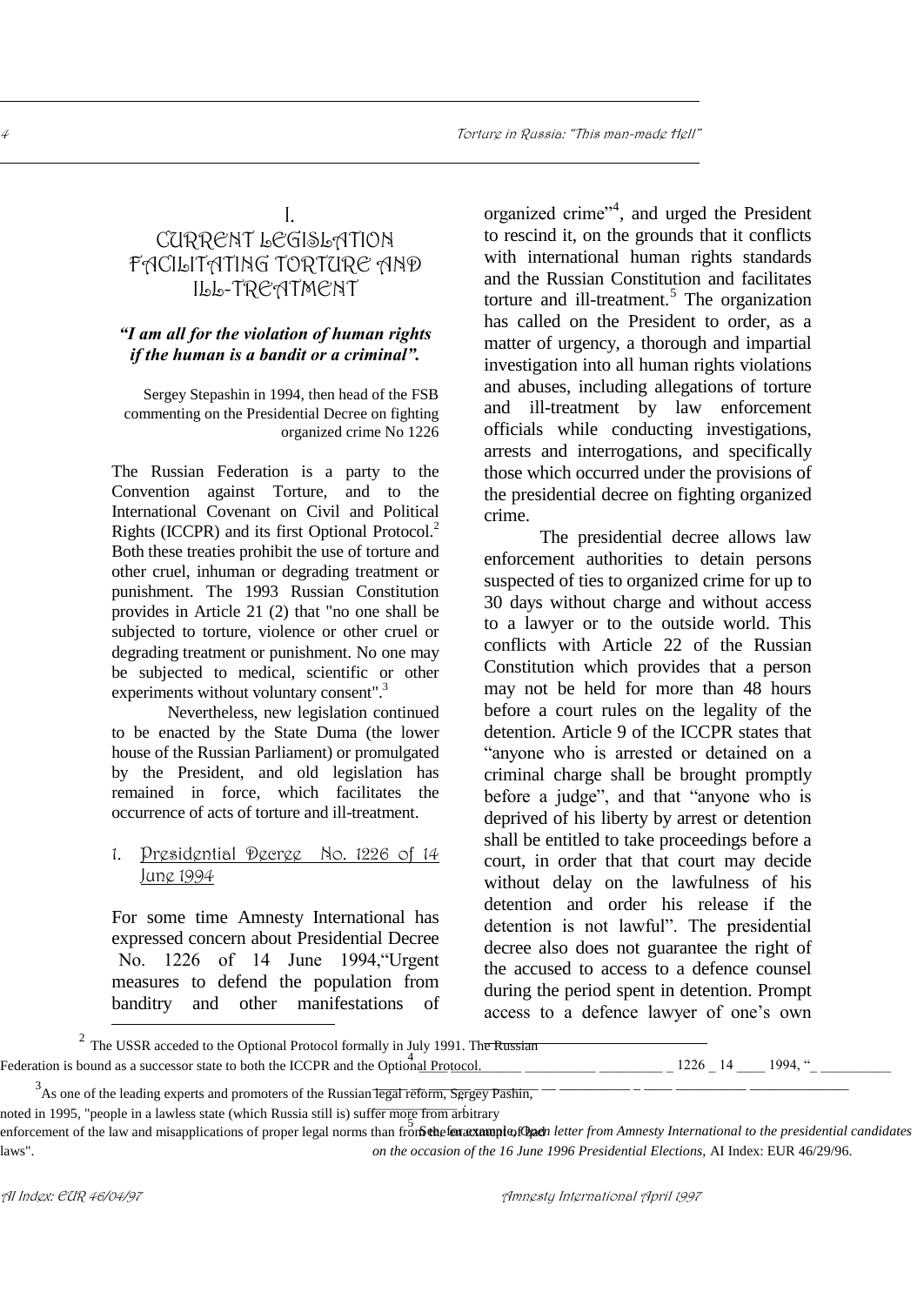## I. CURRENT LEGISLATION FACILITATING TORTURE AND ILL-TREATMENT

## *"I am all for the violation of human rights if the human is a bandit or a criminal".*

Sergey Stepashin in 1994, then head of the FSB commenting on the Presidential Decree on fighting organized crime No 1226

The Russian Federation is a party to the Convention against Torture, and to the International Covenant on Civil and Political Rights (ICCPR) and its first Optional Protocol.<sup>2</sup> Both these treaties prohibit the use of torture and other cruel, inhuman or degrading treatment or punishment. The 1993 Russian Constitution provides in Article 21 (2) that "no one shall be subjected to torture, violence or other cruel or degrading treatment or punishment. No one may be subjected to medical, scientific or other experiments without voluntary consent".<sup>3</sup>

Nevertheless, new legislation continued to be enacted by the State Duma (the lower house of the Russian Parliament) or promulgated by the President, and old legislation has remained in force, which facilitates the occurrence of acts of torture and ill-treatment.

## 1. Presidential Decree No. 1226 of 14 June 1994

For some time Amnesty International has expressed concern about Presidential Decree No. 1226 of 14 June 1994,"Urgent measures to defend the population from banditry and other manifestations of

organized crime"<sup>4</sup>, and urged the President to rescind it, on the grounds that it conflicts with international human rights standards and the Russian Constitution and facilitates torture and ill-treatment.<sup>5</sup> The organization has called on the President to order, as a matter of urgency, a thorough and impartial investigation into all human rights violations and abuses, including allegations of torture and ill-treatment by law enforcement officials while conducting investigations, arrests and interrogations, and specifically those which occurred under the provisions of the presidential decree on fighting organized crime.

The presidential decree allows law enforcement authorities to detain persons suspected of ties to organized crime for up to 30 days without charge and without access to a lawyer or to the outside world. This conflicts with Article 22 of the Russian Constitution which provides that a person may not be held for more than 48 hours before a court rules on the legality of the detention. Article 9 of the ICCPR states that "anyone who is arrested or detained on a criminal charge shall be brought promptly before a judge", and that "anyone who is deprived of his liberty by arrest or detention shall be entitled to take proceedings before a court, in order that that court may decide without delay on the lawfulness of his detention and order his release if the detention is not lawful". The presidential decree also does not guarantee the right of the accused to access to a defence counsel during the period spent in detention. Prompt access to a defence lawyer of one's own

access<br><sup>2</sup> The USSR acceded to the Optional Protocol formally in July 1991. The Russian Federation is bound as a successor state to both the ICCPR and the Optional Protocol.  $\frac{1226 - 14}{\frac{1994}{\cdots}}$   $\frac{1226 - 14}{\cdots}$  1994, "

 $^3$  As one of the leading experts and promoters of the Russian legal reform, Sgrgey Pashin,  $\overline{ }$   $\overline{ }$   $\overline{ }$   $\overline{ }$   $\overline{ }$   $\overline{ }$   $\overline{ }$   $\overline{ }$   $\overline{ }$   $\overline{ }$   $\overline{ }$   $\overline{ }$   $\overline{ }$   $\overline{ }$   $\overline{ }$   $\overline{ }$ 

noted in 1995, "people in a lawless state (which Russia still is) suffer more from arbitrary noted in 1995, "people in a lawless state (which Russia still is) suffer more from arbitrary

enforcement of the law and misapplications of proper legal norms than from the enargy of the enacty *and the enactional to the presidential candidates* enforcement of the law and misapplications of proper legal norms than laws". *on the occasion of the 16 June 1996 Presidential Elections,* AI Index: EUR 46/29/96.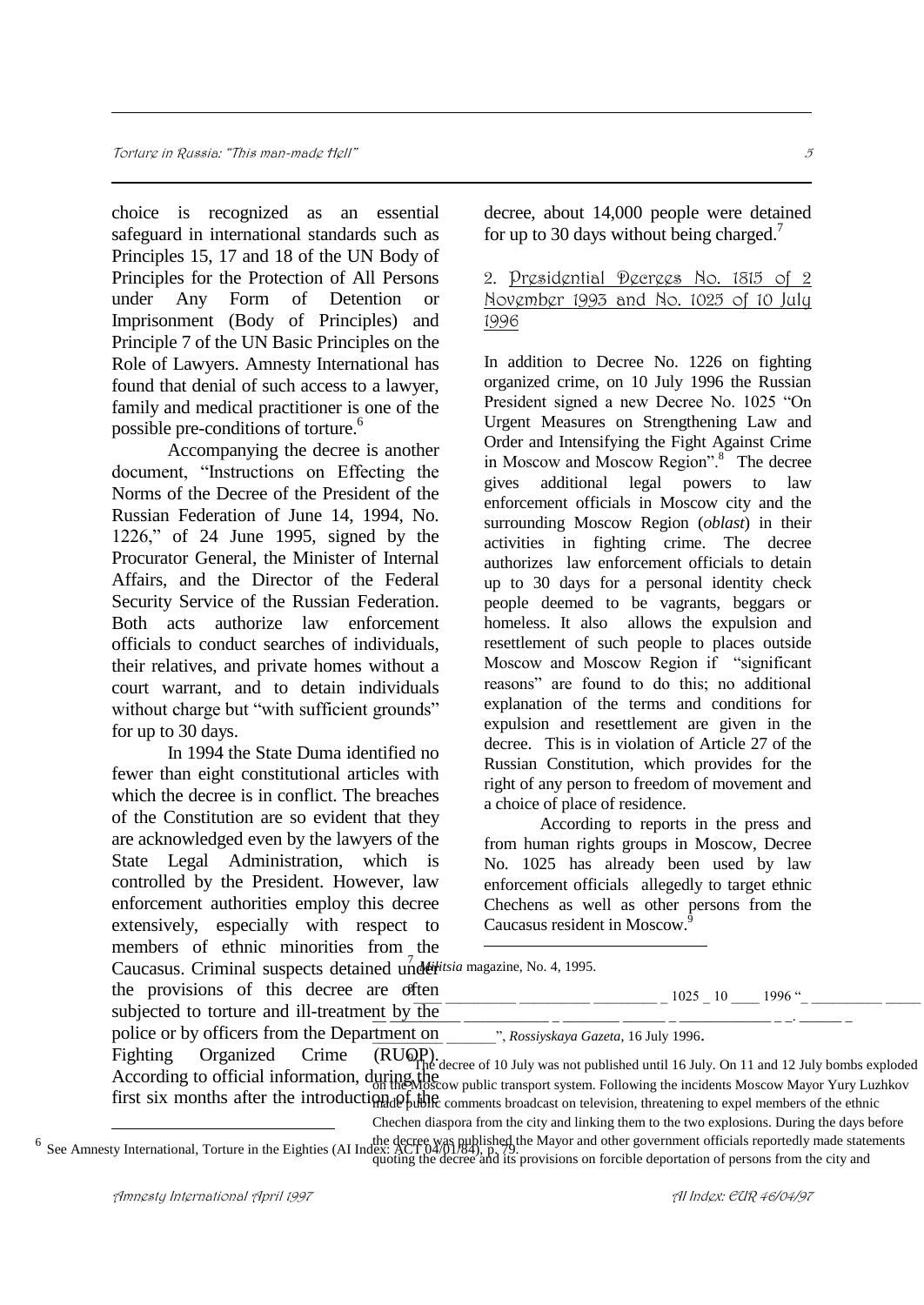choice is recognized as an essential safeguard in international standards such as Principles 15, 17 and 18 of the UN Body of Principles for the Protection of All Persons under Any Form of Detention or Imprisonment (Body of Principles) and Principle 7 of the UN Basic Principles on the Role of Lawyers. Amnesty International has found that denial of such access to a lawyer, family and medical practitioner is one of the possible pre-conditions of torture.<sup>6</sup>

Accompanying the decree is another document, "Instructions on Effecting the Norms of the Decree of the President of the Russian Federation of June 14, 1994, No. 1226," of 24 June 1995, signed by the Procurator General, the Minister of Internal Affairs, and the Director of the Federal Security Service of the Russian Federation. Both acts authorize law enforcement officials to conduct searches of individuals, their relatives, and private homes without a court warrant, and to detain individuals without charge but "with sufficient grounds" for up to 30 days.

In 1994 the State Duma identified no fewer than eight constitutional articles with which the decree is in conflict. The breaches of the Constitution are so evident that they are acknowledged even by the lawyers of the State Legal Administration, which is controlled by the President. However, law enforcement authorities employ this decree extensively, especially with respect to members of ethnic minorities from the decree, about 14,000 people were detained for up to 30 days without being charged.<sup>7</sup>

## 2. Presidential Decrees No. 1815 of 2 November 1993 and No. 1025 of 10 July 1996

In addition to Decree No. 1226 on fighting organized crime, on 10 July 1996 the Russian President signed a new Decree No. 1025 "On Urgent Measures on Strengthening Law and Order and Intensifying the Fight Against Crime in Moscow and Moscow Region".<sup>8</sup> The decree gives additional legal powers to law enforcement officials in Moscow city and the surrounding Moscow Region (*oblast*) in their activities in fighting crime. The decree authorizes law enforcement officials to detain up to 30 days for a personal identity check people deemed to be vagrants, beggars or homeless. It also allows the expulsion and resettlement of such people to places outside Moscow and Moscow Region if "significant reasons" are found to do this; no additional explanation of the terms and conditions for expulsion and resettlement are given in the decree. This is in violation of Article 27 of the Russian Constitution, which provides for the right of any person to freedom of movement and a choice of place of residence.

According to reports in the press and from human rights groups in Moscow, Decree No. 1025 has already been used by law enforcement officials allegedly to target ethnic Chechens as well as other persons from the Caucasus resident in Moscow.<sup>9</sup>

| Caucasus. Criminal suspects detained und titistia magazine, No. 4, 1995.                                                                                                                                                                                                                                                                                                                                                                                               |  |                                      |  |
|------------------------------------------------------------------------------------------------------------------------------------------------------------------------------------------------------------------------------------------------------------------------------------------------------------------------------------------------------------------------------------------------------------------------------------------------------------------------|--|--------------------------------------|--|
| the provisions of this decree are often                                                                                                                                                                                                                                                                                                                                                                                                                                |  | $1996$ "<br>1025 10                  |  |
| subjected to torture and ill-treatment by the                                                                                                                                                                                                                                                                                                                                                                                                                          |  |                                      |  |
| police or by officers from the Department on                                                                                                                                                                                                                                                                                                                                                                                                                           |  | ", Rossiyskaya Gazeta, 16 July 1996. |  |
| Fighting Organized Crime (RUOP).<br>According to official information, during the decree of 10 July was not published until 16 July. On 11 and 12 July bombs exploded<br>According to official information, during the expose public<br>first six months after the introductional philip comments broadcast on television, threatening to expel members of the ethnic<br>Chechen diaspora from the city and linking them to the two explosions. During the days before |  |                                      |  |

<u>—</u>

Chechen diaspora from the<br>
6 See Amnesty International, Torture in the Eighties (AI Index: ACT 04/01/84), p. 79. the decree was published the Mayor and other government officials reportedly made statements ex: ACT 04/01/64), p. 79.<br>quoting the decree and its provisions on forcible deportation of persons from the city and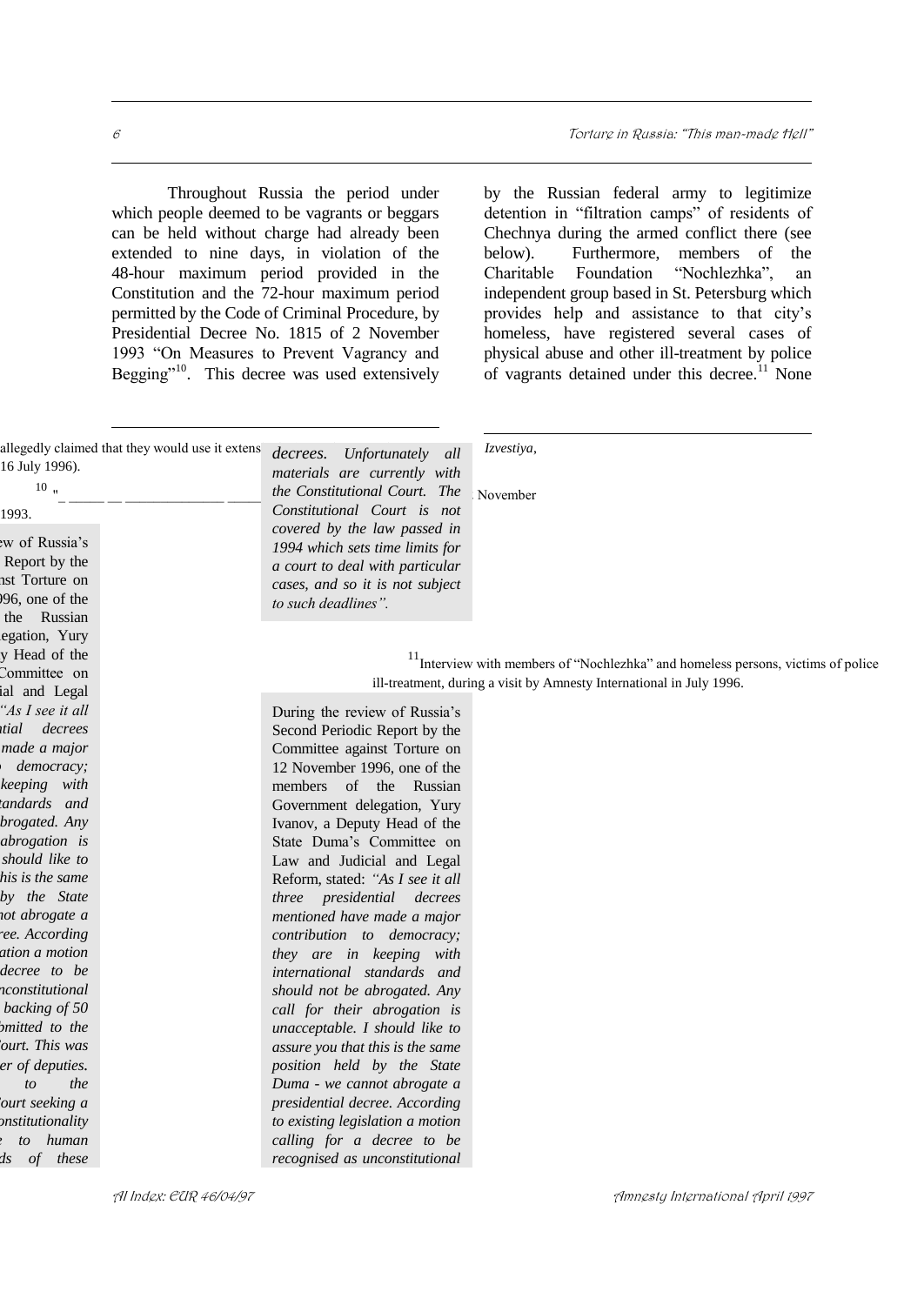È,

1993.

*to the* 

*Constitutional Court seeking a ruling on the constitutionality a to human rights standards of these*

ew of Russia's Report by the nst Torture on 196, one of the the Russian legation, Yury y Head of the Committee on ial and Legal "As I see it all *thal decrees made a major democracy*; *they are in keeping with international standards and should not be abrogated. Any call for their abrogation is should like to his is the same position held by the State Duma - we cannot abrogate a presidential decree. According to existing legislation a motion decree to be recognised as unconstitutional backing of 50 bmitted to the Constitutional Court. This was done by a number of deputies.*

Throughout Russia the period under which people deemed to be vagrants or beggars can be held without charge had already been extended to nine days, in violation of the 48-hour maximum period provided in the Constitution and the 72-hour maximum period permitted by the Code of Criminal Procedure, by Presidential Decree No. 1815 of 2 November 1993 "On Measures to Prevent Vagrancy and Begging"<sup>10</sup>. This decree was used extensively by the Russian federal army to legitimize detention in "filtration camps" of residents of Chechnya during the armed conflict there (see below). Furthermore, members of the Charitable Foundation "Nochlezhka", an independent group based in St. Petersburg which provides help and assistance to that city's homeless, have registered several cases of physical abuse and other ill-treatment by police of vagrants detained under this decree.<sup>11</sup> None

allegedly claimed that they would use it extens  $\phi$  decrees. Unfortunately all <sup>Izvestiya,</sup> 16 July 1996). 10 " <u>—</u>  $Unfortunately$  *all materials are currently with Constitutional Court is not* 

> <sup>11</sup>Interview with members of "Nochlezhka" and homeless persons, victims of police ill-treatment, during a visit by Amnesty International in July 1996.

During the review of Russia's Second Periodic Report by the Committee against Torture on 12 November 1996, one of the members of the Russian Government delegation, Yury Ivanov, a Deputy Head of the State Duma's Committee on Law and Judicial and Legal Reform, stated: *"As I see it all three presidential decrees mentioned have made a major contribution to democracy; they are in keeping with international standards and should not be abrogated. Any call for their abrogation is unacceptable. I should like to assure you that this is the same position held by the State Duma - we cannot abrogate a presidential decree. According to existing legislation a motion calling for a decree to be recognised as unconstitutional* 

*covered by the law passed in 1994 which sets time limits for a court to deal with particular cases, and so it is not subject* 

*to such deadlines".*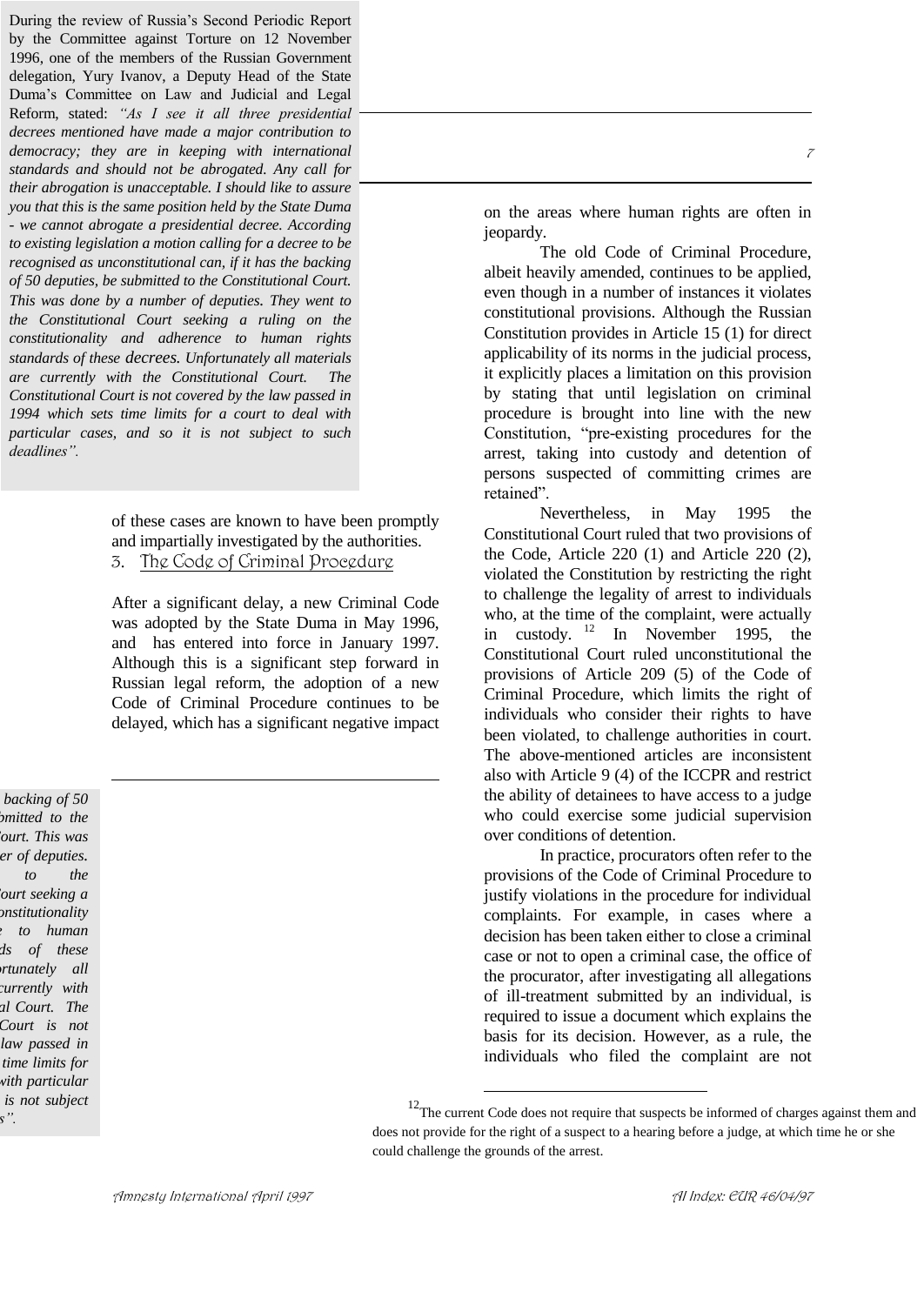democracy; they are in keeping with international *z*  $\overline{z}$ During the review of Russia's Second Periodic Report by the Committee against Torture on 12 November 1996, one of the members of the Russian Government delegation, Yury Ivanov, a Deputy Head of the State Duma's Committee on Law and Judicial and Legal Reform, stated: *"As I see it all three presidential decrees mentioned have made a major contribution to standards and should not be abrogated. Any call for their abrogation is unacceptable. I should like to assure you that this is the same position held by the State Duma - we cannot abrogate a presidential decree. According to existing legislation a motion calling for a decree to be recognised as unconstitutional can, if it has the backing of 50 deputies, be submitted to the Constitutional Court. This was done by a number of deputies. They went to the Constitutional Court seeking a ruling on the constitutionality and adherence to human rights standards of these decrees. Unfortunately all materials are currently with the Constitutional Court. The Constitutional Court is not covered by the law passed in 1994 which sets time limits for a court to deal with particular cases, and so it is not subject to such deadlines".*

> of these cases are known to have been promptly and impartially investigated by the authorities. 3. The Code of Criminal Procedure

> After a significant delay, a new Criminal Code was adopted by the State Duma in May 1996, and has entered into force in January 1997. Although this is a significant step forward in Russian legal reform, the adoption of a new Code of Criminal Procedure continues to be delayed, which has a significant negative impact

*backing of 50 bmitted to the Constitutional Court. This was done by a number of deputies. to the Constitutional Court seeking a ruling on the constitutionality and adherence to human rights standards of these differentiall* all *materials are currently with the Constitutional Court. The Constitutional Court is not covered by the law passed in*   $time$  limits for *a court to deal with particular cases, and so it is not subject to such deadlines".*

—<br>—

on the areas where human rights are often in jeopardy.

The old Code of Criminal Procedure, albeit heavily amended, continues to be applied, even though in a number of instances it violates constitutional provisions. Although the Russian Constitution provides in Article 15 (1) for direct applicability of its norms in the judicial process, it explicitly places a limitation on this provision by stating that until legislation on criminal procedure is brought into line with the new Constitution, "pre-existing procedures for the arrest, taking into custody and detention of persons suspected of committing crimes are retained".

Nevertheless, in May 1995 the Constitutional Court ruled that two provisions of the Code, Article 220 (1) and Article 220 (2), violated the Constitution by restricting the right to challenge the legality of arrest to individuals who, at the time of the complaint, were actually in custody. <sup>12</sup> In November 1995, the Constitutional Court ruled unconstitutional the provisions of Article 209 (5) of the Code of Criminal Procedure, which limits the right of individuals who consider their rights to have been violated, to challenge authorities in court. The above-mentioned articles are inconsistent also with Article 9 (4) of the ICCPR and restrict the ability of detainees to have access to a judge who could exercise some judicial supervision over conditions of detention.

In practice, procurators often refer to the provisions of the Code of Criminal Procedure to justify violations in the procedure for individual complaints. For example, in cases where a decision has been taken either to close a criminal case or not to open a criminal case, the office of the procurator, after investigating all allegations of ill-treatment submitted by an individual, is required to issue a document which explains the basis for its decision. However, as a rule, the individuals who filed the complaint are not

<u>—</u>

 $12$ The current Code does not require that suspects be informed of charges against them and does not provide for the right of a suspect to a hearing before a judge, at which time he or she could challenge the grounds of the arrest.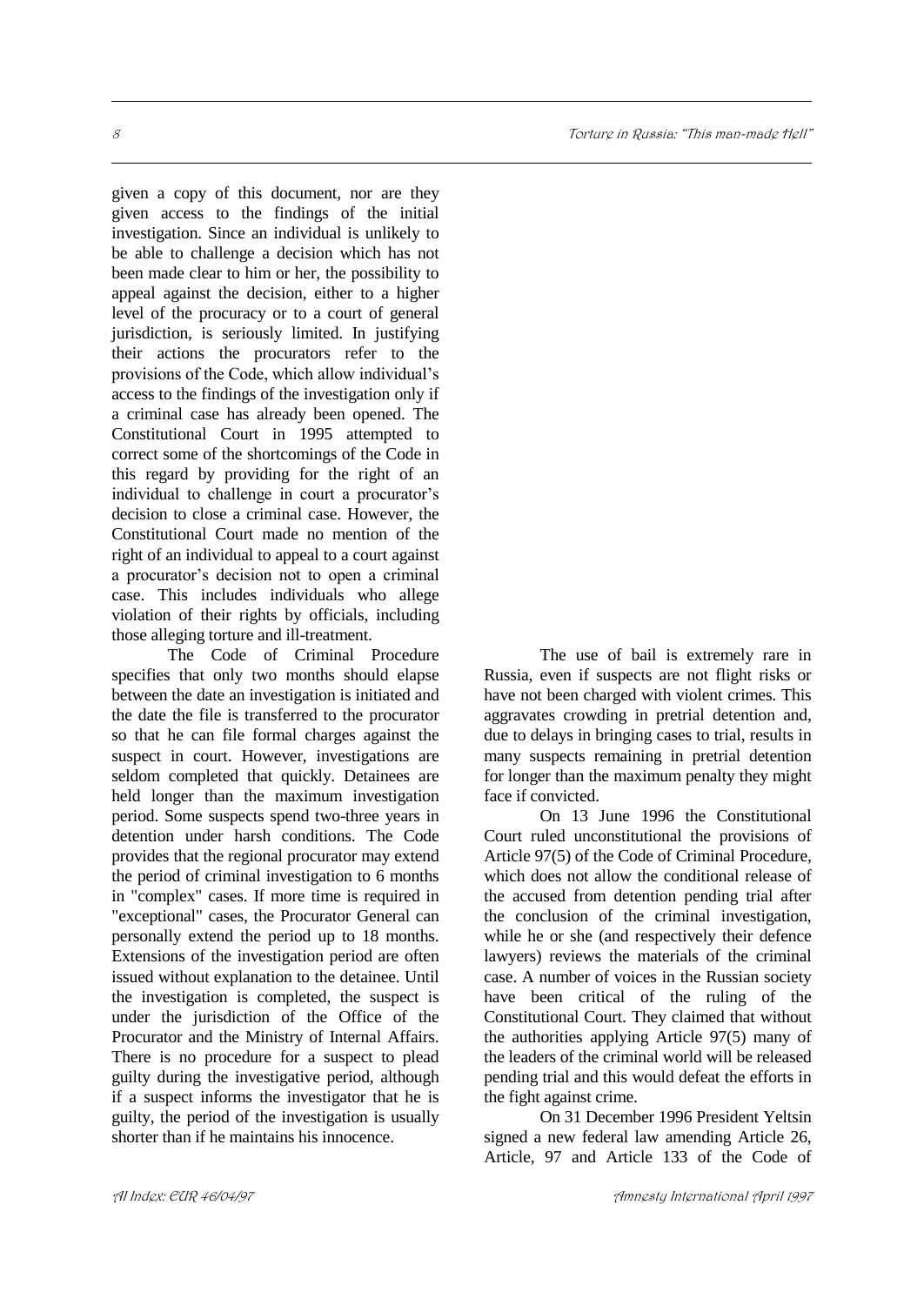given a copy of this document, nor are they given access to the findings of the initial investigation. Since an individual is unlikely to be able to challenge a decision which has not been made clear to him or her, the possibility to appeal against the decision, either to a higher level of the procuracy or to a court of general jurisdiction, is seriously limited. In justifying their actions the procurators refer to the provisions of the Code, which allow individual's access to the findings of the investigation only if a criminal case has already been opened. The Constitutional Court in 1995 attempted to correct some of the shortcomings of the Code in this regard by providing for the right of an individual to challenge in court a procurator's decision to close a criminal case. However, the Constitutional Court made no mention of the right of an individual to appeal to a court against a procurator's decision not to open a criminal case. This includes individuals who allege violation of their rights by officials, including those alleging torture and ill-treatment.

The Code of Criminal Procedure specifies that only two months should elapse between the date an investigation is initiated and the date the file is transferred to the procurator so that he can file formal charges against the suspect in court. However, investigations are seldom completed that quickly. Detainees are held longer than the maximum investigation period. Some suspects spend two-three years in detention under harsh conditions. The Code provides that the regional procurator may extend the period of criminal investigation to 6 months in "complex" cases. If more time is required in "exceptional" cases, the Procurator General can personally extend the period up to 18 months. Extensions of the investigation period are often issued without explanation to the detainee. Until the investigation is completed, the suspect is under the jurisdiction of the Office of the Procurator and the Ministry of Internal Affairs. There is no procedure for a suspect to plead guilty during the investigative period, although if a suspect informs the investigator that he is guilty, the period of the investigation is usually shorter than if he maintains his innocence.

8 Torture in Russia: "This man-made Hell"

The use of bail is extremely rare in Russia, even if suspects are not flight risks or have not been charged with violent crimes. This aggravates crowding in pretrial detention and, due to delays in bringing cases to trial, results in many suspects remaining in pretrial detention for longer than the maximum penalty they might face if convicted.

On 13 June 1996 the Constitutional Court ruled unconstitutional the provisions of Article 97(5) of the Code of Criminal Procedure, which does not allow the conditional release of the accused from detention pending trial after the conclusion of the criminal investigation, while he or she (and respectively their defence lawyers) reviews the materials of the criminal case. A number of voices in the Russian society have been critical of the ruling of the Constitutional Court. They claimed that without the authorities applying Article 97(5) many of the leaders of the criminal world will be released pending trial and this would defeat the efforts in the fight against crime.

On 31 December 1996 President Yeltsin signed a new federal law amending Article 26, Article, 97 and Article 133 of the Code of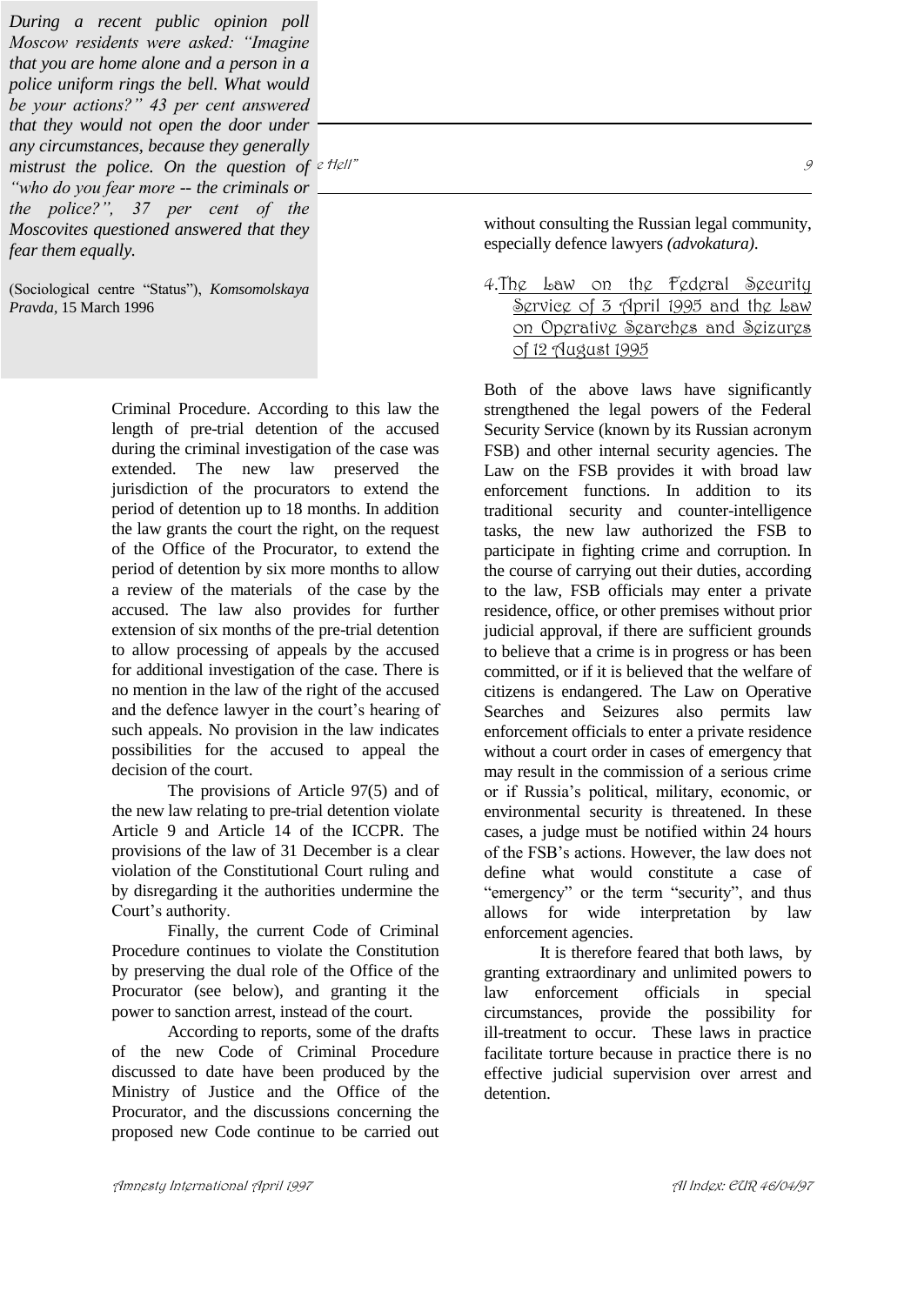$m$ istrust the police. On the question of  $\frac{z}{l}$   $\frac{d}{l}$   $\frac{d}{l}$   $\frac{d}{l}$   $\frac{d}{l}$   $\frac{d}{l}$   $\frac{d}{l}$   $\frac{d}{l}$   $\frac{d}{l}$   $\frac{d}{l}$   $\frac{d}{l}$   $\frac{d}{l}$   $\frac{d}{l}$   $\frac{d}{l}$   $\frac{d}{l}$   $\frac{d}{l}$   $\frac{d}{l}$   $\frac{d}{l}$ *During a recent public opinion poll Moscow residents were asked: "Imagine that you are home alone and a person in a police uniform rings the bell. What would be your actions?" 43 per cent answered that they would not open the door under any circumstances, because they generally "who do you fear more -- the criminals or the police?", 37 per cent of the Moscovites questioned answered that they fear them equally.*

(Sociological centre "Status"), *Komsomolskaya Pravda*, 15 March 1996

> Criminal Procedure. According to this law the length of pre-trial detention of the accused during the criminal investigation of the case was extended. The new law preserved the jurisdiction of the procurators to extend the period of detention up to 18 months. In addition the law grants the court the right, on the request of the Office of the Procurator, to extend the period of detention by six more months to allow a review of the materials of the case by the accused. The law also provides for further extension of six months of the pre-trial detention to allow processing of appeals by the accused for additional investigation of the case. There is no mention in the law of the right of the accused and the defence lawyer in the court's hearing of such appeals. No provision in the law indicates possibilities for the accused to appeal the decision of the court.

The provisions of Article 97(5) and of the new law relating to pre-trial detention violate Article 9 and Article 14 of the ICCPR. The provisions of the law of 31 December is a clear violation of the Constitutional Court ruling and by disregarding it the authorities undermine the Court's authority.

Finally, the current Code of Criminal Procedure continues to violate the Constitution by preserving the dual role of the Office of the Procurator (see below), and granting it the power to sanction arrest, instead of the court.

According to reports, some of the drafts of the new Code of Criminal Procedure discussed to date have been produced by the Ministry of Justice and the Office of the Procurator, and the discussions concerning the proposed new Code continue to be carried out without consulting the Russian legal community, especially defence lawyers *(advokatura)*.

4.The Law on the Federal Security Service of 3 April 1995 and the Law on Operative Searches and Seizures of 12 August 1995

Both of the above laws have significantly strengthened the legal powers of the Federal Security Service (known by its Russian acronym FSB) and other internal security agencies. The Law on the FSB provides it with broad law enforcement functions. In addition to its traditional security and counter-intelligence tasks, the new law authorized the FSB to participate in fighting crime and corruption. In the course of carrying out their duties, according to the law, FSB officials may enter a private residence, office, or other premises without prior judicial approval, if there are sufficient grounds to believe that a crime is in progress or has been committed, or if it is believed that the welfare of citizens is endangered. The Law on Operative Searches and Seizures also permits law enforcement officials to enter a private residence without a court order in cases of emergency that may result in the commission of a serious crime or if Russia's political, military, economic, or environmental security is threatened. In these cases, a judge must be notified within 24 hours of the FSB's actions. However, the law does not define what would constitute a case of "emergency" or the term "security", and thus allows for wide interpretation by law enforcement agencies.

It is therefore feared that both laws, by granting extraordinary and unlimited powers to law enforcement officials in special circumstances, provide the possibility for ill-treatment to occur. These laws in practice facilitate torture because in practice there is no effective judicial supervision over arrest and detention.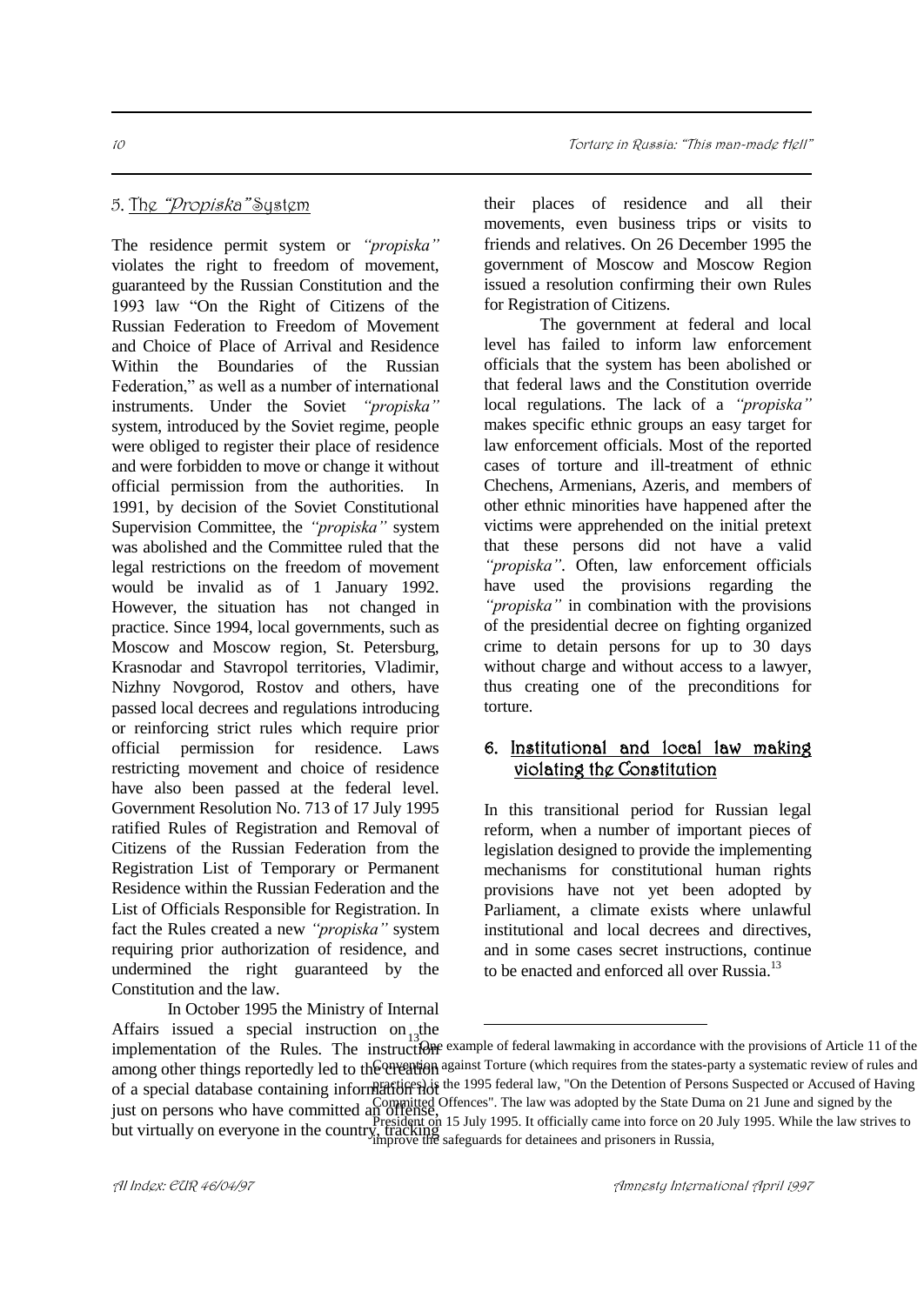## 5. The "*Propiska*" Sustem

The residence permit system or *"propiska"* violates the right to freedom of movement, guaranteed by the Russian Constitution and the 1993 law "On the Right of Citizens of the Russian Federation to Freedom of Movement and Choice of Place of Arrival and Residence Within the Boundaries of the Russian Federation," as well as a number of international instruments. Under the Soviet *"propiska"* system, introduced by the Soviet regime, people were obliged to register their place of residence and were forbidden to move or change it without official permission from the authorities. In 1991, by decision of the Soviet Constitutional Supervision Committee, the *"propiska"* system was abolished and the Committee ruled that the legal restrictions on the freedom of movement would be invalid as of 1 January 1992. However, the situation has not changed in practice. Since 1994, local governments, such as Moscow and Moscow region, St. Petersburg, Krasnodar and Stavropol territories, Vladimir, Nizhny Novgorod, Rostov and others, have passed local decrees and regulations introducing or reinforcing strict rules which require prior official permission for residence. Laws restricting movement and choice of residence have also been passed at the federal level. Government Resolution No. 713 of 17 July 1995 ratified Rules of Registration and Removal of Citizens of the Russian Federation from the Registration List of Temporary or Permanent Residence within the Russian Federation and the List of Officials Responsible for Registration. In fact the Rules created a new *"propiska"* system requiring prior authorization of residence, and undermined the right guaranteed by the Constitution and the law.

In October 1995 the Ministry of Internal Affairs issued a special instruction on  $h<sub>12</sub>$ the their places of residence and all their movements, even business trips or visits to friends and relatives. On 26 December 1995 the government of Moscow and Moscow Region issued a resolution confirming their own Rules for Registration of Citizens.

The government at federal and local level has failed to inform law enforcement officials that the system has been abolished or that federal laws and the Constitution override local regulations. The lack of a *"propiska"* makes specific ethnic groups an easy target for law enforcement officials. Most of the reported cases of torture and ill-treatment of ethnic Chechens, Armenians, Azeris, and members of other ethnic minorities have happened after the victims were apprehended on the initial pretext that these persons did not have a valid *"propiska"*. Often, law enforcement officials have used the provisions regarding the *"propiska"* in combination with the provisions of the presidential decree on fighting organized crime to detain persons for up to 30 days without charge and without access to a lawyer, thus creating one of the preconditions for torture.

## 6. Institutional and local law making violating the Constitution

In this transitional period for Russian legal reform, when a number of important pieces of legislation designed to provide the implementing mechanisms for constitutional human rights provisions have not yet been adopted by Parliament, a climate exists where unlawful institutional and local decrees and directives, and in some cases secret instructions, continue to be enacted and enforced all over Russia.<sup>13</sup>

È,

implementation of the Rules. The instruction  $\frac{13}{13}$  example of federal lawmaking in accordance with the provisions of Article 11 of the among other things reportedly led to the creation against Torture (which requires from the states-party a systematic review of rules and of a special database containing information not be 1995 federal law, "On the Detention of Persons Suspected or Accused of Having just on persons who have committed an offense, but virtually on everyone in the country, tracking Committed Offences". The law was adopted by the State Duma on 21 June and signed by the President on 15 July 1995. It officially came into force on 20 July 1995. While the law strives to improve the safeguards for detainees and prisoners in Russia,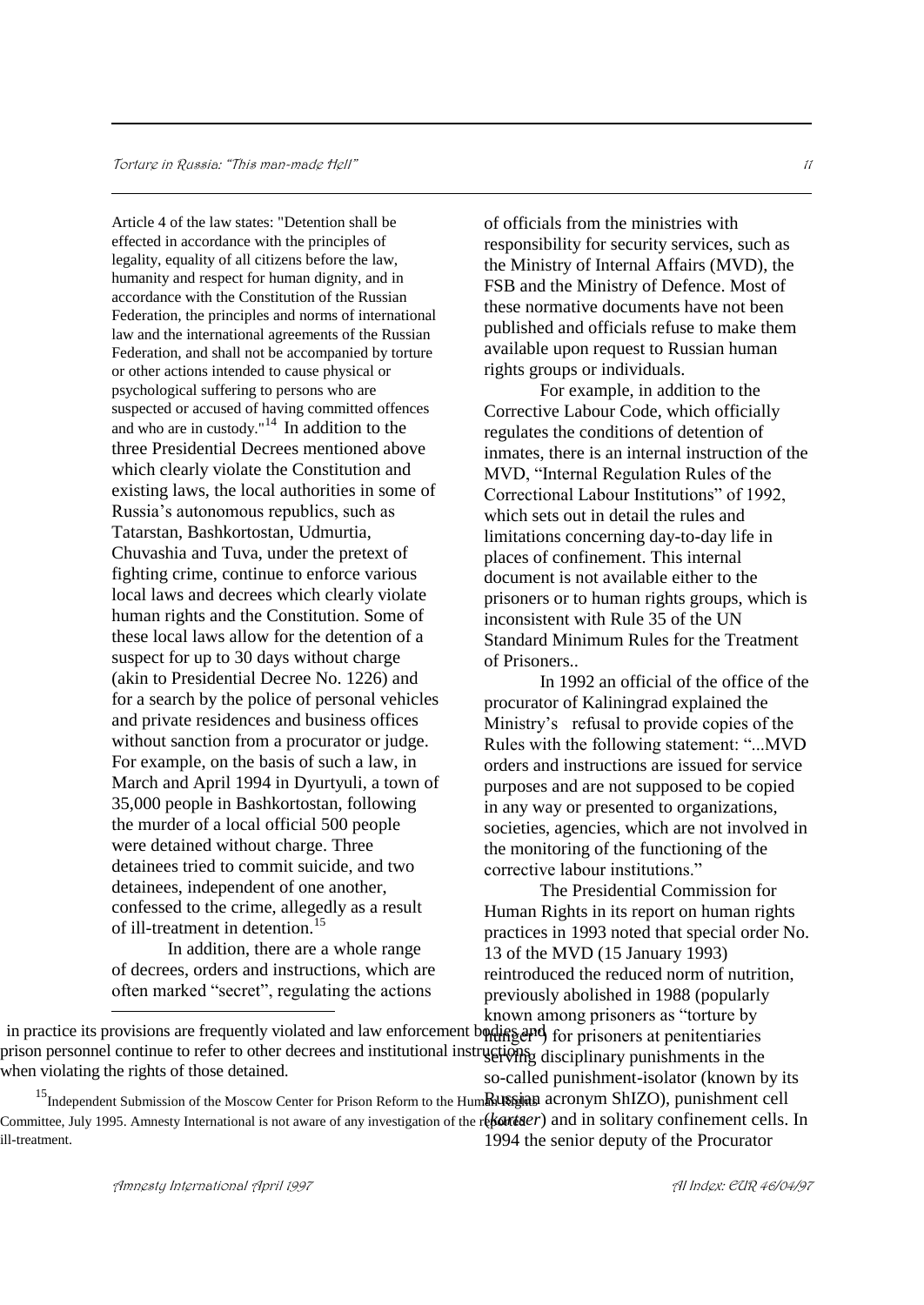Article 4 of the law states: "Detention shall be effected in accordance with the principles of legality, equality of all citizens before the law, humanity and respect for human dignity, and in accordance with the Constitution of the Russian Federation, the principles and norms of international law and the international agreements of the Russian Federation, and shall not be accompanied by torture or other actions intended to cause physical or psychological suffering to persons who are suspected or accused of having committed offences and who are in custody." $14$  In addition to the three Presidential Decrees mentioned above which clearly violate the Constitution and existing laws, the local authorities in some of Russia's autonomous republics, such as Tatarstan, Bashkortostan, Udmurtia, Chuvashia and Tuva, under the pretext of fighting crime, continue to enforce various local laws and decrees which clearly violate human rights and the Constitution. Some of these local laws allow for the detention of a suspect for up to 30 days without charge (akin to Presidential Decree No. 1226) and for a search by the police of personal vehicles and private residences and business offices without sanction from a procurator or judge. For example, on the basis of such a law, in March and April 1994 in Dyurtyuli, a town of 35,000 people in Bashkortostan, following the murder of a local official 500 people were detained without charge. Three detainees tried to commit suicide, and two detainees, independent of one another, confessed to the crime, allegedly as a result of ill-treatment in detention.<sup>15</sup>

In addition, there are a whole range of decrees, orders and instructions, which are often marked "secret", regulating the actions —<br>—

of officials from the ministries with responsibility for security services, such as the Ministry of Internal Affairs (MVD), the FSB and the Ministry of Defence. Most of these normative documents have not been published and officials refuse to make them available upon request to Russian human rights groups or individuals.

For example, in addition to the Corrective Labour Code, which officially regulates the conditions of detention of inmates, there is an internal instruction of the MVD, "Internal Regulation Rules of the Correctional Labour Institutions" of 1992, which sets out in detail the rules and limitations concerning day-to-day life in places of confinement. This internal document is not available either to the prisoners or to human rights groups, which is inconsistent with Rule 35 of the UN Standard Minimum Rules for the Treatment of Prisoners..

In 1992 an official of the office of the procurator of Kaliningrad explained the Ministry's refusal to provide copies of the Rules with the following statement: "...MVD orders and instructions are issued for service purposes and are not supposed to be copied in any way or presented to organizations, societies, agencies, which are not involved in the monitoring of the functioning of the corrective labour institutions."

The Presidential Commission for Human Rights in its report on human rights practices in 1993 noted that special order No. 13 of the MVD (15 January 1993) reintroduced the reduced norm of nutrition, previously abolished in 1988 (popularly known among prisoners as "torture by

in practice its provisions are frequently violated and law enforcement boding and for prisoners at penitentiaries prison personnel continue to refer to other decrees and institutional instructions disciplinary punishments in the when violating the rights of those detained. so-called punishment-isolator (known by its

<sup>15</sup>Independent Submission of the Moscow Center for Prison Reform to the Hum**Russian** acronym ShIZO), punishment cell Committee, July 1995. Amnesty International is not aware of any investigation of the restants and in solitary confinement cells. In ill-treatment. 1994 the senior deputy of the Procurator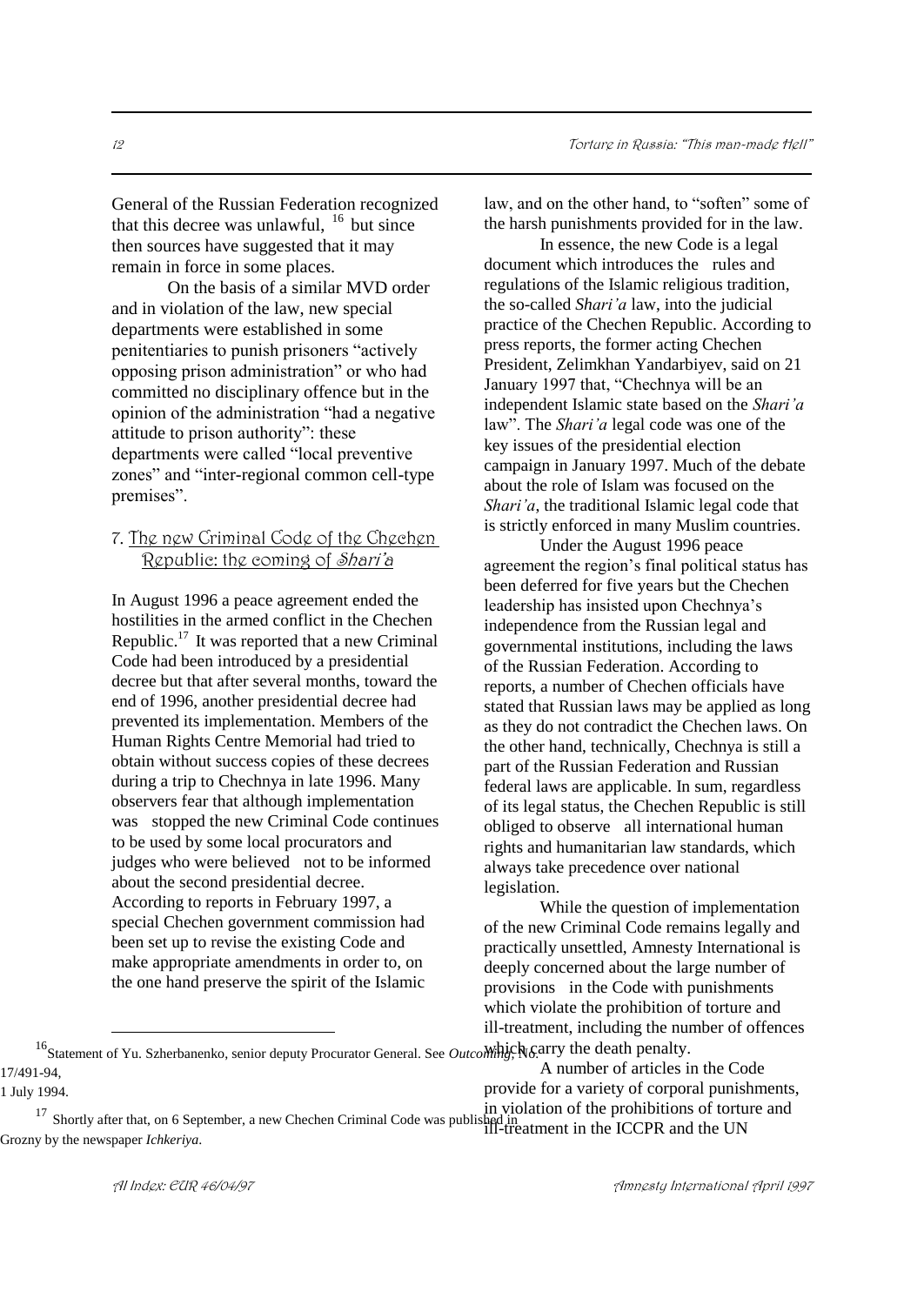General of the Russian Federation recognized that this decree was unlawful,  $16$  but since then sources have suggested that it may remain in force in some places.

On the basis of a similar MVD order and in violation of the law, new special departments were established in some penitentiaries to punish prisoners "actively opposing prison administration" or who had committed no disciplinary offence but in the opinion of the administration "had a negative attitude to prison authority": these departments were called "local preventive zones" and "inter-regional common cell-type premises".

## 7. The new Criminal Code of the Chechen Republic: the coming of Shari'a

In August 1996 a peace agreement ended the hostilities in the armed conflict in the Chechen Republic.<sup>17</sup> It was reported that a new Criminal Code had been introduced by a presidential decree but that after several months, toward the end of 1996, another presidential decree had prevented its implementation. Members of the Human Rights Centre Memorial had tried to obtain without success copies of these decrees during a trip to Chechnya in late 1996. Many observers fear that although implementation was stopped the new Criminal Code continues to be used by some local procurators and judges who were believed not to be informed about the second presidential decree. According to reports in February 1997, a special Chechen government commission had been set up to revise the existing Code and make appropriate amendments in order to, on the one hand preserve the spirit of the Islamic

law, and on the other hand, to "soften" some of the harsh punishments provided for in the law.

In essence, the new Code is a legal document which introduces the rules and regulations of the Islamic religious tradition, the so-called *Shari'a* law, into the judicial practice of the Chechen Republic. According to press reports, the former acting Chechen President, Zelimkhan Yandarbiyev, said on 21 January 1997 that, "Chechnya will be an independent Islamic state based on the *Shari'a* law". The *Shari'a* legal code was one of the key issues of the presidential election campaign in January 1997. Much of the debate about the role of Islam was focused on the *Shari'a*, the traditional Islamic legal code that is strictly enforced in many Muslim countries.

Under the August 1996 peace agreement the region's final political status has been deferred for five years but the Chechen leadership has insisted upon Chechnya's independence from the Russian legal and governmental institutions, including the laws of the Russian Federation. According to reports, a number of Chechen officials have stated that Russian laws may be applied as long as they do not contradict the Chechen laws. On the other hand, technically, Chechnya is still a part of the Russian Federation and Russian federal laws are applicable. In sum, regardless of its legal status, the Chechen Republic is still obliged to observe all international human rights and humanitarian law standards, which always take precedence over national legislation.

While the question of implementation of the new Criminal Code remains legally and practically unsettled, Amnesty International is deeply concerned about the large number of provisions in the Code with punishments which violate the prohibition of torture and ill-treatment, including the number of offences

—<br>—

<sup>&</sup>lt;sup>16</sup>Statement of Yu. Szherbanenko, senior deputy Procurator General. See *Outcoming*, NG arry the death penalty. 17/491-94, A number of articles in the Code

<sup>1</sup> July 1994.

provide for a variety of corporal punishments,

<sup>&</sup>lt;sup>17</sup> Shortly after that, on 6 September, a new Chechen Criminal Code was published in streamed in the ICCDD and the UN Grozny by the newspaper *Ichkeriya*. ill-treatment in the ICCPR and the UN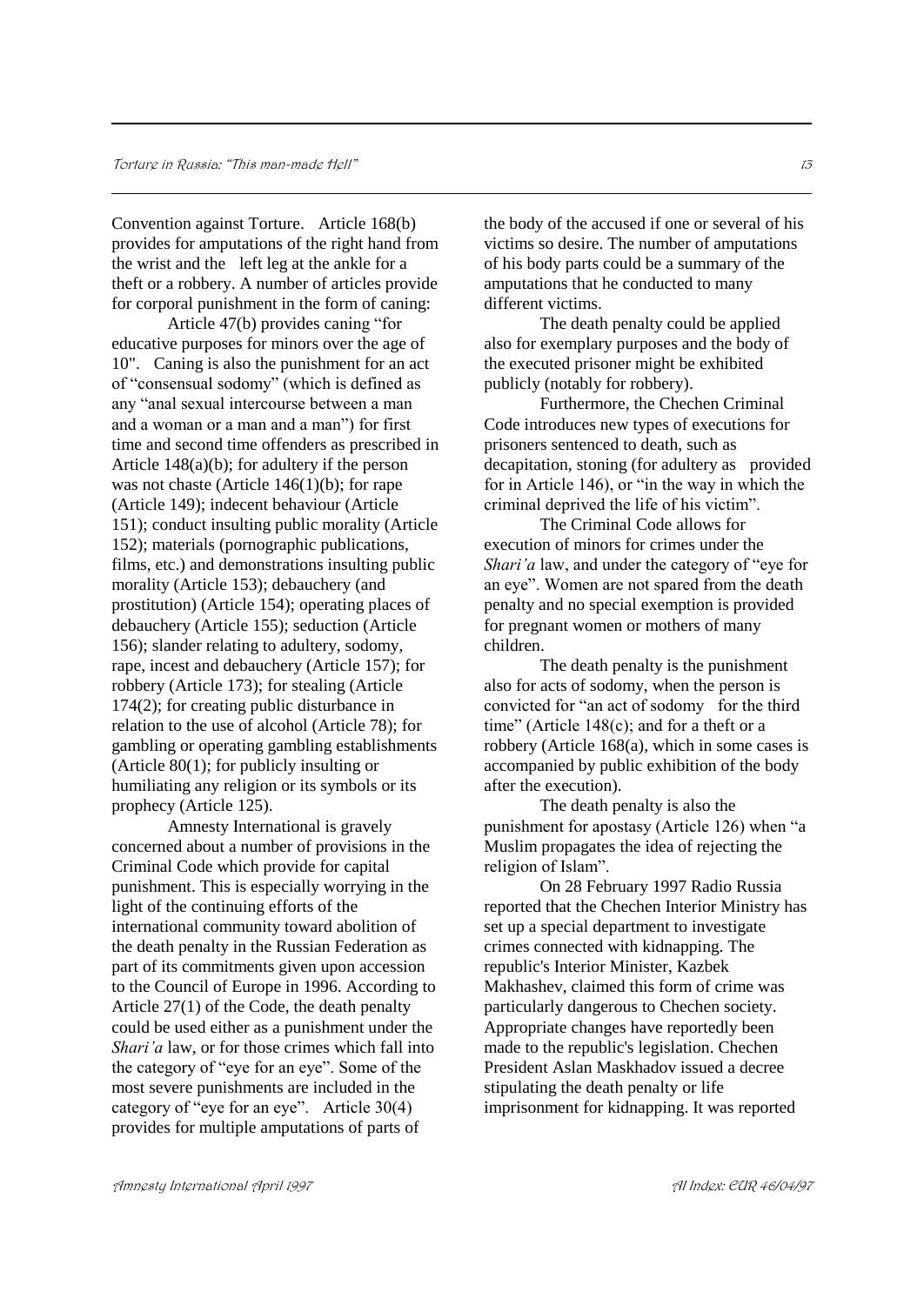Convention against Torture. Article 168(b) provides for amputations of the right hand from the wrist and the left leg at the ankle for a theft or a robbery. A number of articles provide for corporal punishment in the form of caning:

Article 47(b) provides caning "for educative purposes for minors over the age of 10". Caning is also the punishment for an act of "consensual sodomy" (which is defined as any "anal sexual intercourse between a man and a woman or a man and a man") for first time and second time offenders as prescribed in Article 148(a)(b); for adultery if the person was not chaste (Article  $146(1)(b)$ ; for rape (Article 149); indecent behaviour (Article 151); conduct insulting public morality (Article 152); materials (pornographic publications, films, etc.) and demonstrations insulting public morality (Article 153); debauchery (and prostitution) (Article 154); operating places of debauchery (Article 155); seduction (Article 156); slander relating to adultery, sodomy, rape, incest and debauchery (Article 157); for robbery (Article 173); for stealing (Article 174(2); for creating public disturbance in relation to the use of alcohol (Article 78); for gambling or operating gambling establishments (Article 80(1); for publicly insulting or humiliating any religion or its symbols or its prophecy (Article 125).

Amnesty International is gravely concerned about a number of provisions in the Criminal Code which provide for capital punishment. This is especially worrying in the light of the continuing efforts of the international community toward abolition of the death penalty in the Russian Federation as part of its commitments given upon accession to the Council of Europe in 1996. According to Article 27(1) of the Code, the death penalty could be used either as a punishment under the *Shari'a* law, or for those crimes which fall into the category of "eye for an eye". Some of the most severe punishments are included in the category of "eye for an eye". Article 30(4) provides for multiple amputations of parts of

the body of the accused if one or several of his victims so desire. The number of amputations of his body parts could be a summary of the amputations that he conducted to many different victims.

The death penalty could be applied also for exemplary purposes and the body of the executed prisoner might be exhibited publicly (notably for robbery).

Furthermore, the Chechen Criminal Code introduces new types of executions for prisoners sentenced to death, such as decapitation, stoning (for adultery as provided for in Article 146), or "in the way in which the criminal deprived the life of his victim".

The Criminal Code allows for execution of minors for crimes under the *Shari'a* law, and under the category of "eye for" an eye". Women are not spared from the death penalty and no special exemption is provided for pregnant women or mothers of many children.

The death penalty is the punishment also for acts of sodomy, when the person is convicted for "an act of sodomy for the third time" (Article 148(c); and for a theft or a robbery (Article 168(a), which in some cases is accompanied by public exhibition of the body after the execution).

The death penalty is also the punishment for apostasy (Article 126) when "a Muslim propagates the idea of rejecting the religion of Islam".

On 28 February 1997 Radio Russia reported that the Chechen Interior Ministry has set up a special department to investigate crimes connected with kidnapping. The republic's Interior Minister, Kazbek Makhashev, claimed this form of crime was particularly dangerous to Chechen society. Appropriate changes have reportedly been made to the republic's legislation. Chechen President Aslan Maskhadov issued a decree stipulating the death penalty or life imprisonment for kidnapping. It was reported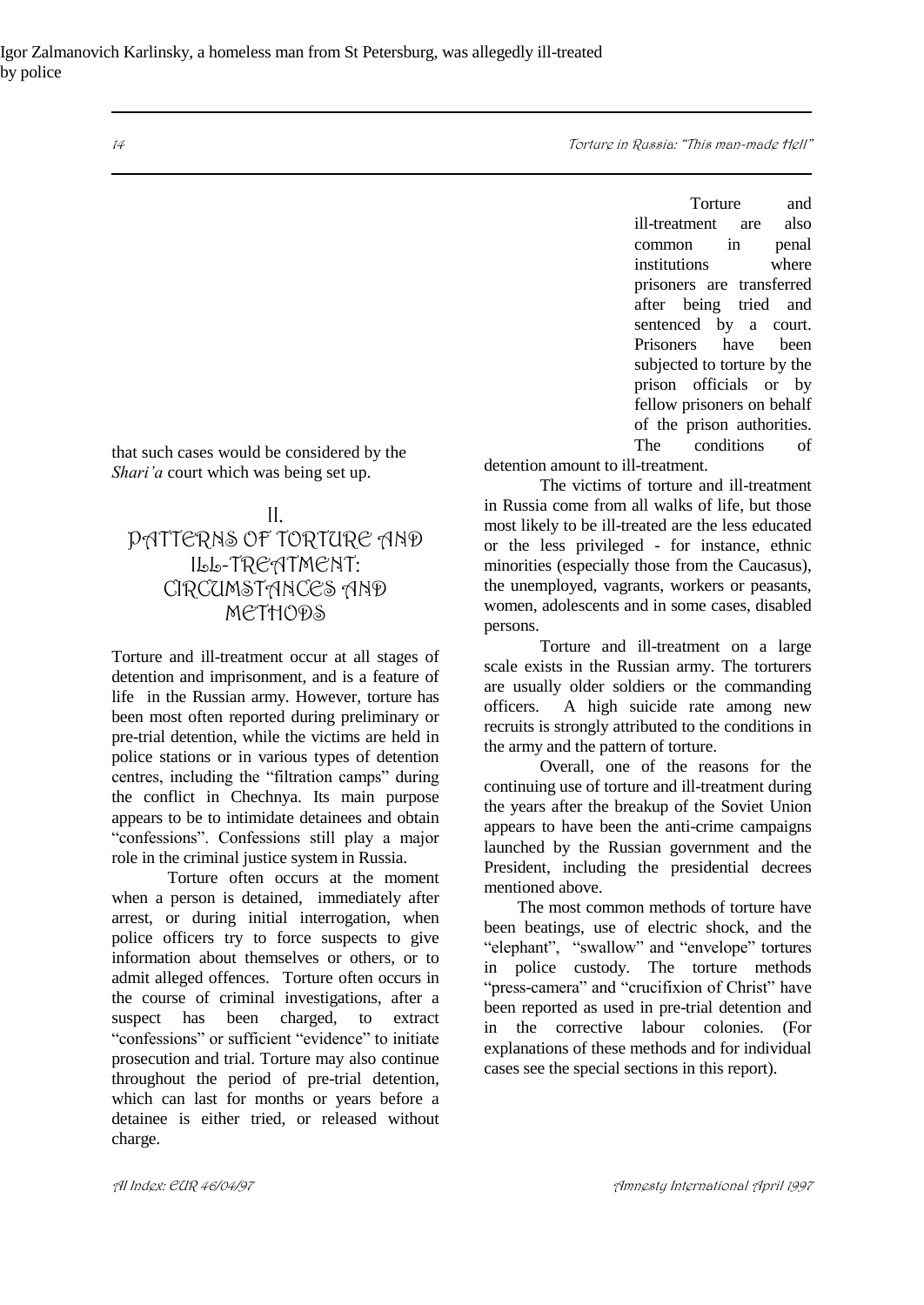|                                              | Torture<br>and                           |
|----------------------------------------------|------------------------------------------|
|                                              | also<br>ill-treatment<br>are             |
|                                              | penal<br>1n<br>common                    |
|                                              | institutions<br>where                    |
|                                              | prisoners are transferred                |
|                                              | after being tried<br>and                 |
|                                              | sentenced by<br>a a<br>court.            |
|                                              | <b>Prisoners</b><br>have<br>been         |
|                                              | subjected to torture by the              |
|                                              | prison officials or by                   |
|                                              | fellow prisoners on behalf               |
|                                              | of the prison authorities.               |
|                                              | The<br>conditions<br>of                  |
| that such cases would be considered by the   | detention amount to ill-treatment.       |
| <i>Shari'a</i> court which was being set up. | The victims of torture and ill-treatment |

II. PATTERNS OF TORTURE AND ILL-TREATMENT: CIRCUMSTANCES AND METHODS

Torture and ill-treatment occur at all stages of detention and imprisonment, and is a feature of life in the Russian army. However, torture has been most often reported during preliminary or pre-trial detention, while the victims are held in police stations or in various types of detention centres, including the "filtration camps" during the conflict in Chechnya. Its main purpose appears to be to intimidate detainees and obtain "confessions". Confessions still play a major role in the criminal justice system in Russia.

Torture often occurs at the moment when a person is detained, immediately after arrest, or during initial interrogation, when police officers try to force suspects to give information about themselves or others, or to admit alleged offences. Torture often occurs in the course of criminal investigations, after a suspect has been charged, to extract "confessions" or sufficient "evidence" to initiate prosecution and trial. Torture may also continue throughout the period of pre-trial detention, which can last for months or years before a detainee is either tried, or released without charge.

The victims of torture and ill-treatment in Russia come from all walks of life, but those most likely to be ill-treated are the less educated or the less privileged - for instance, ethnic minorities (especially those from the Caucasus), the unemployed, vagrants, workers or peasants,

women, adolescents and in some cases, disabled persons. Torture and ill-treatment on a large

scale exists in the Russian army. The torturers are usually older soldiers or the commanding officers. A high suicide rate among new recruits is strongly attributed to the conditions in the army and the pattern of torture.

Overall, one of the reasons for the continuing use of torture and ill-treatment during the years after the breakup of the Soviet Union appears to have been the anti-crime campaigns launched by the Russian government and the President, including the presidential decrees mentioned above.

The most common methods of torture have been beatings, use of electric shock, and the "elephant", "swallow" and "envelope" tortures in police custody. The torture methods "press-camera" and "crucifixion of Christ" have been reported as used in pre-trial detention and in the corrective labour colonies. (For explanations of these methods and for individual cases see the special sections in this report).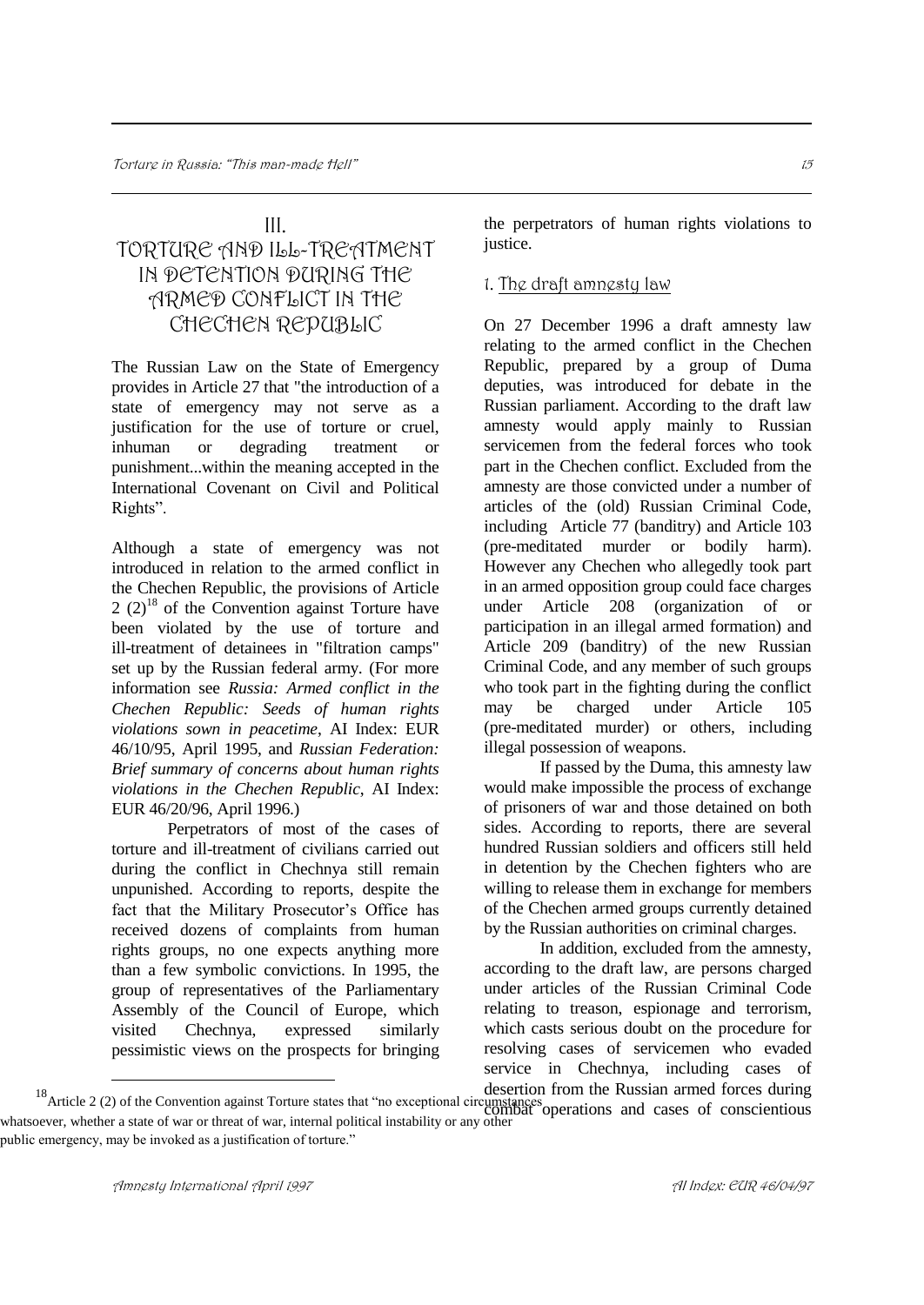## III. TORTURE AND ILL-TREATMENT IN DETENTION DURING THE ARMED CONFLICT IN THE CHECHEN REPUBLIC

The Russian Law on the State of Emergency provides in Article 27 that "the introduction of a state of emergency may not serve as a justification for the use of torture or cruel, inhuman or degrading treatment or punishment...within the meaning accepted in the International Covenant on Civil and Political Rights".

Although a state of emergency was not introduced in relation to the armed conflict in the Chechen Republic, the provisions of Article  $2 (2)^{18}$  of the Convention against Torture have been violated by the use of torture and ill-treatment of detainees in "filtration camps" set up by the Russian federal army. (For more information see *Russia: Armed conflict in the Chechen Republic: Seeds of human rights violations sown in peacetime*, AI Index: EUR 46/10/95, April 1995, and *Russian Federation: Brief summary of concerns about human rights violations in the Chechen Republic*, AI Index: EUR 46/20/96, April 1996.)

Perpetrators of most of the cases of torture and ill-treatment of civilians carried out during the conflict in Chechnya still remain unpunished. According to reports, despite the fact that the Military Prosecutor's Office has received dozens of complaints from human rights groups, no one expects anything more than a few symbolic convictions. In 1995, the group of representatives of the Parliamentary Assembly of the Council of Europe, which visited Chechnya, expressed similarly pessimistic views on the prospects for bringing

the perpetrators of human rights violations to justice.

## 1. The draft amnesty law

On 27 December 1996 a draft amnesty law relating to the armed conflict in the Chechen Republic, prepared by a group of Duma deputies, was introduced for debate in the Russian parliament. According to the draft law amnesty would apply mainly to Russian servicemen from the federal forces who took part in the Chechen conflict. Excluded from the amnesty are those convicted under a number of articles of the (old) Russian Criminal Code, including Article 77 (banditry) and Article 103 (pre-meditated murder or bodily harm). However any Chechen who allegedly took part in an armed opposition group could face charges under Article 208 (organization of or participation in an illegal armed formation) and Article 209 (banditry) of the new Russian Criminal Code, and any member of such groups who took part in the fighting during the conflict may be charged under Article 105 (pre-meditated murder) or others, including illegal possession of weapons.

If passed by the Duma, this amnesty law would make impossible the process of exchange of prisoners of war and those detained on both sides. According to reports, there are several hundred Russian soldiers and officers still held in detention by the Chechen fighters who are willing to release them in exchange for members of the Chechen armed groups currently detained by the Russian authorities on criminal charges.

In addition, excluded from the amnesty, according to the draft law, are persons charged under articles of the Russian Criminal Code relating to treason, espionage and terrorism, which casts serious doubt on the procedure for resolving cases of servicemen who evaded service in Chechnya, including cases of desertion from the Russian armed forces during

÷,

<sup>&</sup>lt;sup>18</sup>Article 2 (2) of the Convention against Torture states that "no exceptional circumstances of mbat operations and cases of conscientious whatsoever, whether a state of war or threat of war, internal political instability or any other public emergency, may be invoked as a justification of torture."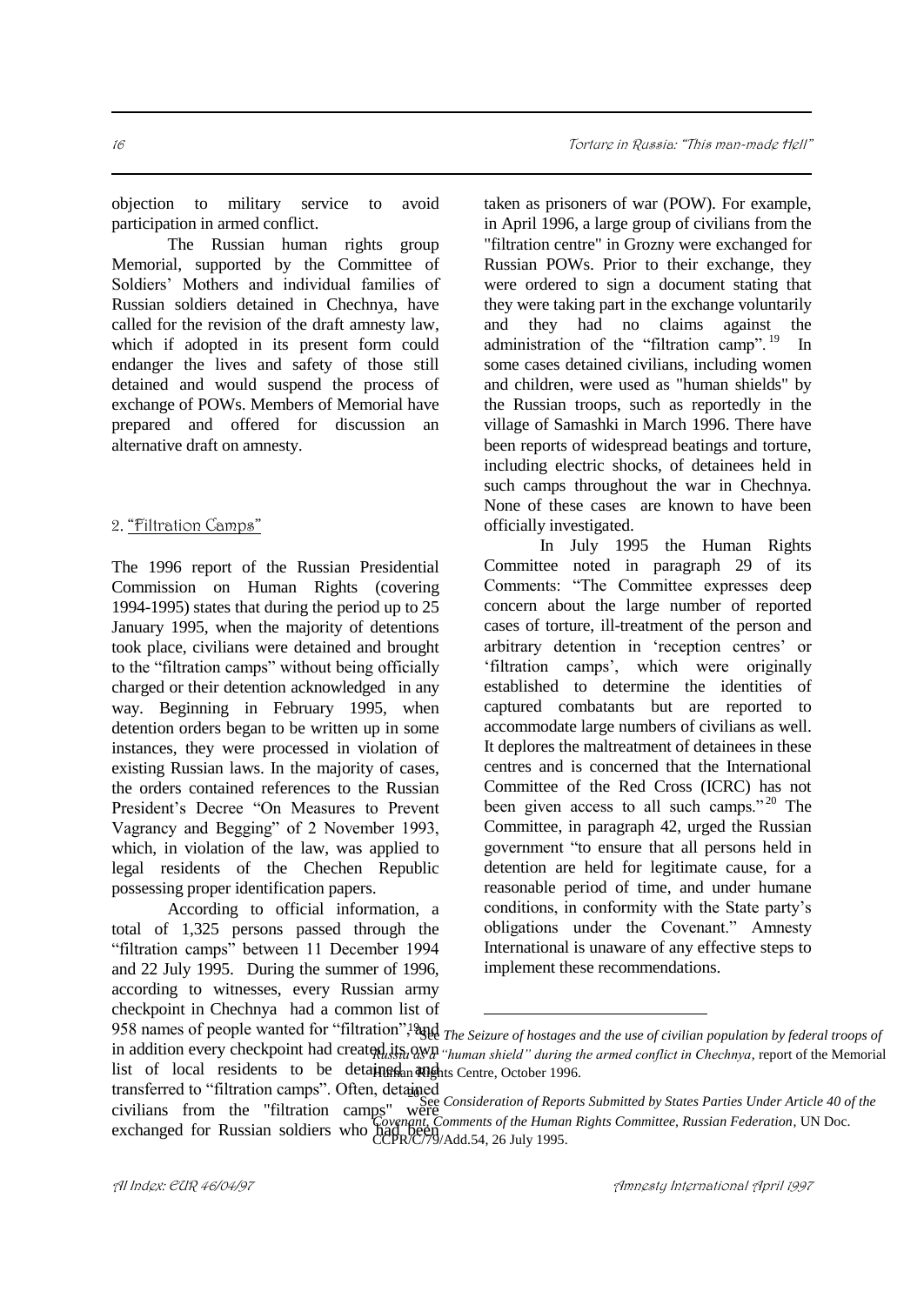objection to military service to avoid participation in armed conflict.

The Russian human rights group Memorial, supported by the Committee of Soldiers' Mothers and individual families of Russian soldiers detained in Chechnya, have called for the revision of the draft amnesty law, which if adopted in its present form could endanger the lives and safety of those still detained and would suspend the process of exchange of POWs. Members of Memorial have prepared and offered for discussion an alternative draft on amnesty.

## 2. "Filtration Camps"

The 1996 report of the Russian Presidential Commission on Human Rights (covering 1994-1995) states that during the period up to 25 January 1995, when the majority of detentions took place, civilians were detained and brought to the "filtration camps" without being officially charged or their detention acknowledged in any way. Beginning in February 1995, when detention orders began to be written up in some instances, they were processed in violation of existing Russian laws. In the majority of cases, the orders contained references to the Russian President's Decree "On Measures to Prevent Vagrancy and Begging" of 2 November 1993, which, in violation of the law, was applied to legal residents of the Chechen Republic possessing proper identification papers.

According to official information, a total of 1,325 persons passed through the "filtration camps" between 11 December 1994 and 22 July 1995. During the summer of 1996, according to witnesses, every Russian army checkpoint in Chechnya had a common list of taken as prisoners of war (POW). For example, in April 1996, a large group of civilians from the "filtration centre" in Grozny were exchanged for Russian POWs. Prior to their exchange, they were ordered to sign a document stating that they were taking part in the exchange voluntarily and they had no claims against the administration of the "filtration camp".<sup>19</sup> In some cases detained civilians, including women and children, were used as "human shields" by the Russian troops, such as reportedly in the village of Samashki in March 1996. There have been reports of widespread beatings and torture, including electric shocks, of detainees held in such camps throughout the war in Chechnya. None of these cases are known to have been officially investigated.

In July 1995 the Human Rights Committee noted in paragraph 29 of its Comments: "The Committee expresses deep concern about the large number of reported cases of torture, ill-treatment of the person and arbitrary detention in 'reception centres' or 'filtration camps', which were originally established to determine the identities of captured combatants but are reported to accommodate large numbers of civilians as well. It deplores the maltreatment of detainees in these centres and is concerned that the International Committee of the Red Cross (ICRC) has not been given access to all such camps."<sup>20</sup> The Committee, in paragraph 42, urged the Russian government "to ensure that all persons held in detention are held for legitimate cause, for a reasonable period of time, and under humane conditions, in conformity with the State party's obligations under the Covenant." Amnesty International is unaware of any effective steps to implement these recommendations.

<u>—</u>

<sup>958</sup> names of people wanted for "filtration", and in addition every checkpoint had created is a WH<sup>2</sup> "human shield" during the armed conflict in Chechnya, report of the Memorial list of local residents to be detained an anghts Centre, October 1996. tion",<sup>19</sup> and *The Seizure of hostages and the use of civilian population by federal troops of* 

transferred to "filtration camps". Often, detained civilians from the "filtration camps" were exchanged for Russian soldiers who had been l, **Getalgied**<br>nell and See *Consideration of Reports Submitted by States Parties Under Article 40 of the Covenant, Comments of the Human Rights Committee, Russian Federation*, UN Doc. CCPR/C/79/Add.54, 26 July 1995.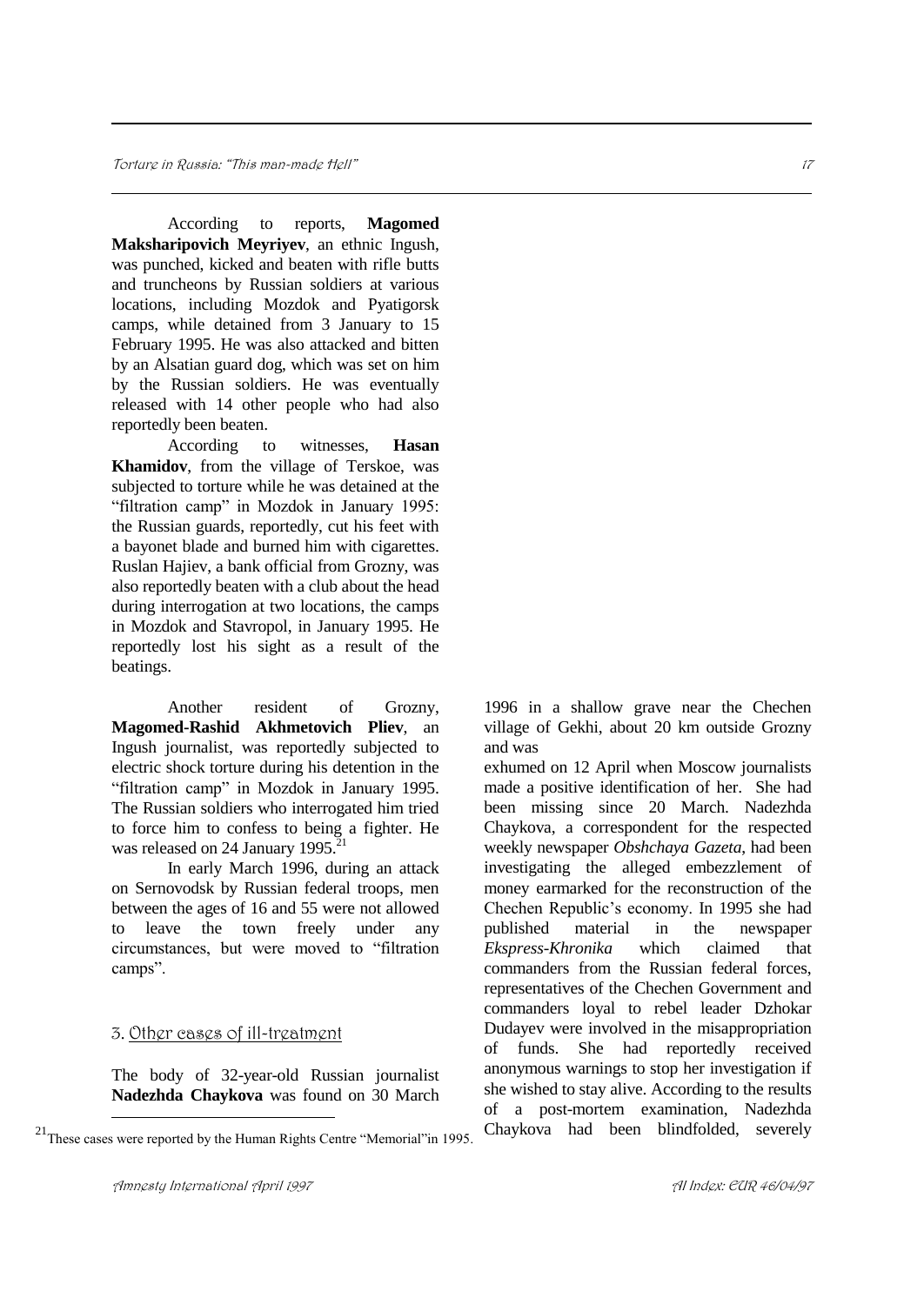According to reports, **Magomed Maksharipovich Meyriyev**, an ethnic Ingush, was punched, kicked and beaten with rifle butts and truncheons by Russian soldiers at various locations, including Mozdok and Pyatigorsk camps, while detained from 3 January to 15 February 1995. He was also attacked and bitten by an Alsatian guard dog, which was set on him by the Russian soldiers. He was eventually released with 14 other people who had also reportedly been beaten.

According to witnesses, **Hasan Khamidov**, from the village of Terskoe, was subjected to torture while he was detained at the "filtration camp" in Mozdok in January 1995: the Russian guards, reportedly, cut his feet with a bayonet blade and burned him with cigarettes. Ruslan Hajiev, a bank official from Grozny, was also reportedly beaten with a club about the head during interrogation at two locations, the camps in Mozdok and Stavropol, in January 1995. He reportedly lost his sight as a result of the beatings.

Another resident of Grozny, **Magomed-Rashid Akhmetovich Pliev**, an Ingush journalist, was reportedly subjected to electric shock torture during his detention in the "filtration camp" in Mozdok in January 1995. The Russian soldiers who interrogated him tried to force him to confess to being a fighter. He was released on 24 January 1995.<sup>21</sup>

In early March 1996, during an attack on Sernovodsk by Russian federal troops, men between the ages of 16 and 55 were not allowed to leave the town freely under any circumstances, but were moved to "filtration camps".

3. Other cases of ill-treatment

The body of 32-year-old Russian journalist **Nadezhda Chaykova** was found on 30 March

 $21$ These cases were reported by the Human Rights Centre "Memorial" in 1995.

1996 in a shallow grave near the Chechen village of Gekhi, about 20 km outside Grozny and was

exhumed on 12 April when Moscow journalists made a positive identification of her. She had been missing since 20 March. Nadezhda Chaykova, a correspondent for the respected weekly newspaper *Obshchaya Gazeta*, had been investigating the alleged embezzlement of money earmarked for the reconstruction of the Chechen Republic's economy. In 1995 she had published material in the newspaper *Ekspress-Khronika* which claimed that commanders from the Russian federal forces, representatives of the Chechen Government and commanders loyal to rebel leader Dzhokar Dudayev were involved in the misappropriation of funds. She had reportedly received anonymous warnings to stop her investigation if she wished to stay alive. According to the results of a post-mortem examination, Nadezhda Chaykova had been blindfolded, severely

÷,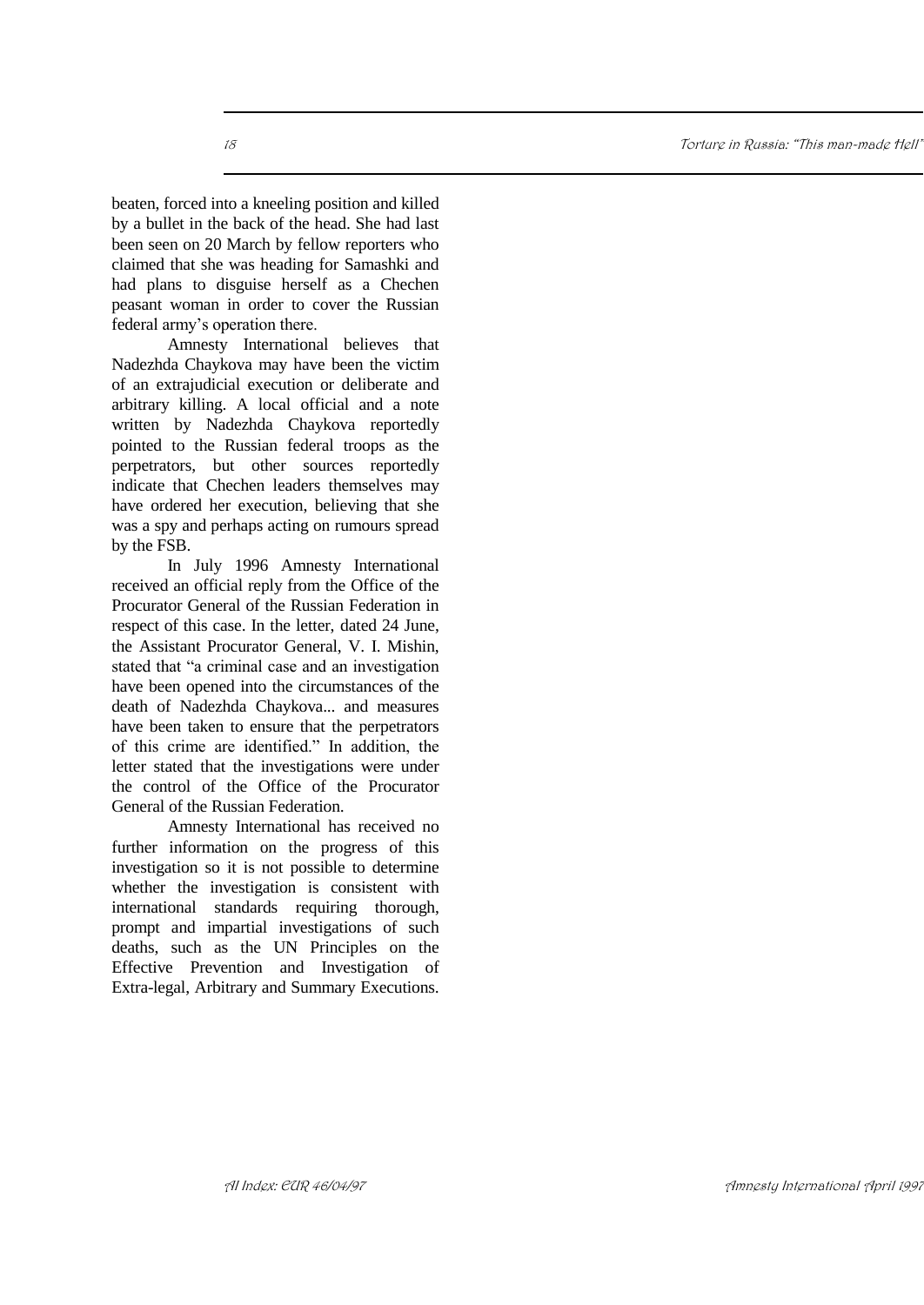beaten, forced into a kneeling position and killed by a bullet in the back of the head. She had last been seen on 20 March by fellow reporters who claimed that she was heading for Samashki and had plans to disguise herself as a Chechen peasant woman in order to cover the Russian federal army's operation there.

Amnesty International believes that Nadezhda Chaykova may have been the victim of an extrajudicial execution or deliberate and arbitrary killing. A local official and a note written by Nadezhda Chaykova reportedly pointed to the Russian federal troops as the perpetrators, but other sources reportedly indicate that Chechen leaders themselves may have ordered her execution, believing that she was a spy and perhaps acting on rumours spread by the FSB.

In July 1996 Amnesty International received an official reply from the Office of the Procurator General of the Russian Federation in respect of this case. In the letter, dated 24 June, the Assistant Procurator General, V. I. Mishin, stated that "a criminal case and an investigation have been opened into the circumstances of the death of Nadezhda Chaykova... and measures have been taken to ensure that the perpetrators of this crime are identified." In addition, the letter stated that the investigations were under the control of the Office of the Procurator General of the Russian Federation.

Amnesty International has received no further information on the progress of this investigation so it is not possible to determine whether the investigation is consistent with international standards requiring thorough, prompt and impartial investigations of such deaths, such as the UN Principles on the Effective Prevention and Investigation of Extra-legal, Arbitrary and Summary Executions.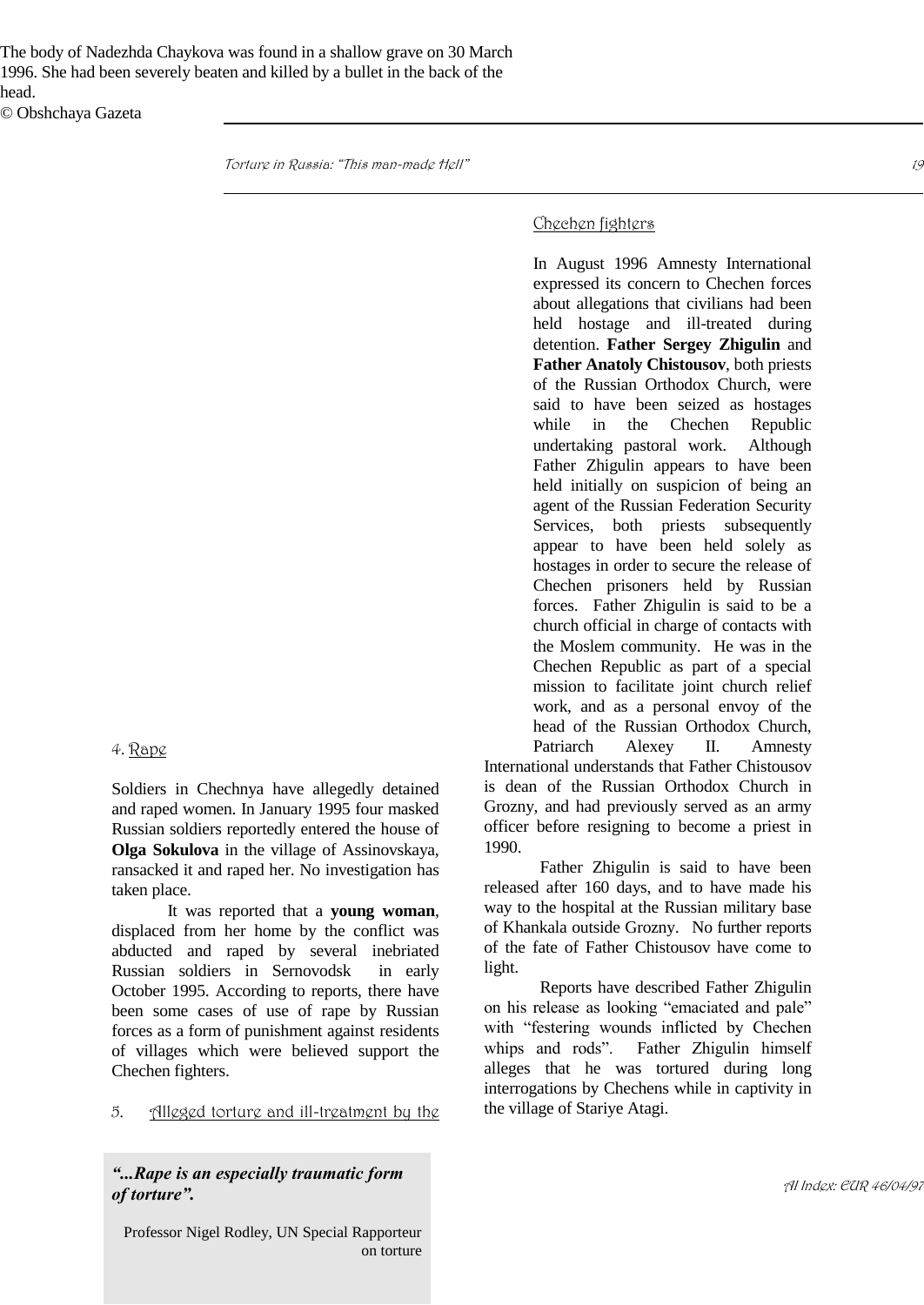The body of Nadezhda Chaykova was found in a shallow grave on 30 March 1996. She had been severely beaten and killed by a bullet in the back of the head.

© Obshchaya Gazeta

Torture in Russia: "This man-made Hell" 19

#### 4. Rape

Soldiers in Chechnya have allegedly detained and raped women. In January 1995 four masked Russian soldiers reportedly entered the house of **Olga Sokulova** in the village of Assinovskaya, ransacked it and raped her. No investigation has taken place.

It was reported that a **young woman**, displaced from her home by the conflict was abducted and raped by several inebriated Russian soldiers in Sernovodsk in early October 1995. According to reports, there have been some cases of use of rape by Russian forces as a form of punishment against residents of villages which were believed support the Chechen fighters.

5. Allgged torturg and ill-treatment by the

## *"...Rape is an especially traumatic form of torture".*

## Chechen fighters

In August 1996 Amnesty International expressed its concern to Chechen forces about allegations that civilians had been held hostage and ill-treated during detention. **Father Sergey Zhigulin** and **Father Anatoly Chistousov**, both priests of the Russian Orthodox Church, were said to have been seized as hostages while in the Chechen Republic undertaking pastoral work. Although Father Zhigulin appears to have been held initially on suspicion of being an agent of the Russian Federation Security Services, both priests subsequently appear to have been held solely as hostages in order to secure the release of Chechen prisoners held by Russian forces. Father Zhigulin is said to be a church official in charge of contacts with the Moslem community. He was in the Chechen Republic as part of a special mission to facilitate joint church relief work, and as a personal envoy of the head of the Russian Orthodox Church, Patriarch Alexey II. Amnesty

International understands that Father Chistousov is dean of the Russian Orthodox Church in Grozny, and had previously served as an army officer before resigning to become a priest in 1990.

Father Zhigulin is said to have been released after 160 days, and to have made his way to the hospital at the Russian military base of Khankala outside Grozny. No further reports of the fate of Father Chistousov have come to light.

Reports have described Father Zhigulin on his release as looking "emaciated and pale" with "festering wounds inflicted by Chechen whips and rods". Father Zhigulin himself alleges that he was tortured during long interrogations by Chechens while in captivity in the village of Stariye Atagi.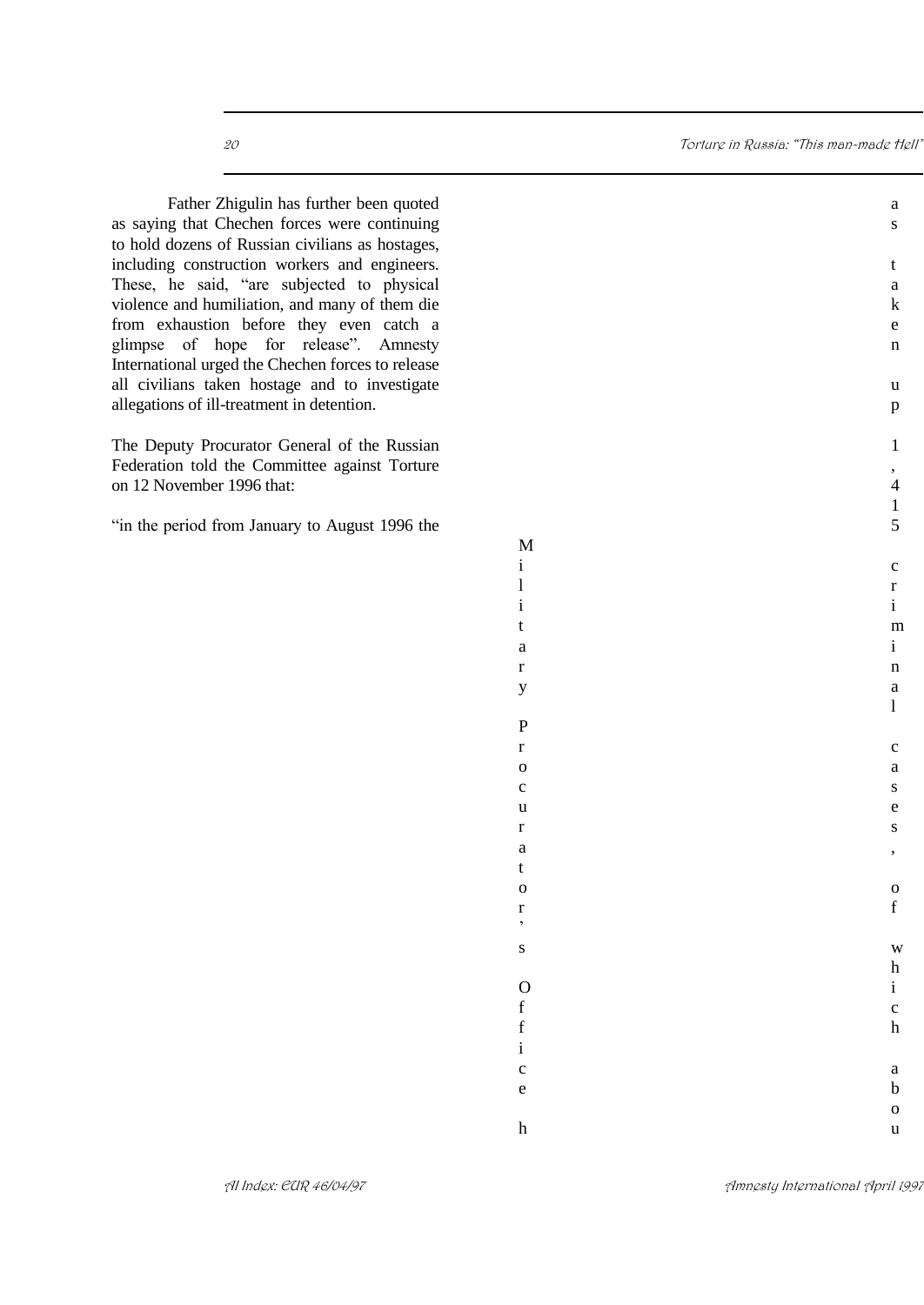Father Zhigulin has further been quoted as saying that Chechen forces were continuing to hold dozens of Russian civilians as hostages, including construction workers and engineers. These, he said, "are subjected to physical violence and humiliation, and many of them die from exhaustion before they even catch a glimpse of hope for release". Amnesty International urged the Chechen forces to release all civilians taken hostage and to investigate allegations of ill-treatment in detention.

The Deputy Procurator General of the Russian Federation told the Committee against Torture on 12 November 1996 that:

"in the period from January to August 1996 the

|                                          | $\rm{a}$                          |
|------------------------------------------|-----------------------------------|
|                                          | S                                 |
|                                          | $\mathbf t$                       |
|                                          | $\mathbf{a}$                      |
|                                          | ${\bf k}$                         |
|                                          | $\mathbf{e}$                      |
|                                          | $\mathbf n$                       |
|                                          |                                   |
|                                          | $\mathbf u$                       |
|                                          | $\, {\bf p}$                      |
|                                          | $\mathbf{1}% _{T}\left( t\right)$ |
|                                          | ,<br>4                            |
|                                          |                                   |
|                                          | $\mathbf{1}$                      |
| M                                        | 5                                 |
| $\mathbf{i}$                             | $\mathbf{C}$                      |
|                                          |                                   |
| $\frac{1}{i}$                            | $\frac{r}{i}$                     |
| t                                        | $\mathbf{m}$                      |
| $\mathbf{a}$                             | $\frac{1}{1}$                     |
| r                                        | $\mathbf n$                       |
| y                                        | $\mathbf{a}$                      |
|                                          | $\mathbf{l}$                      |
| $\mathbf{P}$                             |                                   |
| r                                        | $\mathbf{C}$                      |
| $\mathbf{o}$                             | $\mathbf{a}$                      |
| $\mathbf c$                              | $\mathbf{s}$                      |
| u                                        | $\mathbf{e}$                      |
| r                                        | $\mathbf{s}$                      |
| a                                        | $\overline{\phantom{a}}$          |
| t                                        |                                   |
| $\mathbf{o}$                             | o<br>f                            |
| $\mathbf{r}$<br>$\overline{\phantom{a}}$ |                                   |
| $\mathbf{s}$                             | W                                 |
|                                          | $\boldsymbol{\mathsf{h}}$         |
| $\overline{O}$                           | $\mathbf{i}$                      |
|                                          | $\mathbf{c}$                      |
|                                          | $\boldsymbol{\textbf{h}}$         |
| f<br>f<br>i                              |                                   |
| $\mathbf{c}$                             | $\rm{a}$                          |
| e                                        | $\mathbf b$                       |
|                                          | $\mathbf{o}$                      |
| h                                        | $\mathbf u$                       |
|                                          |                                   |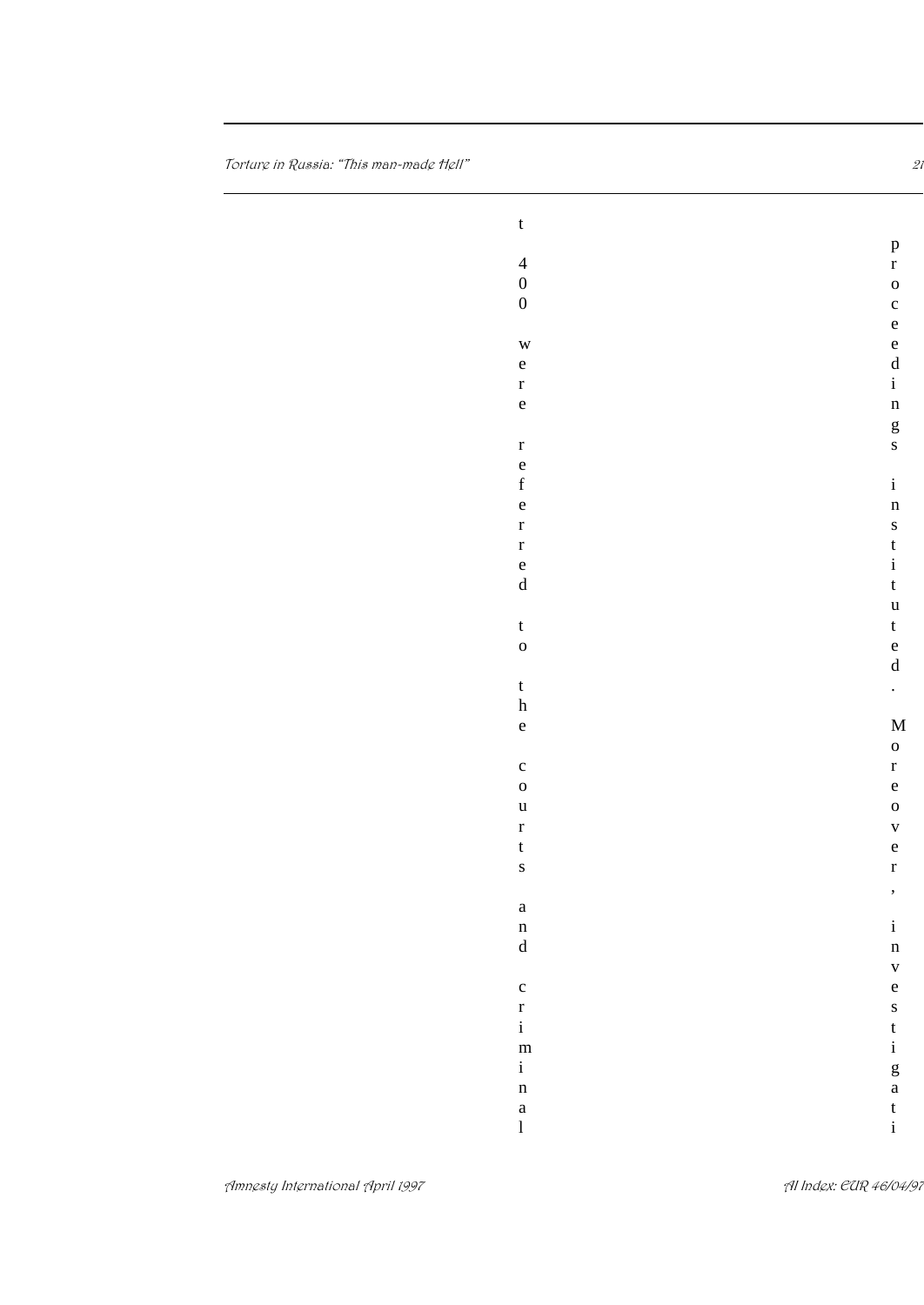t

4 0 0

w e r e

r e f e r r e d

t o

t h e

c o u r t s

a n d

c r i m i n

| $\mathbf{p}$               |
|----------------------------|
| $\mathbf{r}$               |
| $\mathbf{o}$               |
| $\mathbf{c}$               |
| $\mathbf{e}$               |
| $\mathbf{e}$               |
| $\frac{d}{i}$              |
|                            |
| $\mathbf n$                |
| g                          |
| $\mathbf{s}$               |
|                            |
| $\frac{1}{1}$              |
| $\mathbf n$                |
| $\mathbf{s}$               |
| $\frac{t}{i}$              |
| $\mathfrak{t}$             |
| $\mathbf u$                |
| $\mathbf{t}$               |
| $\mathbf{e}$               |
| $\mathbf d$                |
|                            |
|                            |
| $\ddot{\phantom{0}}$       |
| $\mathbf{M}$               |
| $\mathbf{o}$               |
| $\mathbf{r}$               |
| $\mathbf{e}$               |
| $\overline{O}$             |
| $\overline{\mathbf{V}}$    |
| $\mathbf{e}$               |
| $\mathbf{r}$               |
| ,                          |
|                            |
| $\mathbf i$<br>$\mathbf n$ |
| $\overline{\mathbf{V}}$    |
| $\mathbf{e}$               |
| $\mathbf{s}$               |
|                            |
| $\frac{t}{i}$              |
| g<br>$\mathbf{a}$          |

a l t i

Amnesty International April 1997 and the control of the control of the AI Index: EUR 46/04/97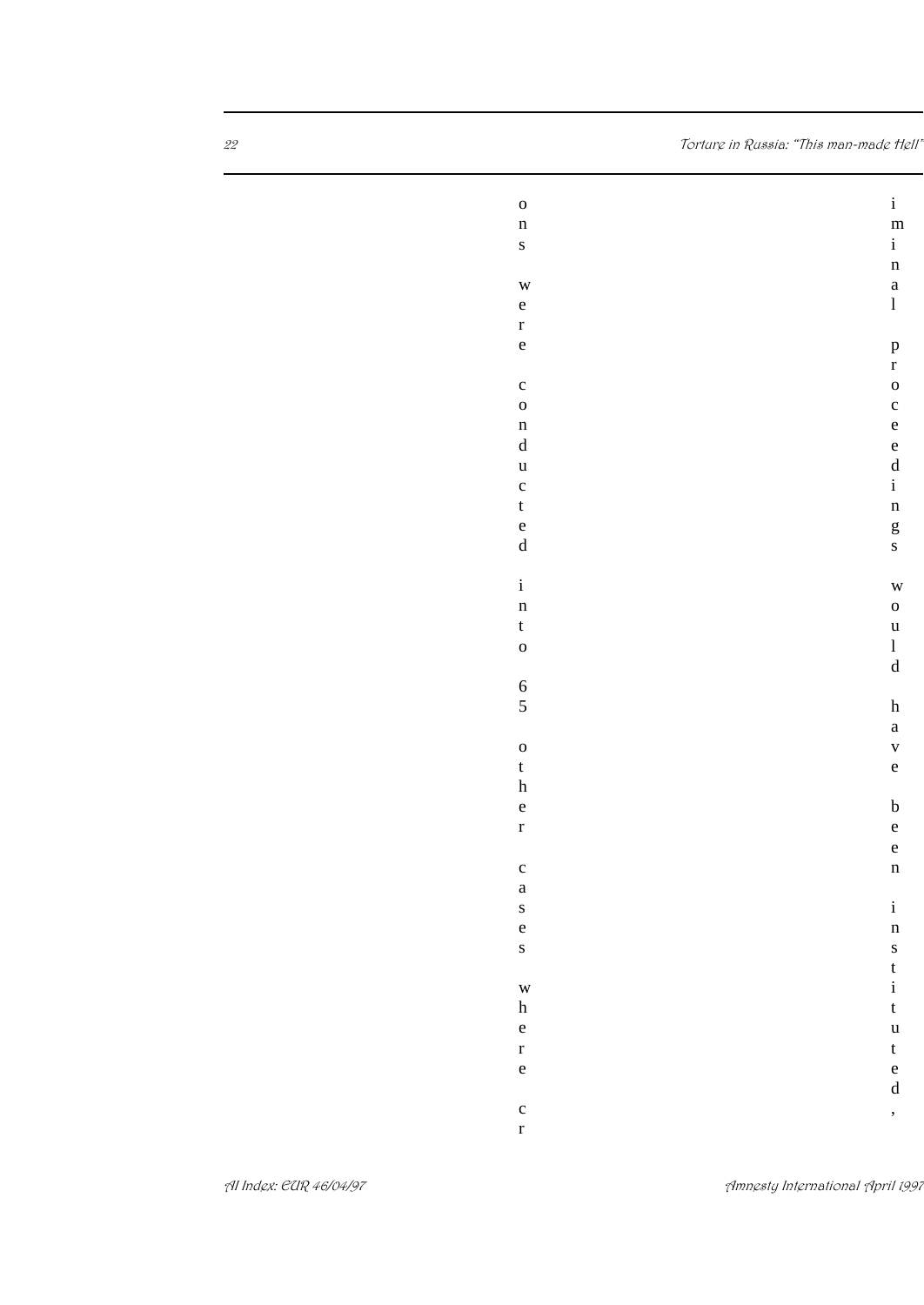| $\mathbf{o}$                                                                                 | $\mathbf i$             |
|----------------------------------------------------------------------------------------------|-------------------------|
| $\mathbf n$                                                                                  |                         |
| $\mathbf S$                                                                                  | $\frac{m}{i}$           |
|                                                                                              | $\mathbf n$             |
| W                                                                                            | $\mathbf{a}$            |
| $\mathbf e$                                                                                  | $\mathbf{l}$            |
| $\mathbf{r}$                                                                                 |                         |
| $\mathbf e$                                                                                  | $\mathbf{p}$            |
|                                                                                              | $\mathbf{r}$            |
| $\mathbf c$                                                                                  | $\mathbf{O}$            |
| $\mathbf{o}$                                                                                 | $\mathbf{c}$            |
| $\mathbf n$                                                                                  | $\mathbf{e}$            |
| $\mathrm{d}% \left\vert \mathcal{H}\right\vert =\mathrm{d}\left\vert \mathcal{H}\right\vert$ | $\mathbf{e}$            |
| $\mathbf u$                                                                                  | $\mathbf d$             |
| $\mathbf{c}$                                                                                 | $\mathbf{i}$            |
| $\mathbf t$                                                                                  | $\mathbf n$             |
| $\mathbf{e}$                                                                                 | g                       |
| $\mathrm{d}% \left\vert \mathcal{H}\right\vert =\mathrm{d}\left\vert \mathcal{H}\right\vert$ | $\mathbf{s}$            |
|                                                                                              |                         |
| $\mathbf{i}$                                                                                 | W                       |
| $\mathbf n$                                                                                  | $\mathbf{o}$            |
| $\mathbf t$                                                                                  | $\mathbf u$             |
| $\mathbf{o}$                                                                                 | $\mathbf{1}$            |
|                                                                                              | $\mathbf d$             |
| $\boldsymbol{6}$                                                                             |                         |
| 5                                                                                            | $\mathbf h$             |
|                                                                                              | $\mathbf{a}$            |
| $\mathbf{o}$                                                                                 | $\overline{\mathbf{V}}$ |
| $\mathbf t$                                                                                  | $\mathbf{e}$            |
| $\boldsymbol{\textbf{h}}$                                                                    |                         |
| $\mathbf e$                                                                                  | $\mathbf b$             |
| $\mathbf{r}$                                                                                 | $\mathbf{e}$            |
|                                                                                              | $\mathbf{e}$            |
| $\mathbf{c}$                                                                                 | $\mathbf n$             |
| $\rm{a}$                                                                                     |                         |
| $\mathbf S$                                                                                  | $\mathbf i$             |
| $\mathbf e$                                                                                  | $\mathbf n$             |
| ${\bf S}$                                                                                    | $\mathbf S$             |
|                                                                                              | $\mathbf t$             |
| W                                                                                            | $\mathbf{i}$            |
| $\boldsymbol{\textbf{h}}$                                                                    | $\mathbf t$             |
| $\mathbf e$                                                                                  | $\mathbf u$             |
| $\mathbf{r}$                                                                                 | $\mathbf t$             |
| $\mathbf e$                                                                                  | $\mathbf e$             |
|                                                                                              | $\mathbf d$             |
| $\mathbf c$                                                                                  | ,                       |
| $\mathbf{r}$                                                                                 |                         |

AI Index: EUR 46/04/97 Amnesty International April 1997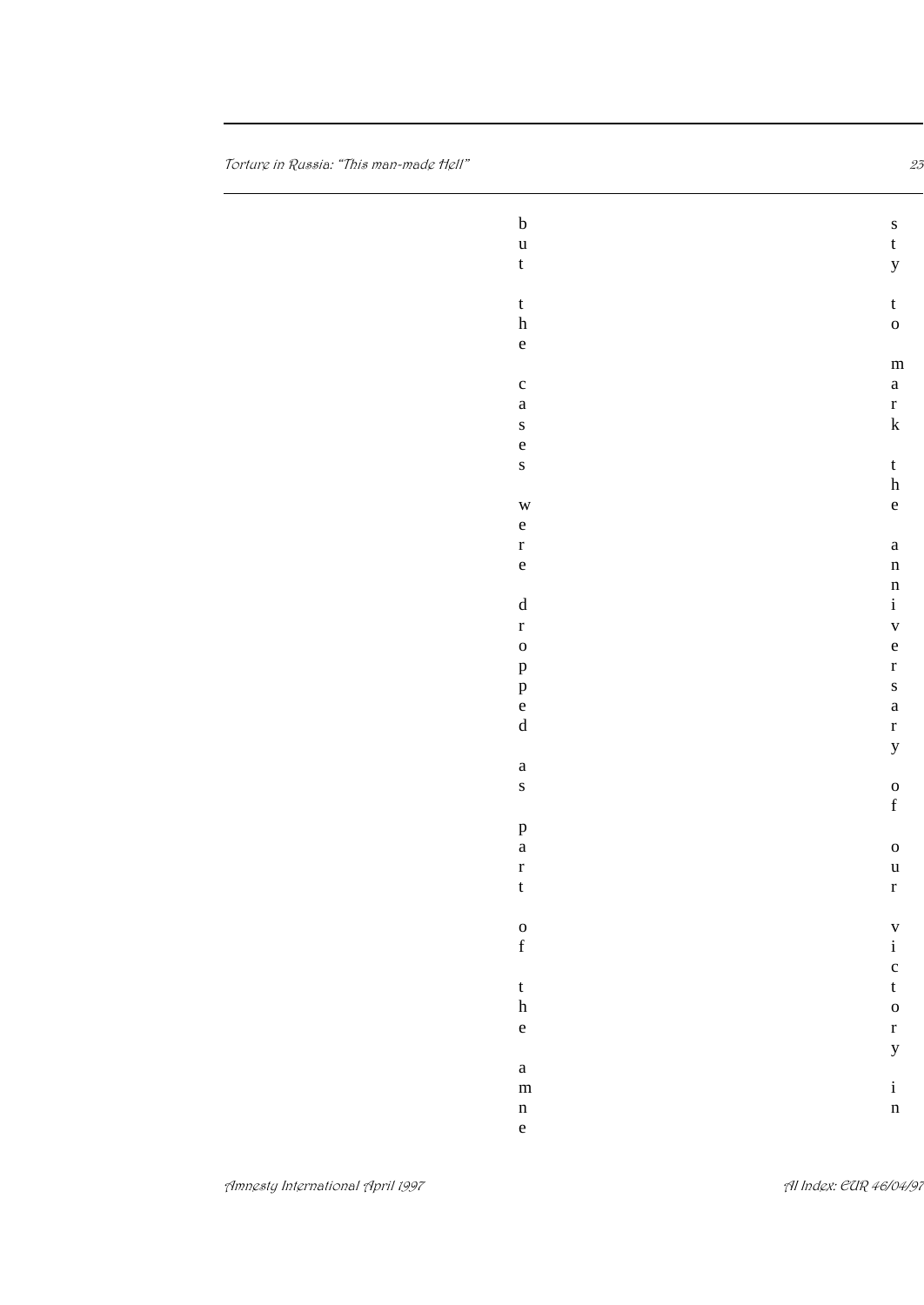|  | Torturg in Russia: "This man-madg Hgll" |  |
|--|-----------------------------------------|--|
|--|-----------------------------------------|--|

| $\mathbf b$                           | S                       |
|---------------------------------------|-------------------------|
| $\mathbf u$                           | $\mathbf t$             |
|                                       |                         |
| $\mathbf t$                           | $\mathbf{y}$            |
|                                       |                         |
| $\mathbf t$                           | $\mathbf t$             |
| $\boldsymbol{h}$                      | $\mathbf{o}$            |
| $\mathbf e$                           |                         |
|                                       | $\mathbf{m}$            |
| $\mathbf{c}$                          | $\mathbf{a}$            |
| $\mathbf{a}$                          | $\mathbf{r}$            |
| $\mathbf S$                           | $\mathbf k$             |
| $\mathbf{e}$                          |                         |
| $\bf S$                               | $\mathbf t$             |
|                                       | $\mathbf h$             |
| W                                     | $\mathbf{e}$            |
|                                       |                         |
| $\mathbf{e}% _{t}\left( t_{0}\right)$ |                         |
| $\mathbf{r}$                          | $\mathbf{a}$            |
| $\mathbf e$                           | $\mathbf n$             |
|                                       |                         |
| $\rm d$                               | $\frac{n}{i}$           |
| $\mathbf{r}$                          | $\overline{\mathbf{V}}$ |
| $\mathbf{o}$                          | $\mathbf{e}$            |
| $\, {\bf p}$                          | $\mathbf{r}$            |
| $\mathbf{p}$                          | $\mathbf{s}$            |
| $\mathbf e$                           | $\mathbf{a}$            |
| $\rm d$                               |                         |
|                                       | $\mathbf{r}$            |
|                                       | $\mathbf{y}$            |
| $\rm{a}$                              |                         |
| $\bf S$                               | $\mathbf{o}$            |
|                                       | $\mathbf f$             |
| $\, {\bf p}$                          |                         |
| $\rm{a}$                              | $\mathbf{o}$            |
| $\mathbf{r}$                          | $\mathbf u$             |
| $\mathbf t$                           | $\mathbf{r}$            |
|                                       |                         |
| $\mathbf{o}$                          | $\mathbf V$             |
| $\mathbf f$                           | $\mathbf{i}$            |
|                                       |                         |
|                                       | $\mathbf{C}$            |
| $\mathbf t$                           | $\mathbf t$             |
| $\boldsymbol{\textbf{h}}$             | $\mathbf{O}$            |
| $\mathbf e$                           | $\mathbf{r}$            |
|                                       | $\mathbf y$             |
| $\mathbf a$                           |                         |
| ${\bf m}$                             | $\mathbf{i}$            |
| $\mathbf n$                           | $\mathbf n$             |
| $\mathbf e$                           |                         |
|                                       |                         |

Amnesty International April 1997 and the control of the control of the AI Index: EUR 46/04/97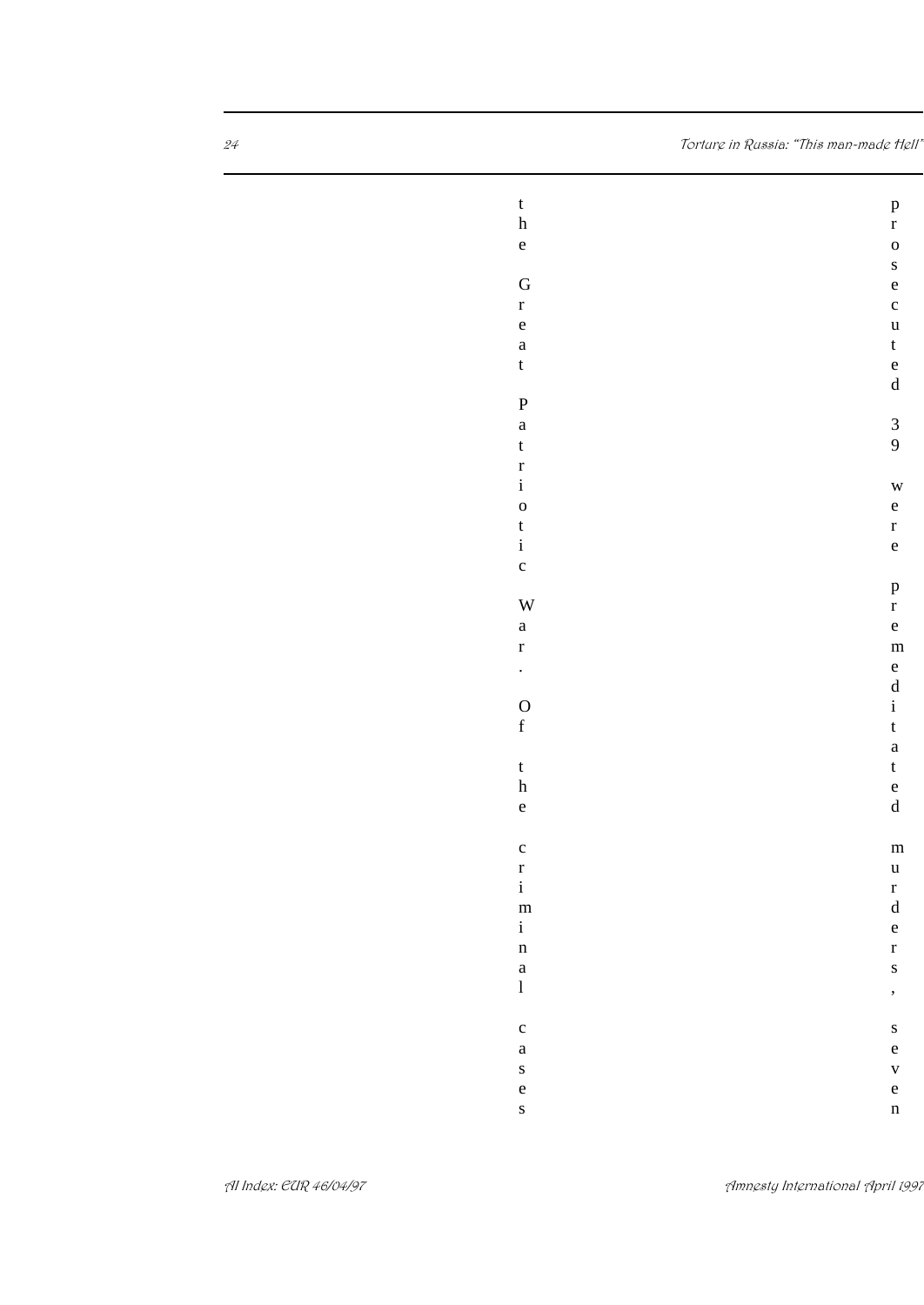| t                    | $\mathbf{p}$                 |
|----------------------|------------------------------|
| h                    | $\mathbf{r}$                 |
| $\mathbf{e}$         | $\mathbf{O}$                 |
|                      | $\mathbf{s}$                 |
| G                    | $\mathbf{e}$                 |
| $\mathbf{r}$         | $\mathbf{c}$                 |
| e                    | $\mathbf u$                  |
| $\mathbf{a}$         | $\mathbf t$                  |
| t                    | $\mathbf{e}$                 |
|                      | $\mathbf d$                  |
| $\mathbf{P}$         |                              |
| $\mathbf{a}$         | $\overline{\mathbf{3}}$      |
| t                    | 9                            |
|                      |                              |
| r<br>i               | W                            |
| $\mathbf{o}$         | $\mathbf{e}$                 |
|                      | $\mathbf{r}$                 |
| t<br>i               | $\mathbf{e}$                 |
| $\mathbf c$          |                              |
|                      |                              |
| W                    | $\mathbf{p}$<br>$\mathbf{r}$ |
| $\mathbf{a}$         | $\mathbf{e}$                 |
| $\mathbf{r}$         | $\mathbf{m}$                 |
|                      | $\mathbf{e}$                 |
| $\ddot{\phantom{0}}$ | $\mathbf d$                  |
|                      | $\mathbf{i}$                 |
| O<br>f               | $\mathfrak{t}$               |
|                      | $\mathbf{a}$                 |
| $\mathfrak{t}$       | $\mathbf t$                  |
| h                    | $\mathbf{e}$                 |
| $\mathbf{e}$         | $\mathbf d$                  |
|                      |                              |
| $\mathbf{c}$         | $\mathbf{m}$                 |
| r                    | $\mathbf u$                  |
| $\mathbf{i}$         | $\mathbf{r}$                 |
| m                    | $\mathbf d$                  |
| $\frac{1}{1}$        | e                            |
| n                    | $\mathbf{r}$                 |
| $\mathbf{a}$         | $\mathbf{s}$                 |
| $\mathbf{l}$         |                              |
|                      | $\overline{\phantom{a}}$     |
| $\mathbf c$          | $\mathbf S$                  |
| a                    | e                            |
| S                    | $\mathbf{V}$                 |
| e                    | $\mathbf e$                  |
| $\mathbf{s}$         | $\mathbf n$                  |
|                      |                              |

AI Index: EUR 46/04/97 Amnesty International April 1997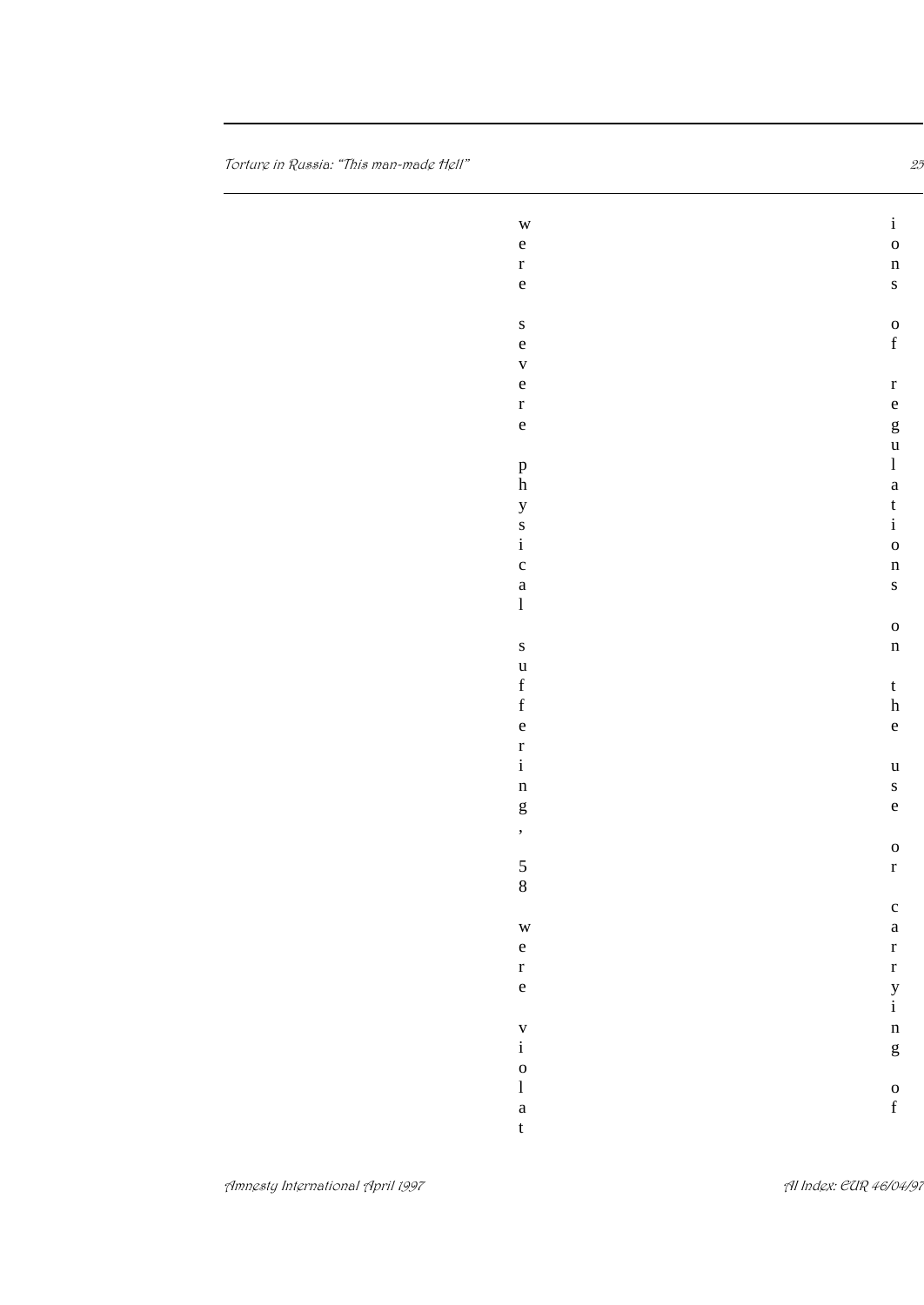y s i c a l

e r e

| W                           | $\mathbf{i}$  |
|-----------------------------|---------------|
| $\mathbf e$                 | $\mathbf{o}$  |
| $\mathbf{r}$                | $\mathbf n$   |
| $\mathbf{e}$                | $\mathbf S$   |
|                             |               |
| S                           | $\mathbf{o}$  |
| $\mathbf{e}$                | $\mathbf f$   |
| $\overline{\mathbf{V}}$     |               |
| $\mathbf{e}$                | $\mathbf{r}$  |
| $\mathbf{r}$                | $\mathbf{e}$  |
| $\mathbf e$                 | g             |
|                             | $\mathbf u$   |
|                             | $\mathbf{1}$  |
| $\mathbf{p}$<br>$\mathbf h$ | $\mathbf{a}$  |
|                             |               |
| $\mathbf{y}$                | $\frac{t}{i}$ |
| $\frac{s}{i}$               | $\mathbf{o}$  |
| $\mathbf{c}$                | $\mathbf n$   |
| $\mathbf{a}$                |               |
| $\mathbf{l}$                | $\mathbf{s}$  |
|                             |               |
|                             | $\mathbf{O}$  |
| S                           | $\mathbf n$   |
| $\mathbf u$                 |               |
| $\mathbf f$                 | $\mathbf t$   |
| $\mathbf f$                 | $\mathbf h$   |
| $\mathbf{e}$                | $\mathbf{e}$  |
| $\frac{r}{i}$               |               |
|                             | $\mathbf u$   |
| $\mathbf n$                 | $\mathbf{s}$  |
| g                           | $\mathbf{e}$  |
| $\overline{\phantom{a}}$    |               |
|                             | $\mathbf{O}$  |
| 5                           | $\mathbf{r}$  |
| 8                           |               |
|                             | $\mathbf{c}$  |
| W                           | $\mathbf{a}$  |
| $\mathbf e$                 | $\mathbf{r}$  |
| $\mathbf{r}$                | $\mathbf{r}$  |
| $\mathbf e$                 | $\frac{y}{i}$ |
|                             |               |
| $\frac{v}{i}$               | $\mathbf n$   |
|                             | g             |
| $\mathbf{o}$                |               |
| $\mathbf{l}$                | $\mathbf{o}$  |
| $\mathbf{a}$                | $\mathbf f$   |
| $\mathbf{t}$                |               |

Amnesty International April 1997 and the control of the control of the AI Index: EUR 46/04/97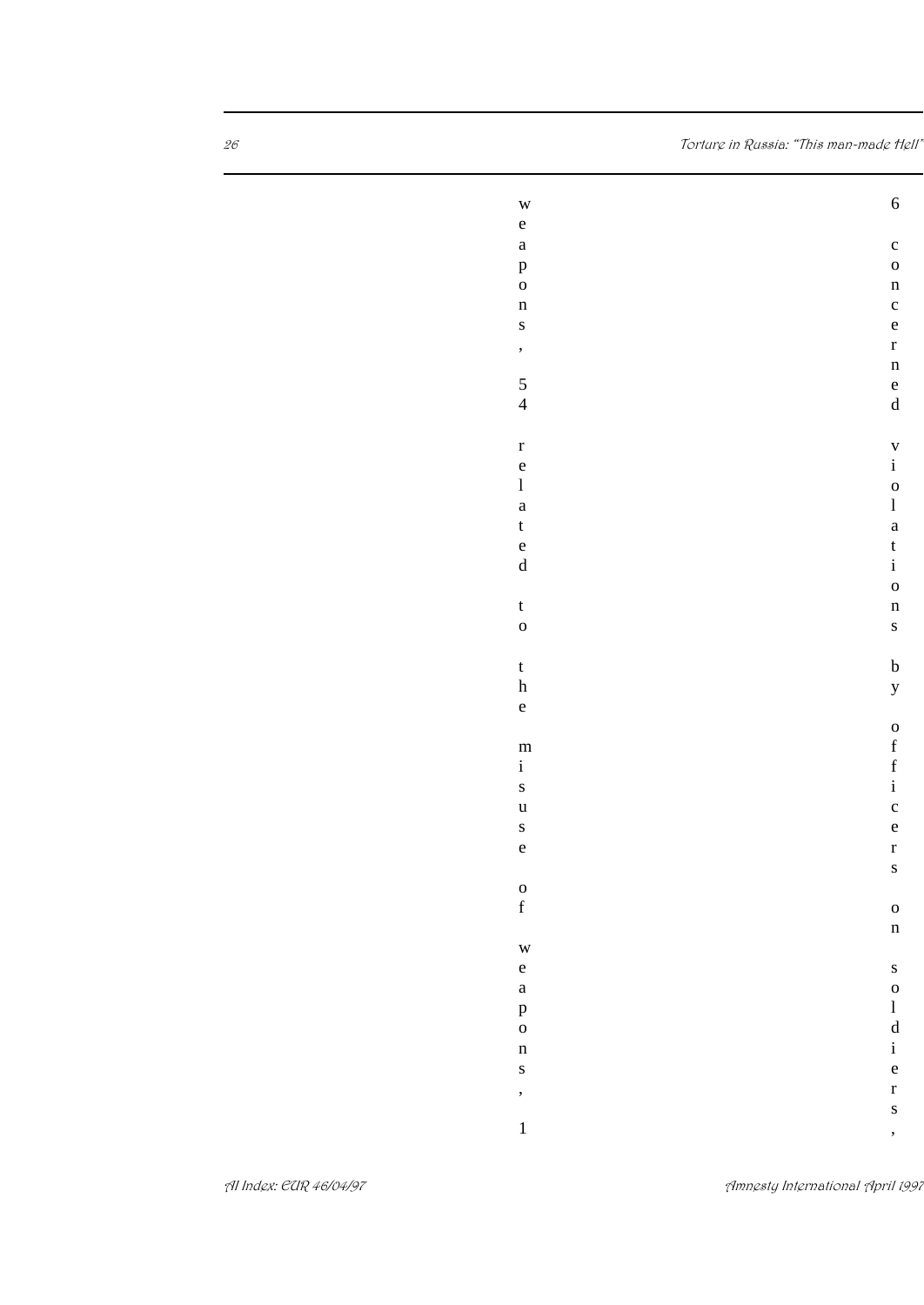| $\ensuremath{\text{W}}$   | 6             |
|---------------------------|---------------|
| ${\bf e}$                 |               |
| $\rm{a}$                  | $\mathbf{c}$  |
| $\mathbf{p}$              | $\mathbf{o}$  |
| $\mathbf{o}$              | $\mathbf n$   |
| $\mathbf n$               | $\mathbf{c}$  |
|                           |               |
| $\mathbf S$               | $\mathbf{e}$  |
| $\cdot$                   | $\mathbf{r}$  |
|                           | $\mathbf n$   |
| 5                         | $\mathbf{e}$  |
| $\overline{4}$            | $\rm d$       |
|                           |               |
| $\mathbf{r}$              | $\mathbf{V}$  |
| $\mathbf{e}$              | $\mathbf{i}$  |
| $\mathbf{l}$              | $\mathbf{o}$  |
| $\mathbf{a}$              | $\mathbf{1}$  |
| $\mathbf t$               |               |
|                           | $\mathbf{a}$  |
| $\mathbf{e}$              | $\mathbf t$   |
| $\rm d$                   | $\mathbf{i}$  |
|                           | $\mathbf{o}$  |
| $\mathbf t$               | $\mathbf n$   |
| $\mathbf{o}$              | $\mathbf{s}$  |
|                           |               |
| $\mathbf t$               | $\mathbf b$   |
| $\boldsymbol{\textbf{h}}$ | $\mathbf y$   |
| $\mathbf e$               |               |
|                           |               |
|                           | $\mathbf{O}$  |
| ${\bf m}$                 | $\mathbf f$   |
| $\mathbf{i}$              | $\mathbf f$   |
| $\mathbf S$               | $\frac{1}{1}$ |
| $\mathbf u$               | $\mathbf{c}$  |
| $\mathbf{s}$              | $\mathbf{e}$  |
| $\mathbf{e}$              | $\mathbf{r}$  |
|                           | $\mathbf{s}$  |
| $\mathbf{o}$              |               |
| $\mathbf f$               | $\mathbf 0$   |
|                           | $\mathbf n$   |
| W                         |               |
|                           |               |
| $\mathbf e$               | $\mathbf S$   |
| $\mathbf{a}$              | $\mathbf{o}$  |
| $\, {\bf p}$              | $\mathbf{1}$  |
| $\mathbf{o}$              | $\mathbf d$   |
| $\mathbf n$               | $\mathbf{i}$  |
| $\mathbf S$               | e             |
| ,                         | $\mathbf{r}$  |
|                           | $\mathbf{s}$  |
| $\,1\,$                   |               |
|                           | ,             |

AI Index: EUR 46/04/97 Amnesty International April 1997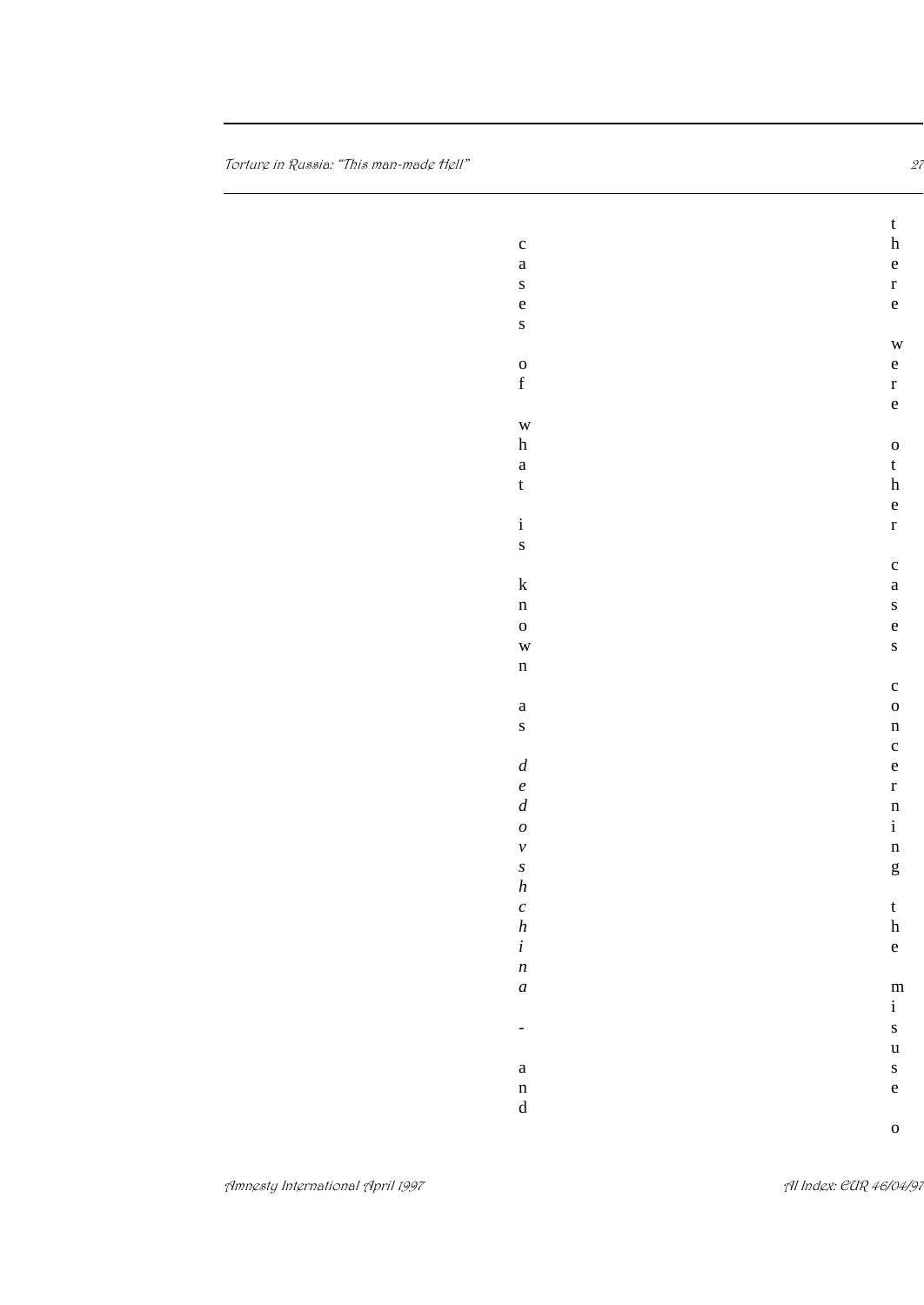|                           | $\mathbf t$               |
|---------------------------|---------------------------|
| $\mathbf c$               | $\mathbf h$               |
| $\mathbf{a}$              | $\mathbf{e}$              |
| $\mathbf S$               | $\mathbf{r}$              |
| $\mathbf{e}$              | $\mathbf{e}$              |
| $\mathbf S$               |                           |
|                           | W                         |
| $\mathbf{o}$              | $\mathbf e$               |
| $\mathbf f$               | $\mathbf{r}$              |
|                           | $\mathbf{e}$              |
| W                         |                           |
| $\boldsymbol{\textbf{h}}$ | $\mathbf{o}$              |
| $\mathbf{a}$              | $\mathbf t$               |
| $\mathbf t$               | $\mathbf h$               |
|                           | $\mathbf{e}$              |
| $\frac{1}{1}$             | $\mathbf{r}$              |
| $\mathbf{s}$              |                           |
|                           | $\mathbf{C}$              |
| ${\bf k}$                 | $\mathbf{a}$              |
| $\mathbf{n}$              | $\mathbf{s}$              |
| $\mathbf{o}$              | $\mathbf{e}$              |
| W                         | $\mathbf{s}$              |
| $\mathbf n$               |                           |
|                           | $\mathbf{c}$              |
| $\rm{a}$                  | $\mathbf{o}$              |
| $\mathbf S$               | $\mathbf n$               |
|                           | $\mathbf{c}$              |
| $\boldsymbol{d}$          | $\mathbf{e}$              |
| $\boldsymbol{e}$          | $\mathbf{r}$              |
| $\boldsymbol{d}$          | $\mathbf n$               |
| $\boldsymbol{o}$          | $\mathbf{i}$              |
| $\mathcal{V}$             | $\mathbf n$               |
| $\boldsymbol{S}$          |                           |
| $\boldsymbol{h}$          | g                         |
| $\mathcal{C}_{0}$         | $\mathbf t$               |
| $\boldsymbol{h}$          | $\boldsymbol{\textbf{h}}$ |
| $\dot{i}$                 | $\mathbf e$               |
| $\boldsymbol{n}$          |                           |
| $\boldsymbol{a}$          | m                         |
|                           | $\mathbf i$               |
|                           |                           |
| -                         | $\mathbf{s}$              |
|                           | $\mathbf u$               |
| $\mathbf{a}$              | $\mathbf{s}$              |
| $\mathbf n$               | $\mathbf e$               |
| $\rm d$                   |                           |
|                           | $\mathbf{o}$              |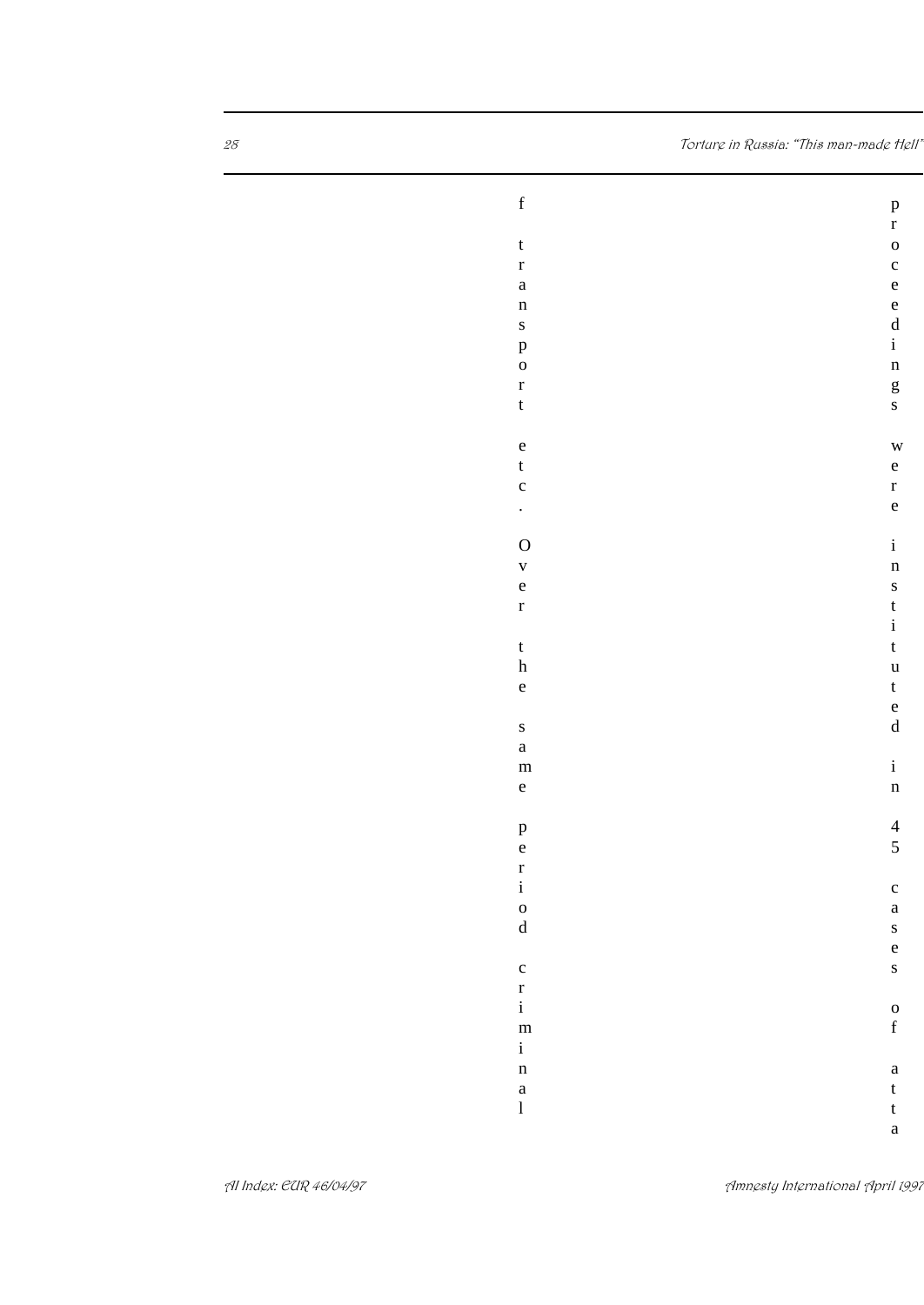| $\mathbf f$                  | p                              |
|------------------------------|--------------------------------|
|                              | $\mathbf{r}$                   |
| $\mathbf t$                  | $\mathbf{O}$                   |
| $\mathbf{r}$                 | $\mathbf{c}$                   |
| $\mathbf{a}$                 | $\mathbf{e}$                   |
| $\mathbf n$                  | $\mathbf{e}$                   |
| $\mathbf{s}$                 | $\mathbf d$                    |
| $\mathbf{p}$                 | $\mathbf{i}$                   |
| $\mathbf{o}$                 | $\mathbf n$                    |
| $\mathbf{r}$<br>$\mathbf t$  | g<br>s                         |
|                              |                                |
| $\mathbf{e}$                 | W                              |
| $\mathbf t$                  | $\mathbf e$                    |
| $\mathbf{c}$                 | $\mathbf{r}$                   |
| $\ddot{\phantom{0}}$         | $\mathbf{e}$                   |
|                              |                                |
| $\overline{O}$               | $\mathbf{i}$                   |
| $\mathbf{V}$                 | $\mathbf n$                    |
| $\mathbf{e}$                 | $\mathbf{s}$                   |
| $\mathbf{r}$                 | $\frac{t}{i}$                  |
| $\mathfrak{t}$               | $\mathbf{t}$                   |
| $\mathbf h$                  | $\mathbf{u}$                   |
| $\mathbf{e}$                 | $\mathbf t$                    |
|                              | $\mathbf{e}$                   |
| $\mathbf{s}$                 | $\mathbf d$                    |
| $\mathbf{a}$                 |                                |
| $\mathbf{m}$                 | $\mathbf{i}$                   |
| $\mathbf{e}$                 | $\mathbf n$                    |
|                              |                                |
| $\mathbf{p}$                 | $\overline{4}$<br>5            |
| $\mathbf{e}$<br>$\mathbf{r}$ |                                |
| $\mathbf{i}$                 | $\mathbf{c}$                   |
| $\mathbf{o}$                 | $\mathbf{a}$                   |
| $\rm d$                      | $\mathbf{s}$                   |
|                              | $\mathbf{e}$                   |
| $\mathbf{c}$                 | $\mathbf{s}$                   |
| $\mathbf{r}$                 |                                |
| $\mathbf{i}$                 | $\mathbf{o}$                   |
| $\mathbf{m}$                 | $\mathbf f$                    |
| $\mathbf{i}$                 |                                |
| $\mathbf n$                  | $\mathbf{a}$                   |
| $\mathbf{a}$<br>$\mathbf{l}$ | $\mathbf t$                    |
|                              | $\mathfrak{t}$<br>$\mathbf{a}$ |
|                              |                                |

AI Index: EUR 46/04/97 Amnesty International April 1997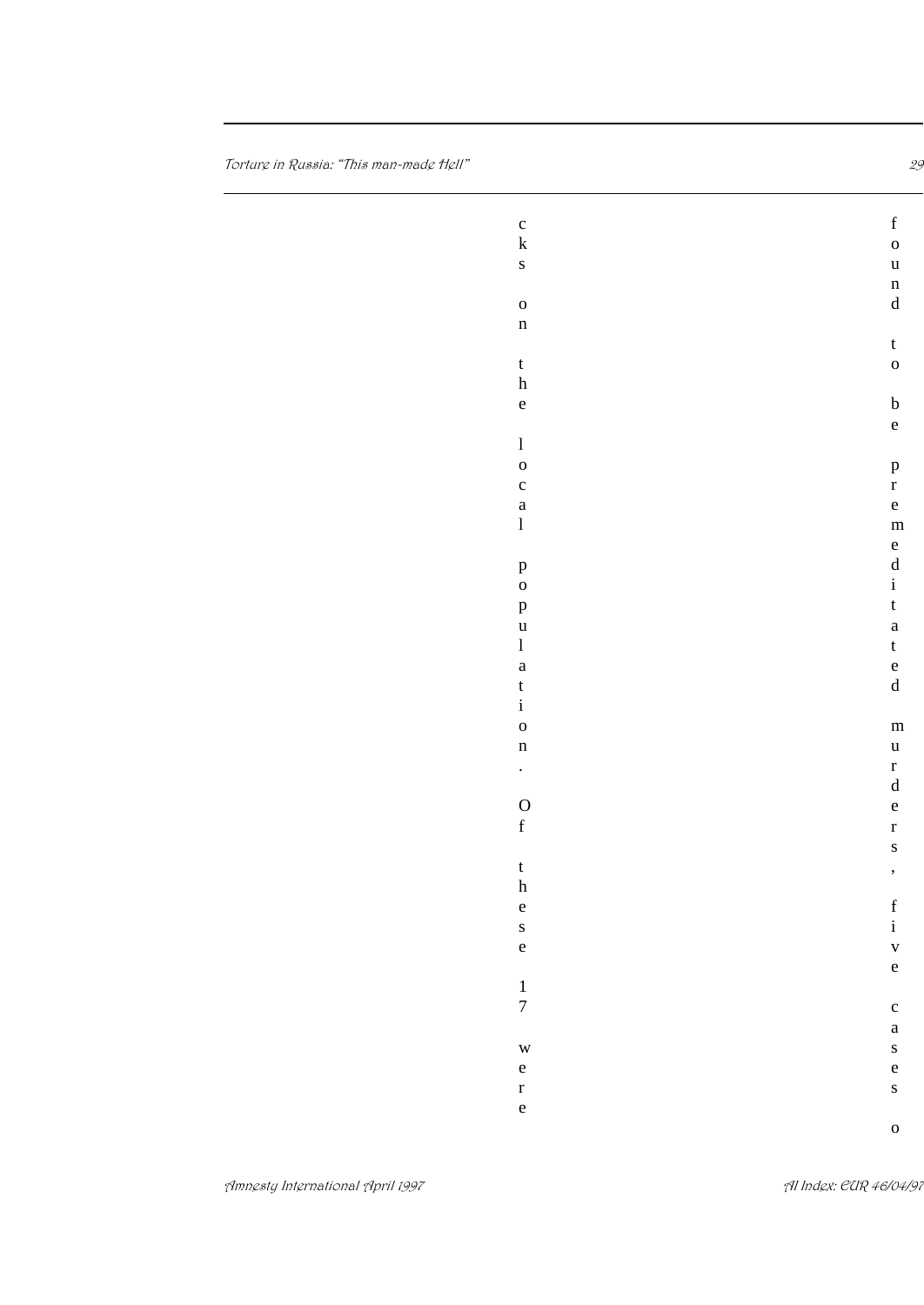| ٠<br>× | I<br>I<br>۰.<br>٧ |
|--------|-------------------|

| $\mathbf c$               | $\mathbf f$             |
|---------------------------|-------------------------|
| ${\bf k}$                 | $\overline{O}$          |
|                           |                         |
| $\mathbf S$               | $\mathbf u$             |
|                           | $\mathbf n$             |
| $\mathbf{o}$              | $\mathbf d$             |
| $\mathbf n$               |                         |
|                           | $\mathbf t$             |
| $\mathbf t$               | $\overline{O}$          |
| $\boldsymbol{\textbf{h}}$ |                         |
| $\mathbf{e}$              | $\mathbf b$             |
|                           | $\mathbf{e}$            |
| $\mathbf{l}$              |                         |
| $\mathbf{o}$              | $\mathbf{p}$            |
| $\mathbf{c}$              | $\mathbf{r}$            |
|                           | $\mathbf{e}$            |
| $\rm{a}$<br>$\mathbf{l}$  |                         |
|                           | $\mathbf{m}$            |
|                           | $\mathbf{e}$            |
| $\, {\bf p}$              | $\mathbf d$             |
| $\mathbf{o}$              | $\mathbf{i}$            |
| $\, {\bf p}$              | $\mathbf t$             |
| $\mathbf u$               | $\mathbf{a}$            |
| $\mathbf{1}$              | $\mathbf t$             |
| $\mathbf{a}$              | $\mathbf{e}$            |
|                           | $\mathbf d$             |
| $\frac{t}{i}$             |                         |
| $\mathbf{o}$              | $\mathbf{m}$            |
| $\mathbf n$               | $\mathbf u$             |
|                           | $\mathbf{r}$            |
| $\ddot{\cdot}$            | $\mathbf d$             |
| $\mathbf O$               | $\mathbf{e}$            |
| $\mathbf f$               |                         |
|                           | $\mathbf{r}$            |
|                           | $\mathbf{s}$            |
| $\mathbf t$               | ,                       |
| $\mathbf h$               |                         |
| $\mathbf e$               | $\mathbf f$             |
| $\bf S$                   | $\frac{1}{1}$           |
| $\mathbf e$               | $\overline{\mathbf{V}}$ |
|                           | $\mathbf e$             |
| $\mathbf 1$               |                         |
| $\overline{7}$            | $\mathbf c$             |
|                           | $\rm{a}$                |
| W                         | $\mathbf{s}$            |
| $\mathbf e$               | $\mathbf{e}$            |
| $\mathbf{r}$              | $\mathbf{s}$            |
|                           |                         |
| e                         |                         |
|                           | $\mathbf{o}$            |

Amnesty International April 1997 and the control of the control of the AI Index: EUR 46/04/97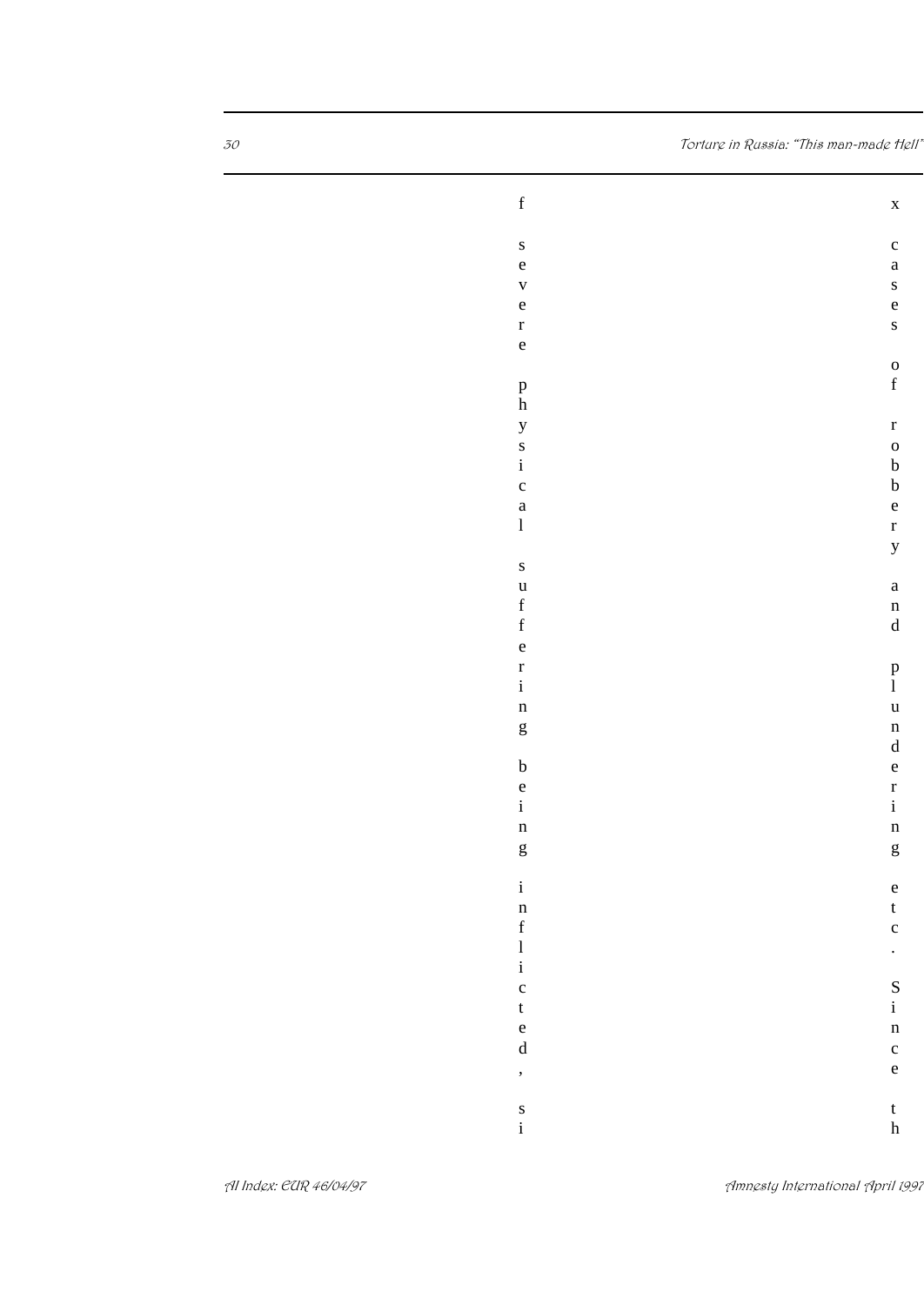| $\mathbf f$              | $\mathbf{X}$                         |
|--------------------------|--------------------------------------|
|                          |                                      |
|                          |                                      |
| $\mathbf{s}$             | $\mathbf{c}$                         |
| $\mathbf{e}$             | $\mathbf{a}$                         |
| $\overline{\mathbf{V}}$  | $\mathbf{s}$                         |
| $\mathbf{e}$             | $\mathbf{e}$                         |
|                          |                                      |
| $\mathbf{r}$             | $\mathbf{s}$                         |
| $\mathbf{e}$             |                                      |
|                          | $\frac{0}{f}$                        |
|                          |                                      |
| p<br>h                   |                                      |
|                          |                                      |
| $\mathbf{y}$             | $\mathbf{r}$                         |
| $\frac{s}{i}$            | $\mathbf{o}$                         |
|                          | $\mathbf b$                          |
| $\mathbf{c}$             | $\mathbf b$                          |
|                          |                                      |
| $\mathbf{a}$             | $\mathbf{e}$                         |
| $\mathbf{l}$             | $\mathbf{r}$                         |
|                          | $\mathbf{y}$                         |
| $\mathbf{s}$             |                                      |
|                          |                                      |
| $\mathbf u$              | $\mathbf{a}$                         |
| $\mathbf f$              | $\frac{n}{d}$                        |
| $\mathbf f$              |                                      |
| $\mathbf{e}$             |                                      |
|                          |                                      |
| $\frac{r}{i}$            | $\begin{matrix} p \\ l \end{matrix}$ |
|                          |                                      |
| $\mathbf{n}$             | $\mathbf{u}$                         |
| g                        | $\mathbf{n}$                         |
|                          | $\mathbf d$                          |
| $\mathbf b$              | $\mathbf{e}$                         |
|                          |                                      |
| e<br>i                   | $\frac{r}{i}$                        |
|                          |                                      |
| $\mathbf n$              | $\mathbf n$                          |
| g                        | g                                    |
|                          |                                      |
|                          |                                      |
| $\mathbf{i}$             | $\mathbf{e}$                         |
| $\mathbf{n}$             | $\mathbf{t}$                         |
| $\mathbf f$              | $\mathbf{c}$                         |
| $\mathbf{1}$             |                                      |
| $\frac{1}{1}$            | $\ddot{\cdot}$                       |
|                          |                                      |
| $\mathbf{c}$             | $\mathbf S$                          |
| $\mathbf t$              | $\mathbf{i}$                         |
| $\mathbf{e}$             | $\mathbf n$                          |
| $\mathbf d$              | $\mathbf{c}$                         |
|                          |                                      |
| $\overline{\phantom{a}}$ | $\mathbf{e}$                         |
|                          |                                      |
|                          | $\mathfrak{t}$                       |
| $\frac{s}{i}$            | $\mathbf h$                          |
|                          |                                      |
|                          |                                      |

AI Index: EUR 46/04/97 Amnesty International April 1997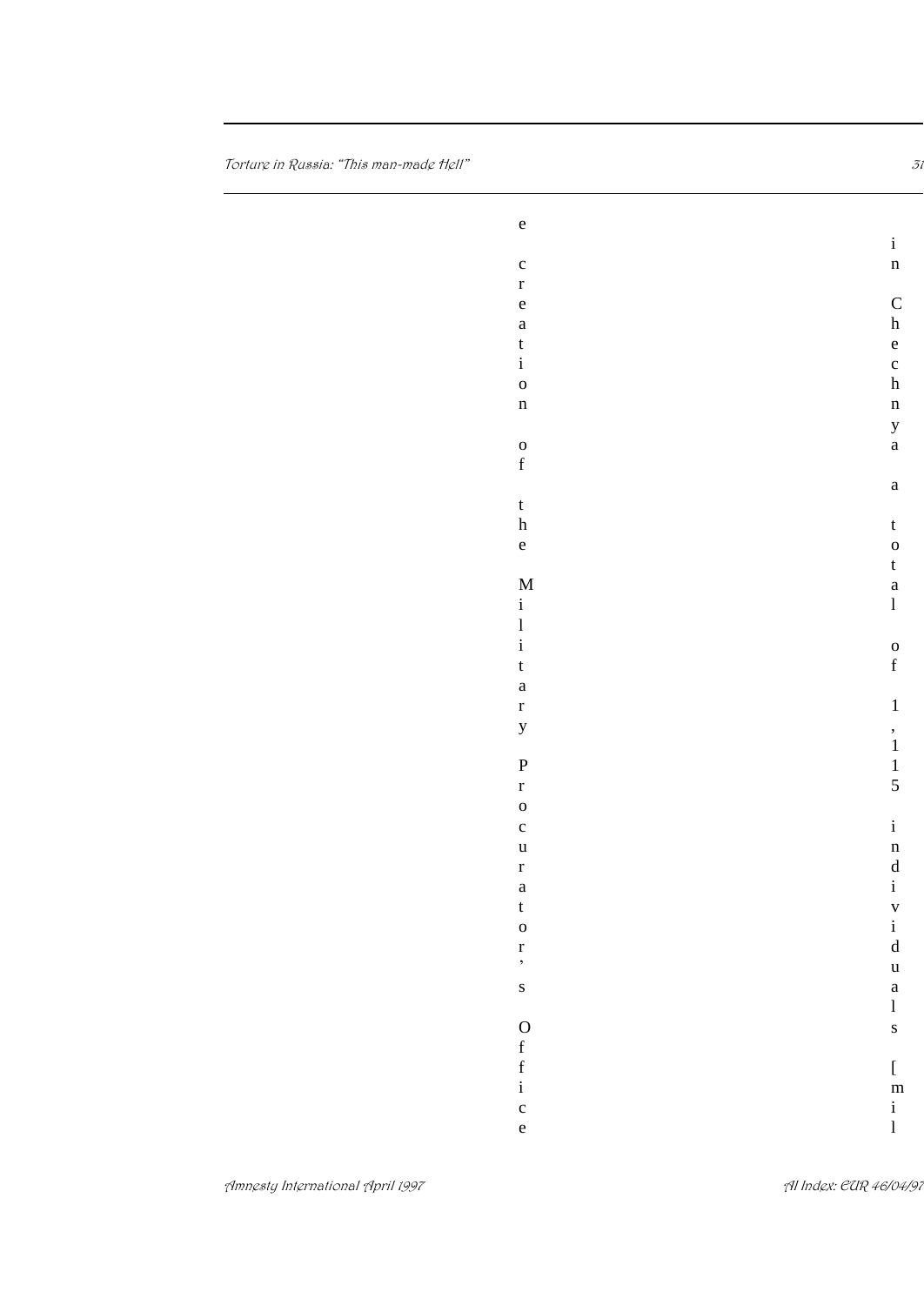| $\mathbf e$              |                                      |
|--------------------------|--------------------------------------|
|                          | $\mathbf{i}$                         |
| $\mathbf c$              | $\mathbf n$                          |
| $\mathbf{r}$             |                                      |
| $\mathbf{e}$             | $\mathbf C$                          |
| $\mathbf{a}$             | $\mathbf h$                          |
|                          | $\mathbf{e}$                         |
| $\frac{t}{i}$            | $\mathbf{c}$                         |
| $\mathbf{o}$             | $\mathbf h$                          |
| $\mathbf n$              | $\mathbf n$                          |
|                          | $\mathbf{y}$                         |
| $\mathbf{o}$             | $\mathbf{a}$                         |
| $\mathbf f$              |                                      |
|                          | $\mathbf{a}$                         |
| $\mathbf t$              |                                      |
| $\mathbf h$              | $\mathbf t$                          |
| $\mathbf{e}$             | $\mathbf{o}$                         |
|                          | $\mathbf t$                          |
| $\mathbf{M}$             | $\mathbf{a}$                         |
| $\mathbf i$              | $\mathbf{1}$                         |
| $\mathbf{1}$             |                                      |
| $\frac{1}{1}$            | $\mathbf{o}$                         |
| $\mathbf t$              | $\mathbf f$                          |
| $\mathbf{a}$             |                                      |
| $\mathbf{r}$             | $\mathbf{1}$                         |
| $\mathbf y$              |                                      |
|                          | $\frac{1}{1}$                        |
| $\mathbf P$              | $\mathbf{1}$                         |
| $\mathbf{r}$             | 5                                    |
| $\mathbf{o}$             |                                      |
| $\mathbf c$              | $\frac{1}{1}$                        |
| $\mathbf u$              | $\mathbf n$                          |
| $\mathbf{r}$             |                                      |
| $\rm{a}$                 | $\displaystyle\frac{\rm d}{{\rm i}}$ |
| $\mathbf t$              | $\mathbf{V}$                         |
| $\overline{O}$           | $\mathbf{i}$                         |
| $\mathbf{r}$             | $\mathbf d$                          |
| $\overline{\phantom{a}}$ | $\mathbf u$                          |
| $\bf S$                  | $\mathbf{a}$                         |
|                          | $\mathbf{1}$                         |
| $\overline{O}$           | $\mathbf{s}$                         |
| $\mathbf f$              |                                      |
| $\mathbf f$              | $\bigl[$                             |
| $\mathbf{i}$             | $\mathbf{m}$                         |
| $\mathbf{c}$             | $\frac{1}{1}$                        |
| $\mathbf{e}$             | $\mathbf{1}$                         |
|                          |                                      |

Amnesty International April 1997 and the control of the control of the AI Index: EUR 46/04/97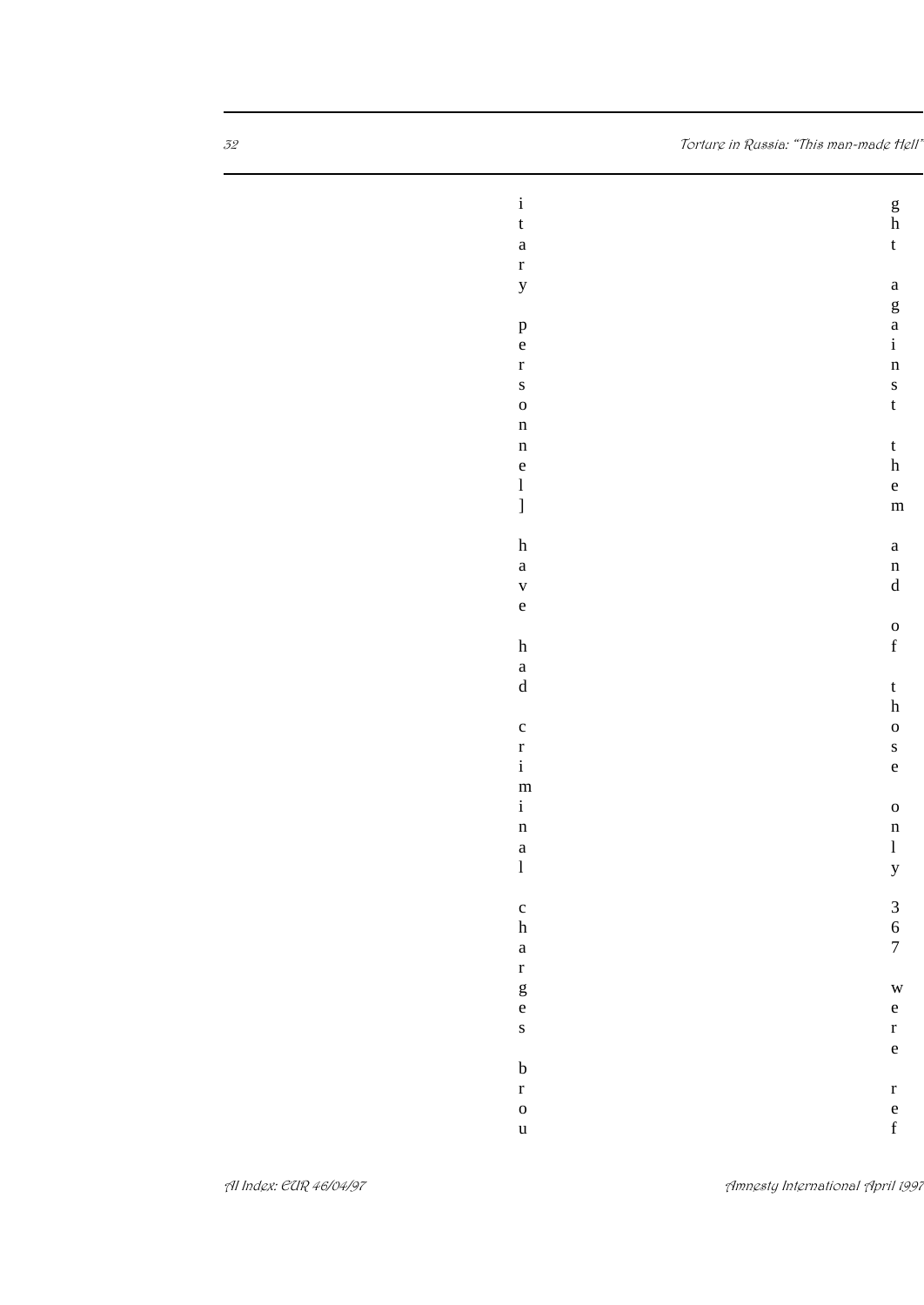| $\mathbf i$               | g              |
|---------------------------|----------------|
| $\mathbf t$               | $\mathbf h$    |
| $\mathbf{a}$              | $\mathbf t$    |
| $\mathbf{r}$              |                |
| $\mathbf y$               | $\mathbf{a}$   |
|                           | g              |
| $\, {\bf p}$              |                |
| $\mathbf{e}$              | a<br>i         |
| $\mathbf{r}$              | $\mathbf n$    |
| $\mathbf{s}$              | $\mathbf{s}$   |
| $\mathbf{o}$              | $\mathfrak{t}$ |
| $\mathbf n$               |                |
| $\mathbf n$               | $\mathfrak{t}$ |
| $\mathbf{e}$              | $\mathbf h$    |
| $\bf{l}$                  | $\mathbf{e}$   |
| $\bf{l}$                  | $\mathbf{m}$   |
|                           |                |
| $\boldsymbol{\textbf{h}}$ | $\mathbf{a}$   |
| $\mathbf{a}$              | $\mathbf n$    |
| $\mathbf v$               | $\mathbf d$    |
| $\mathbf e$               |                |
|                           | $\mathbf{o}$   |
| $\boldsymbol{\textbf{h}}$ | $\mathbf f$    |
| $\mathbf{a}$              |                |
| $\rm d$                   | $\mathbf t$    |
|                           | $\mathbf h$    |
| $\mathbf c$               | $\mathbf{o}$   |
| $\mathbf{r}$              | $\mathbf{s}$   |
| $\mathbf{i}$              | $\mathbf{e}$   |
| ${\bf m}$                 |                |
| $\mathbf{i}$              | $\mathbf{o}$   |
| $\mathbf n$               |                |
| $\mathbf{a}$              | $\frac{n}{1}$  |
| $\bf{l}$                  | $\mathbf y$    |
|                           |                |
| $\mathbf c$               | 3              |
| $\boldsymbol{\mathrm{h}}$ | $\mathbf{6}$   |
| $\mathbf{a}$              | $\overline{7}$ |
| $\mathbf{r}$              |                |
| g                         | W              |
| $\mathbf e$               | $\mathbf{e}$   |
| $\mathbf S$               | $\mathbf{r}$   |
|                           | $\mathbf{e}$   |
| $\mathbf b$               |                |
| $\mathbf{r}$              | $\mathbf{r}$   |
| $\mathbf{o}$              |                |
| $\mathbf u$               | e<br>f         |
|                           |                |

AI Index: EUR 46/04/97 Amnesty International April 1997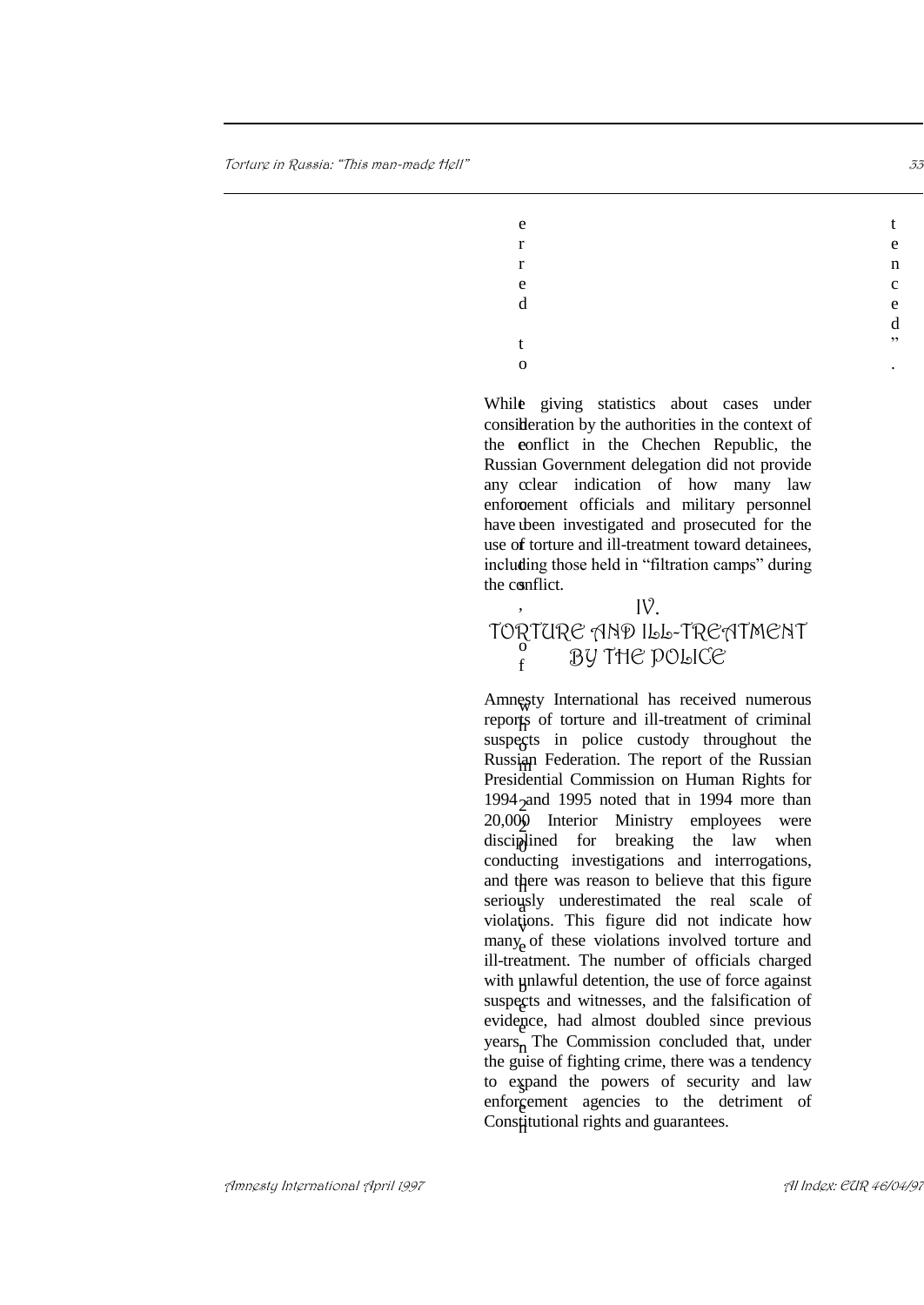t e n c e d " .

While giving statistics about cases under consideration by the authorities in the context of e the conflict in the Chechen Republic, the any cclear indication of how many law enforcement officials and military personnel have ubeen investigated and prosecuted for the use of torture and ill-treatment toward detainees, including those held in "filtration camps" during the conflict. Russian Government delegation did not provide

e r r e d

t o

#### , o TORTURE AND ILL-TREATMENT f IV. BY THE POLICE

Amnesty International has received numerous reports of torture and ill-treatment of criminal suspects in police custody throughout the m Russian Federation. The report of the Russian 1994 and 1995 noted that in 1994 more than 2 20,000 Interior Ministry employees were disciplined for breaking the law when and there was reason to believe that this figure seriously underestimated the real scale of v violations. This figure did not indicate how many of these violations involved torture and with unlawful detention, the use of force against suspects and witnesses, and the falsification of e evidence, had almost doubled since previous n years. The Commission concluded that, under to expand the powers of security and law enforcement agencies to the detriment of Constitutional rights and guarantees. Presidential Commission on Human Rights for conducting investigations and interrogations, ill-treatment. The number of officials charged the guise of fighting crime, there was a tendency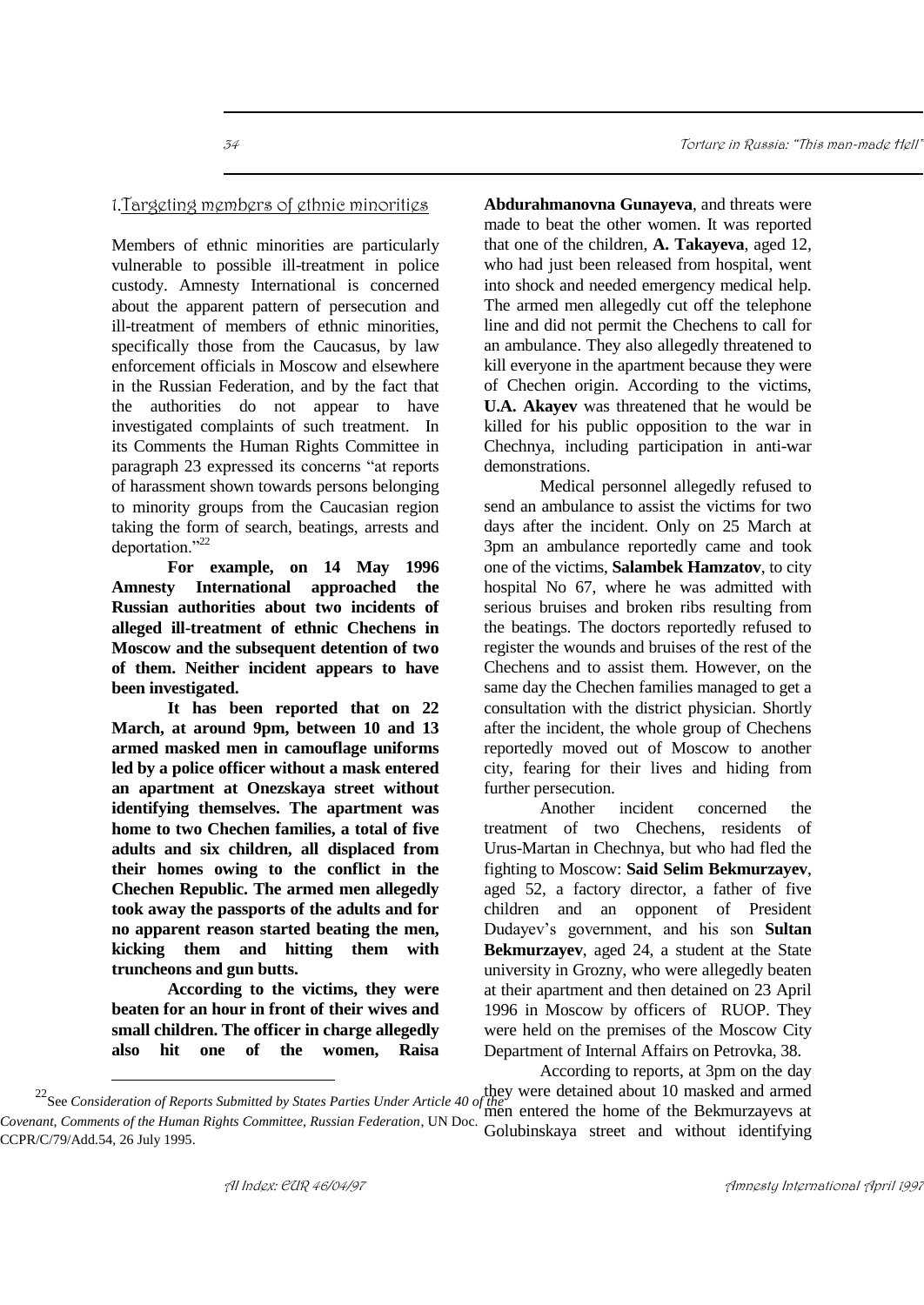## 1.Targeting members of ethnic minorities

Members of ethnic minorities are particularly vulnerable to possible ill-treatment in police custody. Amnesty International is concerned about the apparent pattern of persecution and ill-treatment of members of ethnic minorities, specifically those from the Caucasus, by law enforcement officials in Moscow and elsewhere in the Russian Federation, and by the fact that the authorities do not appear to have investigated complaints of such treatment. In its Comments the Human Rights Committee in paragraph 23 expressed its concerns "at reports of harassment shown towards persons belonging to minority groups from the Caucasian region taking the form of search, beatings, arrests and deportation."<sup>22</sup>

**For example, on 14 May 1996 Amnesty International approached the Russian authorities about two incidents of alleged ill-treatment of ethnic Chechens in Moscow and the subsequent detention of two of them. Neither incident appears to have been investigated.**

**It has been reported that on 22 March, at around 9pm, between 10 and 13 armed masked men in camouflage uniforms led by a police officer without a mask entered an apartment at Onezskaya street without identifying themselves. The apartment was home to two Chechen families, a total of five adults and six children, all displaced from their homes owing to the conflict in the Chechen Republic. The armed men allegedly took away the passports of the adults and for no apparent reason started beating the men, kicking them and hitting them with truncheons and gun butts.**

**According to the victims, they were beaten for an hour in front of their wives and small children. The officer in charge allegedly also hit one of the women, Raisa** 

÷,

**Abdurahmanovna Gunayeva**, and threats were made to beat the other women. It was reported that one of the children, **A. Takayeva**, aged 12, who had just been released from hospital, went into shock and needed emergency medical help. The armed men allegedly cut off the telephone line and did not permit the Chechens to call for an ambulance. They also allegedly threatened to kill everyone in the apartment because they were of Chechen origin. According to the victims, **U.A. Akayev** was threatened that he would be killed for his public opposition to the war in Chechnya, including participation in anti-war demonstrations.

Medical personnel allegedly refused to send an ambulance to assist the victims for two days after the incident. Only on 25 March at 3pm an ambulance reportedly came and took one of the victims, **Salambek Hamzatov**, to city hospital No 67, where he was admitted with serious bruises and broken ribs resulting from the beatings. The doctors reportedly refused to register the wounds and bruises of the rest of the Chechens and to assist them. However, on the same day the Chechen families managed to get a consultation with the district physician. Shortly after the incident, the whole group of Chechens reportedly moved out of Moscow to another city, fearing for their lives and hiding from further persecution.

Another incident concerned the treatment of two Chechens, residents of Urus-Martan in Chechnya, but who had fled the fighting to Moscow: **Said Selim Bekmurzayev**, aged 52, a factory director, a father of five children and an opponent of President Dudayev's government, and his son **Sultan Bekmurzayev**, aged 24, a student at the State university in Grozny, who were allegedly beaten at their apartment and then detained on 23 April 1996 in Moscow by officers of RUOP. They were held on the premises of the Moscow City Department of Internal Affairs on Petrovka, 38.

According to reports, at 3pm on the day men entered the home of the Bekmurzayevs at Golubinskaya street and without identifying

<sup>22</sup>See *Consideration of Reports Submitted by States Parties Under Article 40 of the*  they were detained about 10 masked and armed *Covenant, Comments of the Human Rights Committee, Russian Federation*, UN Doc. CCPR/C/79/Add.54, 26 July 1995.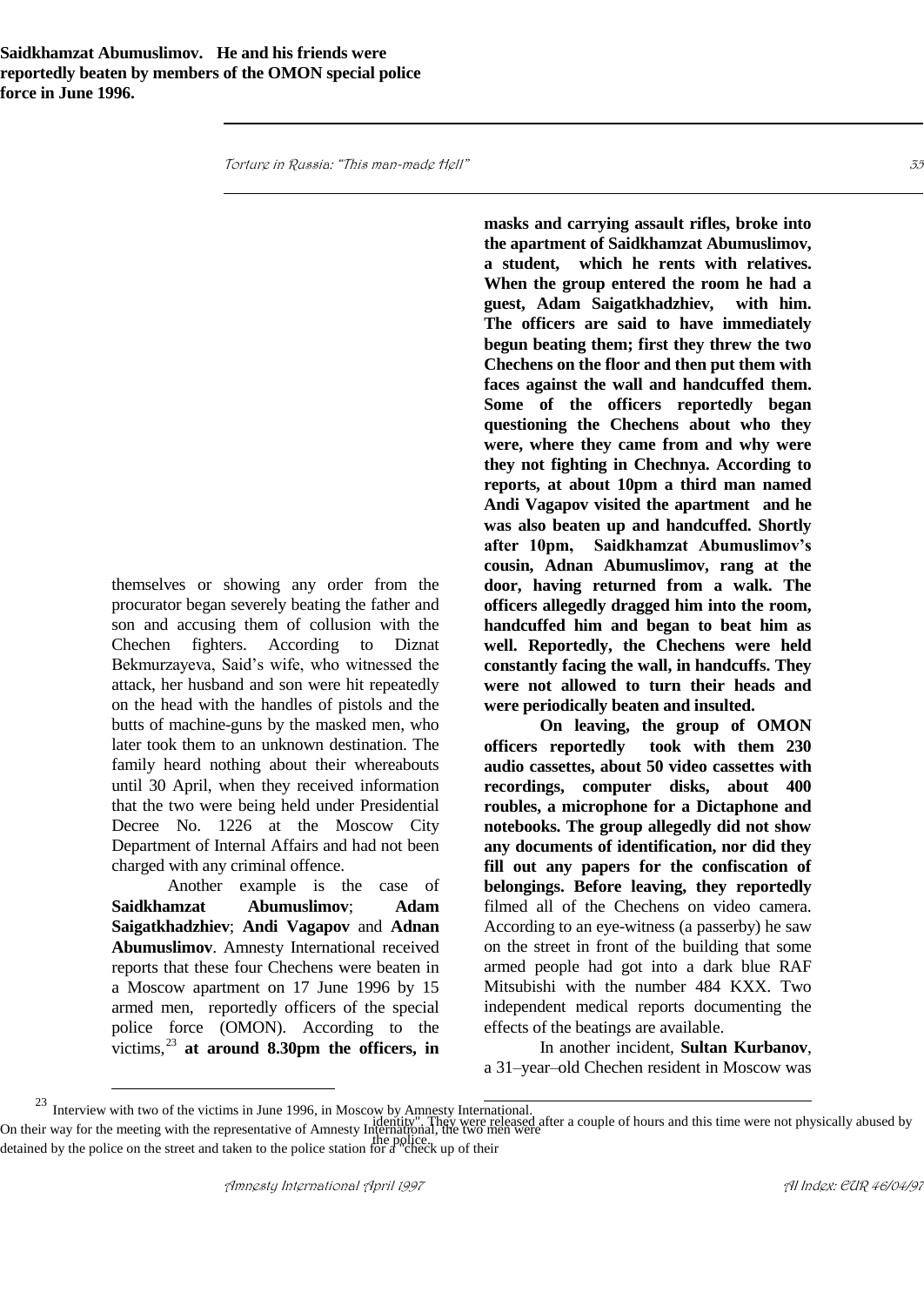themselves or showing any order from the procurator began severely beating the father and son and accusing them of collusion with the Chechen fighters. According to Diznat Bekmurzayeva, Said's wife, who witnessed the attack, her husband and son were hit repeatedly on the head with the handles of pistols and the butts of machine-guns by the masked men, who later took them to an unknown destination. The family heard nothing about their whereabouts until 30 April, when they received information that the two were being held under Presidential Decree No. 1226 at the Moscow City Department of Internal Affairs and had not been charged with any criminal offence.

Another example is the case of **Saidkhamzat Abumuslimov**; **Adam Saigatkhadzhiev**; **Andi Vagapov** and **Adnan Abumuslimov**. Amnesty International received reports that these four Chechens were beaten in a Moscow apartment on 17 June 1996 by 15 armed men, reportedly officers of the special police force (OMON). According to the victims,<sup>23</sup> at around 8.30pm the officers, in

—<br>—

**masks and carrying assault rifles, broke into the apartment of Saidkhamzat Abumuslimov, a student, which he rents with relatives. When the group entered the room he had a guest, Adam Saigatkhadzhiev, with him. The officers are said to have immediately begun beating them; first they threw the two Chechens on the floor and then put them with faces against the wall and handcuffed them. Some of the officers reportedly began questioning the Chechens about who they were, where they came from and why were they not fighting in Chechnya. According to reports, at about 10pm a third man named Andi Vagapov visited the apartment and he was also beaten up and handcuffed. Shortly after 10pm, Saidkhamzat Abumuslimov's cousin, Adnan Abumuslimov, rang at the door, having returned from a walk. The officers allegedly dragged him into the room, handcuffed him and began to beat him as well. Reportedly, the Chechens were held constantly facing the wall, in handcuffs. They were not allowed to turn their heads and were periodically beaten and insulted.** 

**On leaving, the group of OMON officers reportedly took with them 230 audio cassettes, about 50 video cassettes with recordings, computer disks, about 400 roubles, a microphone for a Dictaphone and notebooks. The group allegedly did not show any documents of identification, nor did they fill out any papers for the confiscation of belongings. Before leaving, they reportedly**  filmed all of the Chechens on video camera. According to an eye-witness (a passerby) he saw on the street in front of the building that some armed people had got into a dark blue RAF Mitsubishi with the number 484 KXX. Two independent medical reports documenting the effects of the beatings are available.

In another incident, **Sultan Kurbanov**, a 31–year–old Chechen resident in Moscow was

<sup>&</sup>lt;sup>23</sup> Interview with two of the victims in June 1996, in Moscow by Amnesty International.

On their way for the meeting with the representative of Amnesty International, the two men were released after a couple of hours and this time were not physically abused by detained by the police on the street and taken to the police station for a "check up of their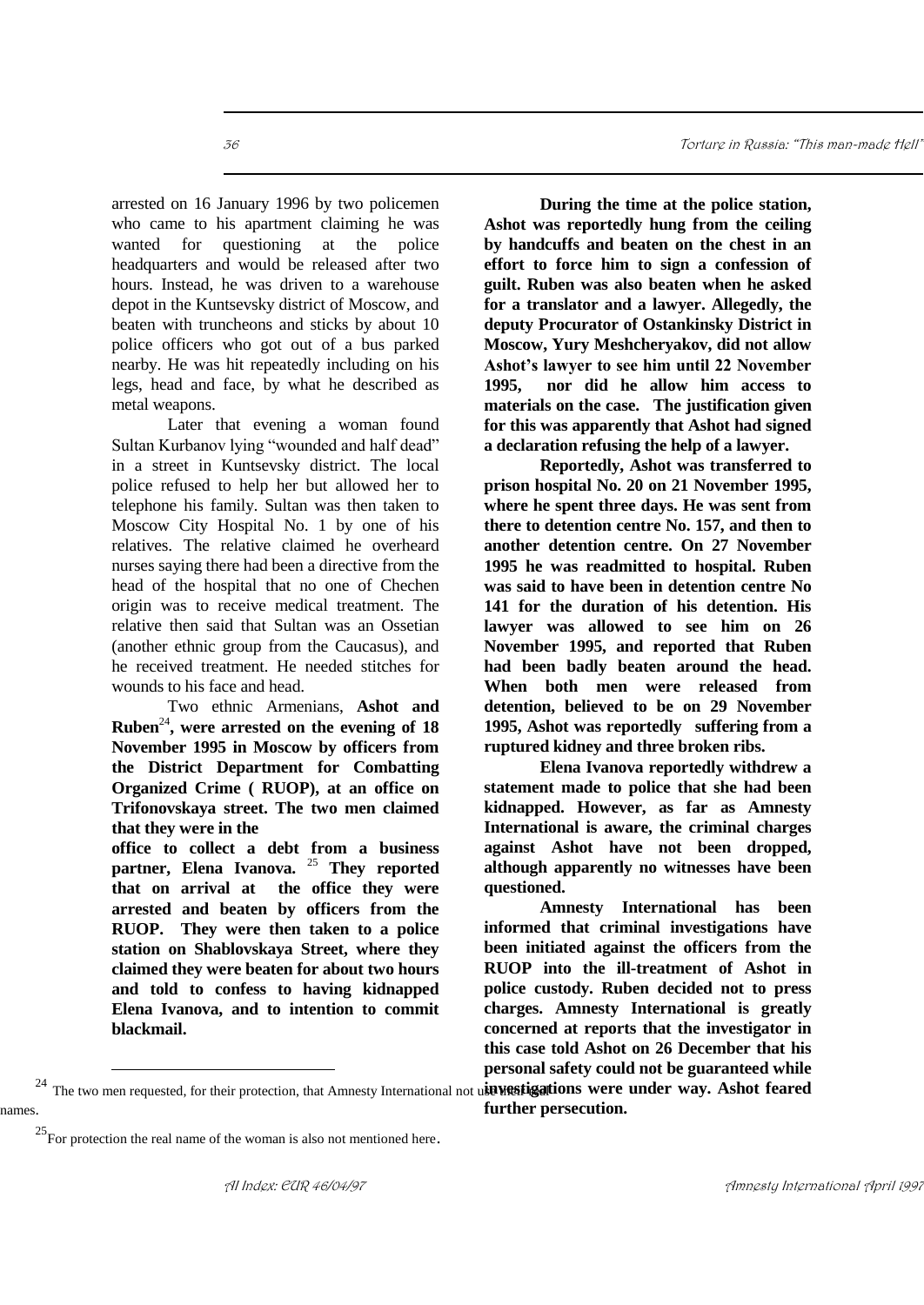arrested on 16 January 1996 by two policemen who came to his apartment claiming he was wanted for questioning at the police headquarters and would be released after two hours. Instead, he was driven to a warehouse depot in the Kuntsevsky district of Moscow, and beaten with truncheons and sticks by about 10 police officers who got out of a bus parked nearby. He was hit repeatedly including on his legs, head and face, by what he described as metal weapons.

Later that evening a woman found Sultan Kurbanov lying "wounded and half dead" in a street in Kuntsevsky district. The local police refused to help her but allowed her to telephone his family. Sultan was then taken to Moscow City Hospital No. 1 by one of his relatives. The relative claimed he overheard nurses saying there had been a directive from the head of the hospital that no one of Chechen origin was to receive medical treatment. The relative then said that Sultan was an Ossetian (another ethnic group from the Caucasus), and he received treatment. He needed stitches for wounds to his face and head.

Two ethnic Armenians, **Ashot and Ruben**<sup>24</sup>**, were arrested on the evening of 18 November 1995 in Moscow by officers from the District Department for Combatting Organized Crime ( RUOP), at an office on Trifonovskaya street. The two men claimed that they were in the** 

**office to collect a debt from a business partner, Elena Ivanova.** <sup>25</sup> **They reported that on arrival at the office they were arrested and beaten by officers from the RUOP. They were then taken to a police station on Shablovskaya Street, where they claimed they were beaten for about two hours and told to confess to having kidnapped Elena Ivanova, and to intention to commit blackmail.** 

**During the time at the police station, Ashot was reportedly hung from the ceiling by handcuffs and beaten on the chest in an effort to force him to sign a confession of guilt. Ruben was also beaten when he asked for a translator and a lawyer. Allegedly, the deputy Procurator of Ostankinsky District in Moscow, Yury Meshcheryakov, did not allow Ashot's lawyer to see him until 22 November 1995, nor did he allow him access to materials on the case. The justification given for this was apparently that Ashot had signed a declaration refusing the help of a lawyer.** 

**Reportedly, Ashot was transferred to prison hospital No. 20 on 21 November 1995, where he spent three days. He was sent from there to detention centre No. 157, and then to another detention centre. On 27 November 1995 he was readmitted to hospital. Ruben was said to have been in detention centre No 141 for the duration of his detention. His lawyer was allowed to see him on 26 November 1995, and reported that Ruben had been badly beaten around the head. When both men were released from detention, believed to be on 29 November 1995, Ashot was reportedly suffering from a ruptured kidney and three broken ribs.** 

**Elena Ivanova reportedly withdrew a statement made to police that she had been kidnapped. However, as far as Amnesty International is aware, the criminal charges against Ashot have not been dropped, although apparently no witnesses have been questioned.**

<sup>24</sup> The two men requested, for their protection, that Amnesty International not u**investigations were under way. Ashot feared Amnesty International has been informed that criminal investigations have been initiated against the officers from the RUOP into the ill-treatment of Ashot in police custody. Ruben decided not to press charges. Amnesty International is greatly concerned at reports that the investigator in this case told Ashot on 26 December that his personal safety could not be guaranteed while further persecution.**

—<br>—

names.

 $^{25}$ For protection the real name of the woman is also not mentioned here.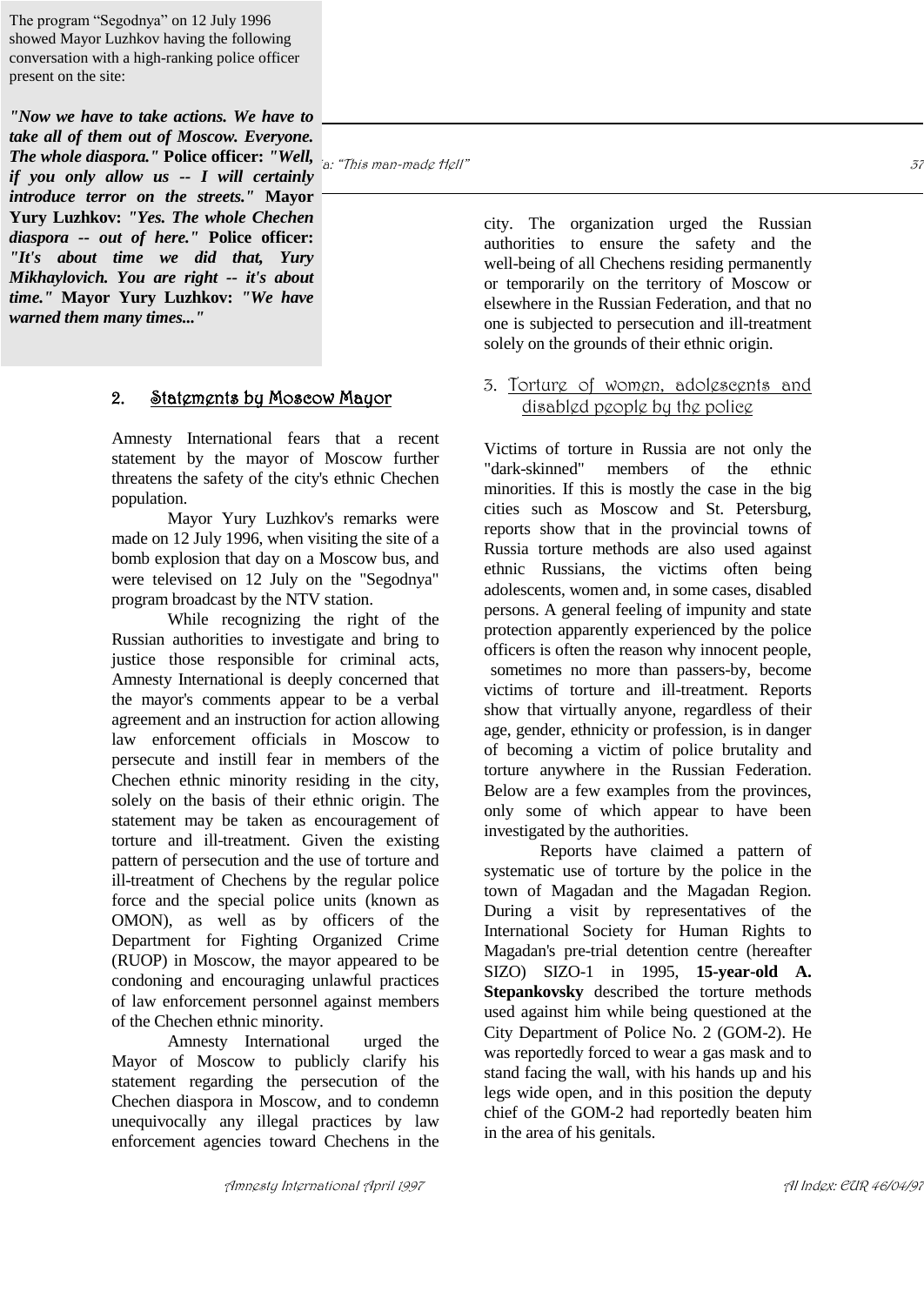The program "Segodnya" on 12 July 1996 showed Mayor Luzhkov having the following conversation with a high-ranking police officer present on the site:

**The whole diaspora." Police officer: "Well,**  $\frac{1}{\alpha}$ : "This man-made Hell" **37** *"Now we have to take actions. We have to take all of them out of Moscow. Everyone. if you only allow us -- I will certainly introduce terror on the streets."* **Mayor Yury Luzhkov:** *"Yes. The whole Chechen diaspora -- out of here."* **Police officer:** *"It's about time we did that, Yury Mikhaylovich. You are right -- it's about time."* **Mayor Yury Luzhkov:** *"We have warned them many times..."* 

#### 2. Statements by Moscow Mayor

Amnesty International fears that a recent statement by the mayor of Moscow further threatens the safety of the city's ethnic Chechen population.

Mayor Yury Luzhkov's remarks were made on 12 July 1996, when visiting the site of a bomb explosion that day on a Moscow bus, and were televised on 12 July on the "Segodnya" program broadcast by the NTV station.

While recognizing the right of the Russian authorities to investigate and bring to justice those responsible for criminal acts, Amnesty International is deeply concerned that the mayor's comments appear to be a verbal agreement and an instruction for action allowing law enforcement officials in Moscow to persecute and instill fear in members of the Chechen ethnic minority residing in the city, solely on the basis of their ethnic origin. The statement may be taken as encouragement of torture and ill-treatment. Given the existing pattern of persecution and the use of torture and ill-treatment of Chechens by the regular police force and the special police units (known as OMON), as well as by officers of the Department for Fighting Organized Crime (RUOP) in Moscow, the mayor appeared to be condoning and encouraging unlawful practices of law enforcement personnel against members of the Chechen ethnic minority.

Amnesty International urged the Mayor of Moscow to publicly clarify his statement regarding the persecution of the Chechen diaspora in Moscow, and to condemn unequivocally any illegal practices by law enforcement agencies toward Chechens in the city. The organization urged the Russian authorities to ensure the safety and the well-being of all Chechens residing permanently or temporarily on the territory of Moscow or elsewhere in the Russian Federation, and that no one is subjected to persecution and ill-treatment solely on the grounds of their ethnic origin.

3. Torture of women, adolescents and disabled people by the police

Victims of torture in Russia are not only the "dark-skinned" members of the ethnic minorities. If this is mostly the case in the big cities such as Moscow and St. Petersburg, reports show that in the provincial towns of Russia torture methods are also used against ethnic Russians, the victims often being adolescents, women and, in some cases, disabled persons. A general feeling of impunity and state protection apparently experienced by the police officers is often the reason why innocent people, sometimes no more than passers-by, become victims of torture and ill-treatment. Reports show that virtually anyone, regardless of their age, gender, ethnicity or profession, is in danger of becoming a victim of police brutality and torture anywhere in the Russian Federation. Below are a few examples from the provinces, only some of which appear to have been investigated by the authorities.

Reports have claimed a pattern of systematic use of torture by the police in the town of Magadan and the Magadan Region. During a visit by representatives of the International Society for Human Rights to Magadan's pre-trial detention centre (hereafter SIZO) SIZO-1 in 1995, **15-year-old A. Stepankovsky** described the torture methods used against him while being questioned at the City Department of Police No. 2 (GOM-2). He was reportedly forced to wear a gas mask and to stand facing the wall, with his hands up and his legs wide open, and in this position the deputy chief of the GOM-2 had reportedly beaten him in the area of his genitals.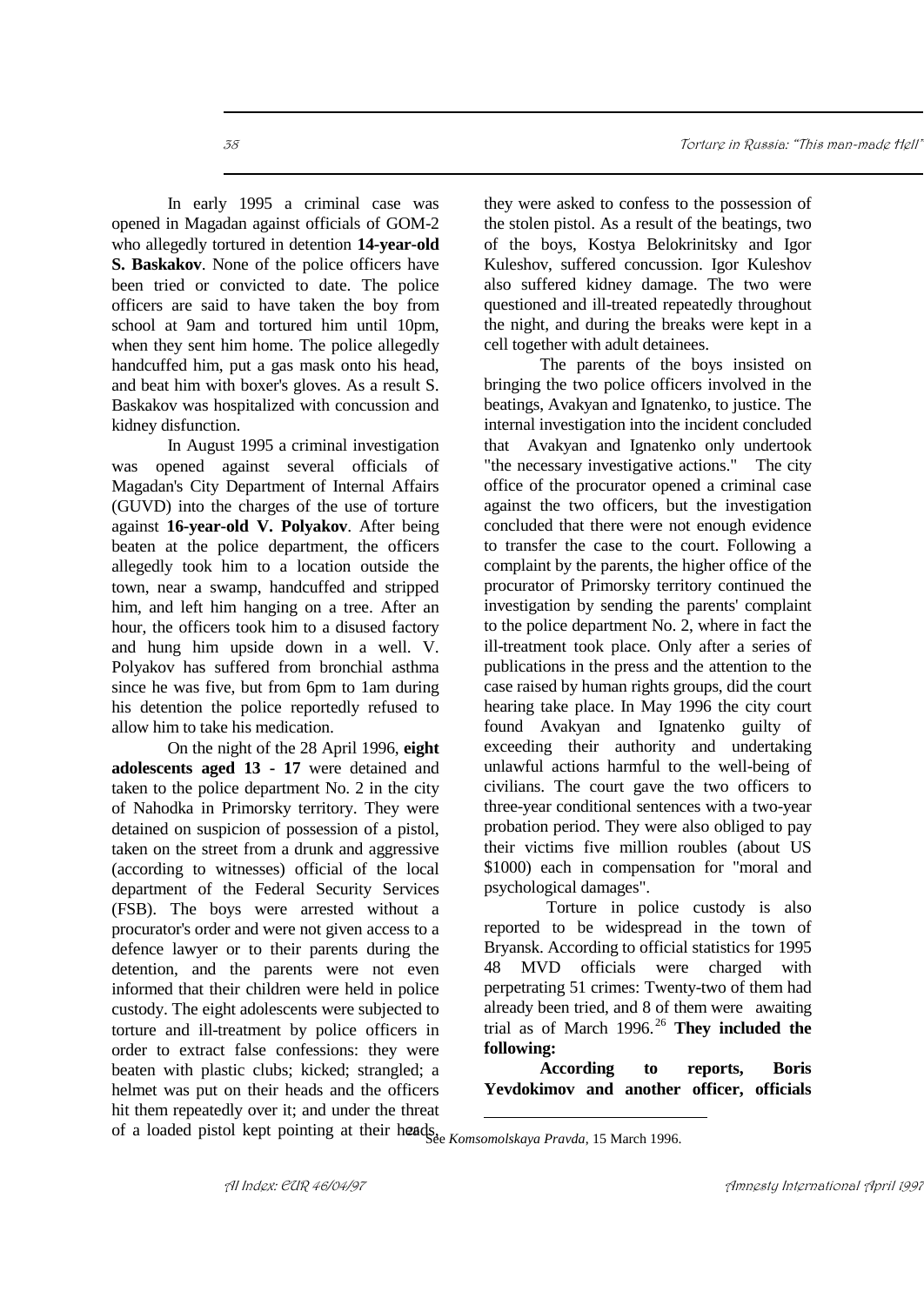In early 1995 a criminal case was opened in Magadan against officials of GOM-2 who allegedly tortured in detention **14-year-old S. Baskakov**. None of the police officers have been tried or convicted to date. The police officers are said to have taken the boy from school at 9am and tortured him until 10pm, when they sent him home. The police allegedly handcuffed him, put a gas mask onto his head, and beat him with boxer's gloves. As a result S. Baskakov was hospitalized with concussion and kidney disfunction.

In August 1995 a criminal investigation was opened against several officials of Magadan's City Department of Internal Affairs (GUVD) into the charges of the use of torture against **16-year-old V. Polyakov**. After being beaten at the police department, the officers allegedly took him to a location outside the town, near a swamp, handcuffed and stripped him, and left him hanging on a tree. After an hour, the officers took him to a disused factory and hung him upside down in a well. V. Polyakov has suffered from bronchial asthma since he was five, but from 6pm to 1am during his detention the police reportedly refused to allow him to take his medication.

On the night of the 28 April 1996, **eight adolescents aged 13 - 17** were detained and taken to the police department No. 2 in the city of Nahodka in Primorsky territory. They were detained on suspicion of possession of a pistol, taken on the street from a drunk and aggressive (according to witnesses) official of the local department of the Federal Security Services (FSB). The boys were arrested without a procurator's order and were not given access to a defence lawyer or to their parents during the detention, and the parents were not even informed that their children were held in police custody. The eight adolescents were subjected to torture and ill-treatment by police officers in order to extract false confessions: they were beaten with plastic clubs; kicked; strangled; a helmet was put on their heads and the officers hit them repeatedly over it; and under the threat of a loaded pistol kept pointing at their heads,

they were asked to confess to the possession of the stolen pistol. As a result of the beatings, two of the boys, Kostya Belokrinitsky and Igor Kuleshov, suffered concussion. Igor Kuleshov also suffered kidney damage. The two were questioned and ill-treated repeatedly throughout the night, and during the breaks were kept in a cell together with adult detainees.

The parents of the boys insisted on bringing the two police officers involved in the beatings, Avakyan and Ignatenko, to justice. The internal investigation into the incident concluded that Avakyan and Ignatenko only undertook "the necessary investigative actions." The city office of the procurator opened a criminal case against the two officers, but the investigation concluded that there were not enough evidence to transfer the case to the court. Following a complaint by the parents, the higher office of the procurator of Primorsky territory continued the investigation by sending the parents' complaint to the police department No. 2, where in fact the ill-treatment took place. Only after a series of publications in the press and the attention to the case raised by human rights groups, did the court hearing take place. In May 1996 the city court found Avakyan and Ignatenko guilty of exceeding their authority and undertaking unlawful actions harmful to the well-being of civilians. The court gave the two officers to three-year conditional sentences with a two-year probation period. They were also obliged to pay their victims five million roubles (about US \$1000) each in compensation for "moral and psychological damages".

Torture in police custody is also reported to be widespread in the town of Bryansk. According to official statistics for 1995 48 MVD officials were charged with perpetrating 51 crimes: Twenty-two of them had already been tried, and 8 of them were awaiting trial as of March 1996.<sup>26</sup> They included the **following:**

**According to reports, Boris Yevdokimov and another officer, officials** 

<sup>26</sup> See *Komsomolskaya Pravda*, 15 March 1996.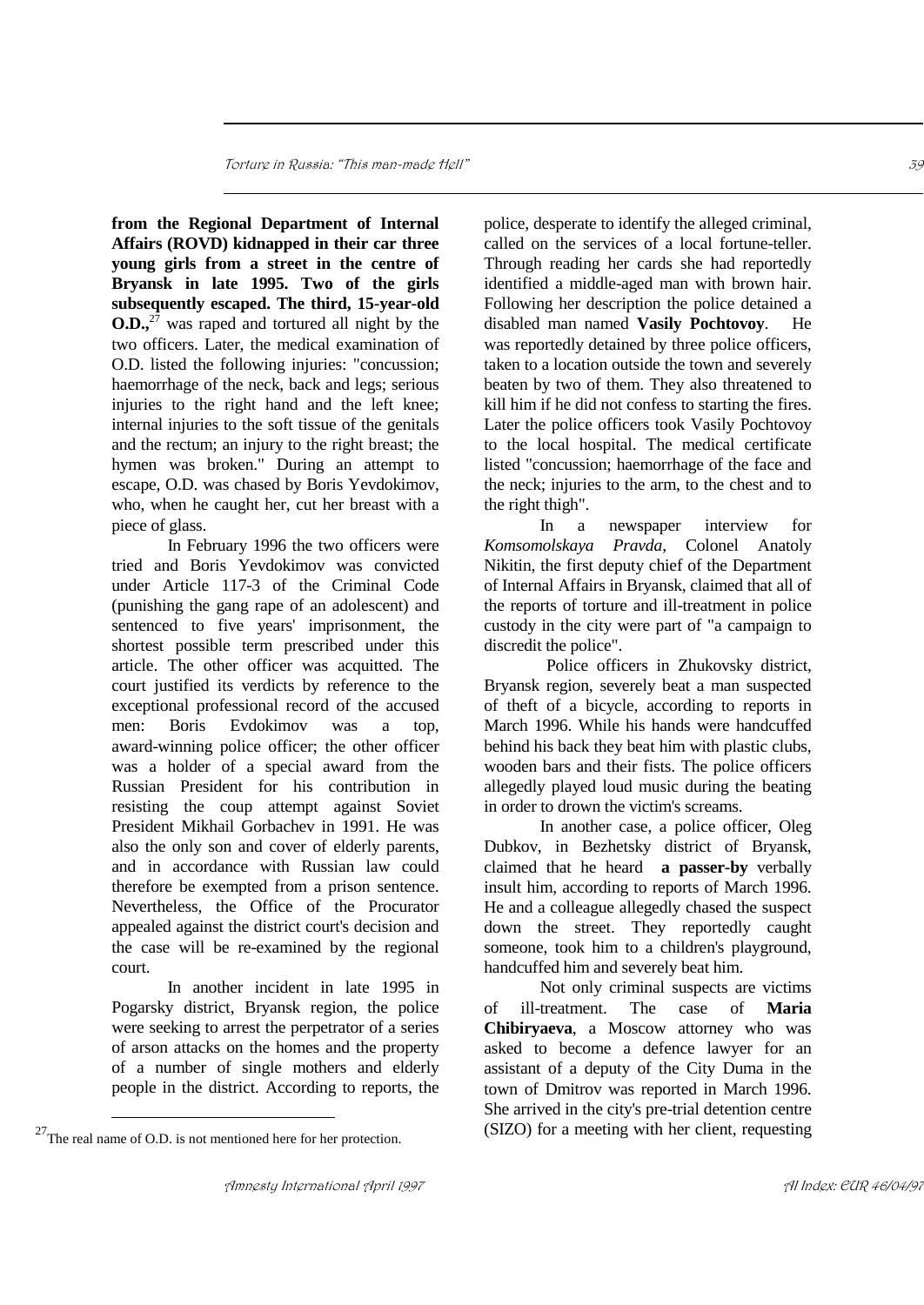**from the Regional Department of Internal Affairs (ROVD) kidnapped in their car three young girls from a street in the centre of Bryansk in late 1995. Two of the girls subsequently escaped. The third, 15-year-old O.D.**<sup>27</sup> was raped and tortured all night by the two officers. Later, the medical examination of O.D. listed the following injuries: "concussion; haemorrhage of the neck, back and legs; serious injuries to the right hand and the left knee; internal injuries to the soft tissue of the genitals and the rectum; an injury to the right breast; the hymen was broken." During an attempt to escape, O.D. was chased by Boris Yevdokimov, who, when he caught her, cut her breast with a piece of glass.

In February 1996 the two officers were tried and Boris Yevdokimov was convicted under Article 117-3 of the Criminal Code (punishing the gang rape of an adolescent) and sentenced to five years' imprisonment, the shortest possible term prescribed under this article. The other officer was acquitted. The court justified its verdicts by reference to the exceptional professional record of the accused men: Boris Evdokimov was a top, award-winning police officer; the other officer was a holder of a special award from the Russian President for his contribution in resisting the coup attempt against Soviet President Mikhail Gorbachev in 1991. He was also the only son and cover of elderly parents, and in accordance with Russian law could therefore be exempted from a prison sentence. Nevertheless, the Office of the Procurator appealed against the district court's decision and the case will be re-examined by the regional court.

In another incident in late 1995 in Pogarsky district, Bryansk region, the police were seeking to arrest the perpetrator of a series of arson attacks on the homes and the property of a number of single mothers and elderly people in the district. According to reports, the

È,

police, desperate to identify the alleged criminal, called on the services of a local fortune-teller. Through reading her cards she had reportedly identified a middle-aged man with brown hair. Following her description the police detained a disabled man named **Vasily Pochtovoy**. He was reportedly detained by three police officers, taken to a location outside the town and severely beaten by two of them. They also threatened to kill him if he did not confess to starting the fires. Later the police officers took Vasily Pochtovoy to the local hospital. The medical certificate listed "concussion; haemorrhage of the face and the neck; injuries to the arm, to the chest and to the right thigh".

In a newspaper interview for *Komsomolskaya Pravda*, Colonel Anatoly Nikitin, the first deputy chief of the Department of Internal Affairs in Bryansk, claimed that all of the reports of torture and ill-treatment in police custody in the city were part of "a campaign to discredit the police".

Police officers in Zhukovsky district, Bryansk region, severely beat a man suspected of theft of a bicycle, according to reports in March 1996. While his hands were handcuffed behind his back they beat him with plastic clubs, wooden bars and their fists. The police officers allegedly played loud music during the beating in order to drown the victim's screams.

In another case, a police officer, Oleg Dubkov, in Bezhetsky district of Bryansk, claimed that he heard **a passer-by** verbally insult him, according to reports of March 1996. He and a colleague allegedly chased the suspect down the street. They reportedly caught someone, took him to a children's playground, handcuffed him and severely beat him.

Not only criminal suspects are victims of ill-treatment. The case of **Maria Chibiryaeva**, a Moscow attorney who was asked to become a defence lawyer for an assistant of a deputy of the City Duma in the town of Dmitrov was reported in March 1996. She arrived in the city's pre-trial detention centre (SIZO) for a meeting with her client, requesting

 $^{27}$ The real name of O.D. is not mentioned here for her protection.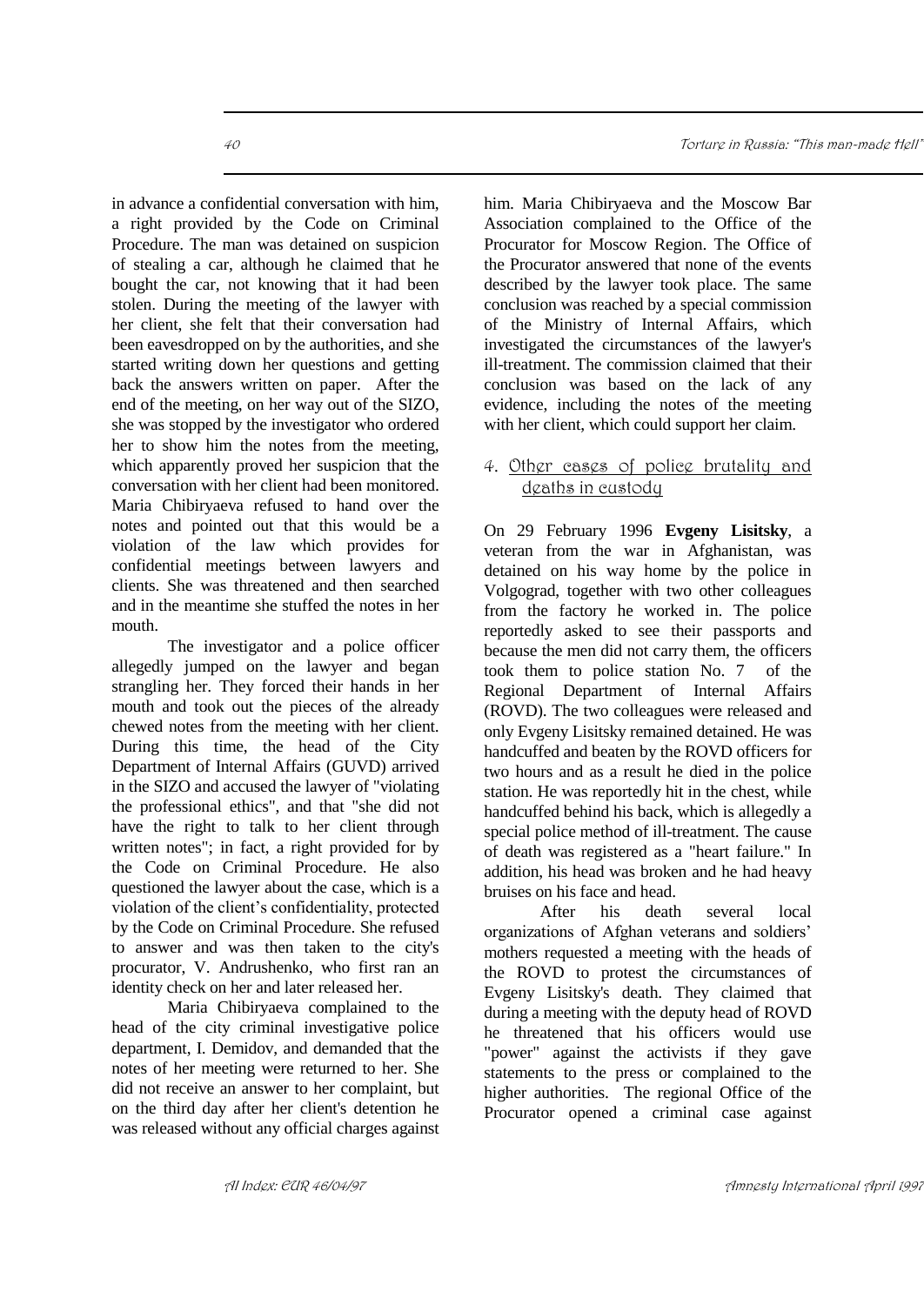in advance a confidential conversation with him, a right provided by the Code on Criminal Procedure. The man was detained on suspicion of stealing a car, although he claimed that he bought the car, not knowing that it had been stolen. During the meeting of the lawyer with her client, she felt that their conversation had been eavesdropped on by the authorities, and she started writing down her questions and getting back the answers written on paper. After the end of the meeting, on her way out of the SIZO, she was stopped by the investigator who ordered her to show him the notes from the meeting, which apparently proved her suspicion that the conversation with her client had been monitored. Maria Chibiryaeva refused to hand over the notes and pointed out that this would be a violation of the law which provides for confidential meetings between lawyers and clients. She was threatened and then searched and in the meantime she stuffed the notes in her mouth.

The investigator and a police officer allegedly jumped on the lawyer and began strangling her. They forced their hands in her mouth and took out the pieces of the already chewed notes from the meeting with her client. During this time, the head of the City Department of Internal Affairs (GUVD) arrived in the SIZO and accused the lawyer of "violating the professional ethics", and that "she did not have the right to talk to her client through written notes"; in fact, a right provided for by the Code on Criminal Procedure. He also questioned the lawyer about the case, which is a violation of the client's confidentiality, protected by the Code on Criminal Procedure. She refused to answer and was then taken to the city's procurator, V. Andrushenko, who first ran an identity check on her and later released her.

Maria Chibiryaeva complained to the head of the city criminal investigative police department, I. Demidov, and demanded that the notes of her meeting were returned to her. She did not receive an answer to her complaint, but on the third day after her client's detention he was released without any official charges against him. Maria Chibiryaeva and the Moscow Bar Association complained to the Office of the Procurator for Moscow Region. The Office of the Procurator answered that none of the events described by the lawyer took place. The same conclusion was reached by a special commission of the Ministry of Internal Affairs, which investigated the circumstances of the lawyer's ill-treatment. The commission claimed that their conclusion was based on the lack of any evidence, including the notes of the meeting with her client, which could support her claim.

## 4. Other cases of police brutality and deaths in custody

On 29 February 1996 **Evgeny Lisitsky**, a veteran from the war in Afghanistan, was detained on his way home by the police in Volgograd, together with two other colleagues from the factory he worked in. The police reportedly asked to see their passports and because the men did not carry them, the officers took them to police station No. 7 of the Regional Department of Internal Affairs (ROVD). The two colleagues were released and only Evgeny Lisitsky remained detained. He was handcuffed and beaten by the ROVD officers for two hours and as a result he died in the police station. He was reportedly hit in the chest, while handcuffed behind his back, which is allegedly a special police method of ill-treatment. The cause of death was registered as a "heart failure." In addition, his head was broken and he had heavy bruises on his face and head.

After his death several local organizations of Afghan veterans and soldiers' mothers requested a meeting with the heads of the ROVD to protest the circumstances of Evgeny Lisitsky's death. They claimed that during a meeting with the deputy head of ROVD he threatened that his officers would use "power" against the activists if they gave statements to the press or complained to the higher authorities. The regional Office of the Procurator opened a criminal case against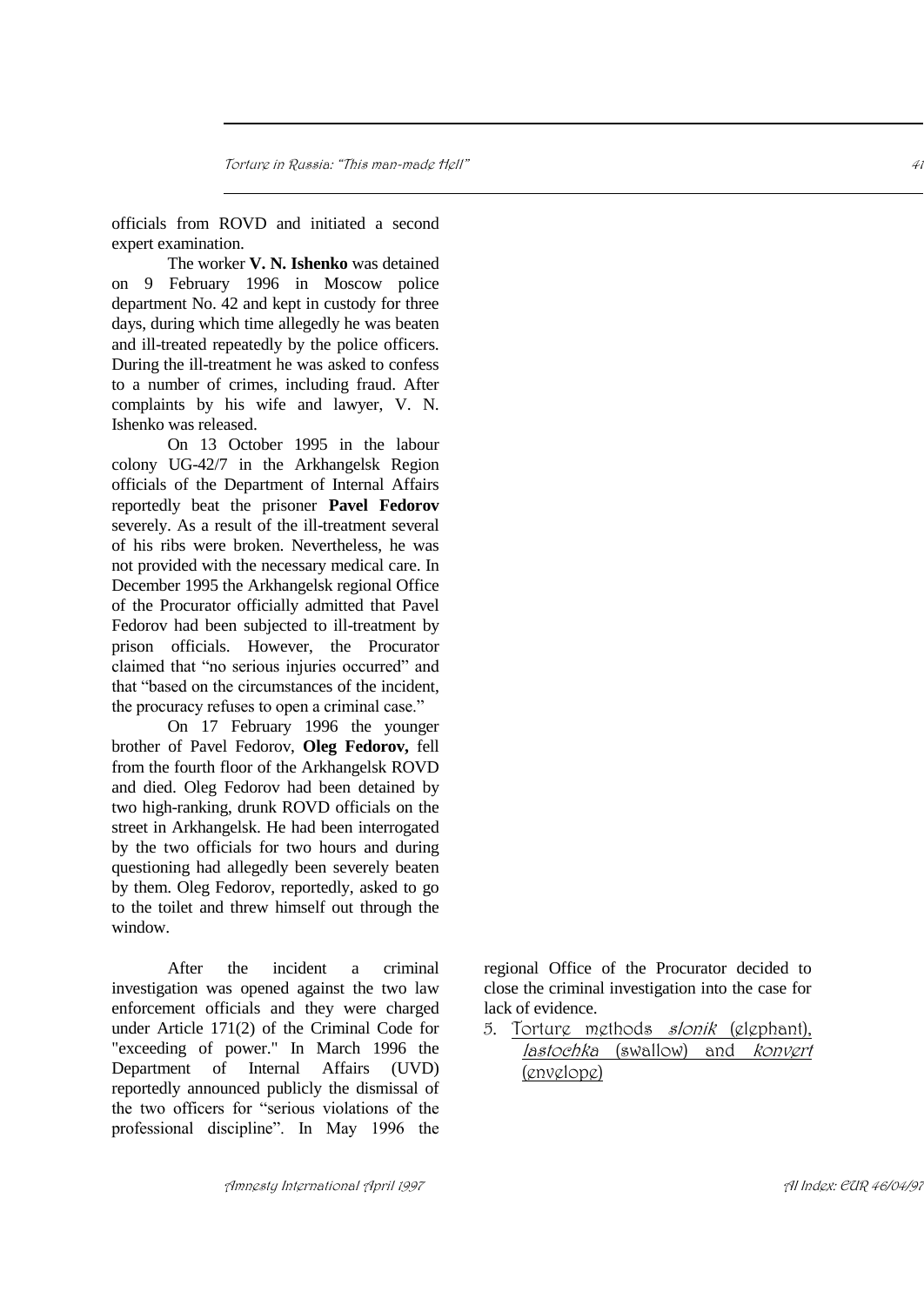officials from ROVD and initiated a second expert examination.

The worker **V. N. Ishenko** was detained on 9 February 1996 in Moscow police department No. 42 and kept in custody for three days, during which time allegedly he was beaten and ill-treated repeatedly by the police officers. During the ill-treatment he was asked to confess to a number of crimes, including fraud. After complaints by his wife and lawyer, V. N. Ishenko was released.

On 13 October 1995 in the labour colony UG-42/7 in the Arkhangelsk Region officials of the Department of Internal Affairs reportedly beat the prisoner **Pavel Fedorov** severely. As a result of the ill-treatment several of his ribs were broken. Nevertheless, he was not provided with the necessary medical care. In December 1995 the Arkhangelsk regional Office of the Procurator officially admitted that Pavel Fedorov had been subjected to ill-treatment by prison officials. However, the Procurator claimed that "no serious injuries occurred" and that "based on the circumstances of the incident, the procuracy refuses to open a criminal case."

On 17 February 1996 the younger brother of Pavel Fedorov, **Oleg Fedorov,** fell from the fourth floor of the Arkhangelsk ROVD and died. Oleg Fedorov had been detained by two high-ranking, drunk ROVD officials on the street in Arkhangelsk. He had been interrogated by the two officials for two hours and during questioning had allegedly been severely beaten by them. Oleg Fedorov, reportedly, asked to go to the toilet and threw himself out through the window.

After the incident a criminal investigation was opened against the two law enforcement officials and they were charged under Article 171(2) of the Criminal Code for "exceeding of power." In March 1996 the Department of Internal Affairs (UVD) reportedly announced publicly the dismissal of the two officers for "serious violations of the professional discipline". In May 1996 the regional Office of the Procurator decided to close the criminal investigation into the case for lack of evidence.

5. Torture methods slonik (elephant), lastochka (swallow) and konvert (envelope)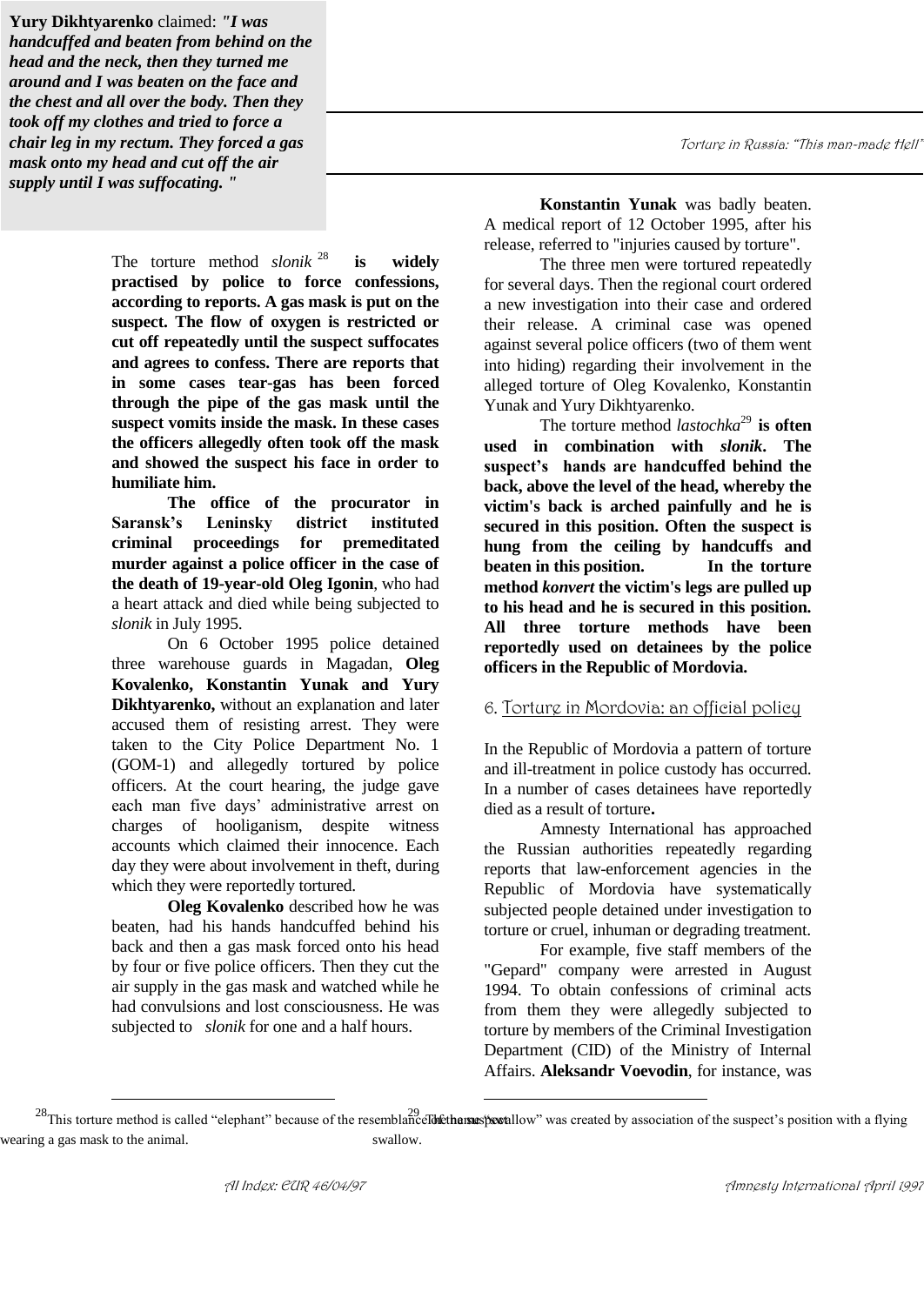**Yury Dikhtyarenko** claimed: *"I was handcuffed and beaten from behind on the head and the neck, then they turned me around and I was beaten on the face and the chest and all over the body. Then they took off my clothes and tried to force a chair leg in my rectum. They forced a gas mask onto my head and cut off the air supply until I was suffocating. "* 

> The torture method *slonik* <sup>28</sup>  **is widely practised by police to force confessions, according to reports. A gas mask is put on the suspect. The flow of oxygen is restricted or cut off repeatedly until the suspect suffocates and agrees to confess. There are reports that in some cases tear-gas has been forced through the pipe of the gas mask until the suspect vomits inside the mask. In these cases the officers allegedly often took off the mask and showed the suspect his face in order to humiliate him.**

> **The office of the procurator in Saransk's Leninsky district instituted criminal proceedings for premeditated murder against a police officer in the case of the death of 19-year-old Oleg Igonin**, who had a heart attack and died while being subjected to *slonik* in July 1995.

> On 6 October 1995 police detained three warehouse guards in Magadan, **Oleg Kovalenko, Konstantin Yunak and Yury Dikhtyarenko,** without an explanation and later accused them of resisting arrest. They were taken to the City Police Department No. 1 (GOM-1) and allegedly tortured by police officers. At the court hearing, the judge gave each man five days' administrative arrest on charges of hooliganism, despite witness accounts which claimed their innocence. Each day they were about involvement in theft, during which they were reportedly tortured.

**Oleg Kovalenko** described how he was beaten, had his hands handcuffed behind his back and then a gas mask forced onto his head by four or five police officers. Then they cut the air supply in the gas mask and watched while he had convulsions and lost consciousness. He was subjected to *slonik* for one and a half hours.

È,

**Konstantin Yunak** was badly beaten. A medical report of 12 October 1995, after his release, referred to "injuries caused by torture".

The three men were tortured repeatedly for several days. Then the regional court ordered a new investigation into their case and ordered their release. A criminal case was opened against several police officers (two of them went into hiding) regarding their involvement in the alleged torture of Oleg Kovalenko, Konstantin Yunak and Yury Dikhtyarenko.

The torture method *lastochka*<sup>29</sup> is often **used in combination with** *slonik***. The suspect's hands are handcuffed behind the back, above the level of the head, whereby the victim's back is arched painfully and he is secured in this position. Often the suspect is hung from the ceiling by handcuffs and beaten in this position. In the torture method** *konvert* **the victim's legs are pulled up to his head and he is secured in this position. All three torture methods have been reportedly used on detainees by the police officers in the Republic of Mordovia.**

#### 6. Torture in Mordovia: an official policy

In the Republic of Mordovia a pattern of torture and ill-treatment in police custody has occurred. In a number of cases detainees have reportedly died as a result of torture**.**

Amnesty International has approached the Russian authorities repeatedly regarding reports that law-enforcement agencies in the Republic of Mordovia have systematically subjected people detained under investigation to torture or cruel, inhuman or degrading treatment.

For example, five staff members of the "Gepard" company were arrested in August 1994. To obtain confessions of criminal acts from them they were allegedly subjected to torture by members of the Criminal Investigation Department (CID) of the Ministry of Internal Affairs. **Aleksandr Voevodin**, for instance, was

<sup>&</sup>lt;sup>28</sup>This torture method is called "elephant" because of the resemblance <del>different provided</del> by association of the suspect's position with a flying wearing a gas mask to the animal. swallow.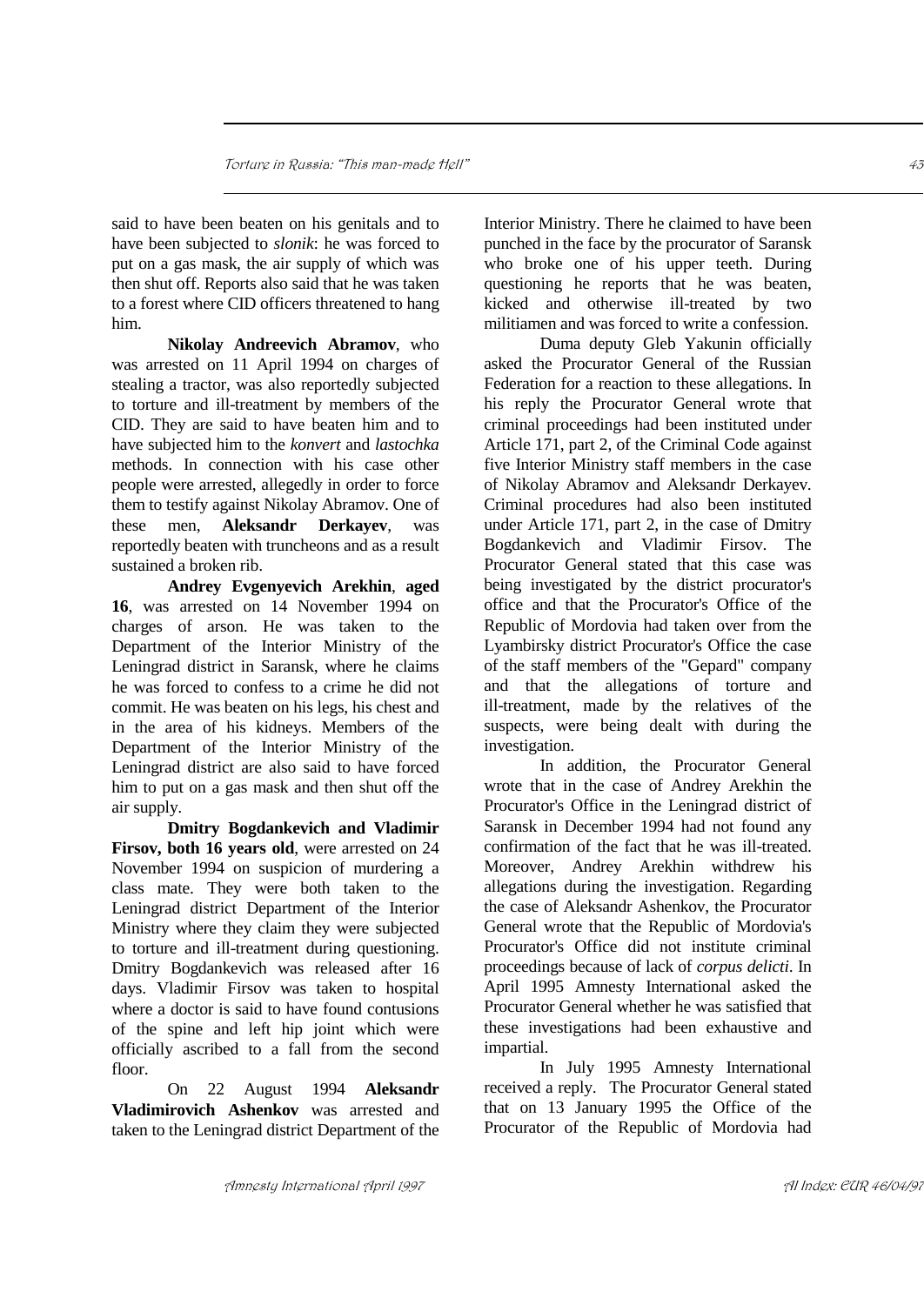said to have been beaten on his genitals and to have been subjected to *slonik*: he was forced to put on a gas mask, the air supply of which was then shut off. Reports also said that he was taken to a forest where CID officers threatened to hang him.

**Nikolay Andreevich Abramov**, who was arrested on 11 April 1994 on charges of stealing a tractor, was also reportedly subjected to torture and ill-treatment by members of the CID. They are said to have beaten him and to have subjected him to the *konvert* and *lastochka* methods. In connection with his case other people were arrested, allegedly in order to force them to testify against Nikolay Abramov. One of these men, **Aleksandr Derkayev**, was reportedly beaten with truncheons and as a result sustained a broken rib.

**Andrey Evgenyevich Arekhin**, **aged 16**, was arrested on 14 November 1994 on charges of arson. He was taken to the Department of the Interior Ministry of the Leningrad district in Saransk, where he claims he was forced to confess to a crime he did not commit. He was beaten on his legs, his chest and in the area of his kidneys. Members of the Department of the Interior Ministry of the Leningrad district are also said to have forced him to put on a gas mask and then shut off the air supply.

**Dmitry Bogdankevich and Vladimir Firsov, both 16 years old**, were arrested on 24 November 1994 on suspicion of murdering a class mate. They were both taken to the Leningrad district Department of the Interior Ministry where they claim they were subjected to torture and ill-treatment during questioning. Dmitry Bogdankevich was released after 16 days. Vladimir Firsov was taken to hospital where a doctor is said to have found contusions of the spine and left hip joint which were officially ascribed to a fall from the second floor.

On 22 August 1994 **Aleksandr Vladimirovich Ashenkov** was arrested and taken to the Leningrad district Department of the Interior Ministry. There he claimed to have been punched in the face by the procurator of Saransk who broke one of his upper teeth. During questioning he reports that he was beaten, kicked and otherwise ill-treated by two militiamen and was forced to write a confession.

Duma deputy Gleb Yakunin officially asked the Procurator General of the Russian Federation for a reaction to these allegations. In his reply the Procurator General wrote that criminal proceedings had been instituted under Article 171, part 2, of the Criminal Code against five Interior Ministry staff members in the case of Nikolay Abramov and Aleksandr Derkayev. Criminal procedures had also been instituted under Article 171, part 2, in the case of Dmitry Bogdankevich and Vladimir Firsov. The Procurator General stated that this case was being investigated by the district procurator's office and that the Procurator's Office of the Republic of Mordovia had taken over from the Lyambirsky district Procurator's Office the case of the staff members of the "Gepard" company and that the allegations of torture and ill-treatment, made by the relatives of the suspects, were being dealt with during the investigation.

In addition, the Procurator General wrote that in the case of Andrey Arekhin the Procurator's Office in the Leningrad district of Saransk in December 1994 had not found any confirmation of the fact that he was ill-treated. Moreover, Andrey Arekhin withdrew his allegations during the investigation. Regarding the case of Aleksandr Ashenkov, the Procurator General wrote that the Republic of Mordovia's Procurator's Office did not institute criminal proceedings because of lack of *corpus delicti*. In April 1995 Amnesty International asked the Procurator General whether he was satisfied that these investigations had been exhaustive and impartial.

In July 1995 Amnesty International received a reply. The Procurator General stated that on 13 January 1995 the Office of the Procurator of the Republic of Mordovia had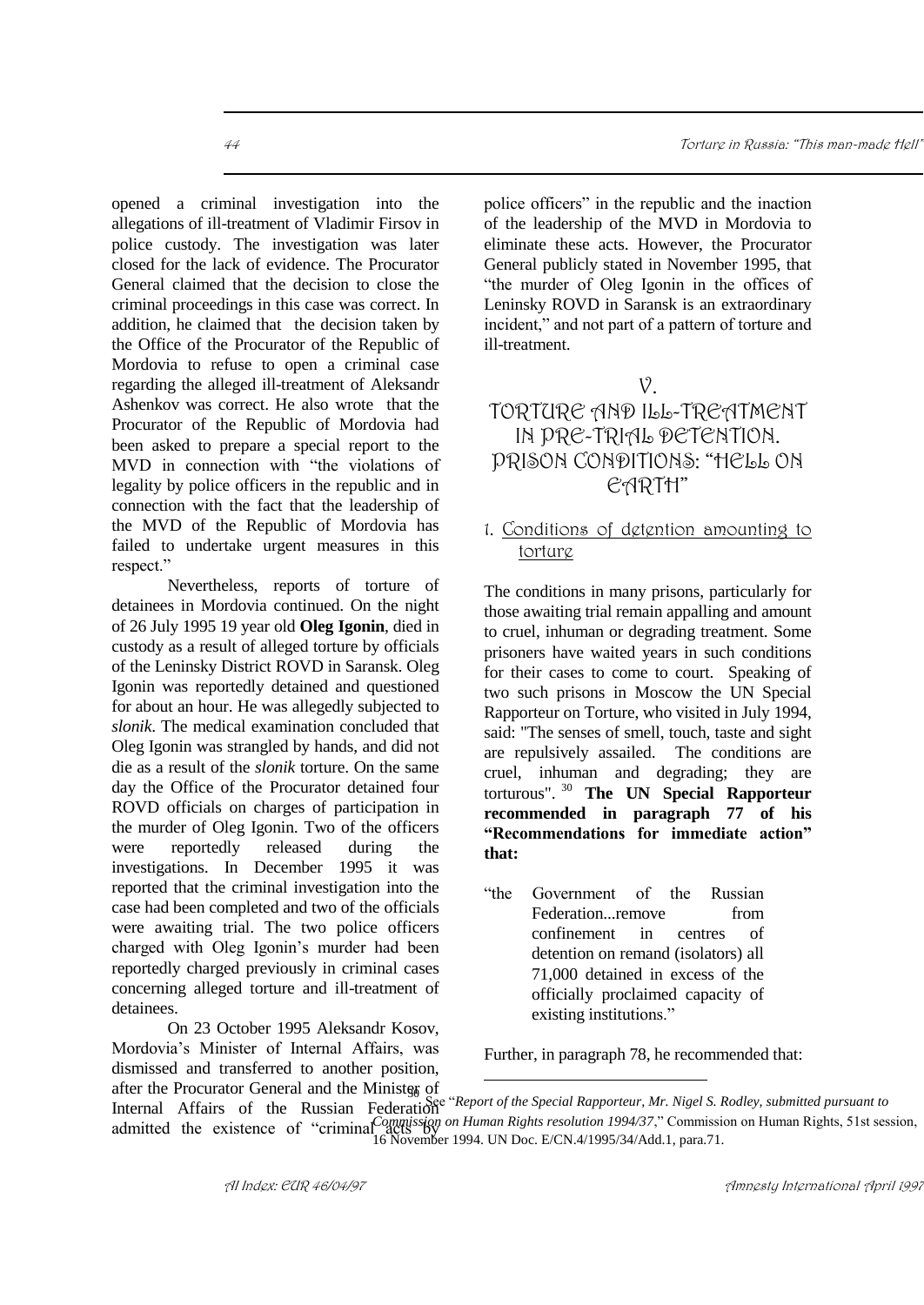opened a criminal investigation into the allegations of ill-treatment of Vladimir Firsov in police custody. The investigation was later closed for the lack of evidence. The Procurator General claimed that the decision to close the criminal proceedings in this case was correct. In addition, he claimed that the decision taken by the Office of the Procurator of the Republic of Mordovia to refuse to open a criminal case regarding the alleged ill-treatment of Aleksandr Ashenkov was correct. He also wrote that the Procurator of the Republic of Mordovia had been asked to prepare a special report to the MVD in connection with "the violations of legality by police officers in the republic and in connection with the fact that the leadership of the MVD of the Republic of Mordovia has failed to undertake urgent measures in this respect."

Nevertheless, reports of torture of detainees in Mordovia continued. On the night of 26 July 1995 19 year old **Oleg Igonin**, died in custody as a result of alleged torture by officials of the Leninsky District ROVD in Saransk. Oleg Igonin was reportedly detained and questioned for about an hour. He was allegedly subjected to *slonik*. The medical examination concluded that Oleg Igonin was strangled by hands, and did not die as a result of the *slonik* torture. On the same day the Office of the Procurator detained four ROVD officials on charges of participation in the murder of Oleg Igonin. Two of the officers were reportedly released during the investigations. In December 1995 it was reported that the criminal investigation into the case had been completed and two of the officials were awaiting trial. The two police officers charged with Oleg Igonin's murder had been reportedly charged previously in criminal cases concerning alleged torture and ill-treatment of detainees.

On 23 October 1995 Aleksandr Kosov, Mordovia's Minister of Internal Affairs, was dismissed and transferred to another position, after the Procurator General and the Minister of

44 Torture in Russia: "This man-made Hell"

police officers" in the republic and the inaction of the leadership of the MVD in Mordovia to eliminate these acts. However, the Procurator General publicly stated in November 1995, that "the murder of Oleg Igonin in the offices of Leninsky ROVD in Saransk is an extraordinary incident," and not part of a pattern of torture and ill-treatment.

# $V_{\perp}$ TORTURE AND ILL-TREATMENT IN PRE-TRIAL DETENTION. PRISON CONDITIONS: "HELL ON EARTH"

### 1. Conditions of detention amounting to torture

The conditions in many prisons, particularly for those awaiting trial remain appalling and amount to cruel, inhuman or degrading treatment. Some prisoners have waited years in such conditions for their cases to come to court. Speaking of two such prisons in Moscow the UN Special Rapporteur on Torture, who visited in July 1994, said: "The senses of smell, touch, taste and sight are repulsively assailed. The conditions are cruel, inhuman and degrading; they are torturous". <sup>30</sup> **The UN Special Rapporteur recommended in paragraph 77 of his "Recommendations for immediate action" that:** 

"the Government of the Russian Federation...remove from confinement in centres of detention on remand (isolators) all 71,000 detained in excess of the officially proclaimed capacity of existing institutions."

Further, in paragraph 78, he recommended that:

Internal Affairs of the Russian Federation admitted the existence of "criminal *acts"* by  $\frac{1004 \text{ F/NR}}{1004 \text{ F/NR}}$   $\frac{1004 \text{ F/NR}}{1005 \text{ F/NR}}$   $\frac{1005 \text{ F/NR}}{1005 \text{ F/NR}}$   $\frac{1004 \text{ F/NR}}{1005 \text{ F/NR}}$   $\frac{1004 \text{ F/NR}}{1005 \text{ F/NR}}$   $\frac{1004 \text{ F/NR}}{1005 \text{ F/NR}}$  <sup>30</sup> See "*Report of the Special Rapporteur, Mr. Nigel S. Rodley, submitted pursuant to*  16 November 1994. UN Doc. E/CN.4/1995/34/Add.1, para.71.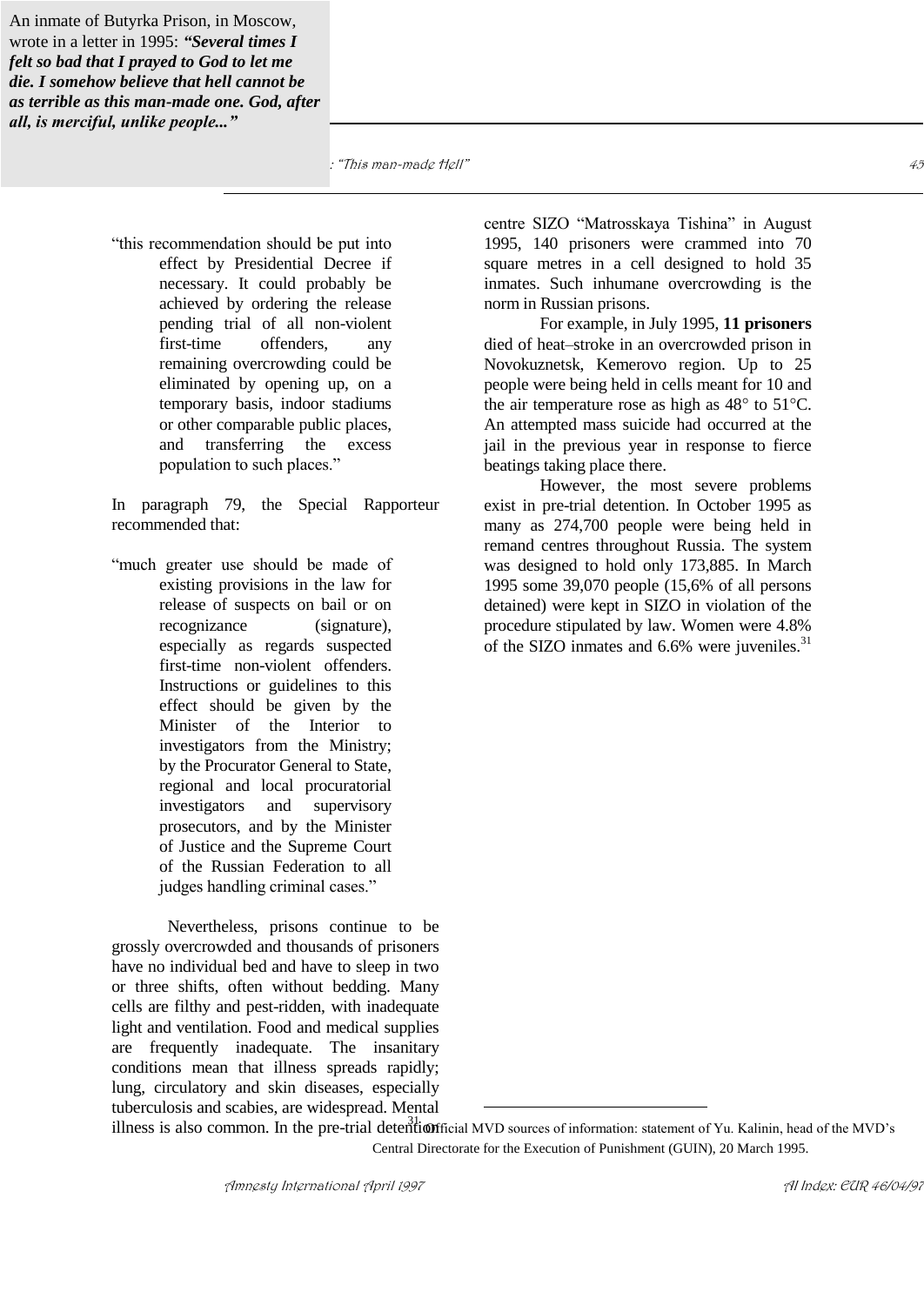An inmate of Butyrka Prison, in Moscow, wrote in a letter in 1995: *"Several times I felt so bad that I prayed to God to let me die. I somehow believe that hell cannot be as terrible as this man-made one. God, after all, is merciful, unlike people..."*

 $\mathcal{L}$  "This man-made Hell"  $45$ 

"this recommendation should be put into effect by Presidential Decree if necessary. It could probably be achieved by ordering the release pending trial of all non-violent first-time offenders, any remaining overcrowding could be eliminated by opening up, on a temporary basis, indoor stadiums or other comparable public places, and transferring the excess population to such places."

In paragraph 79, the Special Rapporteur recommended that:

"much greater use should be made of existing provisions in the law for release of suspects on bail or on recognizance (signature), especially as regards suspected first-time non-violent offenders. Instructions or guidelines to this effect should be given by the Minister of the Interior to investigators from the Ministry; by the Procurator General to State, regional and local procuratorial investigators and supervisory prosecutors, and by the Minister of Justice and the Supreme Court of the Russian Federation to all judges handling criminal cases."

Nevertheless, prisons continue to be grossly overcrowded and thousands of prisoners have no individual bed and have to sleep in two or three shifts, often without bedding. Many cells are filthy and pest-ridden, with inadequate light and ventilation. Food and medical supplies are frequently inadequate. The insanitary conditions mean that illness spreads rapidly; lung, circulatory and skin diseases, especially tuberculosis and scabies, are widespread. Mental centre SIZO "Matrosskaya Tishina" in August 1995, 140 prisoners were crammed into 70 square metres in a cell designed to hold 35 inmates. Such inhumane overcrowding is the norm in Russian prisons.

For example, in July 1995, **11 prisoners** died of heat–stroke in an overcrowded prison in Novokuznetsk, Kemerovo region. Up to 25 people were being held in cells meant for 10 and the air temperature rose as high as  $48^{\circ}$  to  $51^{\circ}$ C. An attempted mass suicide had occurred at the jail in the previous year in response to fierce beatings taking place there.

However, the most severe problems exist in pre-trial detention. In October 1995 as many as 274,700 people were being held in remand centres throughout Russia. The system was designed to hold only 173,885. In March 1995 some 39,070 people (15,6% of all persons detained) were kept in SIZO in violation of the procedure stipulated by law. Women were 4.8% of the SIZO inmates and 6.6% were juveniles.<sup>31</sup>

illness is also common. In the pre-trial detention ficial MVD sources of information: statement of Yu. Kalinin, head of the MVD's Central Directorate for the Execution of Punishment (GUIN), 20 March 1995.

<u>—</u>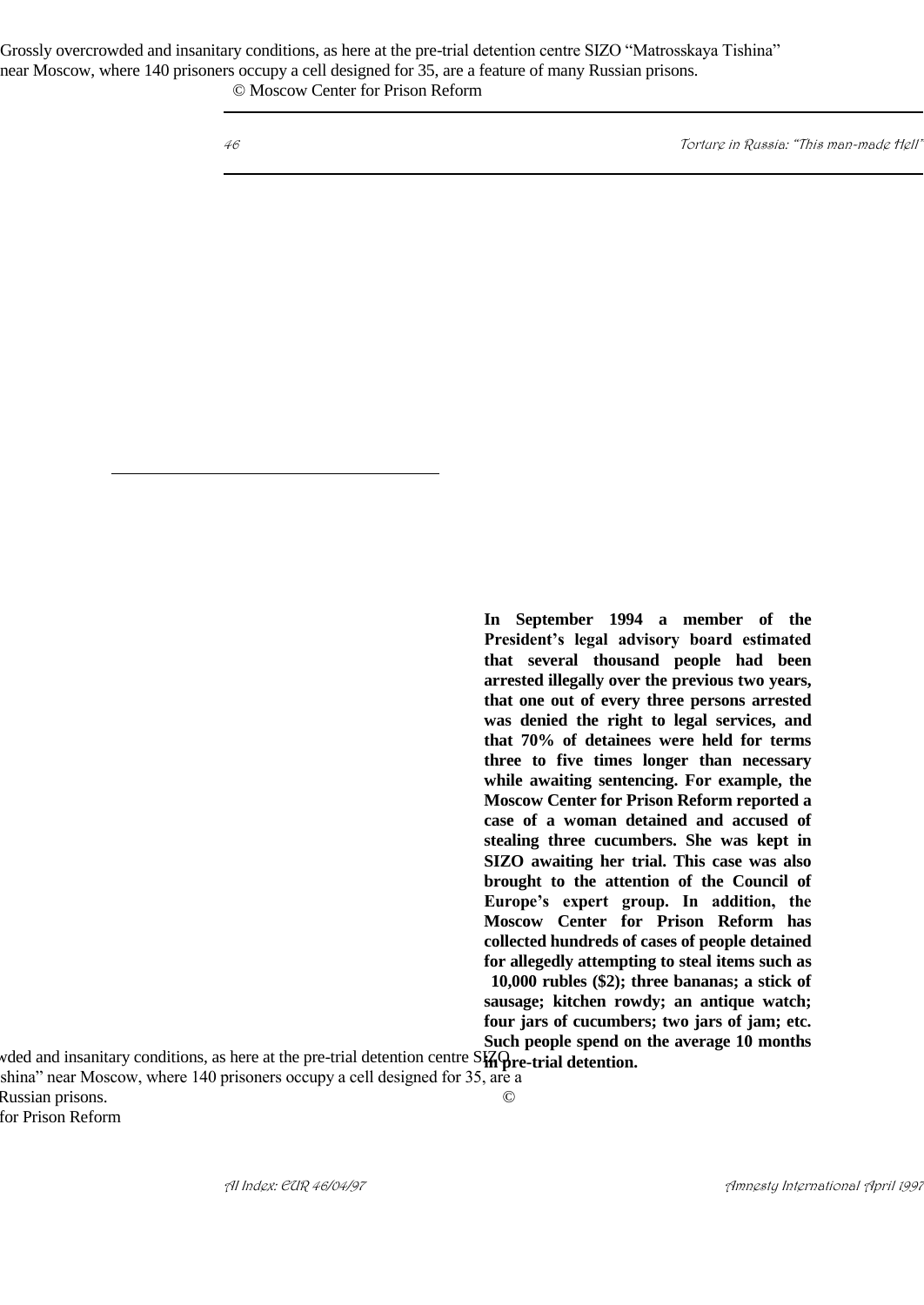Grossly overcrowded and insanitary conditions, as here at the pre-trial detention centre SIZO "Matrosskaya Tishina" near Moscow, where 140 prisoners occupy a cell designed for 35, are a feature of many Russian prisons. © Moscow Center for Prison Reform

46 Torture in Russia: "This man-made Hell"

**that several thousand people had been arrested illegally over the previous two years, that one out of every three persons arrested was denied the right to legal services, and that 70% of detainees were held for terms three to five times longer than necessary while awaiting sentencing. For example, the Moscow Center for Prison Reform reported a case of a woman detained and accused of stealing three cucumbers. She was kept in SIZO awaiting her trial. This case was also brought to the attention of the Council of Europe's expert group. In addition, the Moscow Center for Prison Reform has collected hundreds of cases of people detained for allegedly attempting to steal items such as 10,000 rubles (\$2); three bananas; a stick of sausage; kitchen rowdy; an antique watch; four jars of cucumbers; two jars of jam; etc. Such people spend on the average 10 months** 

**In September 1994 a member of the President's legal advisory board estimated** 

vded and insanitary conditions, as here at the pre-trial detention centre SI<sub>H</sub>O<sub>Pre-trial detention.</sub> shina" near Moscow, where 140 prisoners occupy a cell designed for 35, are a

 $f$  Russian prisons.  $\odot$ 

for Prison Reform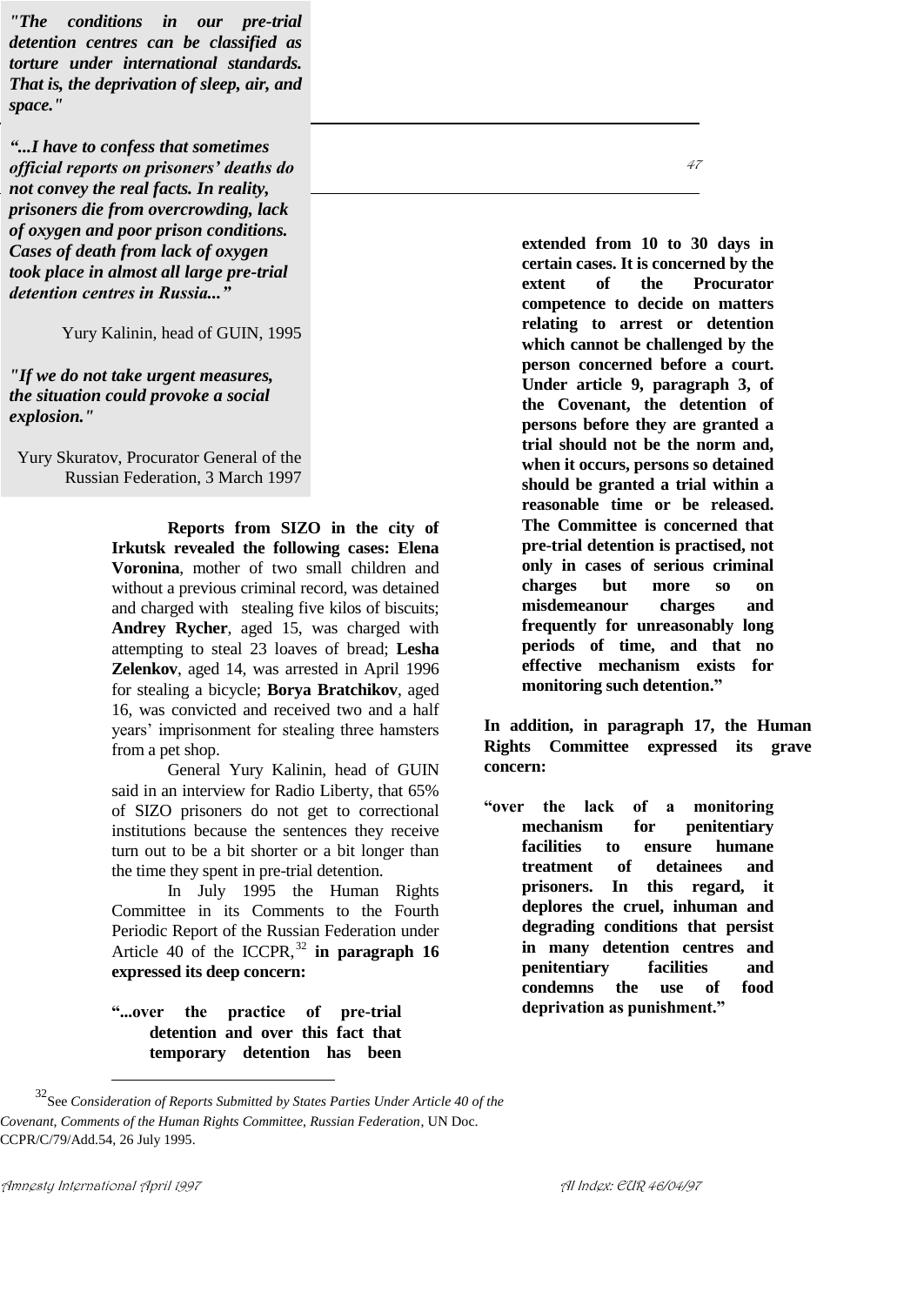*"The conditions in our pre-trial detention centres can be classified as torture under international standards. That is, the deprivation of sleep, air, and space."*

**official reports on prisoners' deaths do** *all all* **<b>***all all* **<b>***all all* **<b>***all all* **<b>***all* **<b>***all all* **<b>***all* **<b>***all* **<b>***all* **<b>***all all* **<b>***all all* **<b>***all all* **<b>***all all* **<b>***all all "...I have to confess that sometimes not convey the real facts. In reality, prisoners die from overcrowding, lack of oxygen and poor prison conditions. Cases of death from lack of oxygen took place in almost all large pre-trial detention centres in Russia..."*

Yury Kalinin, head of GUIN, 1995

*"If we do not take urgent measures, the situation could provoke a social explosion."*

Yury Skuratov, Procurator General of the Russian Federation, 3 March 1997

> **Reports from SIZO in the city of Irkutsk revealed the following cases: Elena Voronina**, mother of two small children and without a previous criminal record, was detained and charged with stealing five kilos of biscuits; **Andrey Rycher**, aged 15, was charged with attempting to steal 23 loaves of bread; **Lesha Zelenkov**, aged 14, was arrested in April 1996 for stealing a bicycle; **Borya Bratchikov**, aged 16, was convicted and received two and a half years' imprisonment for stealing three hamsters from a pet shop.

> General Yury Kalinin, head of GUIN said in an interview for Radio Liberty, that 65% of SIZO prisoners do not get to correctional institutions because the sentences they receive turn out to be a bit shorter or a bit longer than the time they spent in pre-trial detention.

> In July 1995 the Human Rights Committee in its Comments to the Fourth Periodic Report of the Russian Federation under Article 40 of the ICCPR, <sup>32</sup> **in paragraph 16 expressed its deep concern:**

**"...over the practice of pre-trial detention and over this fact that temporary detention has been** 

**extended from 10 to 30 days in certain cases. It is concerned by the extent of the Procurator competence to decide on matters relating to arrest or detention which cannot be challenged by the person concerned before a court. Under article 9, paragraph 3, of the Covenant, the detention of persons before they are granted a trial should not be the norm and, when it occurs, persons so detained should be granted a trial within a reasonable time or be released. The Committee is concerned that pre-trial detention is practised, not only in cases of serious criminal charges but more so on misdemeanour charges and frequently for unreasonably long periods of time, and that no effective mechanism exists for monitoring such detention."** 

**In addition, in paragraph 17, the Human Rights Committee expressed its grave concern:** 

**"over the lack of a monitoring mechanism for penitentiary facilities to ensure humane treatment of detainees and prisoners. In this regard, it deplores the cruel, inhuman and degrading conditions that persist in many detention centres and penitentiary facilities and condemns the use of food deprivation as punishment."** 

<sup>32</sup>See *Consideration of Reports Submitted by States Parties Under Article 40 of the Covenant, Comments of the Human Rights Committee, Russian Federation*, UN Doc. CCPR/C/79/Add.54, 26 July 1995.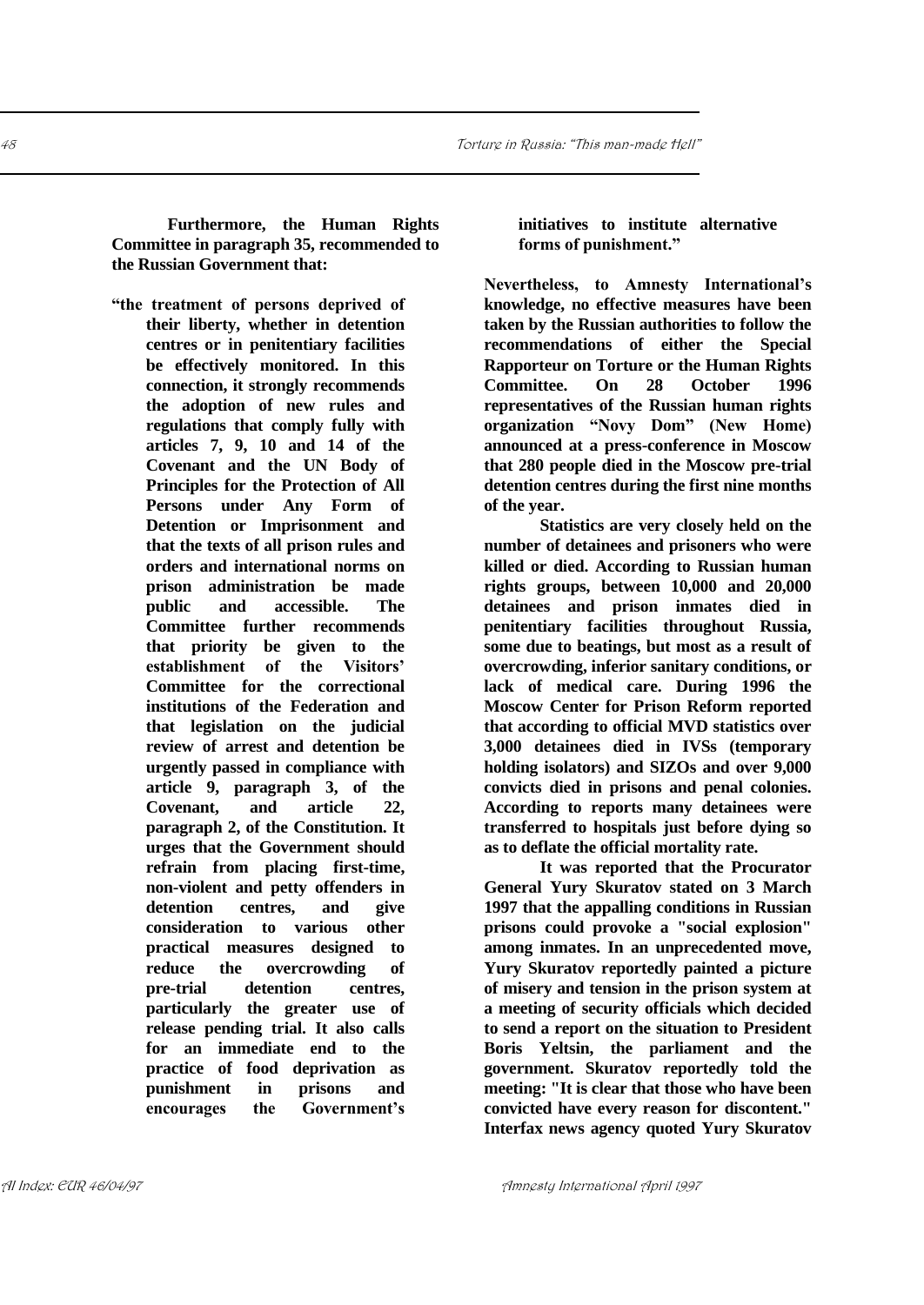**Furthermore, the Human Rights Committee in paragraph 35, recommended to the Russian Government that:**

**"the treatment of persons deprived of their liberty, whether in detention centres or in penitentiary facilities be effectively monitored. In this connection, it strongly recommends the adoption of new rules and regulations that comply fully with articles 7, 9, 10 and 14 of the Covenant and the UN Body of Principles for the Protection of All Persons under Any Form of Detention or Imprisonment and that the texts of all prison rules and orders and international norms on prison administration be made public and accessible. The Committee further recommends that priority be given to the establishment of the Visitors' Committee for the correctional institutions of the Federation and that legislation on the judicial review of arrest and detention be urgently passed in compliance with article 9, paragraph 3, of the Covenant, and article 22, paragraph 2, of the Constitution. It urges that the Government should refrain from placing first-time, non-violent and petty offenders in detention centres, and give consideration to various other practical measures designed to reduce the overcrowding of pre-trial detention centres, particularly the greater use of release pending trial. It also calls for an immediate end to the practice of food deprivation as punishment in prisons and encourages the Government's** 

**initiatives to institute alternative forms of punishment."**

**Nevertheless, to Amnesty International's knowledge, no effective measures have been taken by the Russian authorities to follow the recommendations of either the Special Rapporteur on Torture or the Human Rights Committee. On 28 October 1996 representatives of the Russian human rights organization "Novy Dom" (New Home) announced at a press-conference in Moscow that 280 people died in the Moscow pre-trial detention centres during the first nine months of the year.**

**Statistics are very closely held on the number of detainees and prisoners who were killed or died. According to Russian human rights groups, between 10,000 and 20,000 detainees and prison inmates died in penitentiary facilities throughout Russia, some due to beatings, but most as a result of overcrowding, inferior sanitary conditions, or lack of medical care. During 1996 the Moscow Center for Prison Reform reported that according to official MVD statistics over 3,000 detainees died in IVSs (temporary holding isolators) and SIZOs and over 9,000 convicts died in prisons and penal colonies. According to reports many detainees were transferred to hospitals just before dying so as to deflate the official mortality rate.** 

**It was reported that the Procurator General Yury Skuratov stated on 3 March 1997 that the appalling conditions in Russian prisons could provoke a "social explosion" among inmates. In an unprecedented move, Yury Skuratov reportedly painted a picture of misery and tension in the prison system at a meeting of security officials which decided to send a report on the situation to President Boris Yeltsin, the parliament and the government. Skuratov reportedly told the meeting: "It is clear that those who have been convicted have every reason for discontent." Interfax news agency quoted Yury Skuratov**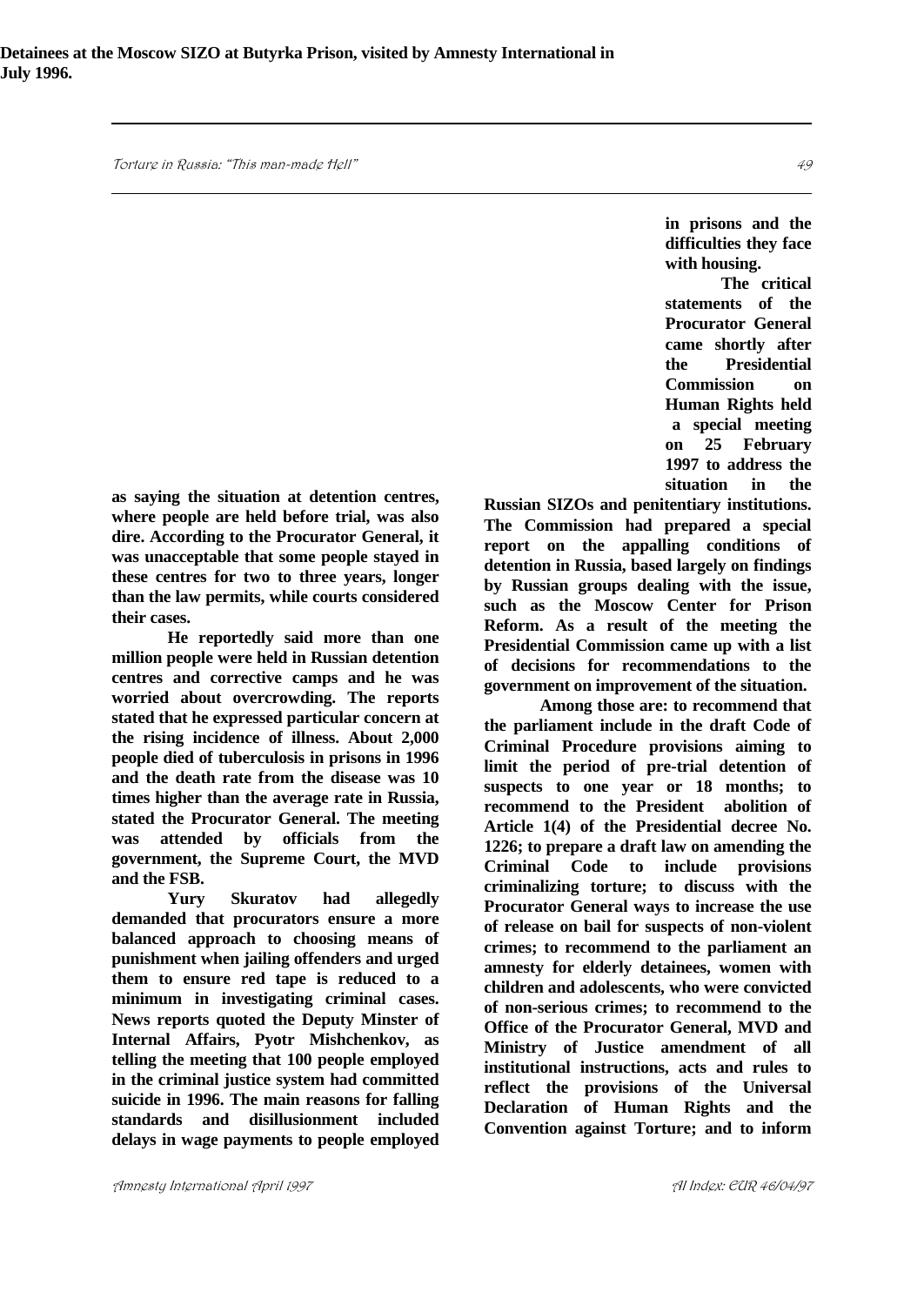**in prisons and the difficulties they face with housing.**

**The critical statements of the Procurator General came shortly after the Presidential Commission on Human Rights held a special meeting on 25 February 1997 to address the situation in the** 

**as saying the situation at detention centres, where people are held before trial, was also dire. According to the Procurator General, it was unacceptable that some people stayed in these centres for two to three years, longer than the law permits, while courts considered their cases.** 

**He reportedly said more than one million people were held in Russian detention centres and corrective camps and he was worried about overcrowding. The reports stated that he expressed particular concern at the rising incidence of illness. About 2,000 people died of tuberculosis in prisons in 1996 and the death rate from the disease was 10 times higher than the average rate in Russia, stated the Procurator General. The meeting was attended by officials from the government, the Supreme Court, the MVD and the FSB.**

**Yury Skuratov had allegedly demanded that procurators ensure a more balanced approach to choosing means of punishment when jailing offenders and urged them to ensure red tape is reduced to a minimum in investigating criminal cases. News reports quoted the Deputy Minster of Internal Affairs, Pyotr Mishchenkov, as telling the meeting that 100 people employed in the criminal justice system had committed suicide in 1996. The main reasons for falling standards and disillusionment included delays in wage payments to people employed**  **Russian SIZOs and penitentiary institutions. The Commission had prepared a special report on the appalling conditions of detention in Russia, based largely on findings by Russian groups dealing with the issue, such as the Moscow Center for Prison Reform. As a result of the meeting the Presidential Commission came up with a list of decisions for recommendations to the government on improvement of the situation.** 

**Among those are: to recommend that the parliament include in the draft Code of Criminal Procedure provisions aiming to limit the period of pre-trial detention of suspects to one year or 18 months; to recommend to the President abolition of Article 1(4) of the Presidential decree No. 1226; to prepare a draft law on amending the Criminal Code to include provisions criminalizing torture; to discuss with the Procurator General ways to increase the use of release on bail for suspects of non-violent crimes; to recommend to the parliament an amnesty for elderly detainees, women with children and adolescents, who were convicted of non-serious crimes; to recommend to the Office of the Procurator General, MVD and Ministry of Justice amendment of all institutional instructions, acts and rules to reflect the provisions of the Universal Declaration of Human Rights and the Convention against Torture; and to inform**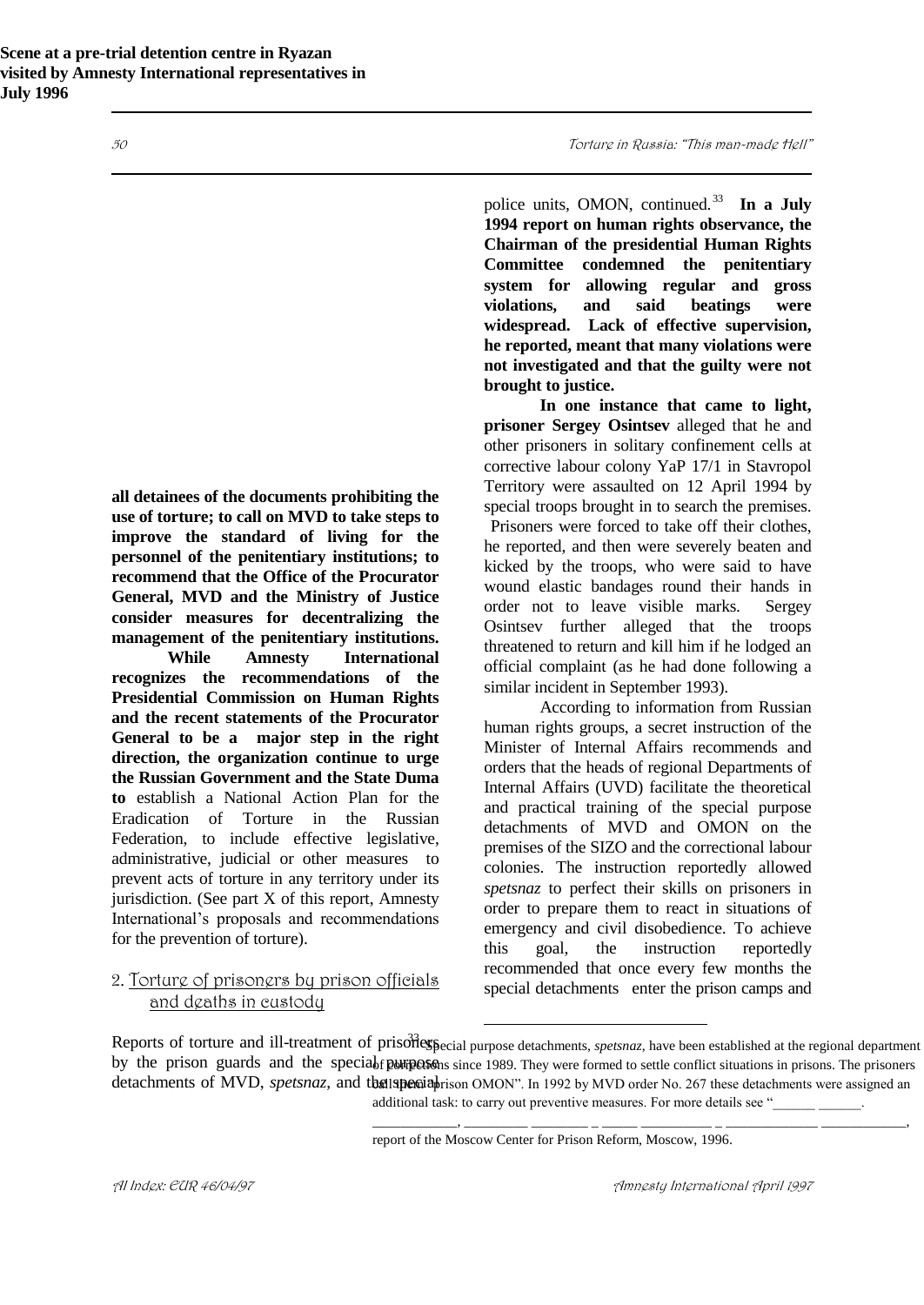**all detainees of the documents prohibiting the use of torture; to call on MVD to take steps to improve the standard of living for the personnel of the penitentiary institutions; to recommend that the Office of the Procurator General, MVD and the Ministry of Justice consider measures for decentralizing the management of the penitentiary institutions. While Amnesty International** 

**recognizes the recommendations of the Presidential Commission on Human Rights and the recent statements of the Procurator General to be a major step in the right direction, the organization continue to urge the Russian Government and the State Duma to** establish a National Action Plan for the Eradication of Torture in the Russian Federation, to include effective legislative, administrative, judicial or other measures to prevent acts of torture in any territory under its jurisdiction. (See part X of this report, Amnesty International's proposals and recommendations for the prevention of torture).

#### 2. Torture of prisoners by prison officials and deaths in custody

50 Torture in Russia: "This man-made Hell"

police units, OMON, continued.<sup>33</sup> In a July **1994 report on human rights observance, the Chairman of the presidential Human Rights Committee condemned the penitentiary system for allowing regular and gross violations, and said beatings were widespread. Lack of effective supervision, he reported, meant that many violations were not investigated and that the guilty were not brought to justice.** 

**In one instance that came to light, prisoner Sergey Osintsev** alleged that he and other prisoners in solitary confinement cells at corrective labour colony YaP 17/1 in Stavropol Territory were assaulted on 12 April 1994 by special troops brought in to search the premises.

Prisoners were forced to take off their clothes, he reported, and then were severely beaten and kicked by the troops, who were said to have wound elastic bandages round their hands in order not to leave visible marks. Sergey Osintsev further alleged that the troops threatened to return and kill him if he lodged an official complaint (as he had done following a similar incident in September 1993).

According to information from Russian human rights groups, a secret instruction of the Minister of Internal Affairs recommends and orders that the heads of regional Departments of Internal Affairs (UVD) facilitate the theoretical and practical training of the special purpose detachments of MVD and OMON on the premises of the SIZO and the correctional labour colonies. The instruction reportedly allowed *spetsnaz* to perfect their skills on prisoners in order to prepare them to react in situations of emergency and civil disobedience. To achieve this goal, the instruction reportedly recommended that once every few months the special detachments enter the prison camps and

\_\_\_\_\_\_\_\_\_\_\_\_, \_\_\_\_\_\_\_\_\_ \_\_\_\_\_\_\_\_ \_ \_\_\_\_\_ \_\_\_\_\_\_\_\_\_\_ \_ \_\_\_\_\_\_\_\_\_\_\_\_\_ \_\_\_\_\_\_\_\_\_\_\_\_,

È,

report of the Moscow Center for Prison Reform, Moscow, 1996.

Reports of torture and ill-treatment of prisonex pecial purpose detachments, *spetsnaz*, have been established at the regional department by the prison guards and the special purposes since 1989. They were formed to settle conflict situations in prisons. The prisoners detachments of MVD, *spetsnaz*, and the list peolia prison OMON". In 1992 by MVD order No. 267 these detachments were assigned an additional task: to carry out preventive measures. For more details see "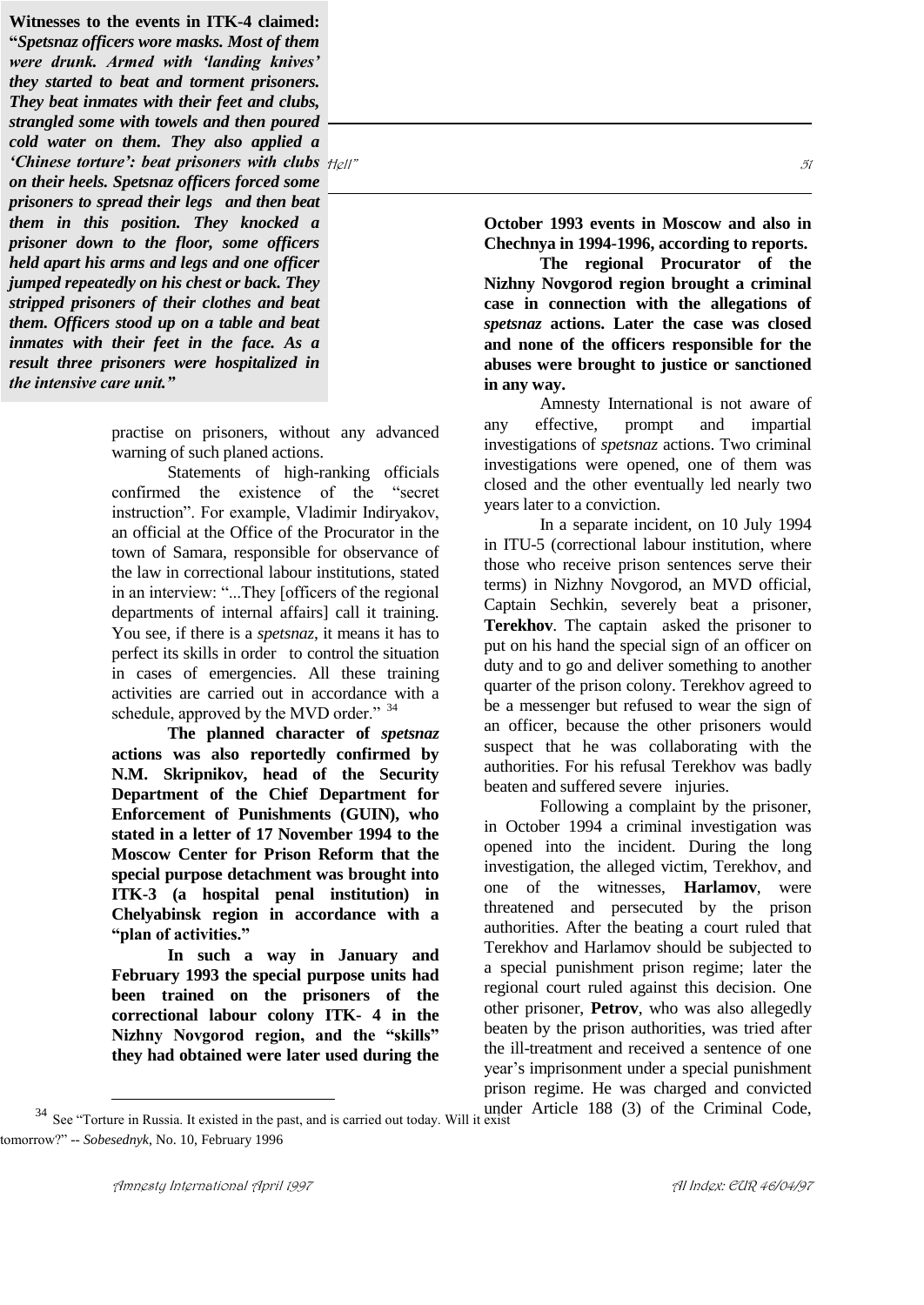**'Chinese torture': beat prisoners with clubs**  $H_{\beta}$ *||*" 51 **Witnesses to the events in ITK-4 claimed: "***Spetsnaz officers wore masks. Most of them were drunk. Armed with 'landing knives' they started to beat and torment prisoners. They beat inmates with their feet and clubs, strangled some with towels and then poured cold water on them. They also applied a on their heels. Spetsnaz officers forced some prisoners to spread their legs and then beat them in this position. They knocked a prisoner down to the floor, some officers held apart his arms and legs and one officer jumped repeatedly on his chest or back. They stripped prisoners of their clothes and beat them. Officers stood up on a table and beat inmates with their feet in the face. As a result three prisoners were hospitalized in the intensive care unit."* 

> practise on prisoners, without any advanced warning of such planed actions.

> Statements of high-ranking officials confirmed the existence of the "secret instruction". For example, Vladimir Indiryakov, an official at the Office of the Procurator in the town of Samara, responsible for observance of the law in correctional labour institutions, stated in an interview: "...They [officers of the regional departments of internal affairs] call it training. You see, if there is a *spetsnaz*, it means it has to perfect its skills in order to control the situation in cases of emergencies. All these training activities are carried out in accordance with a schedule, approved by the MVD order." <sup>34</sup>

> **The planned character of** *spetsnaz* **actions was also reportedly confirmed by N.M. Skripnikov, head of the Security Department of the Chief Department for Enforcement of Punishments (GUIN), who stated in a letter of 17 November 1994 to the Moscow Center for Prison Reform that the special purpose detachment was brought into ITK-3 (a hospital penal institution) in Chelyabinsk region in accordance with a "plan of activities."**

> **In such a way in January and February 1993 the special purpose units had been trained on the prisoners of the correctional labour colony ITK- 4 in the Nizhny Novgorod region, and the "skills" they had obtained were later used during the**

**October 1993 events in Moscow and also in Chechnya in 1994-1996, according to reports.**

**The regional Procurator of the Nizhny Novgorod region brought a criminal case in connection with the allegations of**  *spetsnaz* **actions. Later the case was closed and none of the officers responsible for the abuses were brought to justice or sanctioned in any way.** 

Amnesty International is not aware of any effective, prompt and impartial investigations of *spetsnaz* actions. Two criminal investigations were opened, one of them was closed and the other eventually led nearly two years later to a conviction.

In a separate incident, on 10 July 1994 in ITU-5 (correctional labour institution, where those who receive prison sentences serve their terms) in Nizhny Novgorod, an MVD official, Captain Sechkin, severely beat a prisoner, **Terekhov**. The captain asked the prisoner to put on his hand the special sign of an officer on duty and to go and deliver something to another quarter of the prison colony. Terekhov agreed to be a messenger but refused to wear the sign of an officer, because the other prisoners would suspect that he was collaborating with the authorities. For his refusal Terekhov was badly beaten and suffered severe injuries.

Following a complaint by the prisoner, in October 1994 a criminal investigation was opened into the incident. During the long investigation, the alleged victim, Terekhov, and one of the witnesses, **Harlamov**, were threatened and persecuted by the prison authorities. After the beating a court ruled that Terekhov and Harlamov should be subjected to a special punishment prison regime; later the regional court ruled against this decision. One other prisoner, **Petrov**, who was also allegedly beaten by the prison authorities, was tried after the ill-treatment and received a sentence of one year's imprisonment under a special punishment prison regime. He was charged and convicted

<sup>&</sup>lt;sup>34</sup> See "Torture in Russia. It existed in the past, and is carried out today. Will it exist under Article 188 (3) of the Criminal Code, tomorrow?" -- *Sobesednyk*, No. 10, February 1996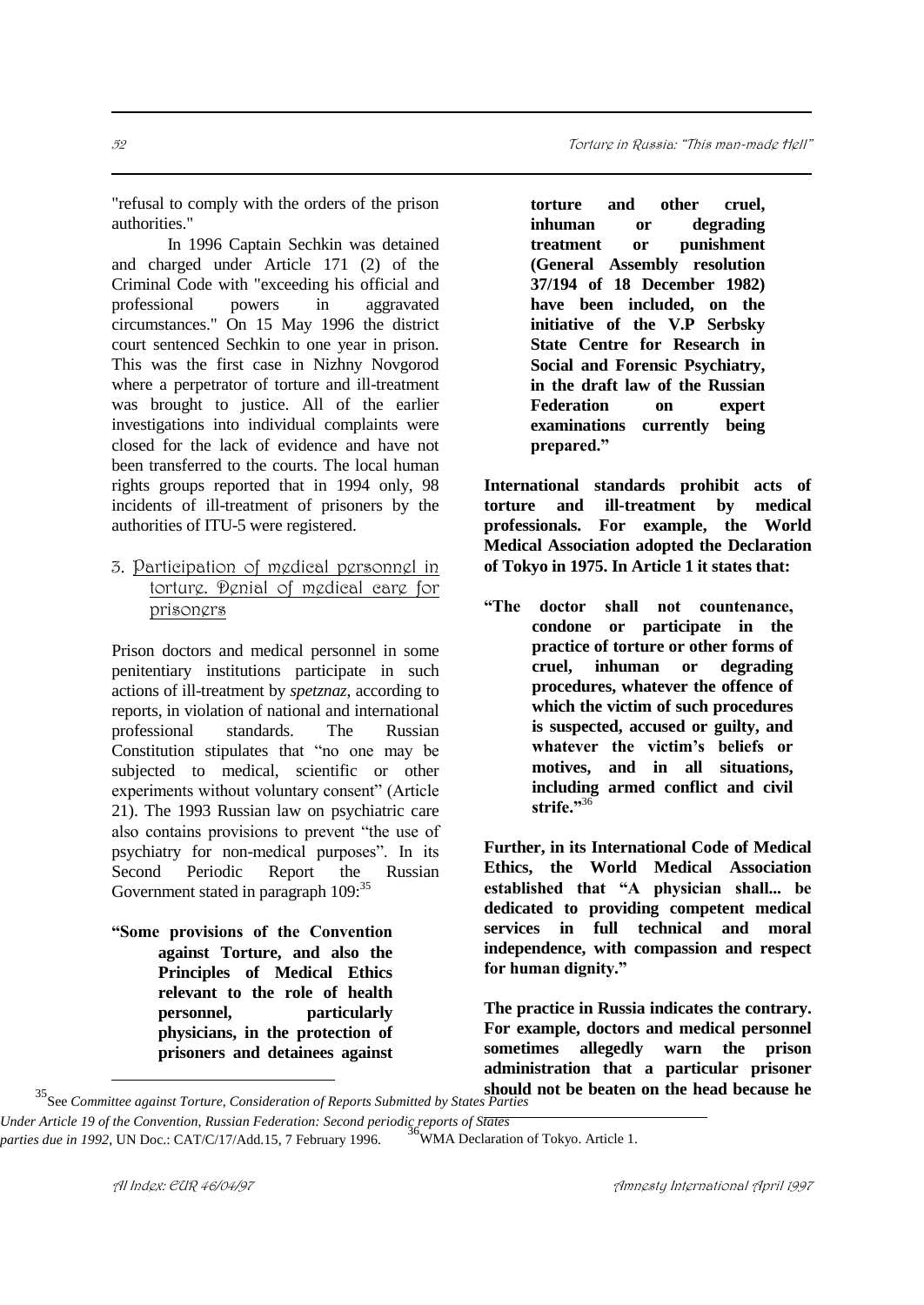"refusal to comply with the orders of the prison authorities."

In 1996 Captain Sechkin was detained and charged under Article 171 (2) of the Criminal Code with "exceeding his official and professional powers in aggravated circumstances." On 15 May 1996 the district court sentenced Sechkin to one year in prison. This was the first case in Nizhny Novgorod where a perpetrator of torture and ill-treatment was brought to justice. All of the earlier investigations into individual complaints were closed for the lack of evidence and have not been transferred to the courts. The local human rights groups reported that in 1994 only, 98 incidents of ill-treatment of prisoners by the authorities of ITU-5 were registered.

3. Participation of medical personnel in torture. Denial of medical care for prisoners

Prison doctors and medical personnel in some penitentiary institutions participate in such actions of ill-treatment by *spetznaz*, according to reports, in violation of national and international professional standards. The Russian Constitution stipulates that "no one may be subjected to medical, scientific or other experiments without voluntary consent" (Article 21). The 1993 Russian law on psychiatric care also contains provisions to prevent "the use of psychiatry for non-medical purposes". In its Second Periodic Report the Russian Government stated in paragraph  $109$ :<sup>35</sup>

**"Some provisions of the Convention against Torture, and also the Principles of Medical Ethics relevant to the role of health personnel, particularly physicians, in the protection of prisoners and detainees against**  **torture and other cruel, inhuman or degrading treatment or punishment (General Assembly resolution 37/194 of 18 December 1982) have been included, on the initiative of the V.P Serbsky State Centre for Research in Social and Forensic Psychiatry, in the draft law of the Russian Federation on expert examinations currently being prepared."** 

**International standards prohibit acts of torture and ill-treatment by medical professionals. For example, the World Medical Association adopted the Declaration of Tokyo in 1975. In Article 1 it states that:**

**"The doctor shall not countenance, condone or participate in the practice of torture or other forms of cruel, inhuman or degrading procedures, whatever the offence of which the victim of such procedures is suspected, accused or guilty, and whatever the victim's beliefs or motives, and in all situations, including armed conflict and civil strife."**<sup>36</sup>

**Further, in its International Code of Medical Ethics, the World Medical Association established that "A physician shall... be dedicated to providing competent medical services in full technical and moral independence, with compassion and respect for human dignity."** 

<sup>35</sup>See *Committee against Torture, Consideration of Reports Submitted by States Parties*  **should not be beaten on the head because he The practice in Russia indicates the contrary. For example, doctors and medical personnel sometimes allegedly warn the prison administration that a particular prisoner** 

*Under Article 19 of the Convention, Russian Federation: Second periodic reports of States parties due in 1992*, UN Doc.: CAT/C/17/Add.15, 7 February 1996.  $\overline{t}a$  $36$ WMA Declaration of Tokyo. Article 1.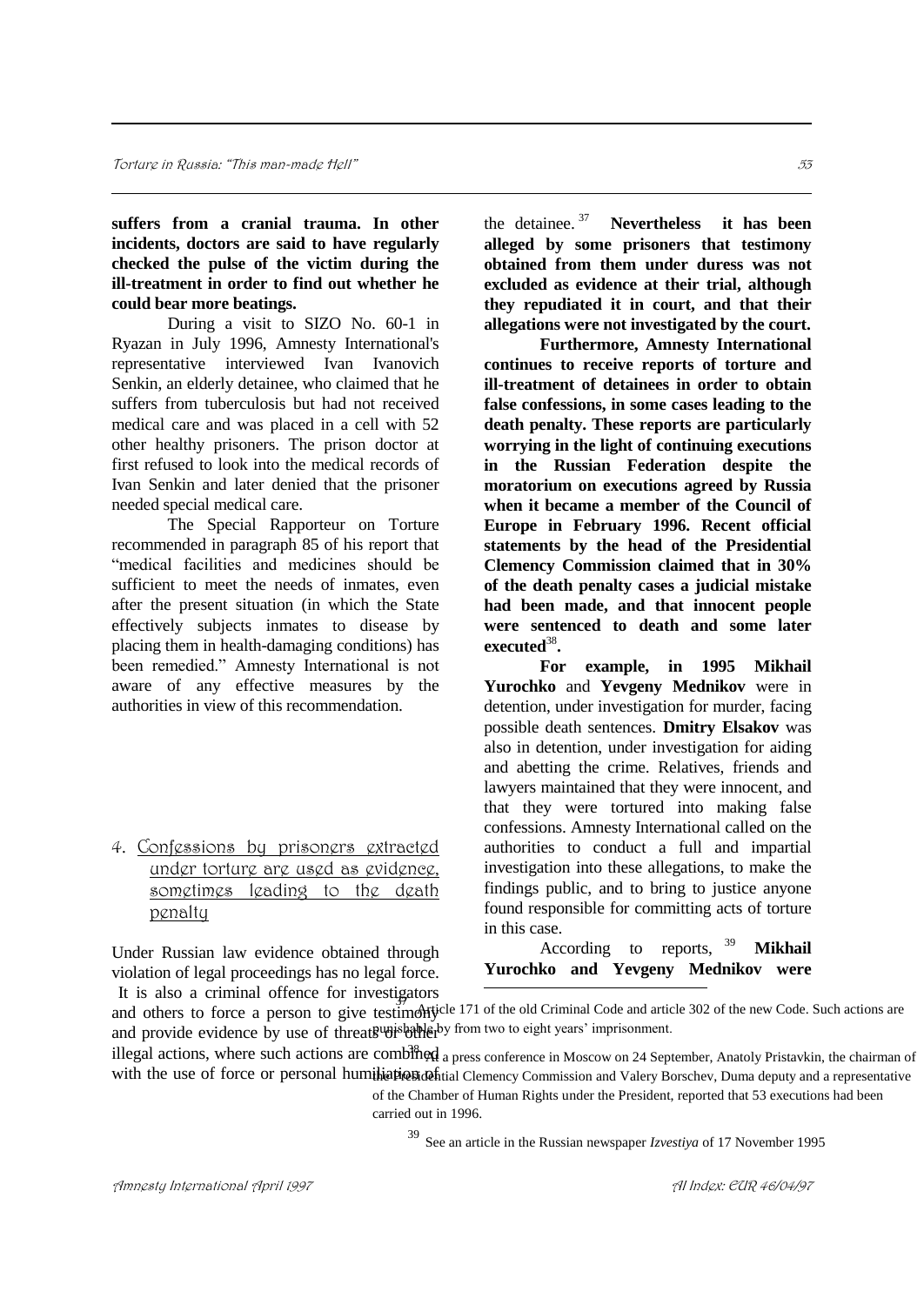**suffers from a cranial trauma. In other incidents, doctors are said to have regularly checked the pulse of the victim during the ill-treatment in order to find out whether he could bear more beatings.** 

During a visit to SIZO No. 60-1 in Ryazan in July 1996, Amnesty International's representative interviewed Ivan Ivanovich Senkin, an elderly detainee, who claimed that he suffers from tuberculosis but had not received medical care and was placed in a cell with 52 other healthy prisoners. The prison doctor at first refused to look into the medical records of Ivan Senkin and later denied that the prisoner needed special medical care.

The Special Rapporteur on Torture recommended in paragraph 85 of his report that "medical facilities and medicines should be sufficient to meet the needs of inmates, even after the present situation (in which the State effectively subjects inmates to disease by placing them in health-damaging conditions) has been remedied." Amnesty International is not aware of any effective measures by the authorities in view of this recommendation.

4. Confessions by prisoners extracted under torture are used as evidence, sometimes leading to the death penalty

Under Russian law evidence obtained through violation of legal proceedings has no legal force. It is also a criminal offence for investigators

the detainee. <sup>37</sup>  **Nevertheless it has been alleged by some prisoners that testimony obtained from them under duress was not excluded as evidence at their trial, although they repudiated it in court, and that their allegations were not investigated by the court.** 

**Furthermore, Amnesty International continues to receive reports of torture and ill-treatment of detainees in order to obtain false confessions, in some cases leading to the death penalty. These reports are particularly worrying in the light of continuing executions in the Russian Federation despite the moratorium on executions agreed by Russia when it became a member of the Council of Europe in February 1996. Recent official statements by the head of the Presidential Clemency Commission claimed that in 30% of the death penalty cases a judicial mistake had been made, and that innocent people were sentenced to death and some later**  executed<sup>38</sup>.

 **For example, in 1995 Mikhail Yurochko** and **Yevgeny Mednikov** were in detention, under investigation for murder, facing possible death sentences. **Dmitry Elsakov** was also in detention, under investigation for aiding and abetting the crime. Relatives, friends and lawyers maintained that they were innocent, and that they were tortured into making false confessions. Amnesty International called on the authorities to conduct a full and impartial investigation into these allegations, to make the findings public, and to bring to justice anyone found responsible for committing acts of torture in this case.

According to reports, <sup>39</sup> **Mikhail Yurochko and Yevgeny Mednikov were**  <u>—</u>

and others to force a person to give testimony divide 171 of the old Criminal Code and article 302 of the new Code. Such actions are and provide evidence by use of threat punishable by from two to eight years' imprisonment.

illegal actions, where such actions are combined a press conference in Moscow on 24 September, Anatoly Pristavkin, the chairman of with the use of force or personal humiliation of the Clemency Commission and Valery Borschev, Duma deputy and a representative

of the Chamber of Human Rights under the President, reported that 53 executions had been carried out in 1996.

<sup>39</sup> See an article in the Russian newspaper *Izvestiya* of 17 November 1995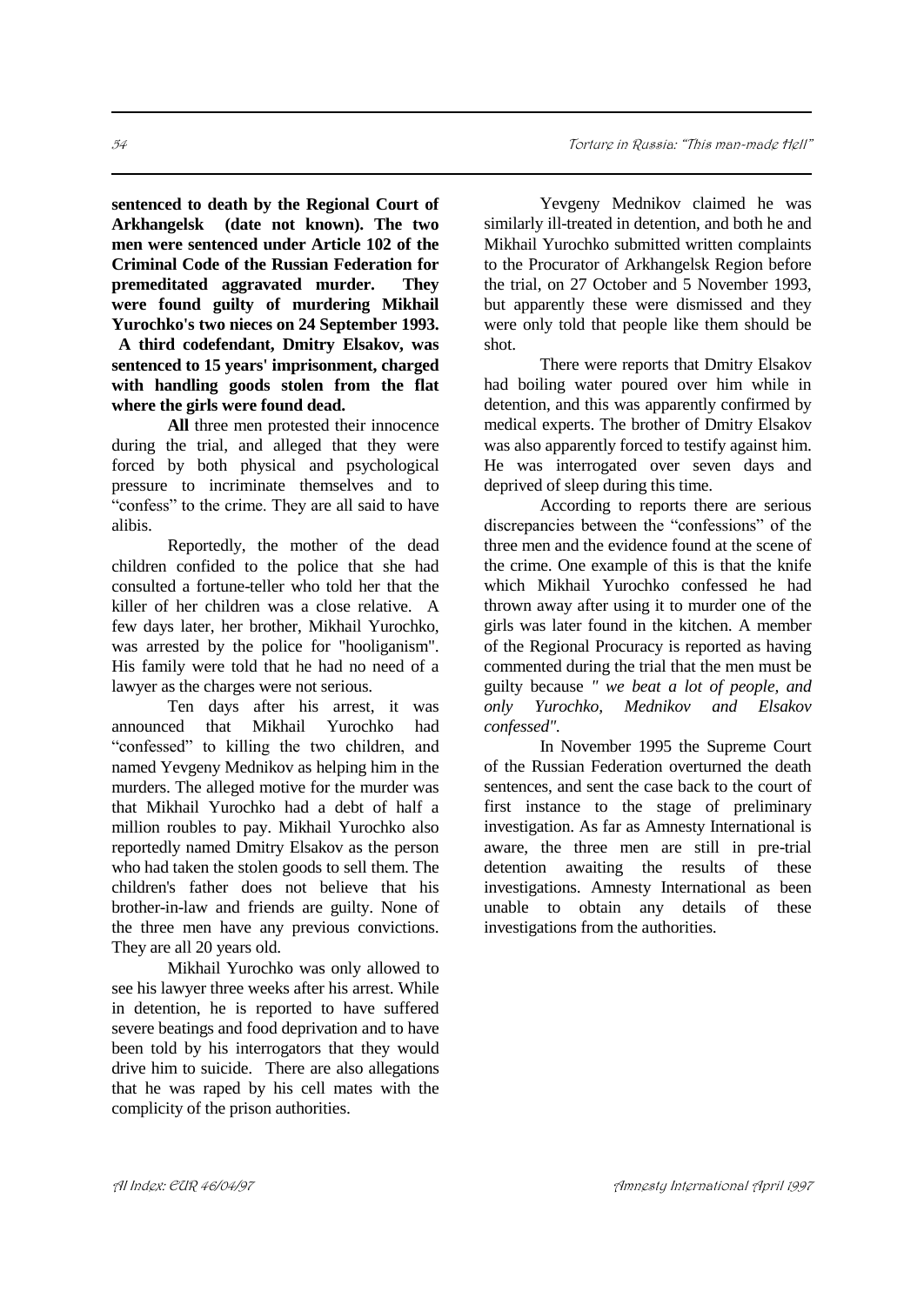**sentenced to death by the Regional Court of Arkhangelsk (date not known). The two men were sentenced under Article 102 of the Criminal Code of the Russian Federation for premeditated aggravated murder. They were found guilty of murdering Mikhail Yurochko's two nieces on 24 September 1993. A third codefendant, Dmitry Elsakov, was sentenced to 15 years' imprisonment, charged with handling goods stolen from the flat where the girls were found dead.**

**All** three men protested their innocence during the trial, and alleged that they were forced by both physical and psychological pressure to incriminate themselves and to "confess" to the crime. They are all said to have alibis.

Reportedly, the mother of the dead children confided to the police that she had consulted a fortune-teller who told her that the killer of her children was a close relative. A few days later, her brother, Mikhail Yurochko, was arrested by the police for "hooliganism". His family were told that he had no need of a lawyer as the charges were not serious.

Ten days after his arrest, it was announced that Mikhail Yurochko had "confessed" to killing the two children, and named Yevgeny Mednikov as helping him in the murders. The alleged motive for the murder was that Mikhail Yurochko had a debt of half a million roubles to pay. Mikhail Yurochko also reportedly named Dmitry Elsakov as the person who had taken the stolen goods to sell them. The children's father does not believe that his brother-in-law and friends are guilty. None of the three men have any previous convictions. They are all 20 years old.

Mikhail Yurochko was only allowed to see his lawyer three weeks after his arrest. While in detention, he is reported to have suffered severe beatings and food deprivation and to have been told by his interrogators that they would drive him to suicide. There are also allegations that he was raped by his cell mates with the complicity of the prison authorities.

Yevgeny Mednikov claimed he was similarly ill-treated in detention, and both he and Mikhail Yurochko submitted written complaints to the Procurator of Arkhangelsk Region before the trial, on 27 October and 5 November 1993, but apparently these were dismissed and they were only told that people like them should be shot.

There were reports that Dmitry Elsakov had boiling water poured over him while in detention, and this was apparently confirmed by medical experts. The brother of Dmitry Elsakov was also apparently forced to testify against him. He was interrogated over seven days and deprived of sleep during this time.

According to reports there are serious discrepancies between the "confessions" of the three men and the evidence found at the scene of the crime. One example of this is that the knife which Mikhail Yurochko confessed he had thrown away after using it to murder one of the girls was later found in the kitchen. A member of the Regional Procuracy is reported as having commented during the trial that the men must be guilty because *" we beat a lot of people, and only Yurochko, Mednikov and Elsakov confessed".* 

In November 1995 the Supreme Court of the Russian Federation overturned the death sentences, and sent the case back to the court of first instance to the stage of preliminary investigation. As far as Amnesty International is aware, the three men are still in pre-trial detention awaiting the results of these investigations. Amnesty International as been unable to obtain any details of these investigations from the authorities.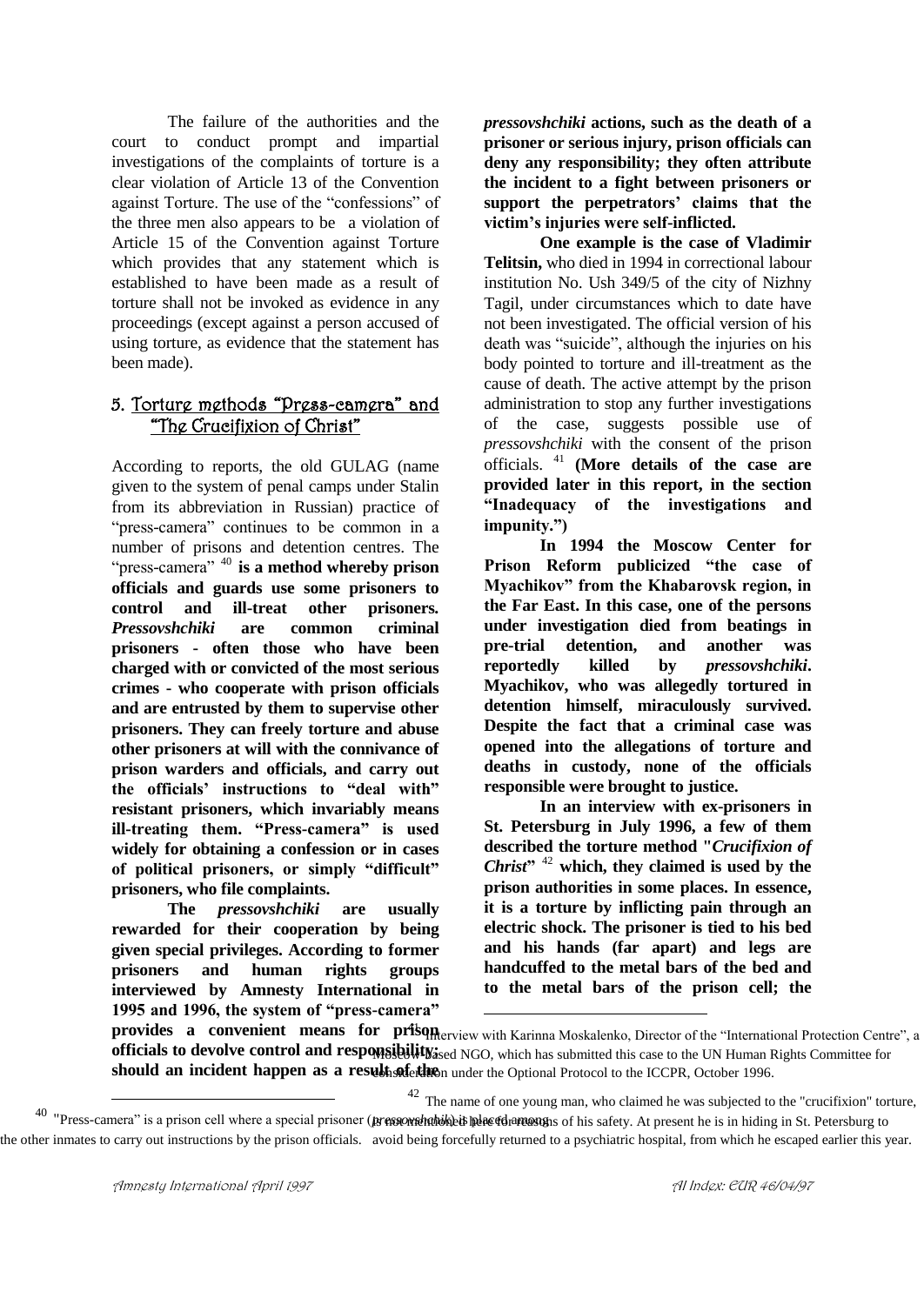The failure of the authorities and the court to conduct prompt and impartial investigations of the complaints of torture is a clear violation of Article 13 of the Convention against Torture. The use of the "confessions" of the three men also appears to be a violation of Article 15 of the Convention against Torture which provides that any statement which is established to have been made as a result of torture shall not be invoked as evidence in any proceedings (except against a person accused of using torture, as evidence that the statement has been made).

## 5. Torture methods "Press-camera" and "The Crucifixion of Christ"

According to reports, the old GULAG (name given to the system of penal camps under Stalin from its abbreviation in Russian) practice of "press-camera" continues to be common in a number of prisons and detention centres. The "press-camera" <sup>40</sup> **is a method whereby prison officials and guards use some prisoners to control and ill-treat other prisoners***. Pressovshchiki* **are common criminal prisoners - often those who have been charged with or convicted of the most serious crimes - who cooperate with prison officials and are entrusted by them to supervise other prisoners. They can freely torture and abuse other prisoners at will with the connivance of prison warders and officials, and carry out the officials' instructions to "deal with" resistant prisoners, which invariably means ill-treating them. "Press-camera" is used widely for obtaining a confession or in cases of political prisoners, or simply "difficult" prisoners, who file complaints.** 

**The** *pressovshchiki* **are usually rewarded for their cooperation by being given special privileges. According to former prisoners and human rights groups interviewed by Amnesty International in 1995 and 1996, the system of "press-camera"** 

*pressovshchiki* **actions, such as the death of a prisoner or serious injury, prison officials can deny any responsibility; they often attribute the incident to a fight between prisoners or support the perpetrators' claims that the victim's injuries were self-inflicted.** 

**One example is the case of Vladimir Telitsin,** who died in 1994 in correctional labour institution No. Ush 349/5 of the city of Nizhny Tagil, under circumstances which to date have not been investigated. The official version of his death was "suicide", although the injuries on his body pointed to torture and ill-treatment as the cause of death. The active attempt by the prison administration to stop any further investigations of the case, suggests possible use of *pressovshchiki* with the consent of the prison officials. <sup>41</sup> **(More details of the case are provided later in this report, in the section "Inadequacy of the investigations and impunity.")**

**In 1994 the Moscow Center for Prison Reform publicized "the case of Myachikov" from the Khabarovsk region, in the Far East. In this case, one of the persons under investigation died from beatings in pre-trial detention, and another was reportedly killed by** *pressovshchiki***. Myachikov, who was allegedly tortured in detention himself, miraculously survived. Despite the fact that a criminal case was opened into the allegations of torture and deaths in custody, none of the officials responsible were brought to justice.**

**In an interview with ex-prisoners in St. Petersburg in July 1996, a few of them described the torture method "***Crucifixion of Christ*<sup> $\cdot$  <sup>42</sup> which, they claimed is used by the</sup> **prison authorities in some places. In essence, it is a torture by inflicting pain through an electric shock. The prisoner is tied to his bed and his hands (far apart) and legs are handcuffed to the metal bars of the bed and to the metal bars of the prison cell; the** 

<u>—</u>

provides a convenient means for prison officials to devolve control and responsibility<sub>ased NGO, which has submitted this case to the UN Human Rights Committee for</sub> should an incident happen as a result sofethen under the Optional Protocol to the ICCPR, October 1996. r prison evith Karinna Moskalenko, Director of the "International Protection Centre", a

 $42$  The name of one young man, who claimed he was subjected to the "crucifixion" torture,

<sup>&</sup>lt;sup>40</sup> "Press-camera" is a prison cell where a special prisoner (*pressometrationed* better placed areas the other inmates to carry out instructions by the prison officials. avoid being forcefully returned to a psychiatric hospital, from which he escaped earlier this year.is assome *takidide is* independent measures of his safety. At present he is in hiding in St. Petersburg to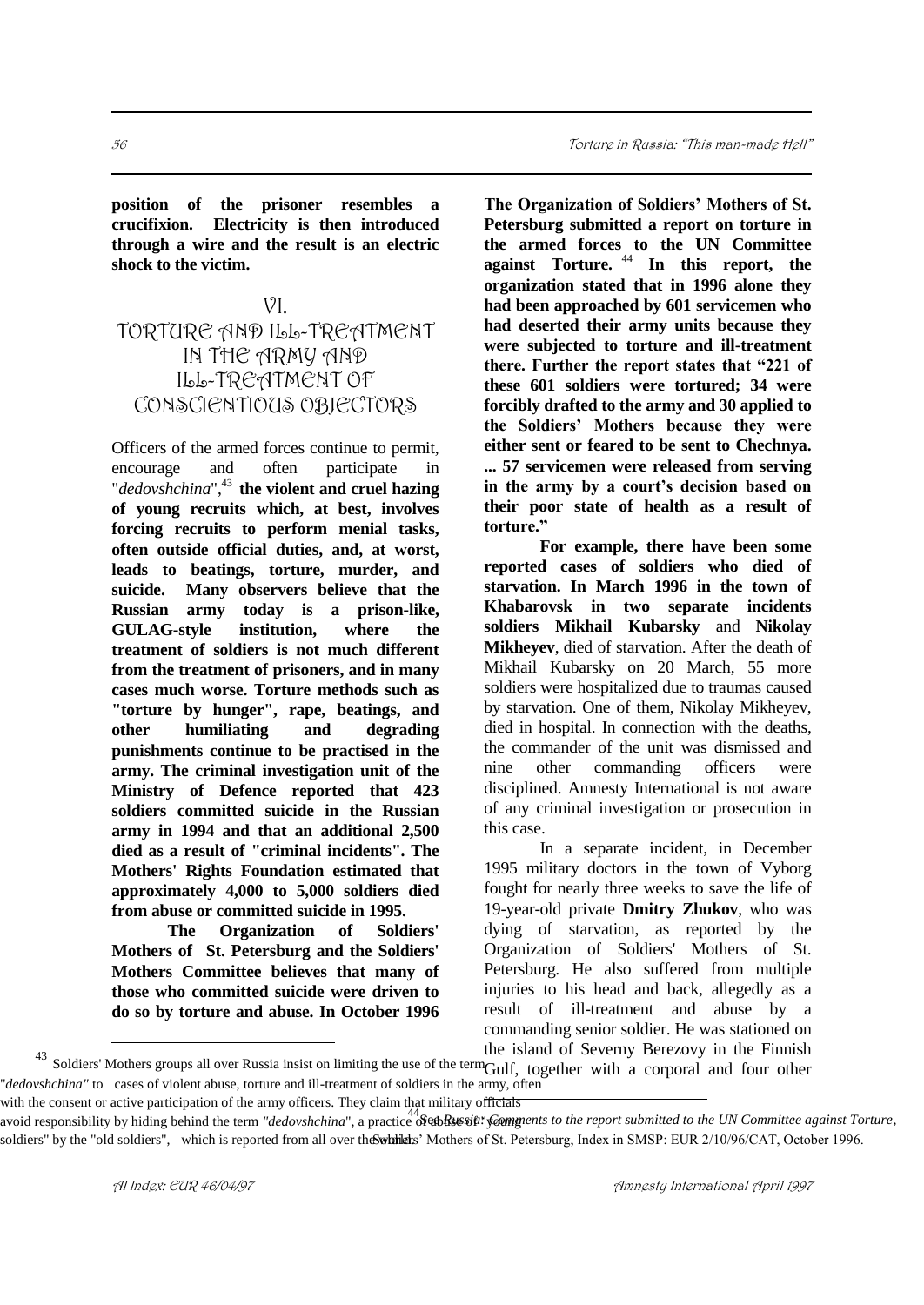**position of the prisoner resembles a crucifixion. Electricity is then introduced through a wire and the result is an electric shock to the victim.** 

## $VI$ . TORTURE AND ILL-TREATMENT IN THE ARMY AND ILL-TREATMENT OF CONSCIENTIOUS OBJECTORS

Officers of the armed forces continue to permit, encourage and often participate in "*dedovshchina*",<sup>43</sup> the violent and cruel hazing **of young recruits which, at best, involves forcing recruits to perform menial tasks, often outside official duties, and, at worst, leads to beatings, torture, murder, and suicide. Many observers believe that the Russian army today is a prison-like, GULAG-style institution, where the treatment of soldiers is not much different from the treatment of prisoners, and in many cases much worse. Torture methods such as "torture by hunger", rape, beatings, and other humiliating and degrading punishments continue to be practised in the army. The criminal investigation unit of the Ministry of Defence reported that 423 soldiers committed suicide in the Russian army in 1994 and that an additional 2,500 died as a result of "criminal incidents". The Mothers' Rights Foundation estimated that approximately 4,000 to 5,000 soldiers died from abuse or committed suicide in 1995.** 

**The Organization of Soldiers' Mothers of St. Petersburg and the Soldiers' Mothers Committee believes that many of those who committed suicide were driven to do so by torture and abuse. In October 1996** 

**The Organization of Soldiers' Mothers of St. Petersburg submitted a report on torture in the armed forces to the UN Committee**  against Torture.<sup>44</sup> In this report, the **organization stated that in 1996 alone they had been approached by 601 servicemen who had deserted their army units because they were subjected to torture and ill-treatment there. Further the report states that "221 of these 601 soldiers were tortured; 34 were forcibly drafted to the army and 30 applied to the Soldiers' Mothers because they were either sent or feared to be sent to Chechnya. ... 57 servicemen were released from serving in the army by a court's decision based on their poor state of health as a result of torture."** 

**For example, there have been some reported cases of soldiers who died of starvation. In March 1996 in the town of Khabarovsk in two separate incidents soldiers Mikhail Kubarsky** and **Nikolay Mikheyev**, died of starvation. After the death of Mikhail Kubarsky on 20 March, 55 more soldiers were hospitalized due to traumas caused by starvation. One of them, Nikolay Mikheyev, died in hospital. In connection with the deaths, the commander of the unit was dismissed and nine other commanding officers were disciplined. Amnesty International is not aware of any criminal investigation or prosecution in this case.

In a separate incident, in December 1995 military doctors in the town of Vyborg fought for nearly three weeks to save the life of 19-year-old private **Dmitry Zhukov**, who was dying of starvation, as reported by the Organization of Soldiers' Mothers of St. Petersburg. He also suffered from multiple injuries to his head and back, allegedly as a result of ill-treatment and abuse by a commanding senior soldier. He was stationed on the island of Severny Berezovy in the Finnish

<sup>&</sup>lt;sup>43</sup> Soldiers' Mothers groups all over Russia insist on limiting the use of the term Gulf, together with a corporal and four other "*dedovshchina"* to cases of violent abuse, torture and ill-treatment of soldiers in the army, often with the consent or active participation of the army officers. They claim that military officials

avoid responsibility by hiding behind the term "dedovshchina", a practice of abuse of "young ents to the report submitted to the UN Committee against Torture, soldiers" by the "old soldiers", which is reported from all over the world. Nothers of St. Petersburg, Index in SMSP: EUR 2/10/96/CAT, October 1996.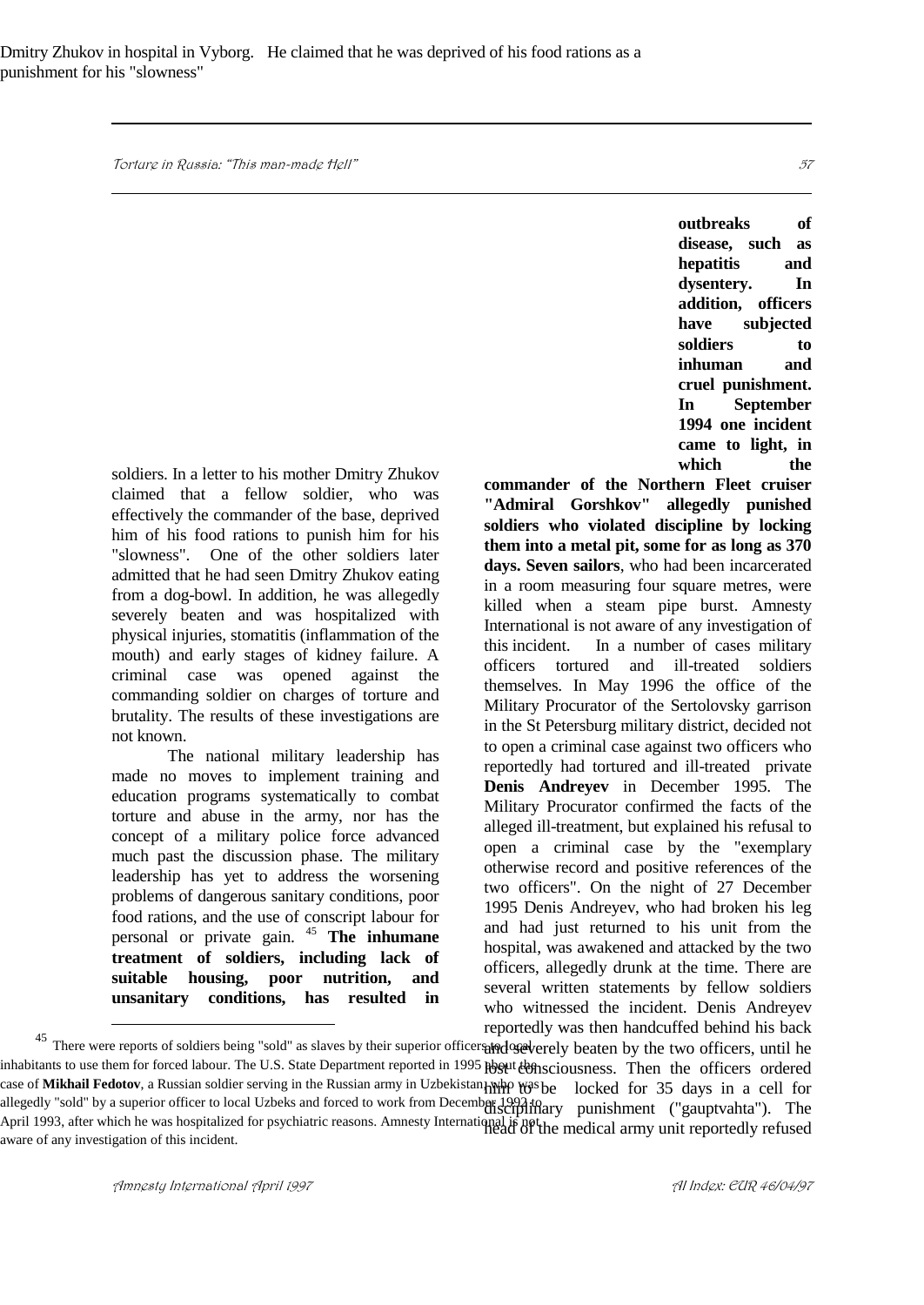soldiers. In a letter to his mother Dmitry Zhukov claimed that a fellow soldier, who was effectively the commander of the base, deprived him of his food rations to punish him for his "slowness". One of the other soldiers later admitted that he had seen Dmitry Zhukov eating from a dog-bowl. In addition, he was allegedly severely beaten and was hospitalized with physical injuries, stomatitis (inflammation of the mouth) and early stages of kidney failure. A criminal case was opened against the commanding soldier on charges of torture and brutality. The results of these investigations are not known.

The national military leadership has made no moves to implement training and education programs systematically to combat torture and abuse in the army, nor has the concept of a military police force advanced much past the discussion phase. The military leadership has yet to address the worsening problems of dangerous sanitary conditions, poor food rations, and the use of conscript labour for personal or private gain. <sup>45</sup> **The inhumane treatment of soldiers, including lack of suitable housing, poor nutrition, and unsanitary conditions, has resulted in**  **outbreaks of disease, such as hepatitis and dysentery. In addition, officers have subjected soldiers to inhuman and cruel punishment. In September 1994 one incident came to light, in which the** 

**commander of the Northern Fleet cruiser "Admiral Gorshkov" allegedly punished soldiers who violated discipline by locking them into a metal pit, some for as long as 370 days. Seven sailors**, who had been incarcerated in a room measuring four square metres, were killed when a steam pipe burst. Amnesty International is not aware of any investigation of this incident. In a number of cases military officers tortured and ill-treated soldiers themselves. In May 1996 the office of the Military Procurator of the Sertolovsky garrison in the St Petersburg military district, decided not to open a criminal case against two officers who reportedly had tortured and ill-treated private **Denis Andreyev** in December 1995. The Military Procurator confirmed the facts of the alleged ill-treatment, but explained his refusal to open a criminal case by the "exemplary otherwise record and positive references of the two officers". On the night of 27 December 1995 Denis Andreyev, who had broken his leg and had just returned to his unit from the hospital, was awakened and attacked by the two officers, allegedly drunk at the time. There are several written statements by fellow soldiers who witnessed the incident. Denis Andreyev reportedly was then handcuffed behind his back

<sup>&</sup>lt;sup>45</sup> There were reports of soldiers being "sold" as slaves by their superior officers to local optimal means of the two officers, until he inhabitants to use them for forced labour. The U.S. State Department reported in 1995 poset densciousness. Then the officers ordered case of Mikhail Fedotov, a Russian soldier serving in the Russian army in Uzbekistan<sub>1</sub>WHP W<sup>3</sup>be locked for 35 days in a cell for allegedly "sold" by a superior officer to local Uzbeks and forced to work from December 1993 thary punishment ("gauptvahta"). The April 1993, after which he was hospitalized for psychiatric reasons. Amnesty International is not head of the medical army unit reportedly refused aware of any investigation of this incident.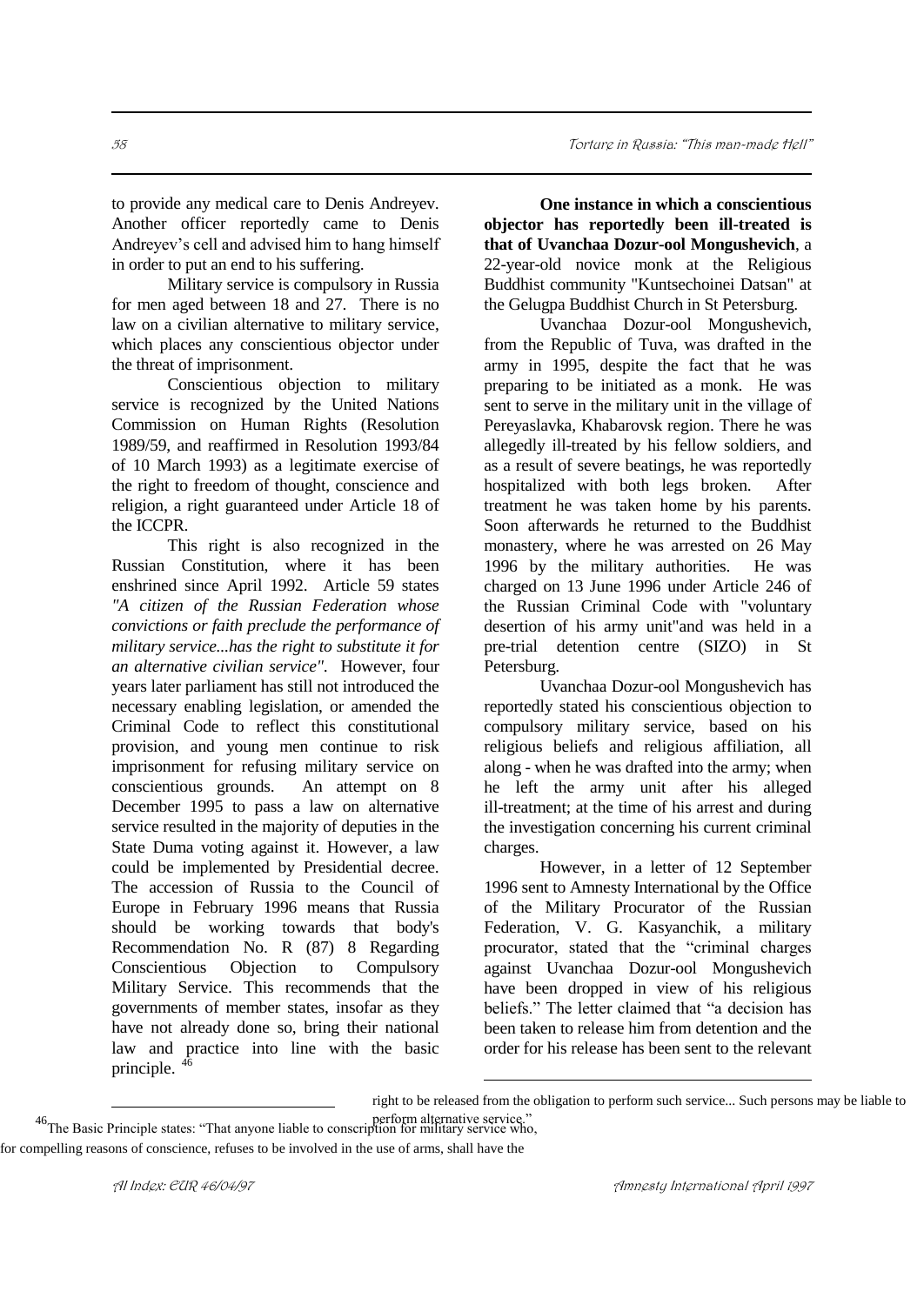to provide any medical care to Denis Andreyev. Another officer reportedly came to Denis Andreyev's cell and advised him to hang himself in order to put an end to his suffering.

Military service is compulsory in Russia for men aged between 18 and 27. There is no law on a civilian alternative to military service, which places any conscientious objector under the threat of imprisonment.

Conscientious objection to military service is recognized by the United Nations Commission on Human Rights (Resolution 1989/59, and reaffirmed in Resolution 1993/84 of 10 March 1993) as a legitimate exercise of the right to freedom of thought, conscience and religion, a right guaranteed under Article 18 of the ICCPR.

This right is also recognized in the Russian Constitution, where it has been enshrined since April 1992. Article 59 states *"A citizen of the Russian Federation whose convictions or faith preclude the performance of military service...has the right to substitute it for an alternative civilian service"*. However, four years later parliament has still not introduced the necessary enabling legislation, or amended the Criminal Code to reflect this constitutional provision, and young men continue to risk imprisonment for refusing military service on conscientious grounds. An attempt on 8 December 1995 to pass a law on alternative service resulted in the majority of deputies in the State Duma voting against it. However, a law could be implemented by Presidential decree. The accession of Russia to the Council of Europe in February 1996 means that Russia should be working towards that body's Recommendation No. R (87) 8 Regarding Conscientious Objection to Compulsory Military Service. This recommends that the governments of member states, insofar as they have not already done so, bring their national law and practice into line with the basic principle.  $4\overline{6}$ 

**One instance in which a conscientious objector has reportedly been ill-treated is that of Uvanchaa Dozur-ool Mongushevich**, a 22-year-old novice monk at the Religious Buddhist community "Kuntsechoinei Datsan" at the Gelugpa Buddhist Church in St Petersburg.

Uvanchaa Dozur-ool Mongushevich, from the Republic of Tuva, was drafted in the army in 1995, despite the fact that he was preparing to be initiated as a monk. He was sent to serve in the military unit in the village of Pereyaslavka, Khabarovsk region. There he was allegedly ill-treated by his fellow soldiers, and as a result of severe beatings, he was reportedly hospitalized with both legs broken. After treatment he was taken home by his parents. Soon afterwards he returned to the Buddhist monastery, where he was arrested on 26 May 1996 by the military authorities. He was charged on 13 June 1996 under Article 246 of the Russian Criminal Code with "voluntary desertion of his army unit"and was held in a pre-trial detention centre (SIZO) in St Petersburg.

Uvanchaa Dozur-ool Mongushevich has reportedly stated his conscientious objection to compulsory military service, based on his religious beliefs and religious affiliation, all along - when he was drafted into the army; when he left the army unit after his alleged ill-treatment; at the time of his arrest and during the investigation concerning his current criminal charges.

However, in a letter of 12 September 1996 sent to Amnesty International by the Office of the Military Procurator of the Russian Federation, V. G. Kasyanchik, a military procurator, stated that the "criminal charges against Uvanchaa Dozur-ool Mongushevich have been dropped in view of his religious beliefs." The letter claimed that "a decision has been taken to release him from detention and the order for his release has been sent to the relevant

right to be released from the obligation to perform such service... Such persons may be liable to

È,

—<br>—

<sup>46</sup>The Basic Principle states: "That anyone liable to conscription for military service who, perform alternative service."

for compelling reasons of conscience, refuses to be involved in the use of arms, shall have the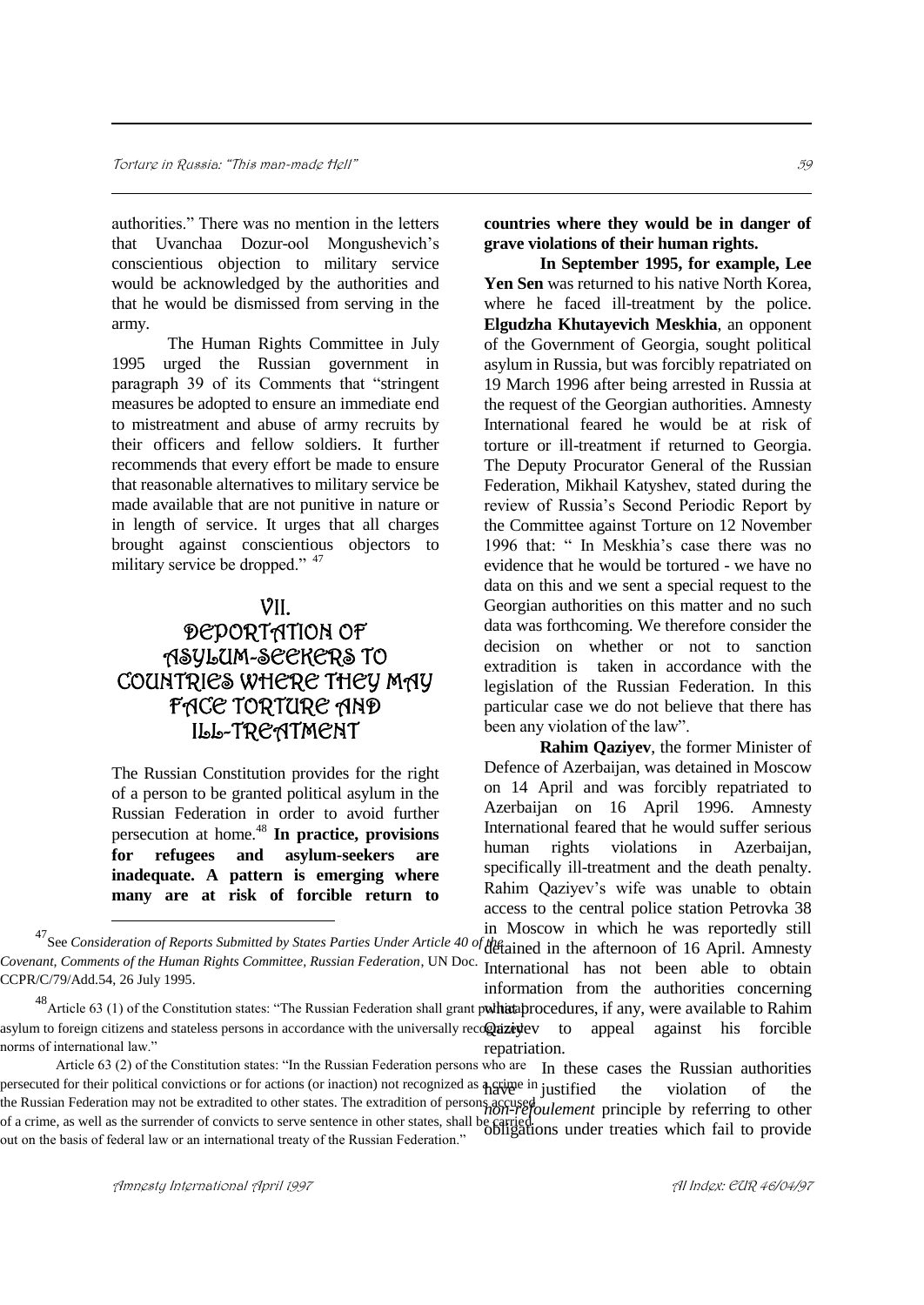authorities." There was no mention in the letters that Uvanchaa Dozur-ool Mongushevich's conscientious objection to military service would be acknowledged by the authorities and that he would be dismissed from serving in the army.

The Human Rights Committee in July 1995 urged the Russian government in paragraph 39 of its Comments that "stringent measures be adopted to ensure an immediate end to mistreatment and abuse of army recruits by their officers and fellow soldiers. It further recommends that every effort be made to ensure that reasonable alternatives to military service be made available that are not punitive in nature or in length of service. It urges that all charges brought against conscientious objectors to military service be dropped." <sup>47</sup>

## VII.

# DEPORTATION OF ASYLUM-SEEKERS TO COUNTRIES WHERE THEY MAY FACE TORTURE AND ILL-TREATMENT

The Russian Constitution provides for the right of a person to be granted political asylum in the Russian Federation in order to avoid further persecution at home.<sup>48</sup> **In practice, provisions for refugees and asylum-seekers are inadequate. A pattern is emerging where many are at risk of forcible return to** 

<sup>47</sup>See *Consideration of Reports Submitted by States Parties Under Article 40 of the afternoon of 16 April. Amnesty Covenant, Comments of the Human Rights Committee, Russian Federation*, UN Doc. International has not been able to obtain CCPR/C/79/Add.54, 26 July 1995.

—<br>—

**countries where they would be in danger of grave violations of their human rights.** 

**In September 1995, for example, Lee Yen Sen** was returned to his native North Korea, where he faced ill-treatment by the police. **Elgudzha Khutayevich Meskhia**, an opponent of the Government of Georgia, sought political asylum in Russia, but was forcibly repatriated on 19 March 1996 after being arrested in Russia at the request of the Georgian authorities. Amnesty International feared he would be at risk of torture or ill-treatment if returned to Georgia. The Deputy Procurator General of the Russian Federation, Mikhail Katyshev, stated during the review of Russia's Second Periodic Report by the Committee against Torture on 12 November 1996 that: " In Meskhia's case there was no evidence that he would be tortured - we have no data on this and we sent a special request to the Georgian authorities on this matter and no such data was forthcoming. We therefore consider the decision on whether or not to sanction extradition is taken in accordance with the legislation of the Russian Federation. In this particular case we do not believe that there has been any violation of the law".

**Rahim Qaziyev**, the former Minister of Defence of Azerbaijan, was detained in Moscow on 14 April and was forcibly repatriated to Azerbaijan on 16 April 1996. Amnesty International feared that he would suffer serious human rights violations in Azerbaijan, specifically ill-treatment and the death penalty. Rahim Qaziyev's wife was unable to obtain access to the central police station Petrovka 38 in Moscow in which he was reportedly still

information from the authorities concerning

<sup>48</sup> Article 63 (1) of the Constitution states: "The Russian Federation shall grant pulliated procedures, if any, were available to Rahim asylum to foreign citizens and stateless persons in accordance with the universally recognized ev to norms of international law." appeal against his forcible repatriation.

Article 63 (2) of the Constitution states: "In the Russian Federation persons who are In these cases the Russian authorities persecuted for their political convictions or for actions (or inaction) not recognized as  $\frac{1}{4}$  and  $\frac{1}{4}$  in justified persecuted for their political convictions or for actions (or inaction) not recognized as **have in** justified the violation of the referation may not be extradited to other states. The extradition of persons accuses  $\phi_{\text$ of a crime, as well as the surrender of convicts to serve sentence in other states, shall be carried obligations under treaties which fail to provide out on the basis of federal law or an international treaty of the Russian Federation." *non-refoulement* principle by referring to other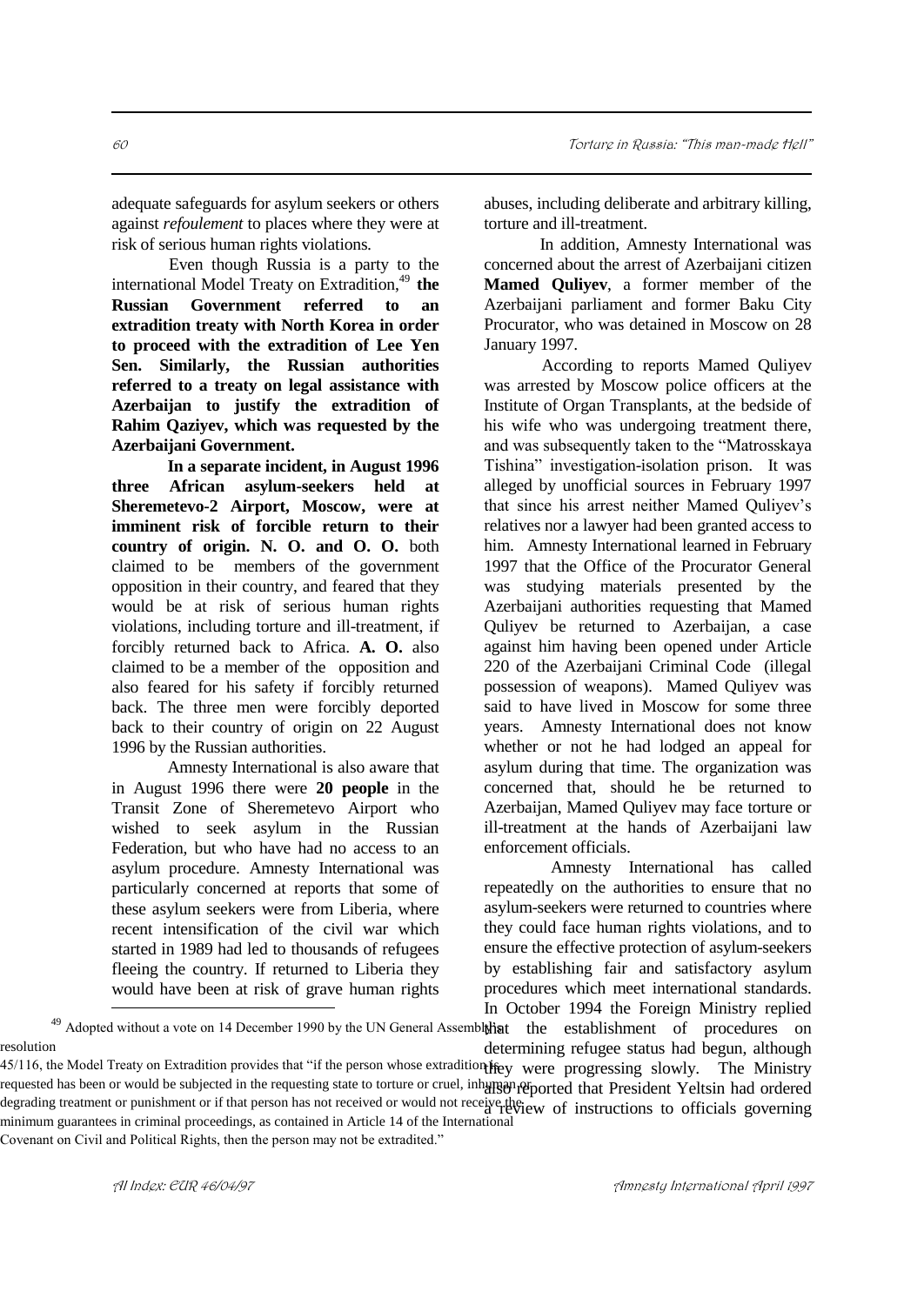adequate safeguards for asylum seekers or others against *refoulement* to places where they were at risk of serious human rights violations*.*

Even though Russia is a party to the international Model Treaty on Extradition,<sup>49</sup> the **Russian Government referred to an extradition treaty with North Korea in order to proceed with the extradition of Lee Yen Sen. Similarly, the Russian authorities referred to a treaty on legal assistance with Azerbaijan to justify the extradition of Rahim Qaziyev, which was requested by the Azerbaijani Government.** 

**In a separate incident, in August 1996 three African asylum-seekers held at Sheremetevo-2 Airport, Moscow, were at imminent risk of forcible return to their country of origin. N. O. and O. O.** both claimed to be members of the government opposition in their country, and feared that they would be at risk of serious human rights violations, including torture and ill-treatment, if forcibly returned back to Africa. **A. O.** also claimed to be a member of the opposition and also feared for his safety if forcibly returned back. The three men were forcibly deported back to their country of origin on 22 August 1996 by the Russian authorities.

Amnesty International is also aware that in August 1996 there were **20 people** in the Transit Zone of Sheremetevo Airport who wished to seek asylum in the Russian Federation, but who have had no access to an asylum procedure. Amnesty International was particularly concerned at reports that some of these asylum seekers were from Liberia, where recent intensification of the civil war which started in 1989 had led to thousands of refugees fleeing the country. If returned to Liberia they would have been at risk of grave human rights —<br>—

abuses, including deliberate and arbitrary killing, torture and ill-treatment.

In addition, Amnesty International was concerned about the arrest of Azerbaijani citizen **Mamed Quliyev**, a former member of the Azerbaijani parliament and former Baku City Procurator, who was detained in Moscow on 28 January 1997.

According to reports Mamed Quliyev was arrested by Moscow police officers at the Institute of Organ Transplants, at the bedside of his wife who was undergoing treatment there, and was subsequently taken to the "Matrosskaya Tishina" investigation-isolation prison. It was alleged by unofficial sources in February 1997 that since his arrest neither Mamed Quliyev's relatives nor a lawyer had been granted access to him. Amnesty International learned in February 1997 that the Office of the Procurator General was studying materials presented by the Azerbaijani authorities requesting that Mamed Quliyev be returned to Azerbaijan, a case against him having been opened under Article 220 of the Azerbaijani Criminal Code (illegal possession of weapons). Mamed Quliyev was said to have lived in Moscow for some three years. Amnesty International does not know whether or not he had lodged an appeal for asylum during that time. The organization was concerned that, should he be returned to Azerbaijan, Mamed Quliyev may face torture or ill-treatment at the hands of Azerbaijani law enforcement officials.

Amnesty International has called repeatedly on the authorities to ensure that no asylum-seekers were returned to countries where they could face human rights violations, and to ensure the effective protection of asylum-seekers by establishing fair and satisfactory asylum procedures which meet international standards. In October 1994 the Foreign Ministry replied

<sup>&</sup>lt;sup>49</sup> Adopted without a vote on 14 December 1990 by the UN General Assemblat the establishment of procedures on resolution determining refugee status had begun, although

<sup>45/116,</sup> the Model Treaty on Extradition provides that "if the person whose extradition in eye progressing slowly. The Ministry requested has been or would be subjected in the requesting state to torture or cruel, inhuman reported that President Yeltsin had ordered degrading treatment or punishment or if that person has not received or would not receive the review of instructions to officials governing minimum guarantees in criminal proceedings, as contained in Article 14 of the International Covenant on Civil and Political Rights, then the person may not be extradited."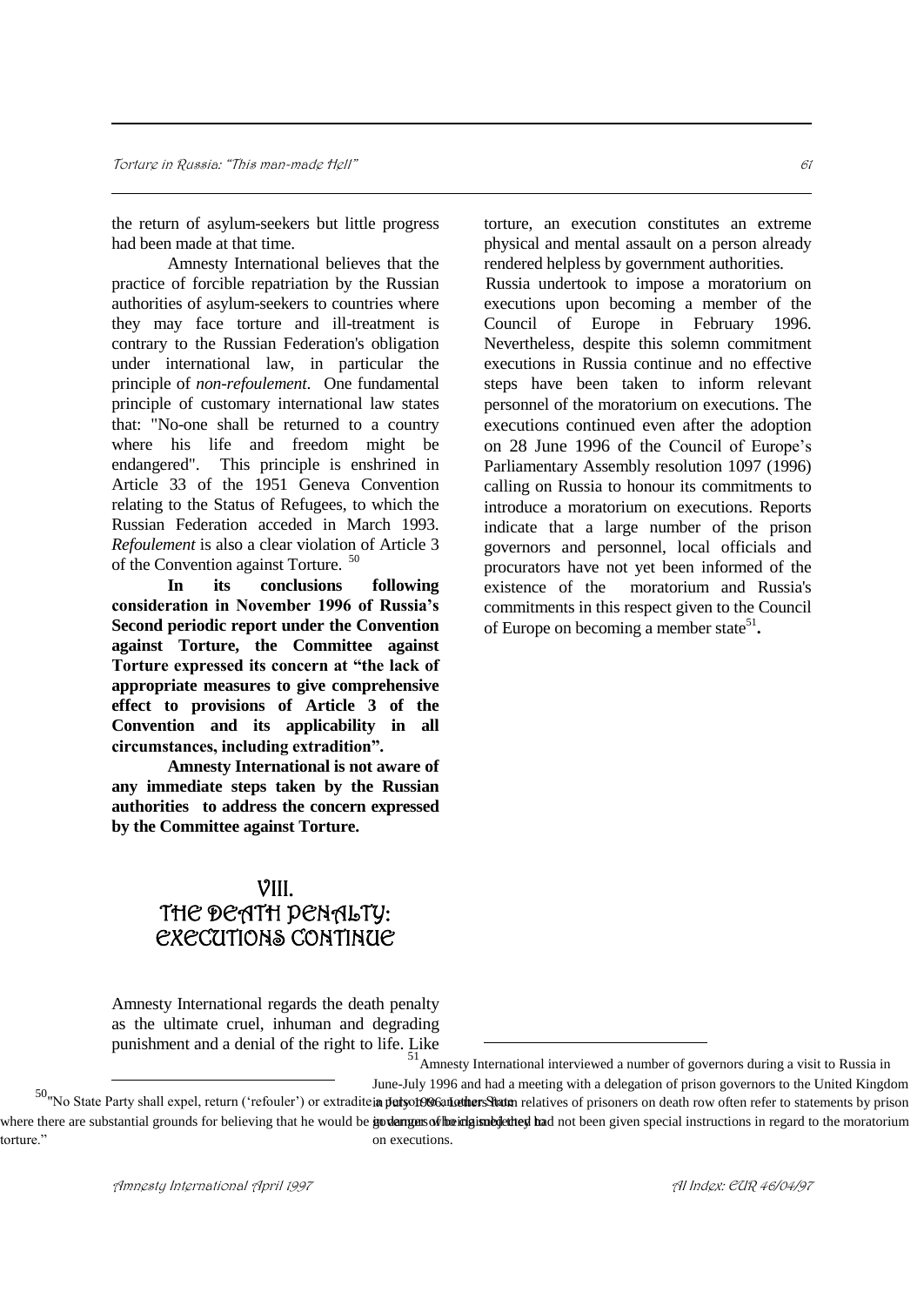the return of asylum-seekers but little progress had been made at that time.

Amnesty International believes that the practice of forcible repatriation by the Russian authorities of asylum-seekers to countries where they may face torture and ill-treatment is contrary to the Russian Federation's obligation under international law, in particular the principle of *non-refoulement*. One fundamental principle of customary international law states that: "No-one shall be returned to a country where his life and freedom might be endangered". This principle is enshrined in Article 33 of the 1951 Geneva Convention relating to the Status of Refugees, to which the Russian Federation acceded in March 1993. *Refoulement* is also a clear violation of Article 3 of the Convention against Torture. <sup>50</sup>

**In its conclusions following consideration in November 1996 of Russia's Second periodic report under the Convention against Torture, the Committee against Torture expressed its concern at "the lack of appropriate measures to give comprehensive effect to provisions of Article 3 of the Convention and its applicability in all circumstances, including extradition".** 

**Amnesty International is not aware of any immediate steps taken by the Russian authorities to address the concern expressed by the Committee against Torture.** 

## VIII. THE DEATH PENALTY: EXECUTIONS CONTINUE

Amnesty International regards the death penalty as the ultimate cruel, inhuman and degrading punishment and a denial of the right to life. Like

torture, an execution constitutes an extreme physical and mental assault on a person already rendered helpless by government authorities.

Russia undertook to impose a moratorium on executions upon becoming a member of the Council of Europe in February 1996. Nevertheless, despite this solemn commitment executions in Russia continue and no effective steps have been taken to inform relevant personnel of the moratorium on executions. The executions continued even after the adoption on 28 June 1996 of the Council of Europe's Parliamentary Assembly resolution 1097 (1996) calling on Russia to honour its commitments to introduce a moratorium on executions. Reports indicate that a large number of the prison governors and personnel, local officials and procurators have not yet been informed of the existence of the moratorium and Russia's commitments in this respect given to the Council of Europe on becoming a member state<sup>51</sup>.

<sup>51</sup>Amnesty International interviewed a number of governors during a visit to Russia in

<sup>÷,</sup> 50.<br>No State Party shall expel, return ('refouler') or extradite in patson of another State relatives of prisoners on death row often refer to statements by prison where there are substantial grounds for believing that he would be **governors of the independent of the dead** not been given special instructions in regard to the moratorium torture." June-July 1996 and had a meeting with a delegation of prison governors to the United Kingdom on executions.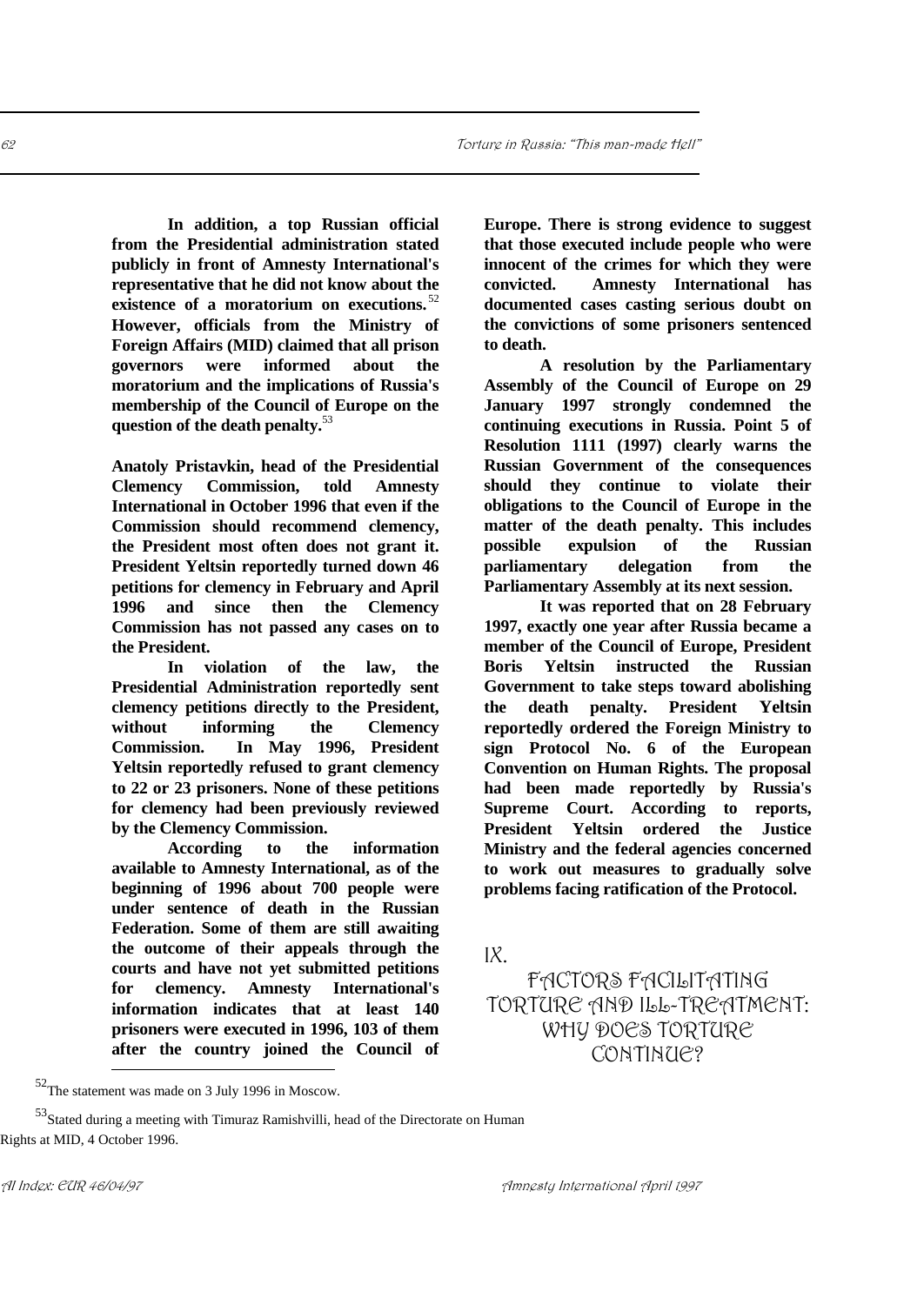**In addition, a top Russian official from the Presidential administration stated publicly in front of Amnesty International's representative that he did not know about the existence of a moratorium on executions.** <sup>52</sup> **However, officials from the Ministry of Foreign Affairs (MID) claimed that all prison governors were informed about the moratorium and the implications of Russia's membership of the Council of Europe on the question of the death penalty.**<sup>53</sup>

**Anatoly Pristavkin, head of the Presidential Clemency Commission, told Amnesty International in October 1996 that even if the Commission should recommend clemency, the President most often does not grant it. President Yeltsin reportedly turned down 46 petitions for clemency in February and April 1996 and since then the Clemency Commission has not passed any cases on to the President.** 

**In violation of the law, the Presidential Administration reportedly sent clemency petitions directly to the President, without informing the Clemency Commission. In May 1996, President Yeltsin reportedly refused to grant clemency to 22 or 23 prisoners. None of these petitions for clemency had been previously reviewed by the Clemency Commission.** 

**According to the information available to Amnesty International, as of the beginning of 1996 about 700 people were under sentence of death in the Russian Federation. Some of them are still awaiting the outcome of their appeals through the courts and have not yet submitted petitions for clemency. Amnesty International's information indicates that at least 140 prisoners were executed in 1996, 103 of them after the country joined the Council of**  —<br>—

**Europe. There is strong evidence to suggest that those executed include people who were innocent of the crimes for which they were convicted. Amnesty International has documented cases casting serious doubt on the convictions of some prisoners sentenced to death.**

 **A resolution by the Parliamentary Assembly of the Council of Europe on 29 January 1997 strongly condemned the continuing executions in Russia. Point 5 of Resolution 1111 (1997) clearly warns the Russian Government of the consequences should they continue to violate their obligations to the Council of Europe in the matter of the death penalty. This includes possible expulsion of the Russian parliamentary delegation from the Parliamentary Assembly at its next session.** 

**It was reported that on 28 February 1997, exactly one year after Russia became a member of the Council of Europe, President Boris Yeltsin instructed the Russian Government to take steps toward abolishing the death penalty. President Yeltsin reportedly ordered the Foreign Ministry to sign Protocol No. 6 of the European Convention on Human Rights. The proposal had been made reportedly by Russia's Supreme Court. According to reports, President Yeltsin ordered the Justice Ministry and the federal agencies concerned to work out measures to gradually solve problems facing ratification of the Protocol.** 

 $\mathsf{I}\mathsf{X}$ .

FACTORS FACILITATING TORTURE AND ILL-TREATMENT: WHY DOES TORTURE CONTINUE?

 $52$ The statement was made on 3 July 1996 in Moscow.

<sup>53&</sup>lt;br>Stated during a meeting with Timuraz Ramishvilli, head of the Directorate on Human Rights at MID, 4 October 1996.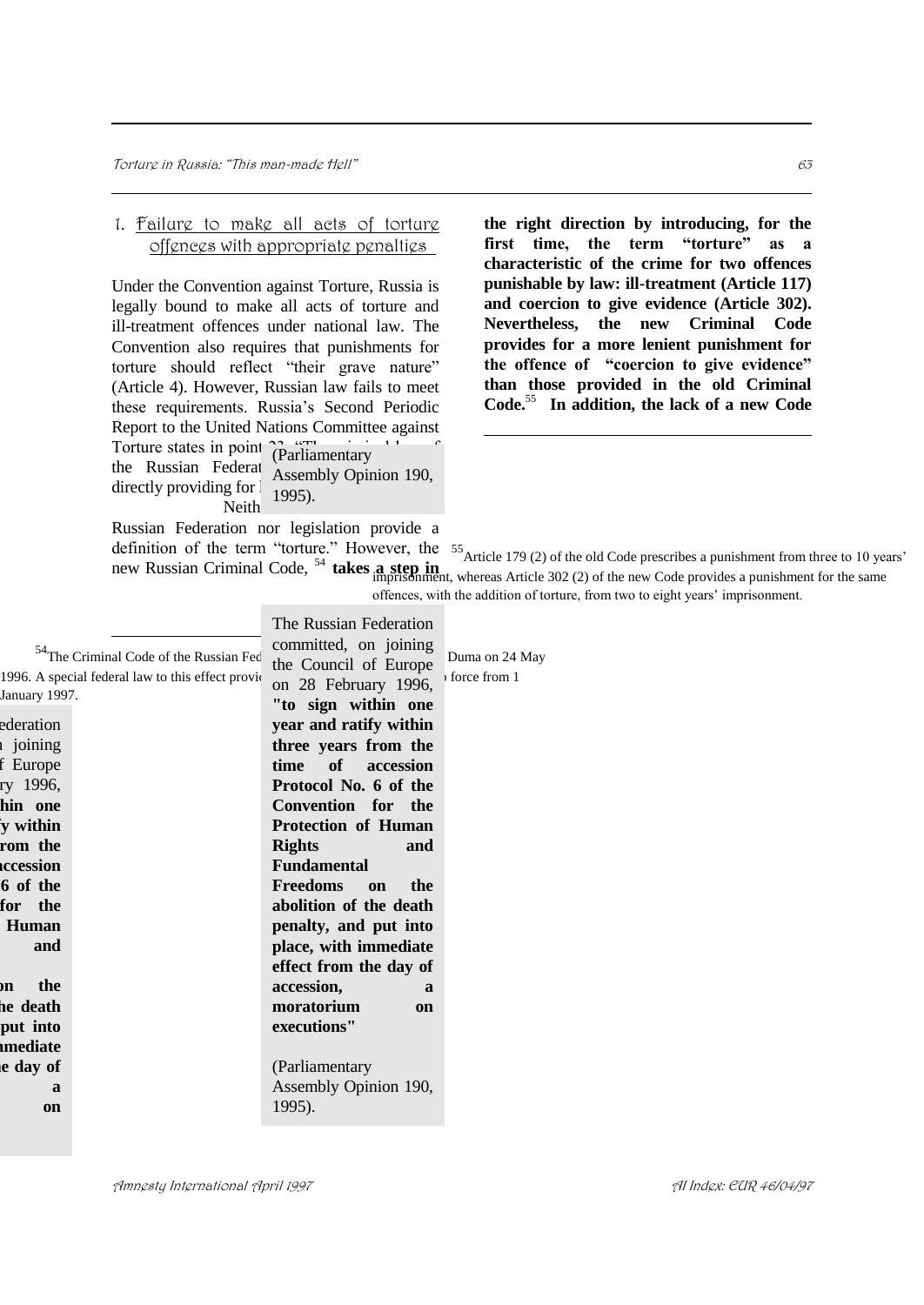#### 1. Failure to make all acts of torture offences with appropriate penalties

Under the Convention against Torture, Russia is legally bound to make all acts of torture and ill-treatment offences under national law. The Convention also requires that punishments for torture should reflect "their grave nature" (Article 4). However, Russian law fails to meet these requirements. Russia's Second Periodic Report to the United Nations Committee against Torture states in point  $\sum_{i=1}^{n}$  continuously Fortune states in point  $(Parti)$ <br>the Russian Federation contains no normalism nondirectly providing for  $\overline{a}$ Neith Assembly Opinion 190, 1995).

Russian Federation nor legislation provide a definition of the term "torture." However, the  $55$  Article 179 (2) of the old Code prescribes a punishment from three to 10 years'

**the right direction by introducing, for the first time, the term "torture" as a characteristic of the crime for two offences punishable by law: ill-treatment (Article 117) and coercion to give evidence (Article 302). Nevertheless, the new Criminal Code provides for a more lenient punishment for the offence of "coercion to give evidence" than those provided in the old Criminal Code.**<sup>55</sup>  **In addition, the lack of a new Code** 

new Russian Criminal Code, <sup>54</sup> takes a step in **Article 179** (2) of the on Code presences a punishment form three to 10 year. offences, with the addition of torture, from two to eight years' imprisonment.

ederation n joining f Europe ry 1996, **hin** one **v** within **rom** the **time of accession 6** of the for the **Human Rights and Frac**on the **he** death put into **mediate e** day of **accession, a** 

**on** 

÷,  $^{54}$ The Criminal Code of the Russian Federation Council of Furone Duma on 24 May 1996. A special federal law to this effect provides that the new Code comes into force from 1 January 1997.

The Russian Federation committed, on joining the Council of Europe on 28 February 1996, **"to sign within one year and ratify within three years from the time of accession Protocol No. 6 of the Convention for the Protection of Human Rights and Fundamental Freedoms on the abolition of the death penalty, and put into place, with immediate effect from the day of accession, a moratorium on executions"** (Parliamentary Assembly Opinion 190,

È,

1995).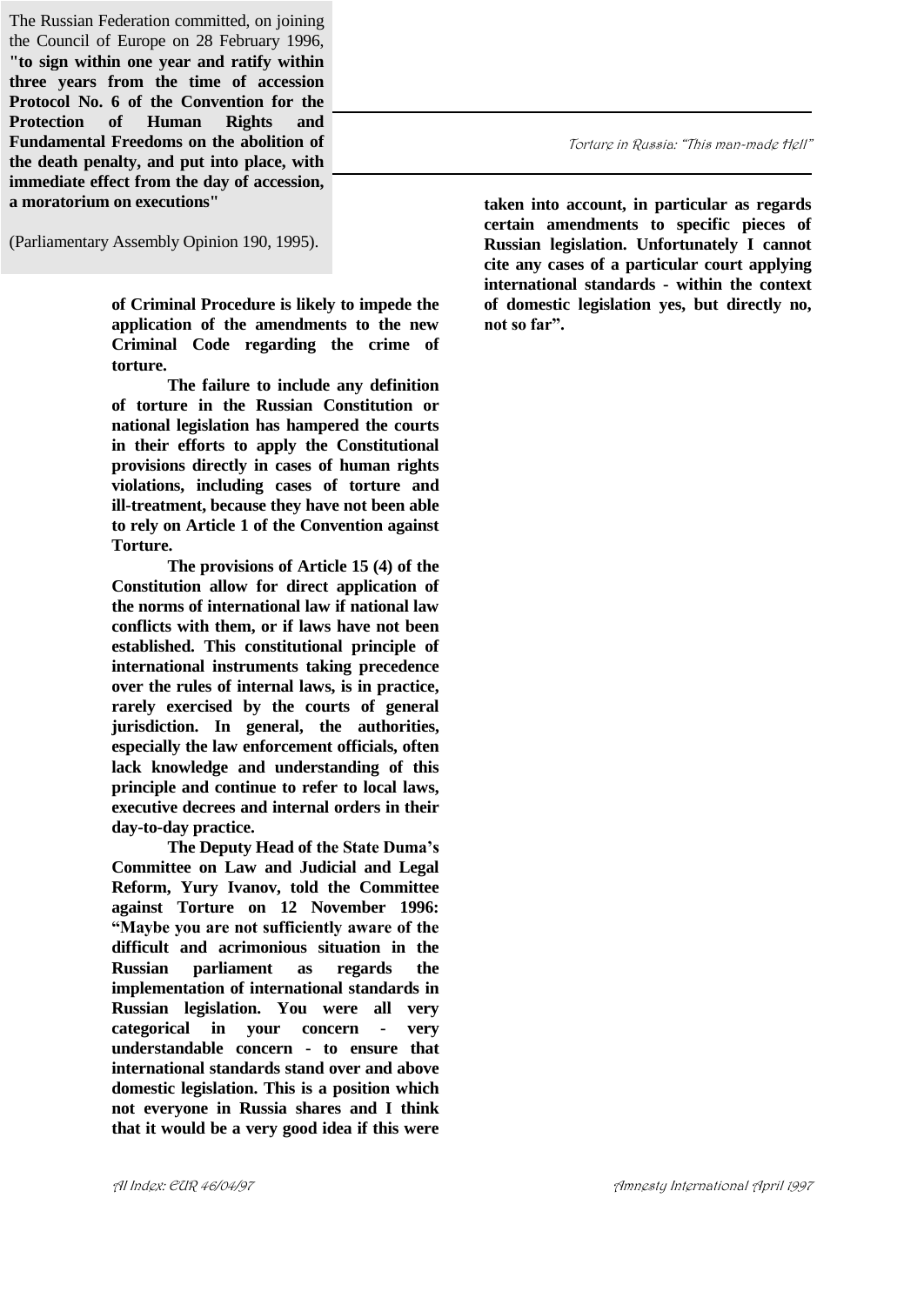The Russian Federation committed, on joining the Council of Europe on 28 February 1996, **"to sign within one year and ratify within three years from the time of accession Protocol No. 6 of the Convention for the Protection of Human Rights and Fundamental Freedoms on the abolition of the death penalty, and put into place, with immediate effect from the day of accession, a moratorium on executions"**

(Parliamentary Assembly Opinion 190, 1995).

**of Criminal Procedure is likely to impede the application of the amendments to the new Criminal Code regarding the crime of torture.** 

**The failure to include any definition of torture in the Russian Constitution or national legislation has hampered the courts in their efforts to apply the Constitutional provisions directly in cases of human rights violations, including cases of torture and ill-treatment, because they have not been able to rely on Article 1 of the Convention against Torture.** 

**The provisions of Article 15 (4) of the Constitution allow for direct application of the norms of international law if national law conflicts with them, or if laws have not been established. This constitutional principle of international instruments taking precedence over the rules of internal laws, is in practice, rarely exercised by the courts of general jurisdiction. In general, the authorities, especially the law enforcement officials, often lack knowledge and understanding of this principle and continue to refer to local laws, executive decrees and internal orders in their day-to-day practice.** 

**The Deputy Head of the State Duma's Committee on Law and Judicial and Legal Reform, Yury Ivanov, told the Committee against Torture on 12 November 1996: "Maybe you are not sufficiently aware of the difficult and acrimonious situation in the Russian parliament as regards the implementation of international standards in Russian legislation. You were all very categorical in your concern - very understandable concern - to ensure that international standards stand over and above domestic legislation. This is a position which not everyone in Russia shares and I think that it would be a very good idea if this were**  Torturg in Russia: "This man-madg Hgll"

**taken into account, in particular as regards certain amendments to specific pieces of Russian legislation. Unfortunately I cannot cite any cases of a particular court applying international standards - within the context of domestic legislation yes, but directly no, not so far".**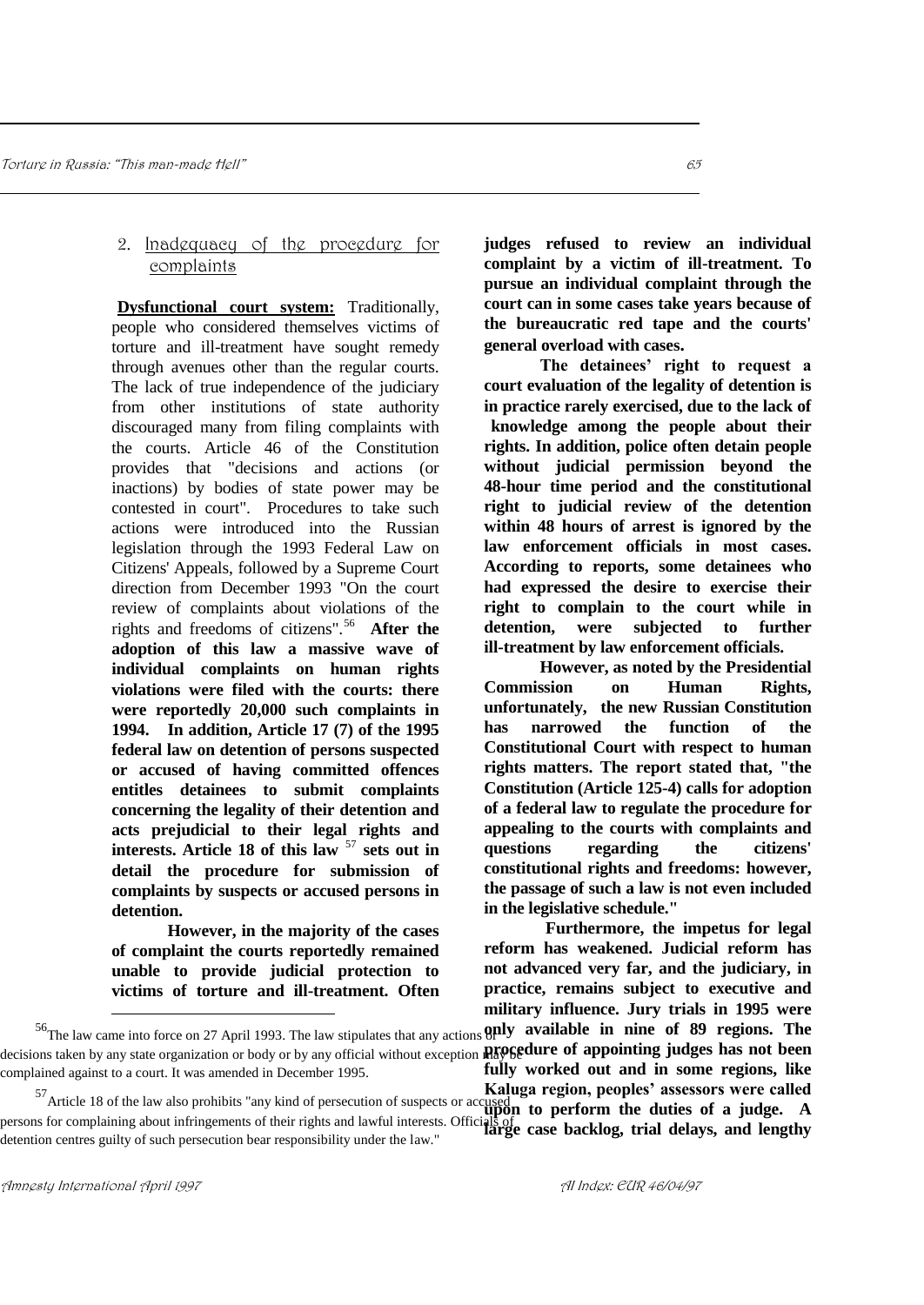## 2. Inadequacy of the procedure for complaints

**Dysfunctional court system:** Traditionally, people who considered themselves victims of torture and ill-treatment have sought remedy through avenues other than the regular courts. The lack of true independence of the judiciary from other institutions of state authority discouraged many from filing complaints with the courts. Article 46 of the Constitution provides that "decisions and actions (or inactions) by bodies of state power may be contested in court". Procedures to take such actions were introduced into the Russian legislation through the 1993 Federal Law on Citizens' Appeals, followed by a Supreme Court direction from December 1993 "On the court review of complaints about violations of the rights and freedoms of citizens".<sup>56</sup> After the **adoption of this law a massive wave of individual complaints on human rights violations were filed with the courts: there were reportedly 20,000 such complaints in 1994. In addition, Article 17 (7) of the 1995 federal law on detention of persons suspected or accused of having committed offences entitles detainees to submit complaints concerning the legality of their detention and acts prejudicial to their legal rights and interests. Article 18 of this law** <sup>57</sup> **sets out in detail the procedure for submission of complaints by suspects or accused persons in detention.**

**However, in the majority of the cases of complaint the courts reportedly remained unable to provide judicial protection to victims of torture and ill-treatment. Often** 

 $^{56}$ The law came into force on 27 April 1993. The law stipulates that any actions **9plly available in nine of 89 regions. The** decisions taken by any state organization or body or by any official without exception **Procedure of appointing judges has not been** complained against to a court. It was amended in December 1995.

**judges refused to review an individual complaint by a victim of ill-treatment. To pursue an individual complaint through the court can in some cases take years because of the bureaucratic red tape and the courts' general overload with cases.**

**The detainees' right to request a court evaluation of the legality of detention is in practice rarely exercised, due to the lack of knowledge among the people about their rights. In addition, police often detain people without judicial permission beyond the 48-hour time period and the constitutional right to judicial review of the detention within 48 hours of arrest is ignored by the law enforcement officials in most cases. According to reports, some detainees who had expressed the desire to exercise their right to complain to the court while in detention, were subjected to further ill-treatment by law enforcement officials.**

**However, as noted by the Presidential Commission on Human Rights, unfortunately, the new Russian Constitution has narrowed the function of the Constitutional Court with respect to human rights matters. The report stated that, "the Constitution (Article 125-4) calls for adoption of a federal law to regulate the procedure for appealing to the courts with complaints and questions regarding the citizens' constitutional rights and freedoms: however, the passage of such a law is not even included in the legislative schedule."**

**Furthermore, the impetus for legal reform has weakened. Judicial reform has not advanced very far, and the judiciary, in practice, remains subject to executive and military influence. Jury trials in 1995 were** 

**fully worked out and in some regions, like upon to perform the duties of a judge. A** 

—<br>—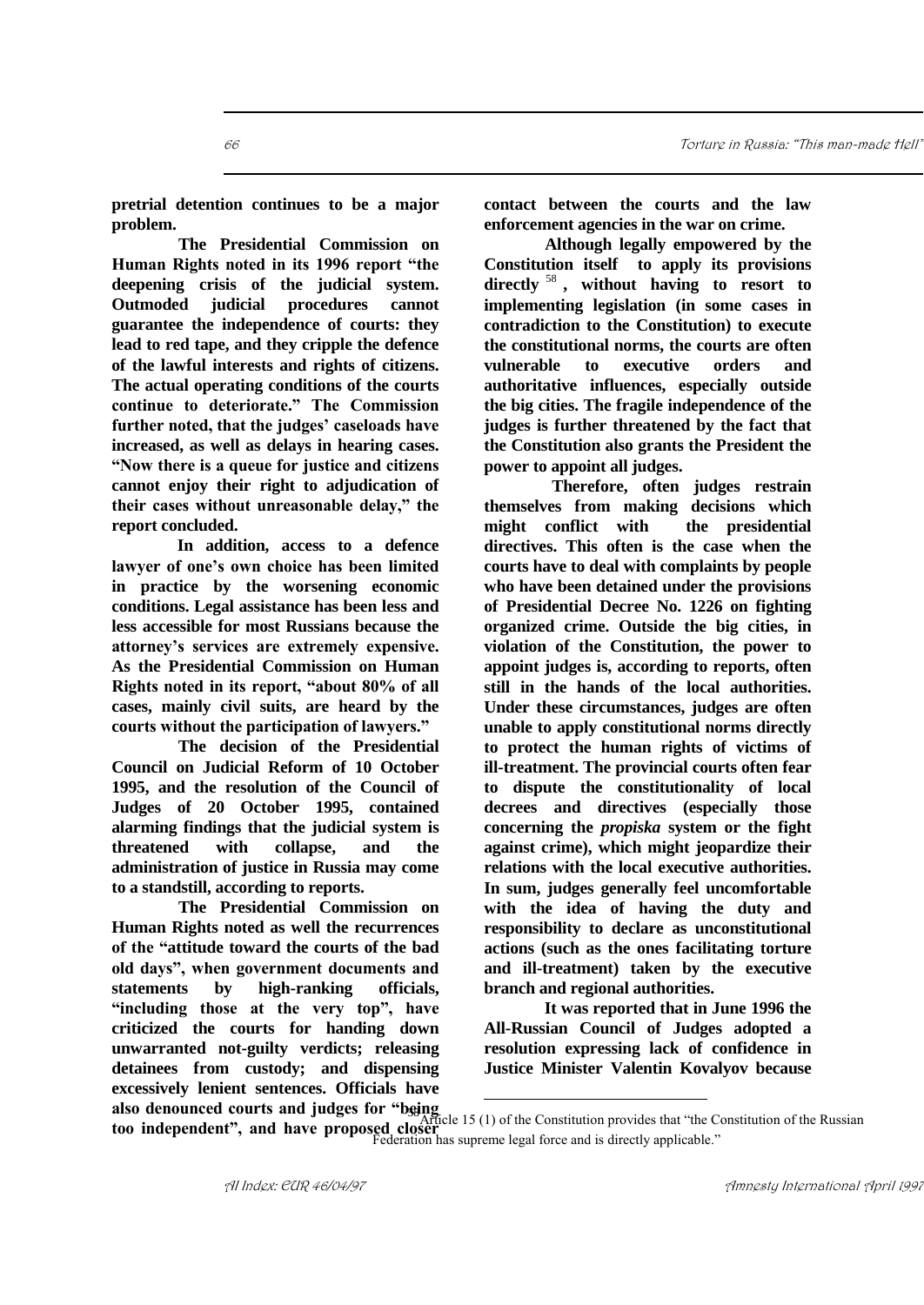**pretrial detention continues to be a major problem.** 

**The Presidential Commission on Human Rights noted in its 1996 report "the deepening crisis of the judicial system. Outmoded judicial procedures cannot guarantee the independence of courts: they lead to red tape, and they cripple the defence of the lawful interests and rights of citizens. The actual operating conditions of the courts continue to deteriorate." The Commission further noted, that the judges' caseloads have increased, as well as delays in hearing cases. "Now there is a queue for justice and citizens cannot enjoy their right to adjudication of their cases without unreasonable delay," the report concluded.** 

**In addition, access to a defence lawyer of one's own choice has been limited in practice by the worsening economic conditions. Legal assistance has been less and less accessible for most Russians because the attorney's services are extremely expensive. As the Presidential Commission on Human Rights noted in its report, "about 80% of all cases, mainly civil suits, are heard by the courts without the participation of lawyers."**

**The decision of the Presidential Council on Judicial Reform of 10 October 1995, and the resolution of the Council of Judges of 20 October 1995, contained alarming findings that the judicial system is threatened with collapse, and the administration of justice in Russia may come to a standstill, according to reports.** 

**The Presidential Commission on Human Rights noted as well the recurrences of the "attitude toward the courts of the bad old days", when government documents and statements by high-ranking officials, "including those at the very top", have criticized the courts for handing down unwarranted not-guilty verdicts; releasing detainees from custody; and dispensing excessively lenient sentences. Officials have also denounced courts and judges for "being** 

**contact between the courts and the law enforcement agencies in the war on crime.** 

**Although legally empowered by the Constitution itself to apply its provisions directly** <sup>58</sup> **, without having to resort to implementing legislation (in some cases in contradiction to the Constitution) to execute the constitutional norms, the courts are often vulnerable to executive orders and authoritative influences, especially outside the big cities. The fragile independence of the judges is further threatened by the fact that the Constitution also grants the President the power to appoint all judges.** 

**Therefore, often judges restrain themselves from making decisions which might conflict with the presidential directives. This often is the case when the courts have to deal with complaints by people who have been detained under the provisions of Presidential Decree No. 1226 on fighting organized crime. Outside the big cities, in violation of the Constitution, the power to appoint judges is, according to reports, often still in the hands of the local authorities. Under these circumstances, judges are often unable to apply constitutional norms directly to protect the human rights of victims of ill-treatment. The provincial courts often fear to dispute the constitutionality of local decrees and directives (especially those concerning the** *propiska* **system or the fight against crime), which might jeopardize their relations with the local executive authorities. In sum, judges generally feel uncomfortable with the idea of having the duty and responsibility to declare as unconstitutional actions (such as the ones facilitating torture and ill-treatment) taken by the executive branch and regional authorities.**

**It was reported that in June 1996 the All-Russian Council of Judges adopted a resolution expressing lack of confidence in Justice Minister Valentin Kovalyov because** 

also denounced courts and **Judges for "being**<br> **too independent", and have proposed closer**<br>
in the constitution of the Russian Federation has supreme legal force and is directly applicable."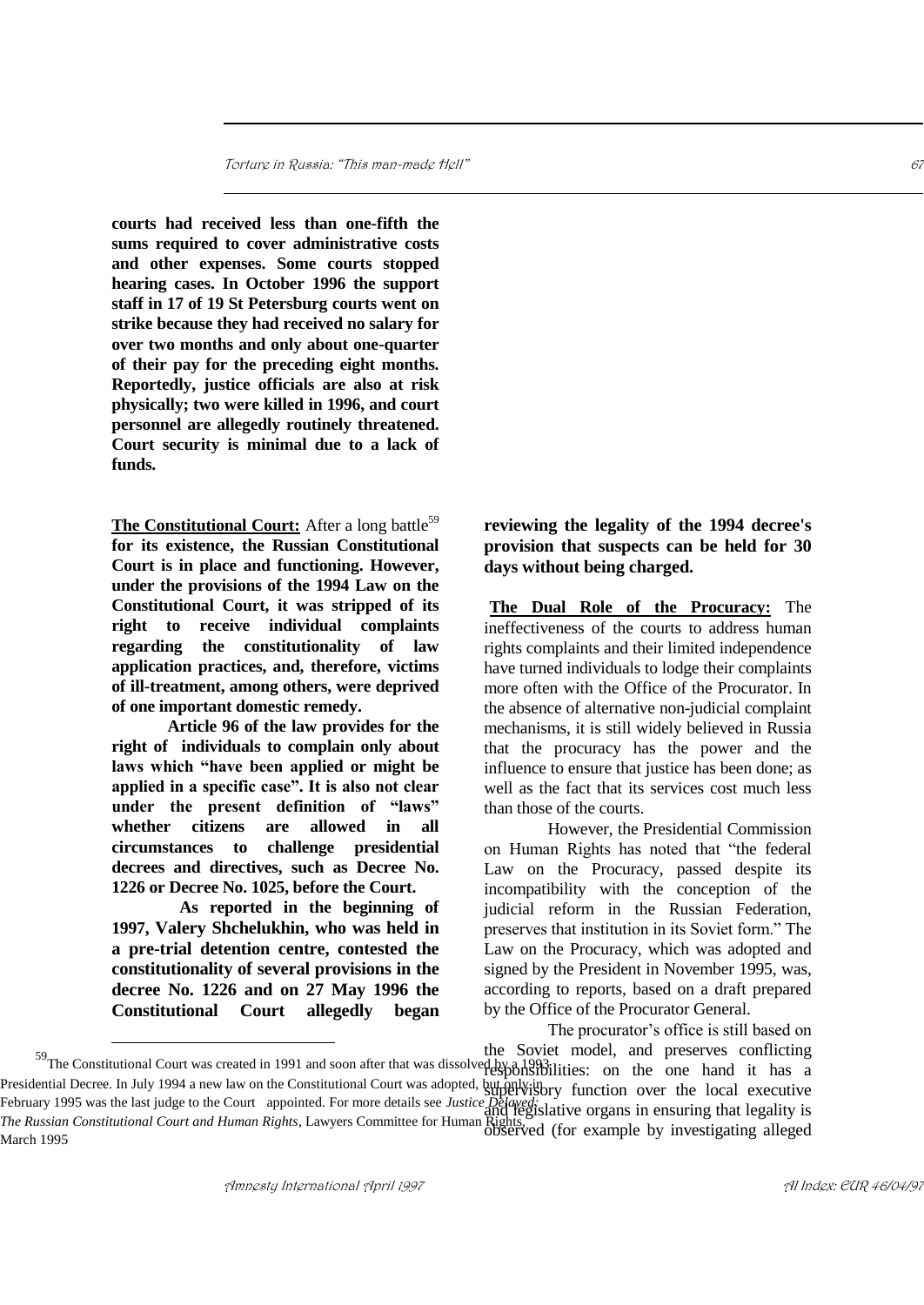**courts had received less than one-fifth the sums required to cover administrative costs and other expenses. Some courts stopped hearing cases. In October 1996 the support staff in 17 of 19 St Petersburg courts went on strike because they had received no salary for over two months and only about one-quarter of their pay for the preceding eight months. Reportedly, justice officials are also at risk physically; two were killed in 1996, and court personnel are allegedly routinely threatened. Court security is minimal due to a lack of funds.**

**The Constitutional Court:** After a long battle<sup>59</sup> **for its existence, the Russian Constitutional Court is in place and functioning. However, under the provisions of the 1994 Law on the Constitutional Court, it was stripped of its right to receive individual complaints regarding the constitutionality of law application practices, and, therefore, victims of ill-treatment, among others, were deprived of one important domestic remedy.** 

**Article 96 of the law provides for the right of individuals to complain only about laws which "have been applied or might be applied in a specific case". It is also not clear under the present definition of "laws" whether citizens are allowed in all circumstances to challenge presidential decrees and directives, such as Decree No. 1226 or Decree No. 1025, before the Court.** 

**As reported in the beginning of 1997, Valery Shchelukhin, who was held in a pre-trial detention centre, contested the constitutionality of several provisions in the decree No. 1226 and on 27 May 1996 the Constitutional Court allegedly began** 

÷,

#### **reviewing the legality of the 1994 decree's provision that suspects can be held for 30 days without being charged.**

**The Dual Role of the Procuracy:** The ineffectiveness of the courts to address human rights complaints and their limited independence have turned individuals to lodge their complaints more often with the Office of the Procurator. In the absence of alternative non-judicial complaint mechanisms, it is still widely believed in Russia that the procuracy has the power and the influence to ensure that justice has been done; as well as the fact that its services cost much less than those of the courts.

However, the Presidential Commission on Human Rights has noted that "the federal Law on the Procuracy, passed despite its incompatibility with the conception of the judicial reform in the Russian Federation, preserves that institution in its Soviet form." The Law on the Procuracy, which was adopted and signed by the President in November 1995, was, according to reports, based on a draft prepared by the Office of the Procurator General.

The procurator's office is still based on the Soviet model, and preserves conflicting

<sup>&</sup>lt;sup>59</sup>The Constitutional Court was created in 1991 and soon after that was dissolved by a 1991 indict, and preserves commenting Presidential Decree. In July 1994 a new law on the Constitutional Court was adopted, but only in function over the local executive February 1995 was the last judge to the Court appointed. For more details see *Justice Delayed*: **and legislative organs in ensuring that legality is** *The Russian Constitutional Court and Human Rights*, Lawyers Committee for Human Rights, The Russian Constitutional Court and Tuman Rights, Lawyers Commutee for Tuman Rights, ved (for example by investigating alleged March 1995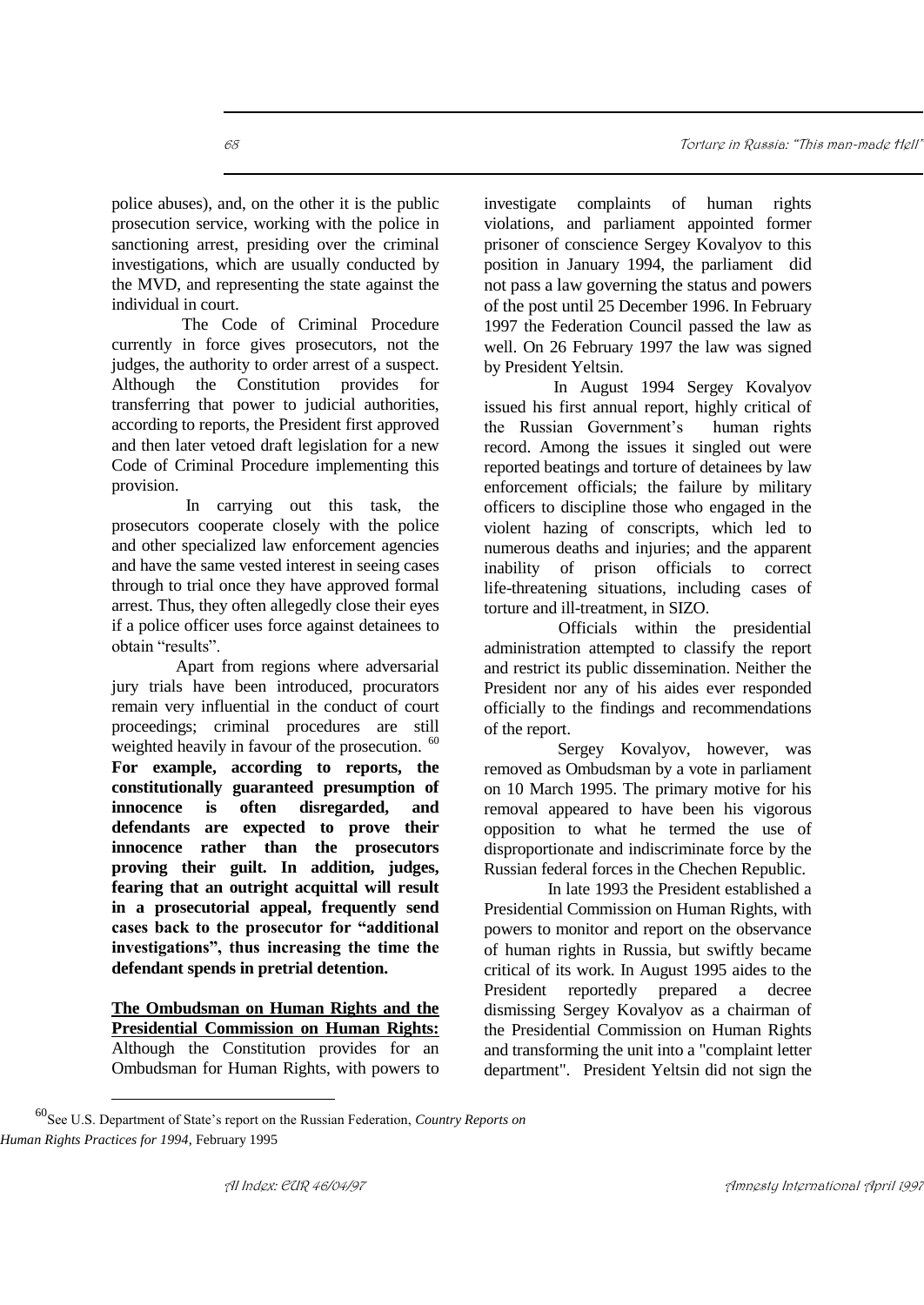police abuses), and, on the other it is the public prosecution service, working with the police in sanctioning arrest, presiding over the criminal investigations, which are usually conducted by the MVD, and representing the state against the individual in court.

The Code of Criminal Procedure currently in force gives prosecutors, not the judges, the authority to order arrest of a suspect. Although the Constitution provides for transferring that power to judicial authorities, according to reports, the President first approved and then later vetoed draft legislation for a new Code of Criminal Procedure implementing this provision.

In carrying out this task, the prosecutors cooperate closely with the police and other specialized law enforcement agencies and have the same vested interest in seeing cases through to trial once they have approved formal arrest. Thus, they often allegedly close their eyes if a police officer uses force against detainees to obtain "results".

Apart from regions where adversarial jury trials have been introduced, procurators remain very influential in the conduct of court proceedings; criminal procedures are still weighted heavily in favour of the prosecution. <sup>60</sup> **For example, according to reports, the constitutionally guaranteed presumption of innocence is often disregarded, and defendants are expected to prove their innocence rather than the prosecutors proving their guilt. In addition, judges, fearing that an outright acquittal will result in a prosecutorial appeal, frequently send cases back to the prosecutor for "additional investigations", thus increasing the time the defendant spends in pretrial detention.**

#### **The Ombudsman on Human Rights and the Presidential Commission on Human Rights:** Although the Constitution provides for an Ombudsman for Human Rights, with powers to

investigate complaints of human rights violations, and parliament appointed former prisoner of conscience Sergey Kovalyov to this position in January 1994, the parliament did not pass a law governing the status and powers of the post until 25 December 1996. In February 1997 the Federation Council passed the law as well. On 26 February 1997 the law was signed by President Yeltsin.

In August 1994 Sergey Kovalyov issued his first annual report, highly critical of the Russian Government's human rights record. Among the issues it singled out were reported beatings and torture of detainees by law enforcement officials; the failure by military officers to discipline those who engaged in the violent hazing of conscripts, which led to numerous deaths and injuries; and the apparent inability of prison officials to correct life-threatening situations, including cases of torture and ill-treatment, in SIZO.

Officials within the presidential administration attempted to classify the report and restrict its public dissemination. Neither the President nor any of his aides ever responded officially to the findings and recommendations of the report.

Sergey Kovalyov, however, was removed as Ombudsman by a vote in parliament on 10 March 1995. The primary motive for his removal appeared to have been his vigorous opposition to what he termed the use of disproportionate and indiscriminate force by the Russian federal forces in the Chechen Republic.

In late 1993 the President established a Presidential Commission on Human Rights, with powers to monitor and report on the observance of human rights in Russia, but swiftly became critical of its work. In August 1995 aides to the President reportedly prepared a decree dismissing Sergey Kovalyov as a chairman of the Presidential Commission on Human Rights and transforming the unit into a "complaint letter department". President Yeltsin did not sign the

<sup>60</sup>See U.S. Department of State's report on the Russian Federation, *Country Reports on Human Rights Practices for 1994*, February 1995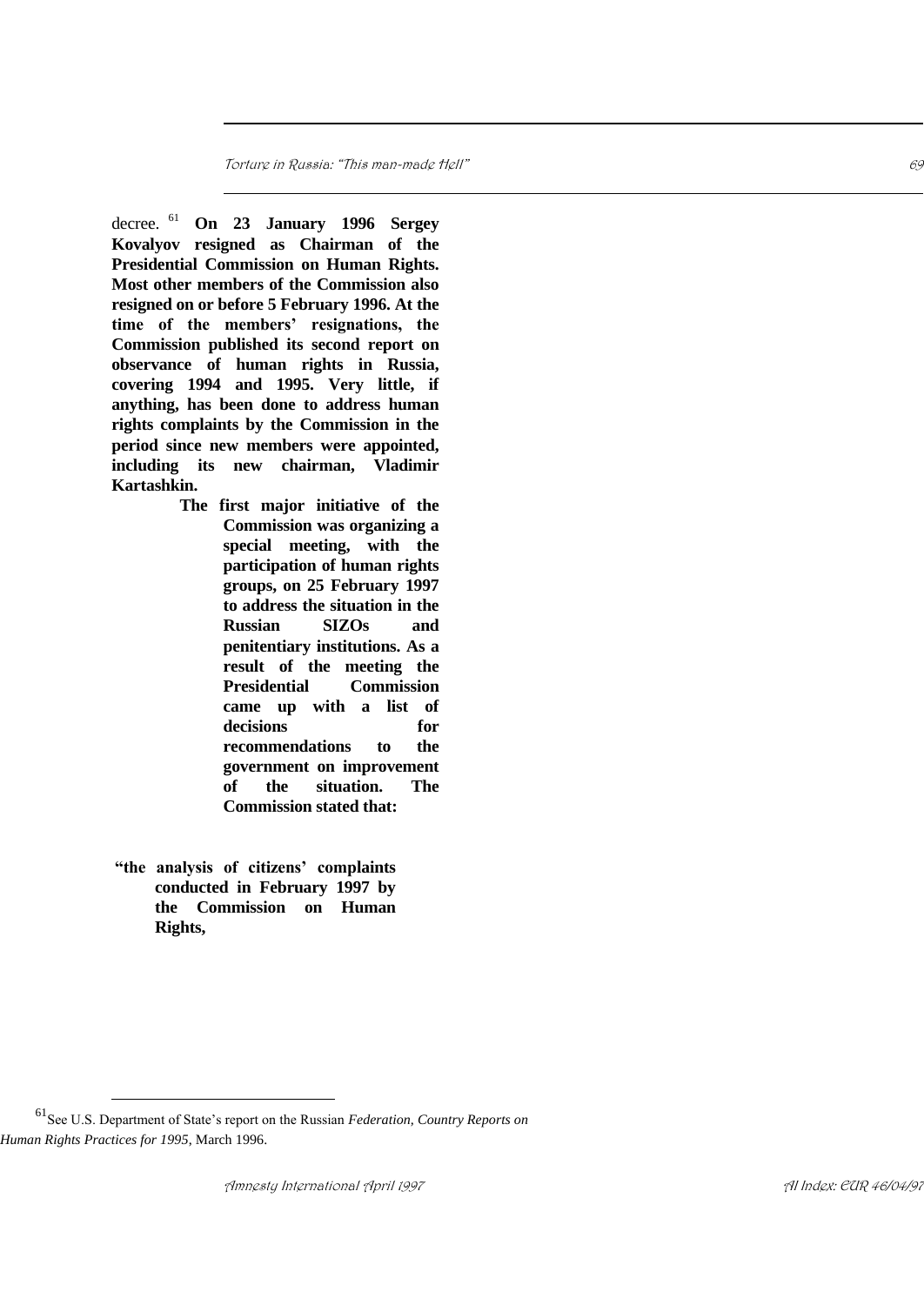$\frac{1}{2}$  Torture in Russia: "This man-made Hell"  $\frac{1}{2}$   $\frac{1}{2}$   $\frac{1}{2}$   $\frac{1}{2}$   $\frac{1}{2}$   $\frac{1}{2}$   $\frac{1}{2}$   $\frac{1}{2}$   $\frac{1}{2}$   $\frac{1}{2}$   $\frac{1}{2}$   $\frac{1}{2}$   $\frac{1}{2}$   $\frac{1}{2}$   $\frac{1}{2}$   $\frac{1}{2}$   $\frac{1}{2}$ 

decree. <sup>61</sup> **On 23 January 1996 Sergey Kovalyov resigned as Chairman of the Presidential Commission on Human Rights. Most other members of the Commission also resigned on or before 5 February 1996. At the time of the members' resignations, the Commission published its second report on observance of human rights in Russia, covering 1994 and 1995. Very little, if anything, has been done to address human rights complaints by the Commission in the period since new members were appointed, including its new chairman, Vladimir Kartashkin.** 

- **The first major initiative of the Commission was organizing a special meeting, with the participation of human rights groups, on 25 February 1997 to address the situation in the Russian SIZOs and penitentiary institutions. As a result of the meeting the Presidential Commission came up with a list of decisions for recommendations to the government on improvement of the situation. The Commission stated that:**
- **"the analysis of citizens' complaints conducted in February 1997 by the Commission on Human Rights,**

<sup>61</sup>See U.S. Department of State's report on the Russian *Federation, Country Reports on Human Rights Practices for 1995*, March 1996.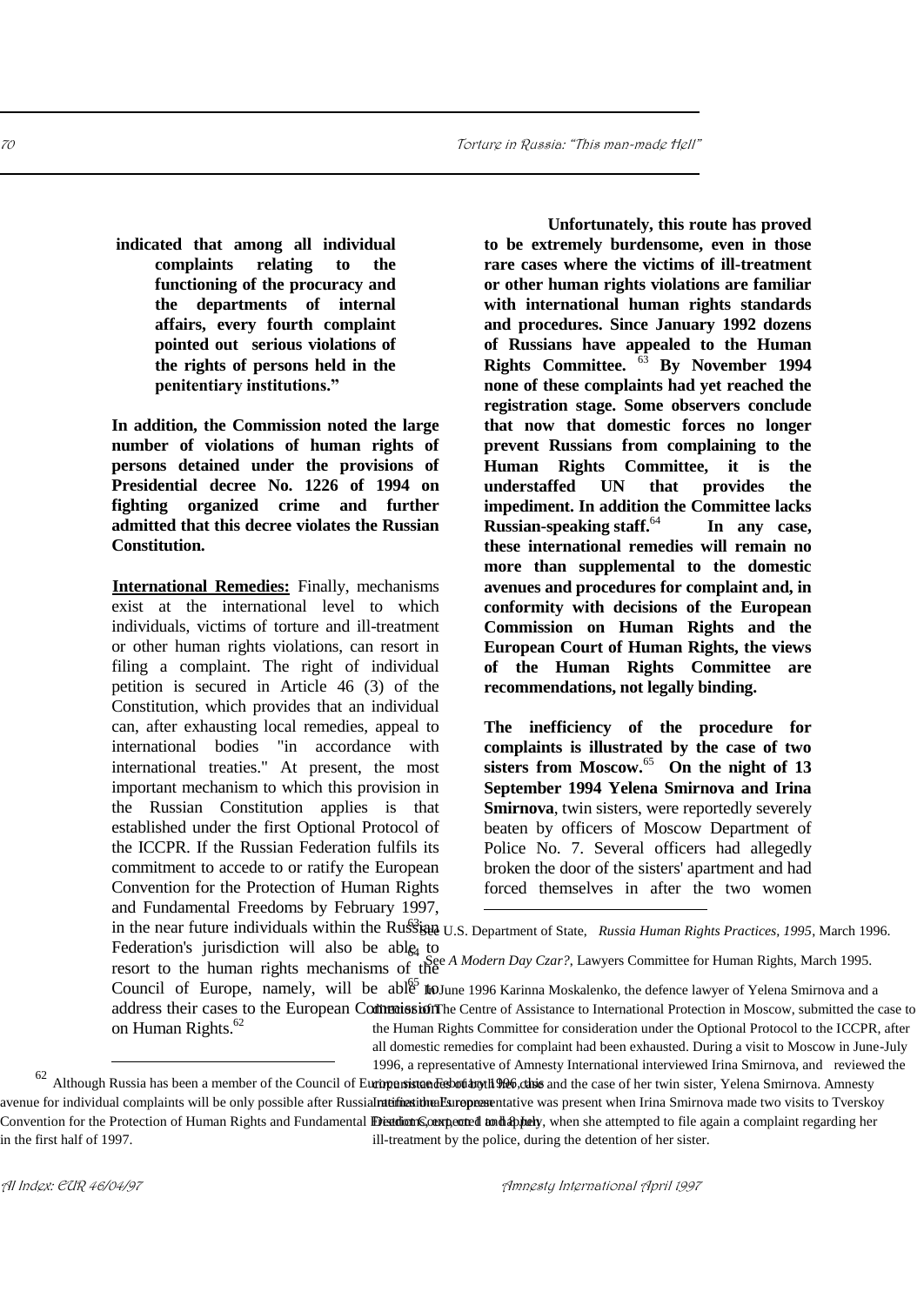**indicated that among all individual complaints relating to the functioning of the procuracy and the departments of internal affairs, every fourth complaint pointed out serious violations of the rights of persons held in the penitentiary institutions."** 

**In addition, the Commission noted the large number of violations of human rights of persons detained under the provisions of Presidential decree No. 1226 of 1994 on fighting organized crime and further admitted that this decree violates the Russian Constitution.** 

**International Remedies:** Finally, mechanisms exist at the international level to which individuals, victims of torture and ill-treatment or other human rights violations, can resort in filing a complaint. The right of individual petition is secured in Article 46 (3) of the Constitution, which provides that an individual can, after exhausting local remedies, appeal to international bodies "in accordance with international treaties." At present, the most important mechanism to which this provision in the Russian Constitution applies is that established under the first Optional Protocol of the ICCPR. If the Russian Federation fulfils its commitment to accede to or ratify the European Convention for the Protection of Human Rights and Fundamental Freedoms by February 1997,

**Unfortunately, this route has proved to be extremely burdensome, even in those rare cases where the victims of ill-treatment or other human rights violations are familiar with international human rights standards and procedures. Since January 1992 dozens of Russians have appealed to the Human Rights Committee.** <sup>63</sup> **By November 1994 none of these complaints had yet reached the registration stage. Some observers conclude that now that domestic forces no longer prevent Russians from complaining to the Human Rights Committee, it is the understaffed UN that provides the impediment. In addition the Committee lacks Russian-speaking staff.**<sup>64</sup> **In any case, these international remedies will remain no more than supplemental to the domestic avenues and procedures for complaint and, in conformity with decisions of the European Commission on Human Rights and the European Court of Human Rights, the views of the Human Rights Committee are recommendations, not legally binding.** 

**The inefficiency of the procedure for complaints is illustrated by the case of two sisters from Moscow.**<sup>65</sup>  **On the night of 13 September 1994 Yelena Smirnova and Irina Smirnova**, twin sisters, were reportedly severely beaten by officers of Moscow Department of Police No. 7. Several officers had allegedly broken the door of the sisters' apartment and had forced themselves in after the two women

in the near future individuals within the Russian U.S. Department of State, Russia Human Rights Practices, 1995, March 1996. Federation's jurisdiction will also be able to rederation's jurisdiction will also be able<sub>d</sub> to<br>resort to the human rights mechanisms of the *A Modern Day Czar?*, Lawyers Committee for Human Rights, March 1995. Council of Europe, namely, will be able to June 1996 Karinna Moskalenko, the defence lawyer of Yelena Smirnova and a address their cases to the European Commission The Centre of Assistance to International Protection in Moscow, submitted the case to on Human Rights.<sup>62</sup> <u>—</u> the Human Rights Committee for consideration under the Optional Protocol to the ICCPR, after all domestic remedies for complaint had been exhausted. During a visit to Moscow in June-July

1996, a representative of Amnesty International interviewed Irina Smirnova, and reviewed the

÷,

AI Index: EUR 46/04/97 Amnesty International April 1997

<sup>62</sup> Although Russia has been a member of the Council of Europensiana February 1996, this and the case of her twin sister, Yelena Smirnova. Amnesty avenue for individual complaints will be only possible after Russialnttime time European tative was present when Irina Smirnova made two visits to Tverskoy Convention for the Protection of Human Rights and Fundamental Erication S, can peoted to the subsety, when she attempted to file again a complaint regarding her in the first half of 1997. ill-treatment by the police, during the detention of her sister.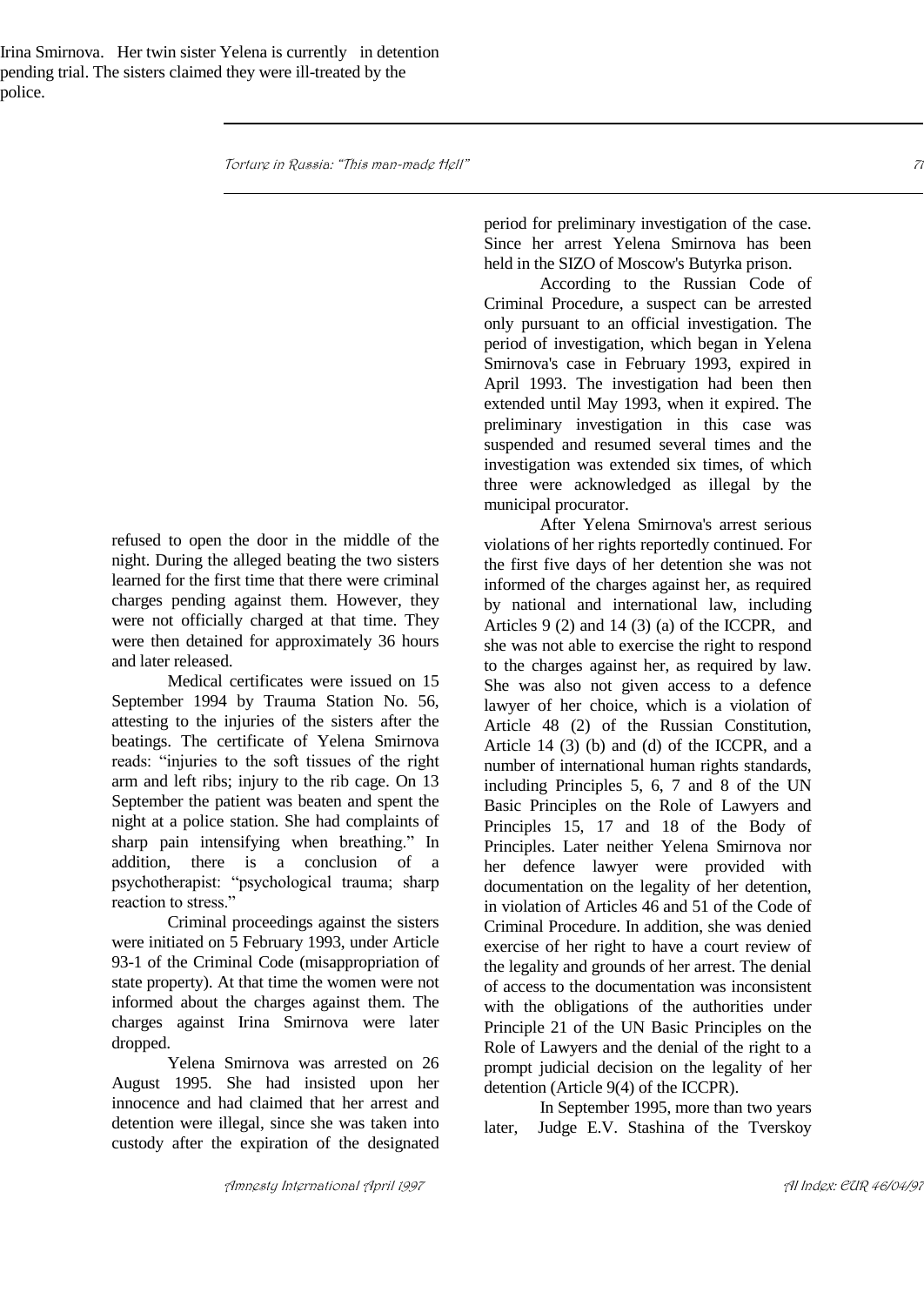Irina Smirnova. Her twin sister Yelena is currently in detention pending trial. The sisters claimed they were ill-treated by the police.

Torture in Russia: "This man-made Hell" 71

refused to open the door in the middle of the night. During the alleged beating the two sisters learned for the first time that there were criminal charges pending against them. However, they were not officially charged at that time. They were then detained for approximately 36 hours and later released.

Medical certificates were issued on 15 September 1994 by Trauma Station No. 56, attesting to the injuries of the sisters after the beatings. The certificate of Yelena Smirnova reads: "injuries to the soft tissues of the right arm and left ribs; injury to the rib cage. On 13 September the patient was beaten and spent the night at a police station. She had complaints of sharp pain intensifying when breathing." In addition, there is a conclusion of a psychotherapist: "psychological trauma; sharp reaction to stress."

Criminal proceedings against the sisters were initiated on 5 February 1993, under Article 93-1 of the Criminal Code (misappropriation of state property). At that time the women were not informed about the charges against them. The charges against Irina Smirnova were later dropped.

Yelena Smirnova was arrested on 26 August 1995. She had insisted upon her innocence and had claimed that her arrest and detention were illegal, since she was taken into custody after the expiration of the designated period for preliminary investigation of the case. Since her arrest Yelena Smirnova has been held in the SIZO of Moscow's Butyrka prison.

According to the Russian Code of Criminal Procedure, a suspect can be arrested only pursuant to an official investigation. The period of investigation, which began in Yelena Smirnova's case in February 1993, expired in April 1993. The investigation had been then extended until May 1993, when it expired. The preliminary investigation in this case was suspended and resumed several times and the investigation was extended six times, of which three were acknowledged as illegal by the municipal procurator.

After Yelena Smirnova's arrest serious violations of her rights reportedly continued. For the first five days of her detention she was not informed of the charges against her, as required by national and international law, including Articles 9 (2) and 14 (3) (a) of the ICCPR, and she was not able to exercise the right to respond to the charges against her, as required by law. She was also not given access to a defence lawyer of her choice, which is a violation of Article 48 (2) of the Russian Constitution, Article 14 (3) (b) and (d) of the ICCPR, and a number of international human rights standards, including Principles 5, 6, 7 and 8 of the UN Basic Principles on the Role of Lawyers and Principles 15, 17 and 18 of the Body of Principles. Later neither Yelena Smirnova nor her defence lawyer were provided with documentation on the legality of her detention, in violation of Articles 46 and 51 of the Code of Criminal Procedure. In addition, she was denied exercise of her right to have a court review of the legality and grounds of her arrest. The denial of access to the documentation was inconsistent with the obligations of the authorities under Principle 21 of the UN Basic Principles on the Role of Lawyers and the denial of the right to a prompt judicial decision on the legality of her detention (Article 9(4) of the ICCPR).

In September 1995, more than two years later, Judge E.V. Stashina of the Tverskoy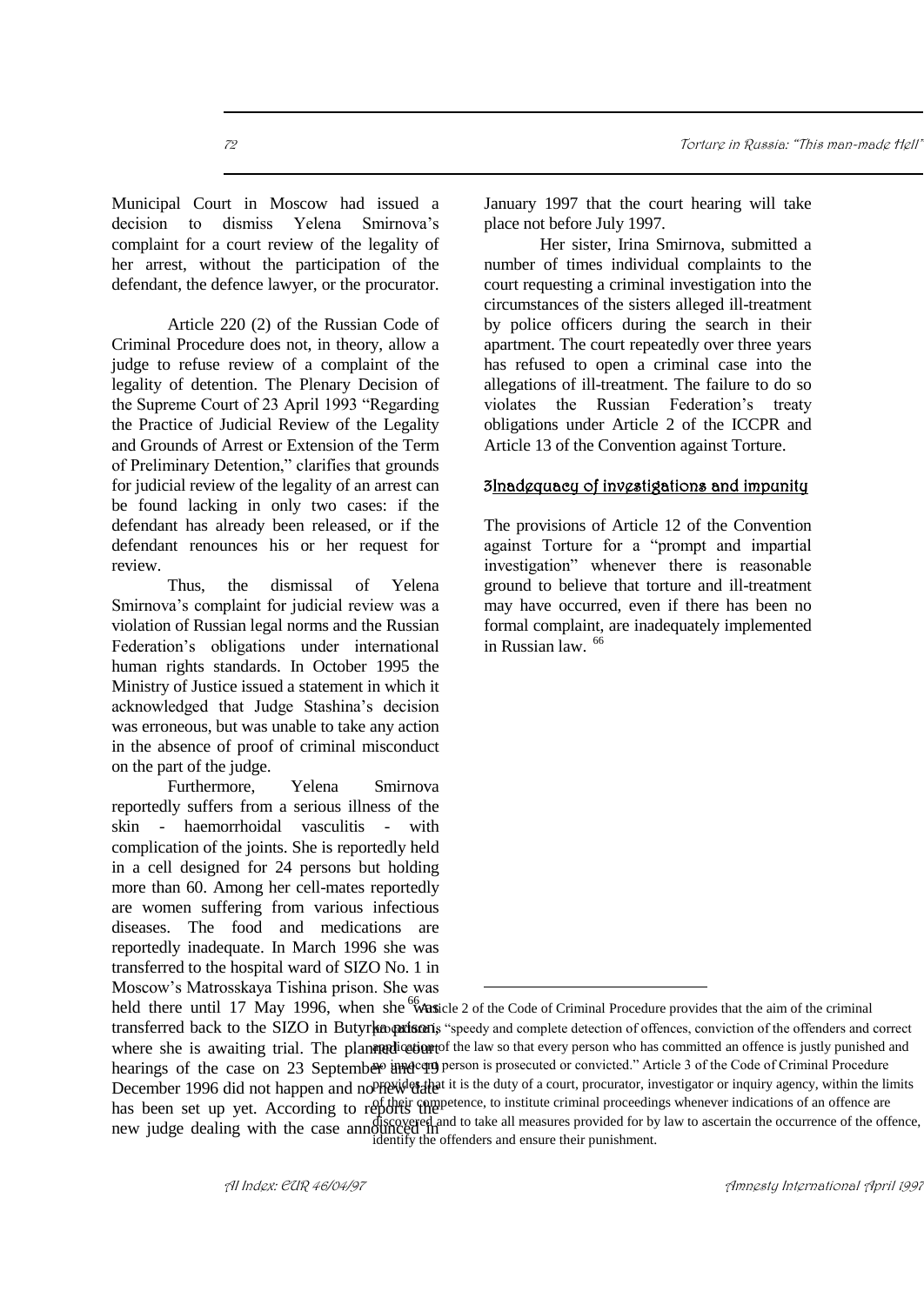Municipal Court in Moscow had issued a decision to dismiss Yelena Smirnova's complaint for a court review of the legality of her arrest, without the participation of the defendant, the defence lawyer, or the procurator.

Article 220 (2) of the Russian Code of Criminal Procedure does not, in theory, allow a judge to refuse review of a complaint of the legality of detention. The Plenary Decision of the Supreme Court of 23 April 1993 "Regarding the Practice of Judicial Review of the Legality and Grounds of Arrest or Extension of the Term of Preliminary Detention," clarifies that grounds for judicial review of the legality of an arrest can be found lacking in only two cases: if the defendant has already been released, or if the defendant renounces his or her request for review.

Thus, the dismissal of Yelena Smirnova's complaint for judicial review was a violation of Russian legal norms and the Russian Federation's obligations under international human rights standards. In October 1995 the Ministry of Justice issued a statement in which it acknowledged that Judge Stashina's decision was erroneous, but was unable to take any action in the absence of proof of criminal misconduct on the part of the judge.

Furthermore, Yelena Smirnova reportedly suffers from a serious illness of the skin - haemorrhoidal vasculitis - with complication of the joints. She is reportedly held in a cell designed for 24 persons but holding more than 60. Among her cell-mates reportedly are women suffering from various infectious diseases. The food and medications are reportedly inadequate. In March 1996 she was transferred to the hospital ward of SIZO No. 1 in Moscow's Matrosskaya Tishina prison. She was January 1997 that the court hearing will take place not before July 1997.

Her sister, Irina Smirnova, submitted a number of times individual complaints to the court requesting a criminal investigation into the circumstances of the sisters alleged ill-treatment by police officers during the search in their apartment. The court repeatedly over three years has refused to open a criminal case into the allegations of ill-treatment. The failure to do so violates the Russian Federation's treaty obligations under Article 2 of the ICCPR and Article 13 of the Convention against Torture.

### 3Inadequacy of investigations and impunity

The provisions of Article 12 of the Convention against Torture for a "prompt and impartial investigation" whenever there is reasonable ground to believe that torture and ill-treatment may have occurred, even if there has been no formal complaint, are inadequately implemented in Russian law. <sup>66</sup>

<u>—</u>

held there until 17 May 1996, when she was to 2 of the Code of Criminal Procedure provides that the aim of the criminal transferred back to the SIZO in Butyrka parison; "speedy and complete detection of offences, conviction of the offenders and correct where she is awaiting trial. The planned counter the law so that every person who has committed an offence is justly punished and hearings of the case on 23 September and compared person is prosecuted or convicted." Article 3 of the Code of Criminal Procedure December 1996 did not happen and no *PRevident about it* is the duty of a court, procurator, investigator or inquiry agency, within the limits has been set up yet. According to reports the expression institute criminal proceedings whenever indications of an offence are new judge dealing with the case announced in  $\alpha$ identify the offenders and ensure their punishment.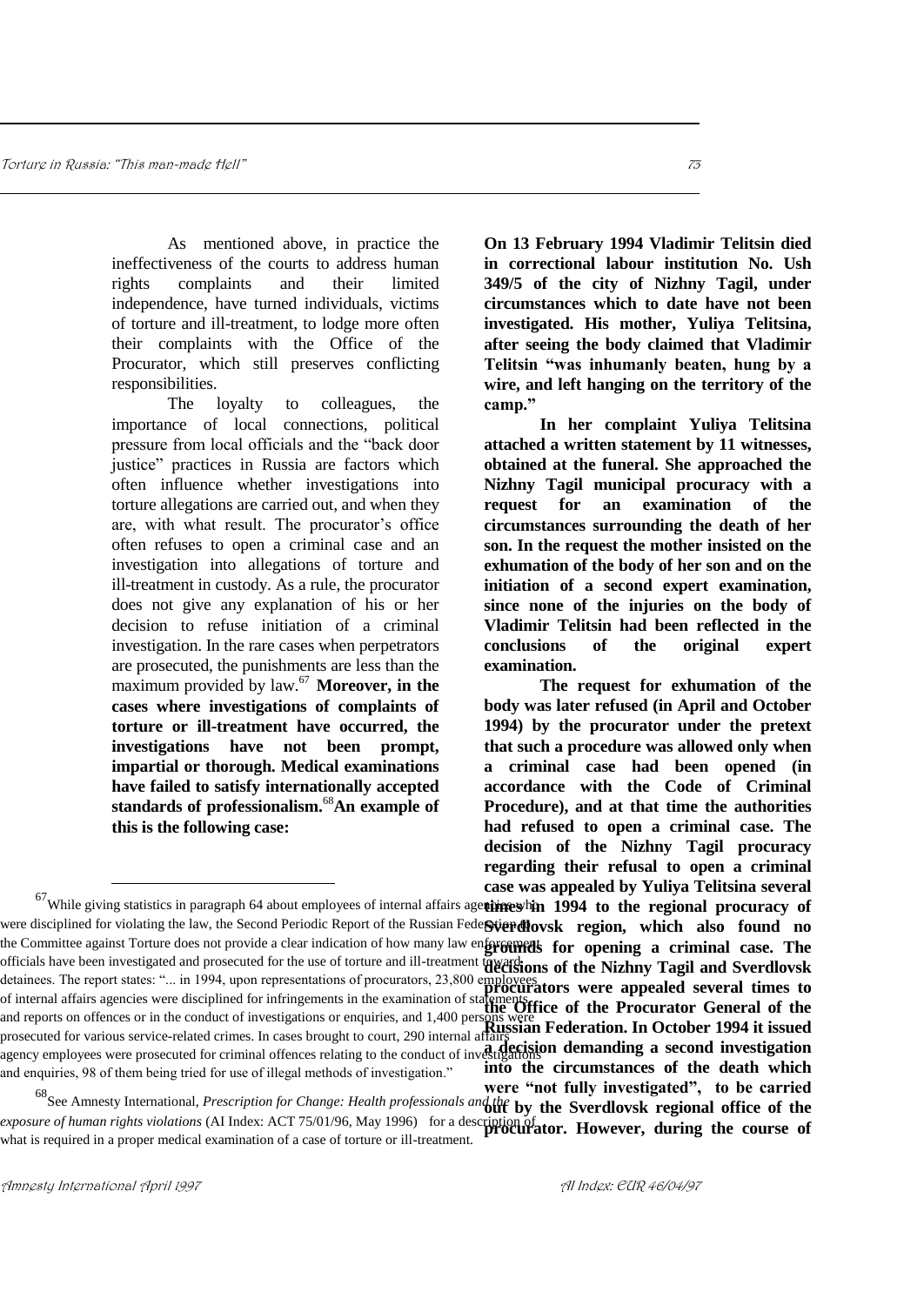As mentioned above, in practice the ineffectiveness of the courts to address human rights complaints and their limited independence, have turned individuals, victims of torture and ill-treatment, to lodge more often their complaints with the Office of the Procurator, which still preserves conflicting responsibilities.

The loyalty to colleagues, the importance of local connections, political pressure from local officials and the "back door justice" practices in Russia are factors which often influence whether investigations into torture allegations are carried out, and when they are, with what result. The procurator's office often refuses to open a criminal case and an investigation into allegations of torture and ill-treatment in custody. As a rule, the procurator does not give any explanation of his or her decision to refuse initiation of a criminal investigation. In the rare cases when perpetrators are prosecuted, the punishments are less than the maximum provided by law.<sup>67</sup> **Moreover, in the cases where investigations of complaints of torture or ill-treatment have occurred, the investigations have not been prompt, impartial or thorough. Medical examinations have failed to satisfy internationally accepted standards of professionalism.**<sup>68</sup>**An example of this is the following case:**

**On 13 February 1994 Vladimir Telitsin died in correctional labour institution No. Ush 349/5 of the city of Nizhny Tagil, under circumstances which to date have not been investigated. His mother, Yuliya Telitsina, after seeing the body claimed that Vladimir Telitsin "was inhumanly beaten, hung by a wire, and left hanging on the territory of the camp."** 

**In her complaint Yuliya Telitsina attached a written statement by 11 witnesses, obtained at the funeral. She approached the Nizhny Tagil municipal procuracy with a request for an examination of the circumstances surrounding the death of her son. In the request the mother insisted on the exhumation of the body of her son and on the initiation of a second expert examination, since none of the injuries on the body of Vladimir Telitsin had been reflected in the conclusions of the original expert examination.**

**The request for exhumation of the body was later refused (in April and October 1994) by the procurator under the pretext that such a procedure was allowed only when a criminal case had been opened (in accordance with the Code of Criminal Procedure), and at that time the authorities had refused to open a criminal case. The decision of the Nizhny Tagil procuracy regarding their refusal to open a criminal case was appealed by Yuliya Telitsina several** 

<sup>—&</sup>lt;br>— <sup>67</sup>While giving statistics in paragraph 64 about employees of internal affairs agettines that **1994 to the regional procuracy of** were disciplined for violating the law, the Second Periodic Report of the Russian Fedesvierdlovsk region, which also found no the Committee against Torture does not provide a clear indication of how many law enforcements for opening a criminal case. The officials have been investigated and prosecuted for the use of torture and ill-treatment toward **decisions of the Nizhny Tagil and Sverdlovsk**  detainees. The report states: "... in 1994, upon representations of procurators, 23,800 employees **procurators were appealed several times to**  of internal affairs agencies were disciplined for infringements in the examination of statements were upper the second to the procurator General of the procurator General of the and reports on offences or in the conduct of investigations or enquiries, and 1,400 persons were prosecuted for various service-related crimes. In cases brought to court, 290 internal affairs **Russian Federation. In October 1994 it issued** prosecuted for various service-related crimes. In cases brought to court, 290 i agency employees were prosecuted for criminal offences relating to the conduct of investigations **demanding a second investigation** and enquiries, 98 of them being tried for use of illegal methods of investigation." **into the circumstances of the death which** 

<sup>&</sup>lt;sup>68</sup>See Amnesty International, *Prescription for Change: Health professionals and the* **by the Sverdlovsk regional office of the** exposure of human rights violations (AI Index: ACT 75/01/96, May 1996) for a description of **has a structure of a line of the course of** what is required in a proper medical examination of a case of torture or ill-treatment. **were "not fully investigated", to be carried**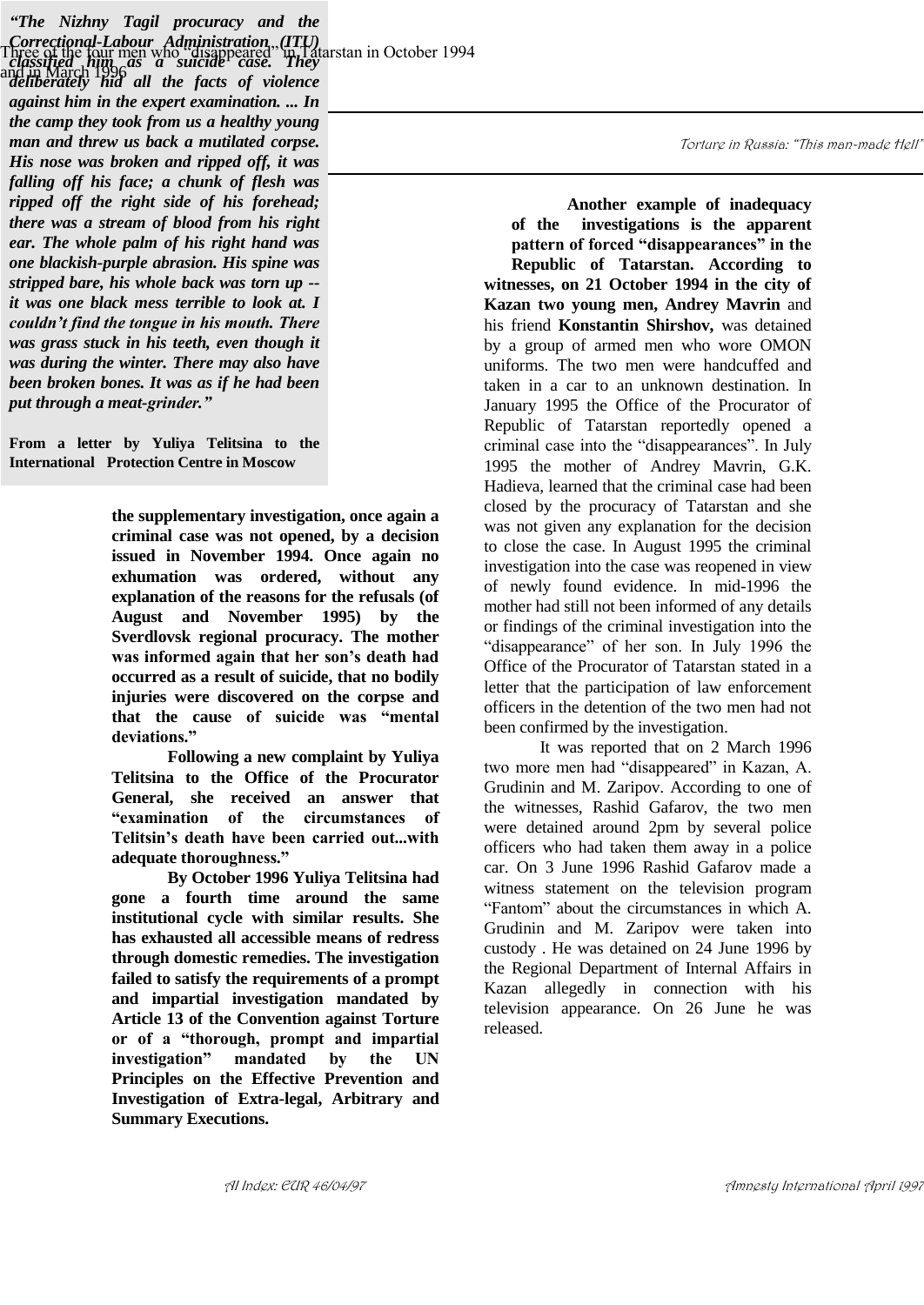*"The Nizhny Tagil procuracy and the Correctional-Labour Administration*, *(ITU) classified him as a suicide case. They deliberately hid all the facts of violence against him in the expert examination. ... In the camp they took from us a healthy young man and threw us back a mutilated corpse. His nose was broken and ripped off, it was falling off his face; a chunk of flesh was ripped off the right side of his forehead; there was a stream of blood from his right ear. The whole palm of his right hand was one blackish-purple abrasion. His spine was stripped bare, his whole back was torn up - it was one black mess terrible to look at. I couldn't find the tongue in his mouth. There was grass stuck in his teeth, even though it was during the winter. There may also have been broken bones. It was as if he had been put through a meat-grinder."* Three of the four men who "disappeared" in Tatarstan in October 1994 and in March 1996

**From a letter by Yuliya Telitsina to the International Protection Centre in Moscow**

> **the supplementary investigation, once again a criminal case was not opened, by a decision issued in November 1994. Once again no exhumation was ordered, without any explanation of the reasons for the refusals (of August and November 1995) by the Sverdlovsk regional procuracy. The mother was informed again that her son's death had occurred as a result of suicide, that no bodily injuries were discovered on the corpse and that the cause of suicide was "mental deviations."**

> **Following a new complaint by Yuliya Telitsina to the Office of the Procurator General, she received an answer that "examination of the circumstances of Telitsin's death have been carried out...with adequate thoroughness."**

> **By October 1996 Yuliya Telitsina had gone a fourth time around the same institutional cycle with similar results. She has exhausted all accessible means of redress through domestic remedies. The investigation failed to satisfy the requirements of a prompt and impartial investigation mandated by Article 13 of the Convention against Torture or of a "thorough, prompt and impartial investigation" mandated by the UN Principles on the Effective Prevention and Investigation of Extra-legal, Arbitrary and Summary Executions.**

Torturg in Russia: "This man-madg Hgll"

**Another example of inadequacy of the investigations is the apparent pattern of forced "disappearances" in the Republic of Tatarstan. According to witnesses, on 21 October 1994 in the city of Kazan two young men, Andrey Mavrin** and his friend **Konstantin Shirshov,** was detained by a group of armed men who wore OMON uniforms. The two men were handcuffed and taken in a car to an unknown destination. In January 1995 the Office of the Procurator of Republic of Tatarstan reportedly opened a criminal case into the "disappearances". In July 1995 the mother of Andrey Mavrin, G.K. Hadieva, learned that the criminal case had been closed by the procuracy of Tatarstan and she was not given any explanation for the decision to close the case. In August 1995 the criminal investigation into the case was reopened in view of newly found evidence. In mid-1996 the mother had still not been informed of any details or findings of the criminal investigation into the "disappearance" of her son. In July 1996 the Office of the Procurator of Tatarstan stated in a letter that the participation of law enforcement officers in the detention of the two men had not been confirmed by the investigation.

It was reported that on 2 March 1996 two more men had "disappeared" in Kazan, A. Grudinin and M. Zaripov. According to one of the witnesses, Rashid Gafarov, the two men were detained around 2pm by several police officers who had taken them away in a police car. On 3 June 1996 Rashid Gafarov made a witness statement on the television program "Fantom" about the circumstances in which A. Grudinin and M. Zaripov were taken into custody . He was detained on 24 June 1996 by the Regional Department of Internal Affairs in Kazan allegedly in connection with his television appearance. On 26 June he was released.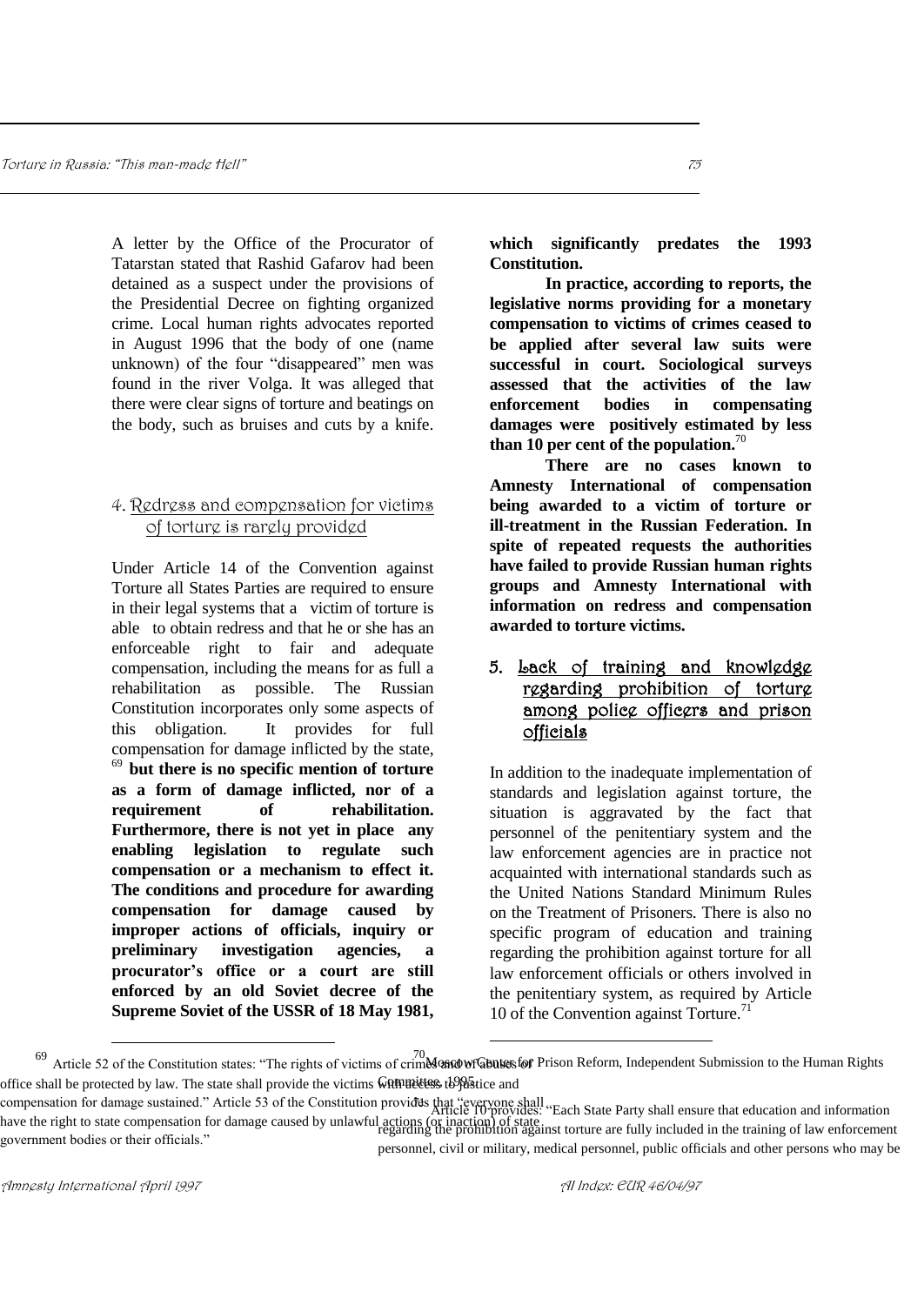A letter by the Office of the Procurator of Tatarstan stated that Rashid Gafarov had been detained as a suspect under the provisions of the Presidential Decree on fighting organized crime. Local human rights advocates reported in August 1996 that the body of one (name unknown) of the four "disappeared" men was found in the river Volga. It was alleged that there were clear signs of torture and beatings on the body, such as bruises and cuts by a knife.

# 4. Redress and compensation for victims of torture is rarely provided

Under Article 14 of the Convention against Torture all States Parties are required to ensure in their legal systems that a victim of torture is able to obtain redress and that he or she has an enforceable right to fair and adequate compensation, including the means for as full a rehabilitation as possible. The Russian Constitution incorporates only some aspects of this obligation. It provides for full compensation for damage inflicted by the state, <sup>69</sup> **but there is no specific mention of torture as a form of damage inflicted, nor of a requirement of rehabilitation. Furthermore, there is not yet in place any enabling legislation to regulate such compensation or a mechanism to effect it. The conditions and procedure for awarding compensation for damage caused by improper actions of officials, inquiry or preliminary investigation agencies, a procurator's office or a court are still enforced by an old Soviet decree of the Supreme Soviet of the USSR of 18 May 1981,** 

**which significantly predates the 1993 Constitution.**

**In practice, according to reports, the legislative norms providing for a monetary compensation to victims of crimes ceased to be applied after several law suits were successful in court. Sociological surveys assessed that the activities of the law enforcement bodies in compensating damages were positively estimated by less than 10 per cent of the population.**<sup>70</sup> 

**There are no cases known to Amnesty International of compensation being awarded to a victim of torture or ill-treatment in the Russian Federation. In spite of repeated requests the authorities have failed to provide Russian human rights groups and Amnesty International with information on redress and compensation awarded to torture victims.** 

# 5. Lack of training and knowledge regarding prohibition of torture among police officers and prison officials

In addition to the inadequate implementation of standards and legislation against torture, the situation is aggravated by the fact that personnel of the penitentiary system and the law enforcement agencies are in practice not acquainted with international standards such as the United Nations Standard Minimum Rules on the Treatment of Prisoners. There is also no specific program of education and training regarding the prohibition against torture for all law enforcement officials or others involved in the penitentiary system, as required by Article 10 of the Convention against Torture.<sup>71</sup>

<u>—</u>

È,

<sup>&</sup>lt;sup>69</sup> Article 52 of the Constitution states: "The rights of victims of crimes and of a states: "The rights of victims of crimes and of abuses for Prison Reform, Independent Submission to the Human Rights office shall be protected by law. The state shall provide the victims Content and  $\theta$ Pastice and

compensation for damage sustained." Article 53 of the Constitution provides that "everyone shall assume State Party shall ensure that education and information have the right to state compensation for damage caused by unlawful actions (or inaction) of state.<br>regarding the prohibition against torture are fully included in the training of law enforcement government bodies or their officials." personnel, civil or military, medical personnel, public officials and other persons who may be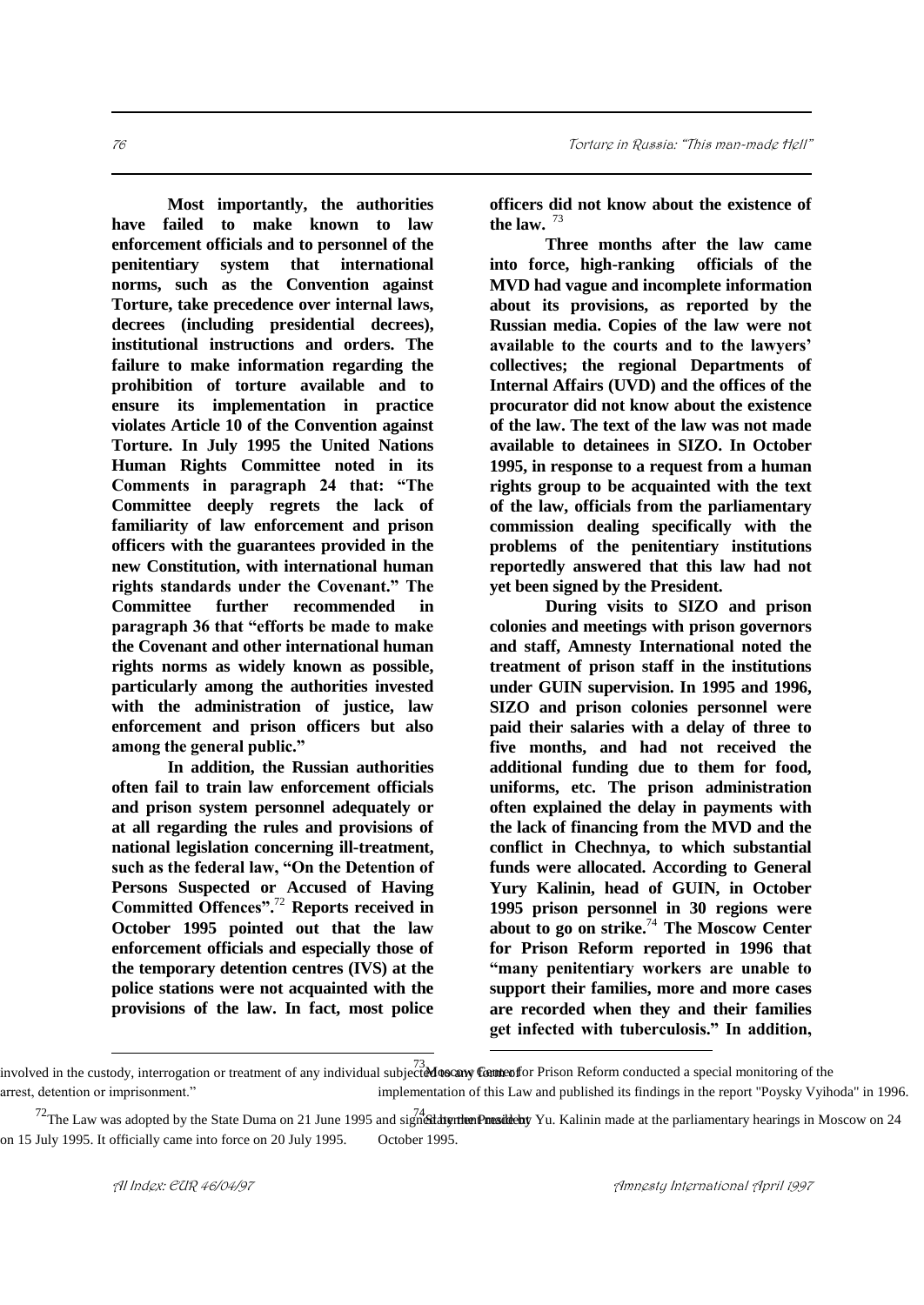**Most importantly, the authorities have failed to make known to law enforcement officials and to personnel of the penitentiary system that international norms, such as the Convention against Torture, take precedence over internal laws, decrees (including presidential decrees), institutional instructions and orders. The failure to make information regarding the prohibition of torture available and to ensure its implementation in practice violates Article 10 of the Convention against Torture. In July 1995 the United Nations Human Rights Committee noted in its Comments in paragraph 24 that: "The Committee deeply regrets the lack of familiarity of law enforcement and prison officers with the guarantees provided in the new Constitution, with international human rights standards under the Covenant." The Committee further recommended in paragraph 36 that "efforts be made to make the Covenant and other international human rights norms as widely known as possible, particularly among the authorities invested with the administration of justice, law enforcement and prison officers but also among the general public."**

**In addition, the Russian authorities often fail to train law enforcement officials and prison system personnel adequately or at all regarding the rules and provisions of national legislation concerning ill-treatment, such as the federal law, "On the Detention of Persons Suspected or Accused of Having Committed Offences".**<sup>72</sup> **Reports received in October 1995 pointed out that the law enforcement officials and especially those of the temporary detention centres (IVS) at the police stations were not acquainted with the provisions of the law. In fact, most police** 

**officers did not know about the existence of the law.** <sup>73</sup>

**Three months after the law came into force, high-ranking officials of the MVD had vague and incomplete information about its provisions, as reported by the Russian media. Copies of the law were not available to the courts and to the lawyers' collectives; the regional Departments of Internal Affairs (UVD) and the offices of the procurator did not know about the existence of the law. The text of the law was not made available to detainees in SIZO. In October 1995, in response to a request from a human rights group to be acquainted with the text of the law, officials from the parliamentary commission dealing specifically with the problems of the penitentiary institutions reportedly answered that this law had not yet been signed by the President.** 

**During visits to SIZO and prison colonies and meetings with prison governors and staff, Amnesty International noted the treatment of prison staff in the institutions under GUIN supervision. In 1995 and 1996, SIZO and prison colonies personnel were paid their salaries with a delay of three to five months, and had not received the additional funding due to them for food, uniforms, etc. The prison administration often explained the delay in payments with the lack of financing from the MVD and the conflict in Chechnya, to which substantial funds were allocated. According to General Yury Kalinin, head of GUIN, in October 1995 prison personnel in 30 regions were about to go on strike.**<sup>74</sup> **The Moscow Center for Prison Reform reported in 1996 that "many penitentiary workers are unable to support their families, more and more cases are recorded when they and their families get infected with tuberculosis." In addition,**  <u>—</u>

—<br>—

involved in the custody, interrogation or treatment of any individual subjected to any **Comtet of Prison Reform conducted a special monitoring of the** arrest, detention or imprisonment." implementation of this Law and published its findings in the report "Poysky Vyihoda" in 1996.

<sup>&</sup>lt;sup>72</sup>The Law was adopted by the State Duma on 21 June 1995 and signet the president Yu. Kalinin made at the parliamentary hearings in Moscow on 24 on 15 July 1995. It officially came into force on 20 July 1995. October 1995.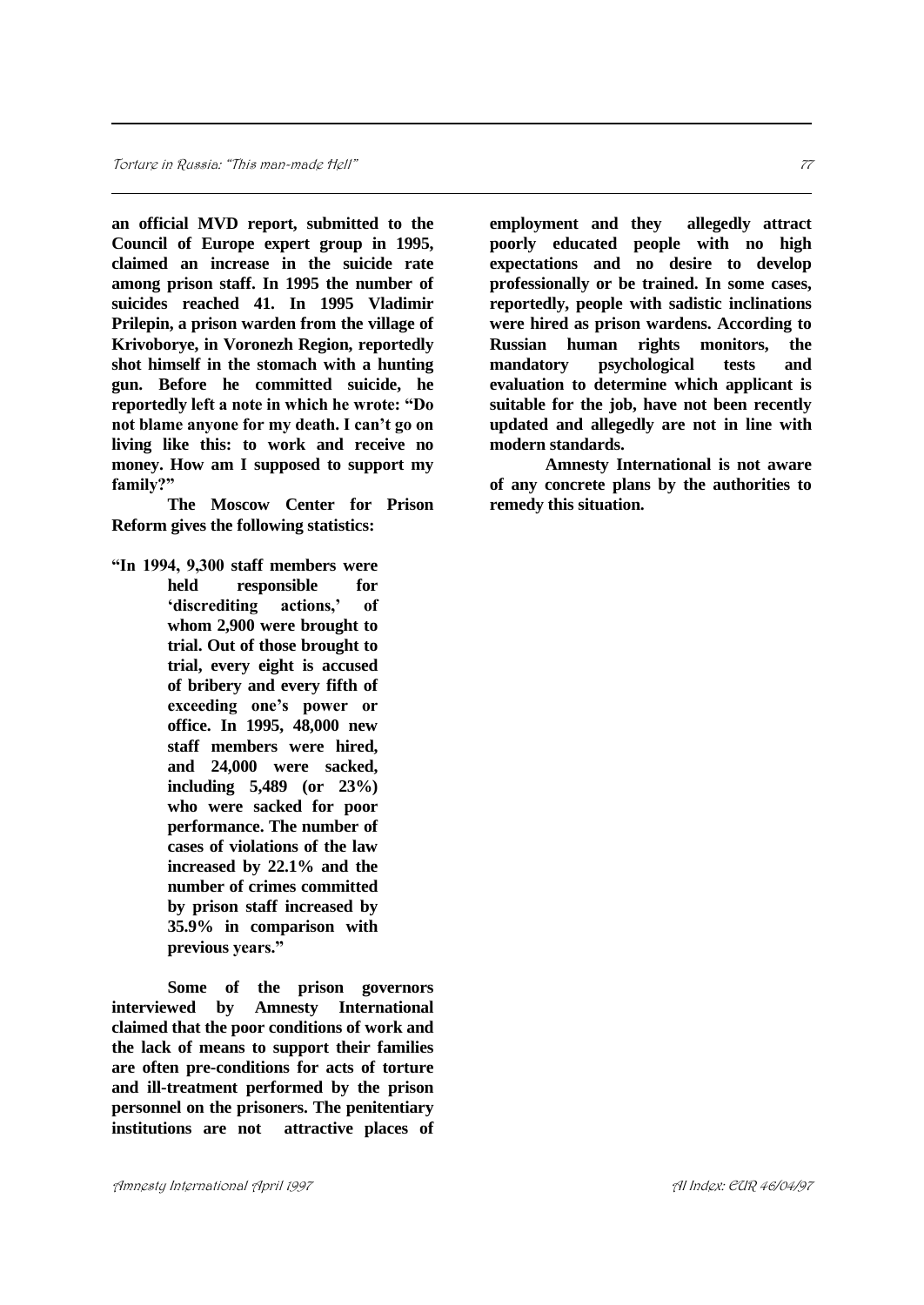**an official MVD report, submitted to the Council of Europe expert group in 1995, claimed an increase in the suicide rate among prison staff. In 1995 the number of suicides reached 41. In 1995 Vladimir Prilepin, a prison warden from the village of Krivoborye, in Voronezh Region, reportedly shot himself in the stomach with a hunting gun. Before he committed suicide, he reportedly left a note in which he wrote: "Do not blame anyone for my death. I can't go on living like this: to work and receive no money. How am I supposed to support my family?"** 

**The Moscow Center for Prison Reform gives the following statistics:** 

**"In 1994, 9,300 staff members were held responsible for 'discrediting actions,' of whom 2,900 were brought to trial. Out of those brought to trial, every eight is accused of bribery and every fifth of exceeding one's power or office. In 1995, 48,000 new staff members were hired, and 24,000 were sacked, including 5,489 (or 23%) who were sacked for poor performance. The number of cases of violations of the law increased by 22.1% and the number of crimes committed by prison staff increased by 35.9% in comparison with previous years."** 

**Some of the prison governors interviewed by Amnesty International claimed that the poor conditions of work and the lack of means to support their families are often pre-conditions for acts of torture and ill-treatment performed by the prison personnel on the prisoners. The penitentiary institutions are not attractive places of**  **employment and they allegedly attract poorly educated people with no high expectations and no desire to develop professionally or be trained. In some cases, reportedly, people with sadistic inclinations were hired as prison wardens. According to Russian human rights monitors, the mandatory psychological tests and evaluation to determine which applicant is suitable for the job, have not been recently updated and allegedly are not in line with modern standards.** 

**Amnesty International is not aware of any concrete plans by the authorities to remedy this situation.**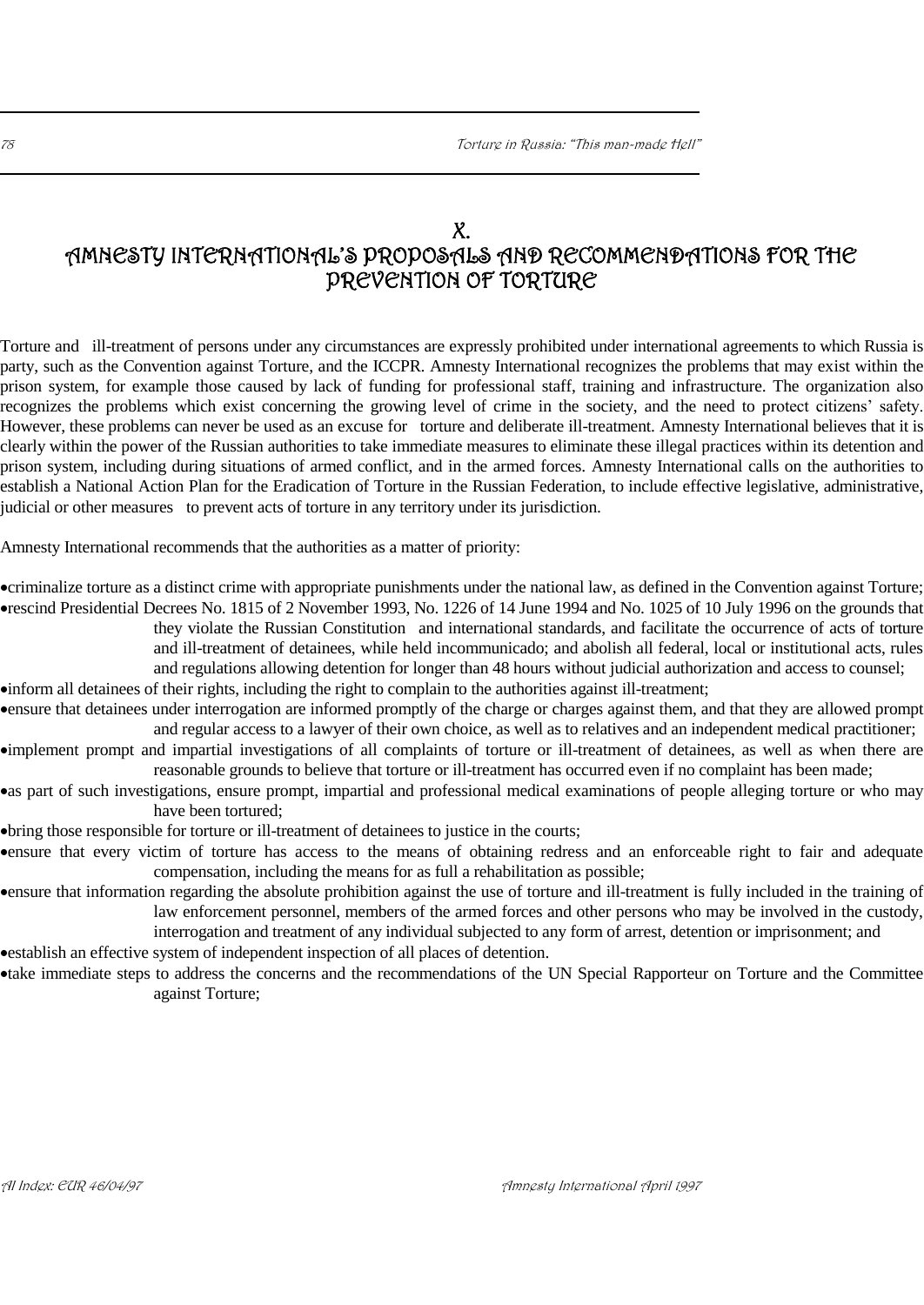# X. AMNESTY INTERNATIONAL'S PROPOSALS AND RECOMMENDATIONS FOR THE PREVENTION OF TORTURE

Torture and ill-treatment of persons under any circumstances are expressly prohibited under international agreements to which Russia is party, such as the Convention against Torture, and the ICCPR. Amnesty International recognizes the problems that may exist within the prison system, for example those caused by lack of funding for professional staff, training and infrastructure. The organization also recognizes the problems which exist concerning the growing level of crime in the society, and the need to protect citizens' safety. However, these problems can never be used as an excuse for torture and deliberate ill-treatment. Amnesty International believes that it is clearly within the power of the Russian authorities to take immediate measures to eliminate these illegal practices within its detention and prison system, including during situations of armed conflict, and in the armed forces. Amnesty International calls on the authorities to establish a National Action Plan for the Eradication of Torture in the Russian Federation, to include effective legislative, administrative, judicial or other measures to prevent acts of torture in any territory under its jurisdiction.

Amnesty International recommends that the authorities as a matter of priority:

criminalize torture as a distinct crime with appropriate punishments under the national law, as defined in the Convention against Torture; rescind Presidential Decrees No. 1815 of 2 November 1993, No. 1226 of 14 June 1994 and No. 1025 of 10 July 1996 on the grounds that they violate the Russian Constitution and international standards, and facilitate the occurrence of acts of torture

> and ill-treatment of detainees, while held incommunicado; and abolish all federal, local or institutional acts, rules and regulations allowing detention for longer than 48 hours without judicial authorization and access to counsel;

inform all detainees of their rights, including the right to complain to the authorities against ill-treatment;

ensure that detainees under interrogation are informed promptly of the charge or charges against them, and that they are allowed prompt and regular access to a lawyer of their own choice, as well as to relatives and an independent medical practitioner;

implement prompt and impartial investigations of all complaints of torture or ill-treatment of detainees, as well as when there are reasonable grounds to believe that torture or ill-treatment has occurred even if no complaint has been made;

as part of such investigations, ensure prompt, impartial and professional medical examinations of people alleging torture or who may have been tortured;

bring those responsible for torture or ill-treatment of detainees to justice in the courts;

ensure that every victim of torture has access to the means of obtaining redress and an enforceable right to fair and adequate compensation, including the means for as full a rehabilitation as possible;

ensure that information regarding the absolute prohibition against the use of torture and ill-treatment is fully included in the training of law enforcement personnel, members of the armed forces and other persons who may be involved in the custody, interrogation and treatment of any individual subjected to any form of arrest, detention or imprisonment; and

establish an effective system of independent inspection of all places of detention.

take immediate steps to address the concerns and the recommendations of the UN Special Rapporteur on Torture and the Committee against Torture;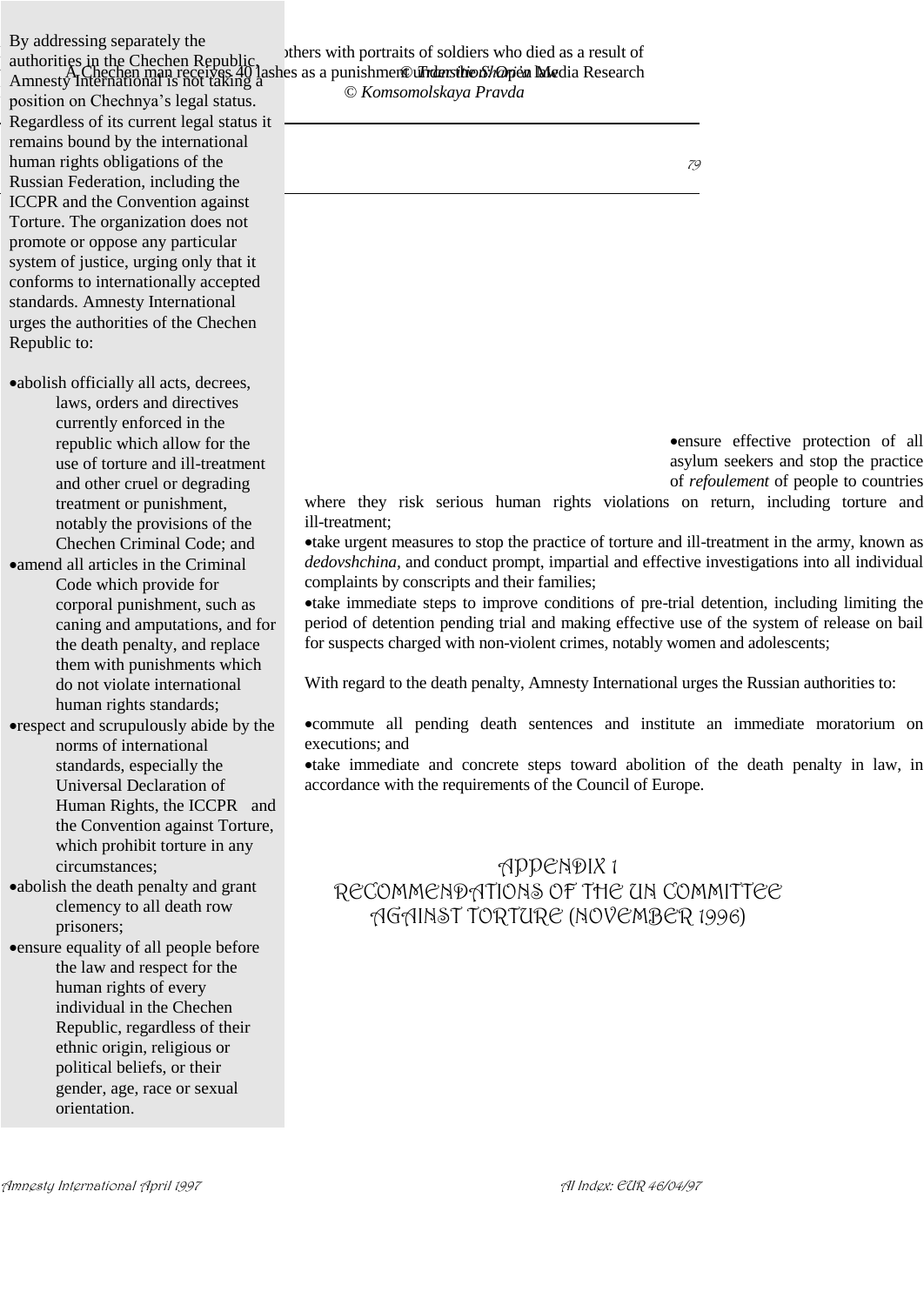human rights obligations of the  $\frac{79}{3}$ Inineery International Is not taking a position on Chechnya's legal status. By addressing separately the Regardless of its current legal status it remains bound by the international Russian Federation, including the ICCPR and the Convention against Torture. The organization does not promote or oppose any particular system of justice, urging only that it conforms to internationally accepted standards. Amnesty International urges the authorities of the Chechen Republic to:

- abolish officially all acts, decrees, laws, orders and directives currently enforced in the republic which allow for the use of torture and ill-treatment and other cruel or degrading treatment or punishment, notably the provisions of the Chechen Criminal Code; and
- amend all articles in the Criminal Code which provide for corporal punishment, such as caning and amputations, and for the death penalty, and replace them with punishments which do not violate international human rights standards;

respect and scrupulously abide by the norms of international standards, especially the Universal Declaration of Human Rights, the ICCPR and the Convention against Torture, which prohibit torture in any circumstances;

- abolish the death penalty and grant clemency to all death row prisoners;
- ensure equality of all people before the law and respect for the human rights of every individual in the Chechen Republic, regardless of their ethnic origin, religious or political beliefs, or their gender, age, race or sexual orientation.

 $\frac{M_{\text{tot}}}{M_{\text{tot}}}$  of the Chechon Bopyblic between vith portraits of soldiers who died as a result of authorities in the Chechen Republic,<br>Amnostof Gleechen man receives 40 lashes as a punishmen**©understhe bhOpen Media** Research a amorriza Chechen man receives 40 lashes as a punishmen**t under strictly of the last extending to the Shari**<br>Amnesty International is not taking a © *Komsomolskaya Pravda*

ensure effective protection of all asylum seekers and stop the practice of *refoulement* of people to countries

where they risk serious human rights violations on return, including torture and ill-treatment;

take urgent measures to stop the practice of torture and ill-treatment in the army, known as *dedovshchina,* and conduct prompt, impartial and effective investigations into all individual complaints by conscripts and their families;

take immediate steps to improve conditions of pre-trial detention, including limiting the period of detention pending trial and making effective use of the system of release on bail for suspects charged with non-violent crimes, notably women and adolescents;

With regard to the death penalty, Amnesty International urges the Russian authorities to:

commute all pending death sentences and institute an immediate moratorium on executions; and

take immediate and concrete steps toward abolition of the death penalty in law, in accordance with the requirements of the Council of Europe.

# APPENDIX 1 RECOMMENDATIONS OF THE UN COMMITTEE AGAINST TORTURE (NOVEMBER 1996)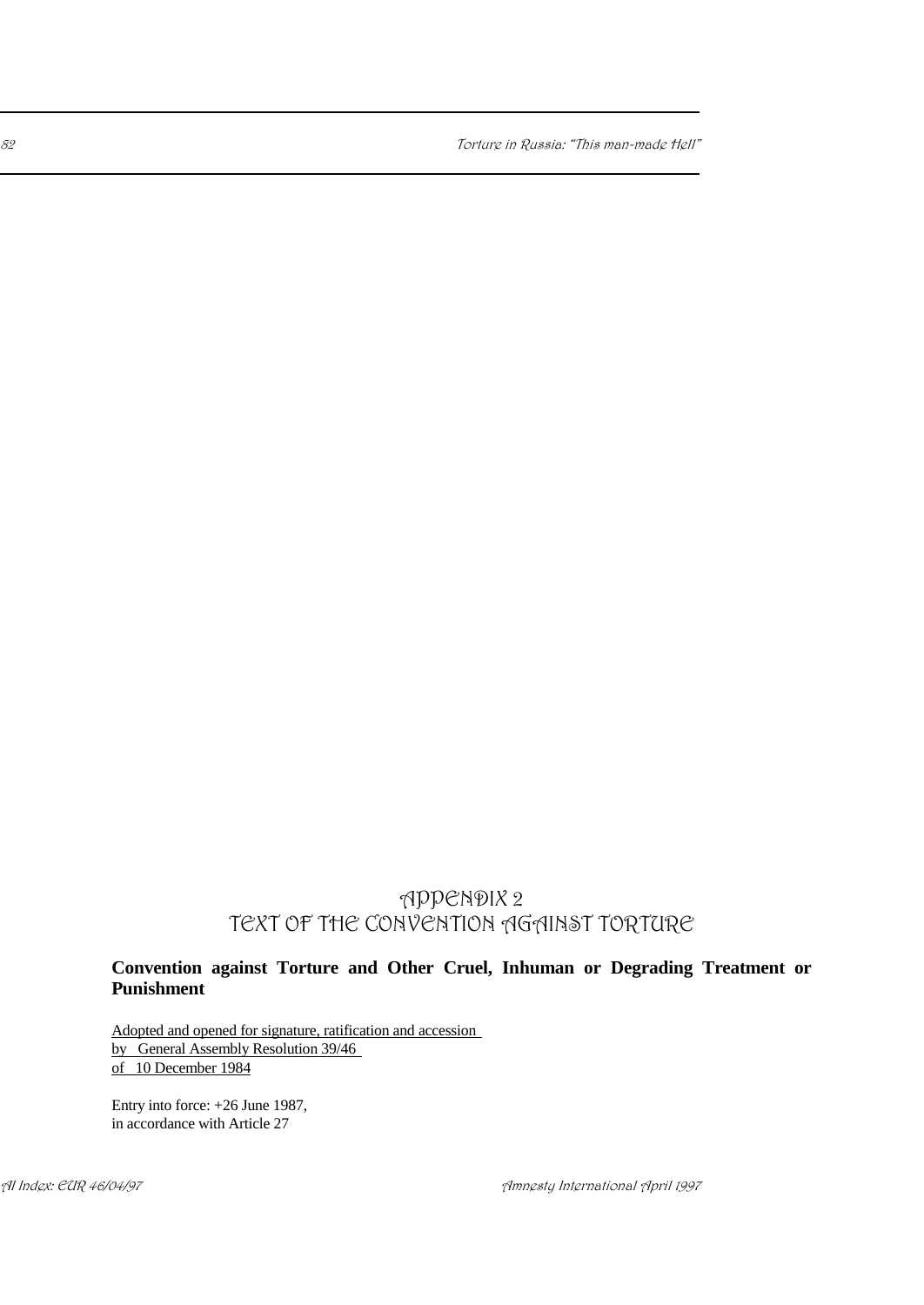# APPENDIX 2 TEXT OF THE CONVENTION AGAINST TORTURE

# **Convention against Torture and Other Cruel, Inhuman or Degrading Treatment or Punishment**

Adopted and opened for signature, ratification and accession by General Assembly Resolution 39/46 of 10 December 1984

Entry into force: +26 June 1987, in accordance with Article 27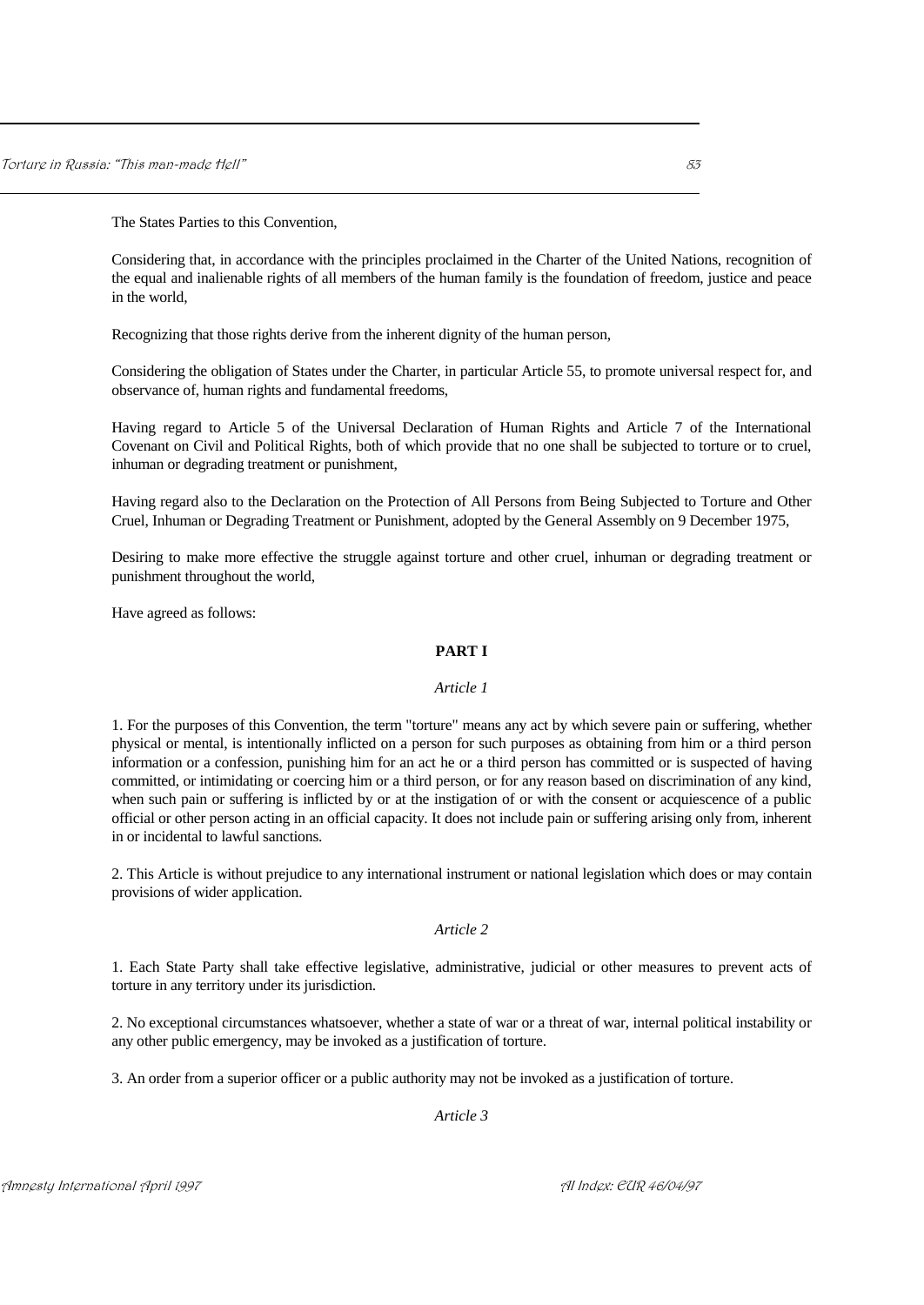The States Parties to this Convention,

Considering that, in accordance with the principles proclaimed in the Charter of the United Nations, recognition of the equal and inalienable rights of all members of the human family is the foundation of freedom, justice and peace in the world,

Recognizing that those rights derive from the inherent dignity of the human person,

Considering the obligation of States under the Charter, in particular Article 55, to promote universal respect for, and observance of, human rights and fundamental freedoms,

Having regard to Article 5 of the Universal Declaration of Human Rights and Article 7 of the International Covenant on Civil and Political Rights, both of which provide that no one shall be subjected to torture or to cruel, inhuman or degrading treatment or punishment,

Having regard also to the Declaration on the Protection of All Persons from Being Subjected to Torture and Other Cruel, Inhuman or Degrading Treatment or Punishment, adopted by the General Assembly on 9 December 1975,

Desiring to make more effective the struggle against torture and other cruel, inhuman or degrading treatment or punishment throughout the world,

Have agreed as follows:

# **PART I**

## *Article 1*

1. For the purposes of this Convention, the term "torture" means any act by which severe pain or suffering, whether physical or mental, is intentionally inflicted on a person for such purposes as obtaining from him or a third person information or a confession, punishing him for an act he or a third person has committed or is suspected of having committed, or intimidating or coercing him or a third person, or for any reason based on discrimination of any kind, when such pain or suffering is inflicted by or at the instigation of or with the consent or acquiescence of a public official or other person acting in an official capacity. It does not include pain or suffering arising only from, inherent in or incidental to lawful sanctions.

2. This Article is without prejudice to any international instrument or national legislation which does or may contain provisions of wider application.

#### *Article 2*

1. Each State Party shall take effective legislative, administrative, judicial or other measures to prevent acts of torture in any territory under its jurisdiction.

2. No exceptional circumstances whatsoever, whether a state of war or a threat of war, internal political instability or any other public emergency, may be invoked as a justification of torture.

3. An order from a superior officer or a public authority may not be invoked as a justification of torture.

*Article 3*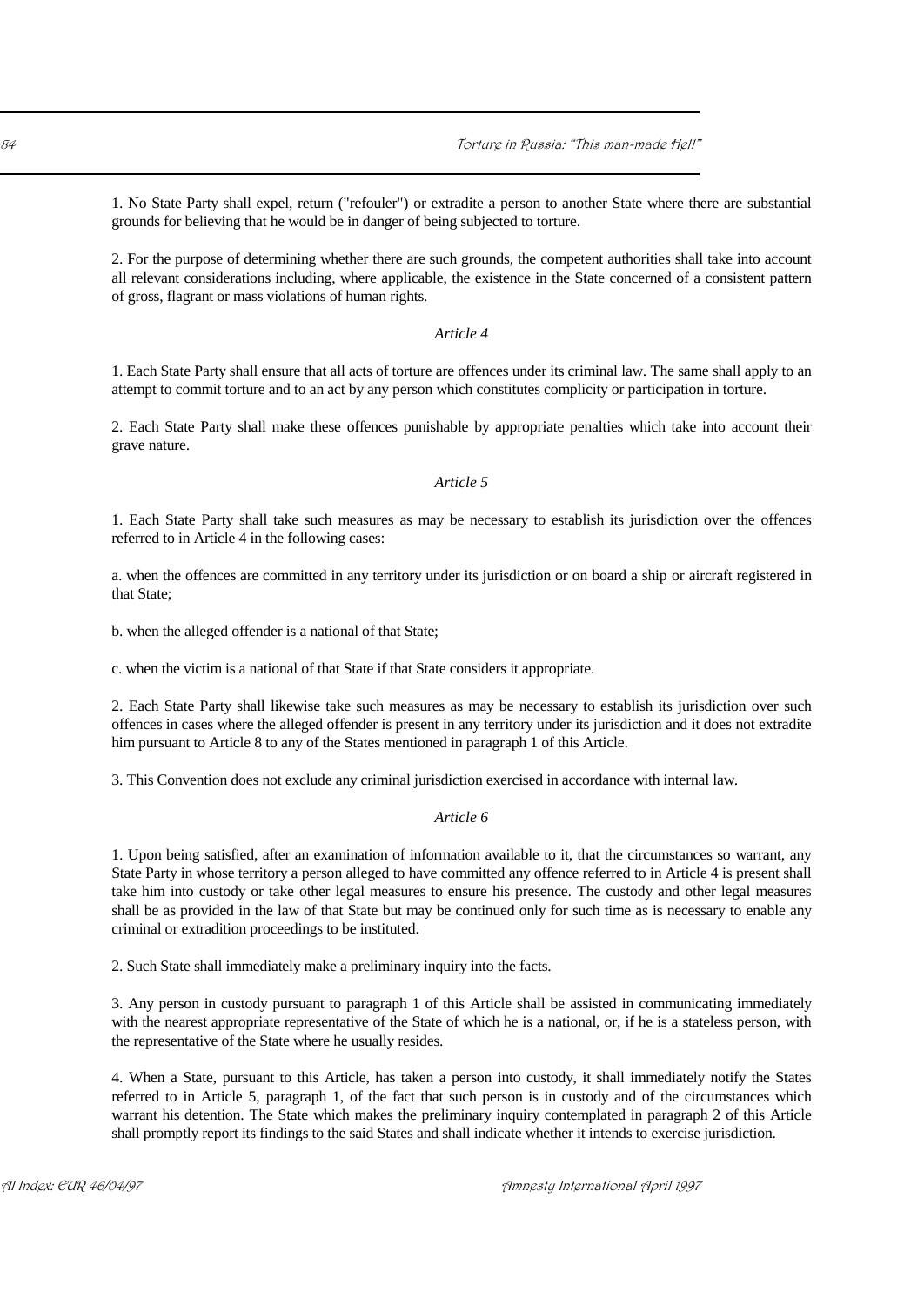1. No State Party shall expel, return ("refouler") or extradite a person to another State where there are substantial grounds for believing that he would be in danger of being subjected to torture.

2. For the purpose of determining whether there are such grounds, the competent authorities shall take into account all relevant considerations including, where applicable, the existence in the State concerned of a consistent pattern of gross, flagrant or mass violations of human rights.

#### *Article 4*

1. Each State Party shall ensure that all acts of torture are offences under its criminal law. The same shall apply to an attempt to commit torture and to an act by any person which constitutes complicity or participation in torture.

2. Each State Party shall make these offences punishable by appropriate penalties which take into account their grave nature.

#### *Article 5*

1. Each State Party shall take such measures as may be necessary to establish its jurisdiction over the offences referred to in Article 4 in the following cases:

a. when the offences are committed in any territory under its jurisdiction or on board a ship or aircraft registered in that State;

b. when the alleged offender is a national of that State;

c. when the victim is a national of that State if that State considers it appropriate.

2. Each State Party shall likewise take such measures as may be necessary to establish its jurisdiction over such offences in cases where the alleged offender is present in any territory under its jurisdiction and it does not extradite him pursuant to Article 8 to any of the States mentioned in paragraph 1 of this Article.

3. This Convention does not exclude any criminal jurisdiction exercised in accordance with internal law.

#### *Article 6*

1. Upon being satisfied, after an examination of information available to it, that the circumstances so warrant, any State Party in whose territory a person alleged to have committed any offence referred to in Article 4 is present shall take him into custody or take other legal measures to ensure his presence. The custody and other legal measures shall be as provided in the law of that State but may be continued only for such time as is necessary to enable any criminal or extradition proceedings to be instituted.

2. Such State shall immediately make a preliminary inquiry into the facts.

3. Any person in custody pursuant to paragraph 1 of this Article shall be assisted in communicating immediately with the nearest appropriate representative of the State of which he is a national, or, if he is a stateless person, with the representative of the State where he usually resides.

4. When a State, pursuant to this Article, has taken a person into custody, it shall immediately notify the States referred to in Article 5, paragraph 1, of the fact that such person is in custody and of the circumstances which warrant his detention. The State which makes the preliminary inquiry contemplated in paragraph 2 of this Article shall promptly report its findings to the said States and shall indicate whether it intends to exercise jurisdiction.

AI Index: EUR 46/04/97 Amnesty International April 1997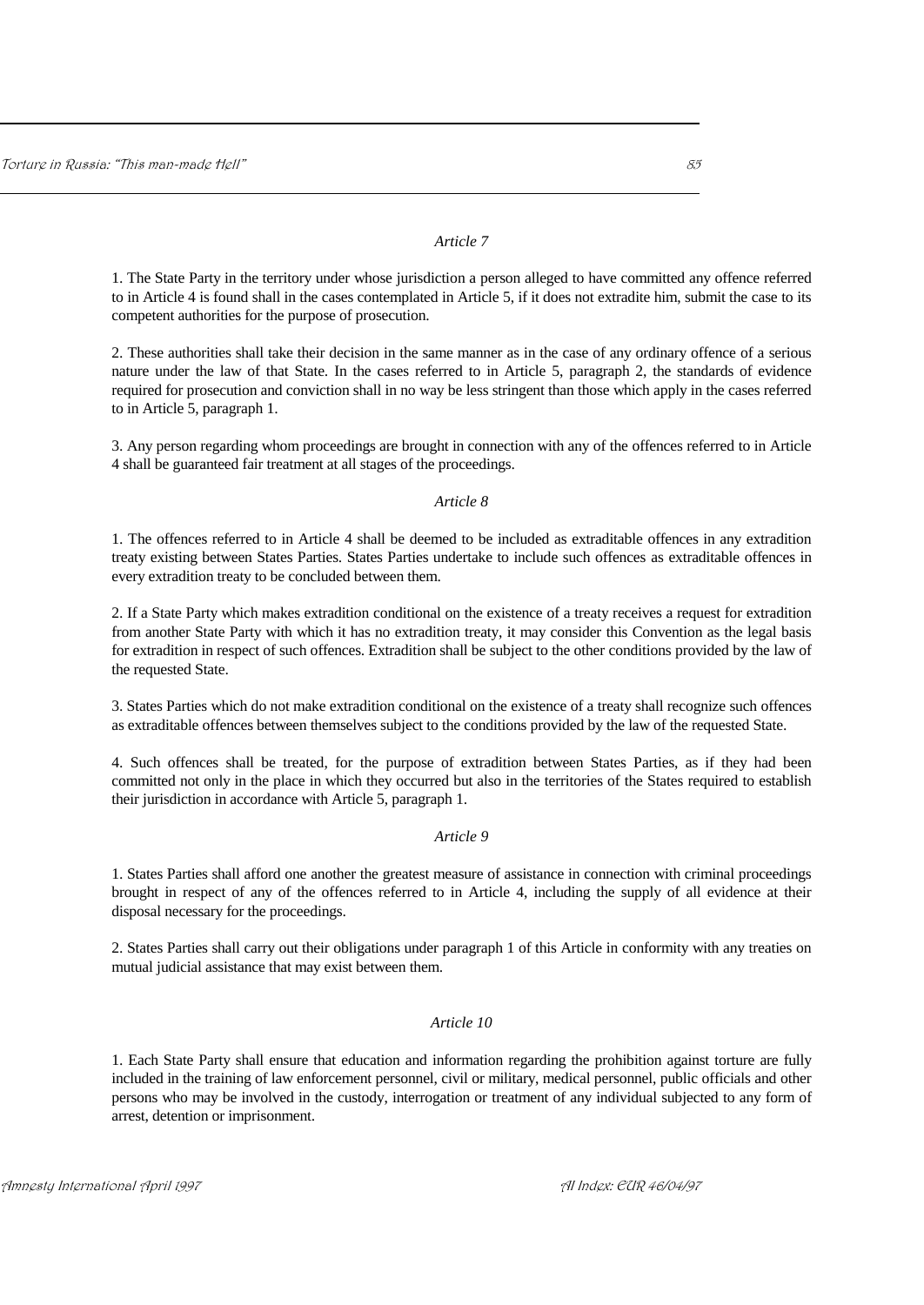#### *Article 7*

1. The State Party in the territory under whose jurisdiction a person alleged to have committed any offence referred to in Article 4 is found shall in the cases contemplated in Article 5, if it does not extradite him, submit the case to its competent authorities for the purpose of prosecution.

2. These authorities shall take their decision in the same manner as in the case of any ordinary offence of a serious nature under the law of that State. In the cases referred to in Article 5, paragraph 2, the standards of evidence required for prosecution and conviction shall in no way be less stringent than those which apply in the cases referred to in Article 5, paragraph 1.

3. Any person regarding whom proceedings are brought in connection with any of the offences referred to in Article 4 shall be guaranteed fair treatment at all stages of the proceedings.

# *Article 8*

1. The offences referred to in Article 4 shall be deemed to be included as extraditable offences in any extradition treaty existing between States Parties. States Parties undertake to include such offences as extraditable offences in every extradition treaty to be concluded between them.

2. If a State Party which makes extradition conditional on the existence of a treaty receives a request for extradition from another State Party with which it has no extradition treaty, it may consider this Convention as the legal basis for extradition in respect of such offences. Extradition shall be subject to the other conditions provided by the law of the requested State.

3. States Parties which do not make extradition conditional on the existence of a treaty shall recognize such offences as extraditable offences between themselves subject to the conditions provided by the law of the requested State.

4. Such offences shall be treated, for the purpose of extradition between States Parties, as if they had been committed not only in the place in which they occurred but also in the territories of the States required to establish their jurisdiction in accordance with Article 5, paragraph 1.

#### *Article 9*

1. States Parties shall afford one another the greatest measure of assistance in connection with criminal proceedings brought in respect of any of the offences referred to in Article 4, including the supply of all evidence at their disposal necessary for the proceedings.

2. States Parties shall carry out their obligations under paragraph 1 of this Article in conformity with any treaties on mutual judicial assistance that may exist between them.

## *Article 10*

1. Each State Party shall ensure that education and information regarding the prohibition against torture are fully included in the training of law enforcement personnel, civil or military, medical personnel, public officials and other persons who may be involved in the custody, interrogation or treatment of any individual subjected to any form of arrest, detention or imprisonment.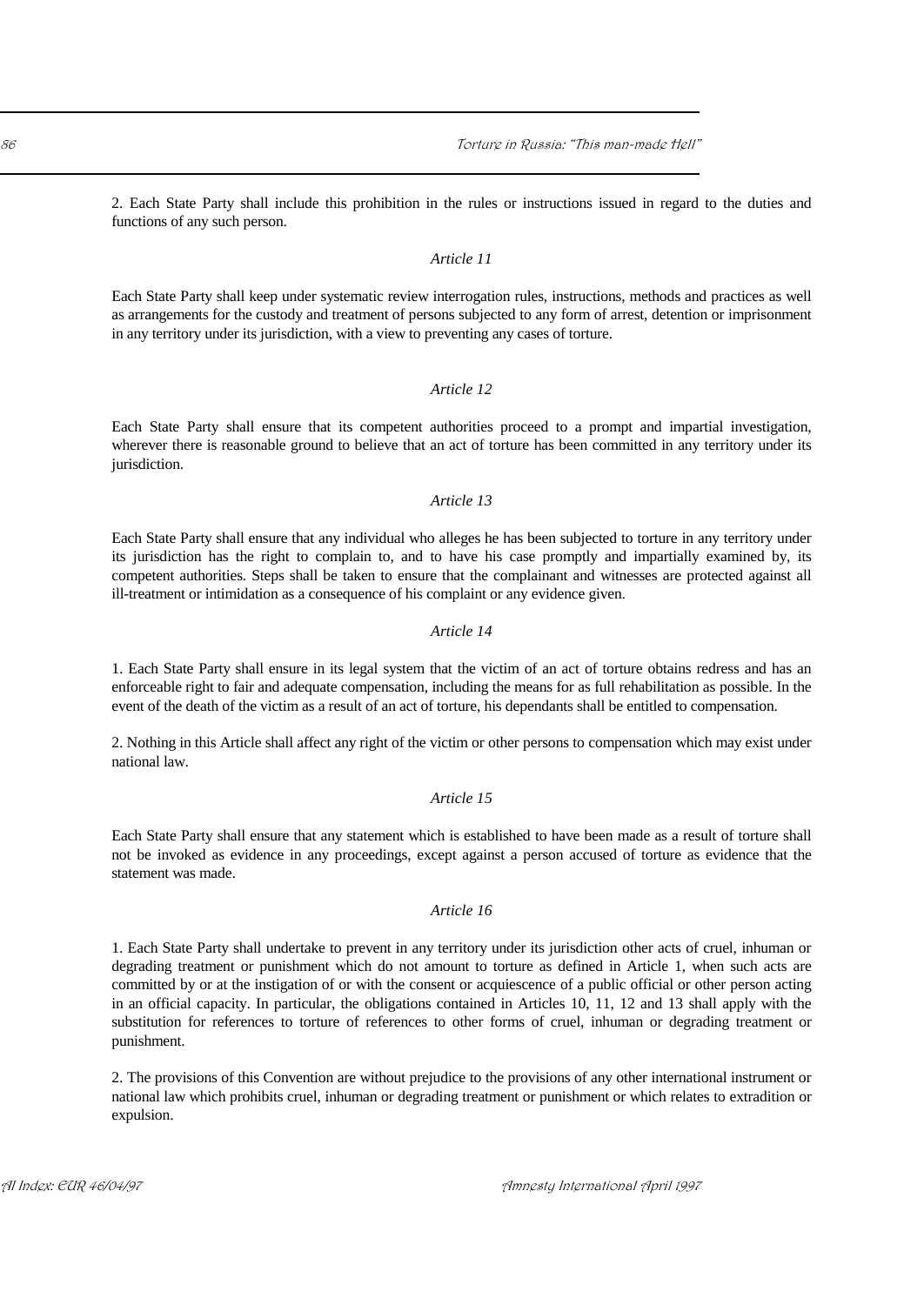2. Each State Party shall include this prohibition in the rules or instructions issued in regard to the duties and functions of any such person.

#### *Article 11*

Each State Party shall keep under systematic review interrogation rules, instructions, methods and practices as well as arrangements for the custody and treatment of persons subjected to any form of arrest, detention or imprisonment in any territory under its jurisdiction, with a view to preventing any cases of torture.

# *Article 12*

Each State Party shall ensure that its competent authorities proceed to a prompt and impartial investigation, wherever there is reasonable ground to believe that an act of torture has been committed in any territory under its jurisdiction.

### *Article 13*

Each State Party shall ensure that any individual who alleges he has been subjected to torture in any territory under its jurisdiction has the right to complain to, and to have his case promptly and impartially examined by, its competent authorities. Steps shall be taken to ensure that the complainant and witnesses are protected against all ill-treatment or intimidation as a consequence of his complaint or any evidence given.

#### *Article 14*

1. Each State Party shall ensure in its legal system that the victim of an act of torture obtains redress and has an enforceable right to fair and adequate compensation, including the means for as full rehabilitation as possible. In the event of the death of the victim as a result of an act of torture, his dependants shall be entitled to compensation.

2. Nothing in this Article shall affect any right of the victim or other persons to compensation which may exist under national law.

#### *Article 15*

Each State Party shall ensure that any statement which is established to have been made as a result of torture shall not be invoked as evidence in any proceedings, except against a person accused of torture as evidence that the statement was made.

### *Article 16*

1. Each State Party shall undertake to prevent in any territory under its jurisdiction other acts of cruel, inhuman or degrading treatment or punishment which do not amount to torture as defined in Article 1, when such acts are committed by or at the instigation of or with the consent or acquiescence of a public official or other person acting in an official capacity. In particular, the obligations contained in Articles 10, 11, 12 and 13 shall apply with the substitution for references to torture of references to other forms of cruel, inhuman or degrading treatment or punishment.

2. The provisions of this Convention are without prejudice to the provisions of any other international instrument or national law which prohibits cruel, inhuman or degrading treatment or punishment or which relates to extradition or expulsion.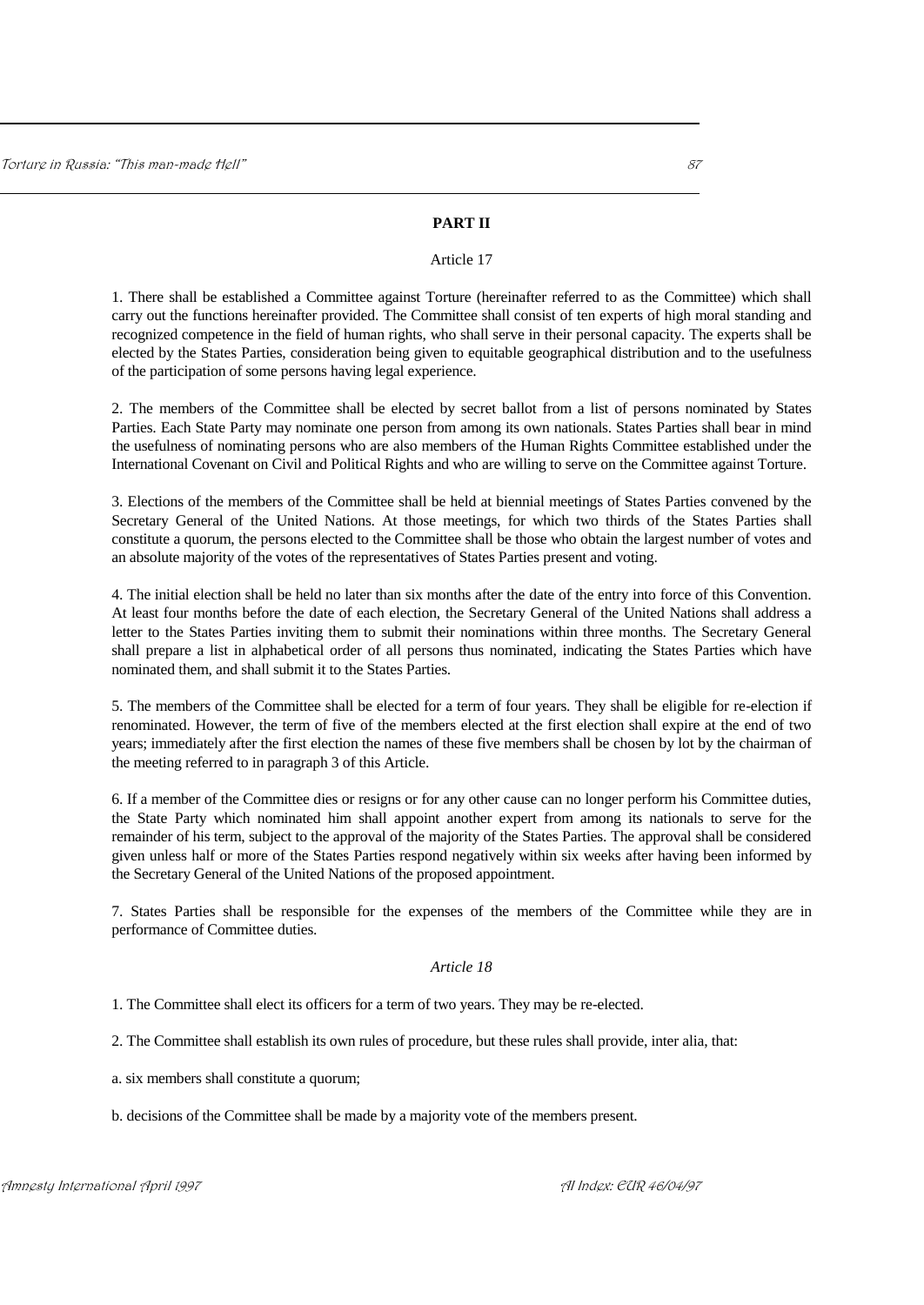# **PART II**

#### Article 17

1. There shall be established a Committee against Torture (hereinafter referred to as the Committee) which shall carry out the functions hereinafter provided. The Committee shall consist of ten experts of high moral standing and recognized competence in the field of human rights, who shall serve in their personal capacity. The experts shall be elected by the States Parties, consideration being given to equitable geographical distribution and to the usefulness of the participation of some persons having legal experience.

2. The members of the Committee shall be elected by secret ballot from a list of persons nominated by States Parties. Each State Party may nominate one person from among its own nationals. States Parties shall bear in mind the usefulness of nominating persons who are also members of the Human Rights Committee established under the International Covenant on Civil and Political Rights and who are willing to serve on the Committee against Torture.

3. Elections of the members of the Committee shall be held at biennial meetings of States Parties convened by the Secretary General of the United Nations. At those meetings, for which two thirds of the States Parties shall constitute a quorum, the persons elected to the Committee shall be those who obtain the largest number of votes and an absolute majority of the votes of the representatives of States Parties present and voting.

4. The initial election shall be held no later than six months after the date of the entry into force of this Convention. At least four months before the date of each election, the Secretary General of the United Nations shall address a letter to the States Parties inviting them to submit their nominations within three months. The Secretary General shall prepare a list in alphabetical order of all persons thus nominated, indicating the States Parties which have nominated them, and shall submit it to the States Parties.

5. The members of the Committee shall be elected for a term of four years. They shall be eligible for re-election if renominated. However, the term of five of the members elected at the first election shall expire at the end of two years; immediately after the first election the names of these five members shall be chosen by lot by the chairman of the meeting referred to in paragraph 3 of this Article.

6. If a member of the Committee dies or resigns or for any other cause can no longer perform his Committee duties, the State Party which nominated him shall appoint another expert from among its nationals to serve for the remainder of his term, subject to the approval of the majority of the States Parties. The approval shall be considered given unless half or more of the States Parties respond negatively within six weeks after having been informed by the Secretary General of the United Nations of the proposed appointment.

7. States Parties shall be responsible for the expenses of the members of the Committee while they are in performance of Committee duties.

# *Article 18*

1. The Committee shall elect its officers for a term of two years. They may be re-elected.

2. The Committee shall establish its own rules of procedure, but these rules shall provide, inter alia, that:

a. six members shall constitute a quorum;

b. decisions of the Committee shall be made by a majority vote of the members present.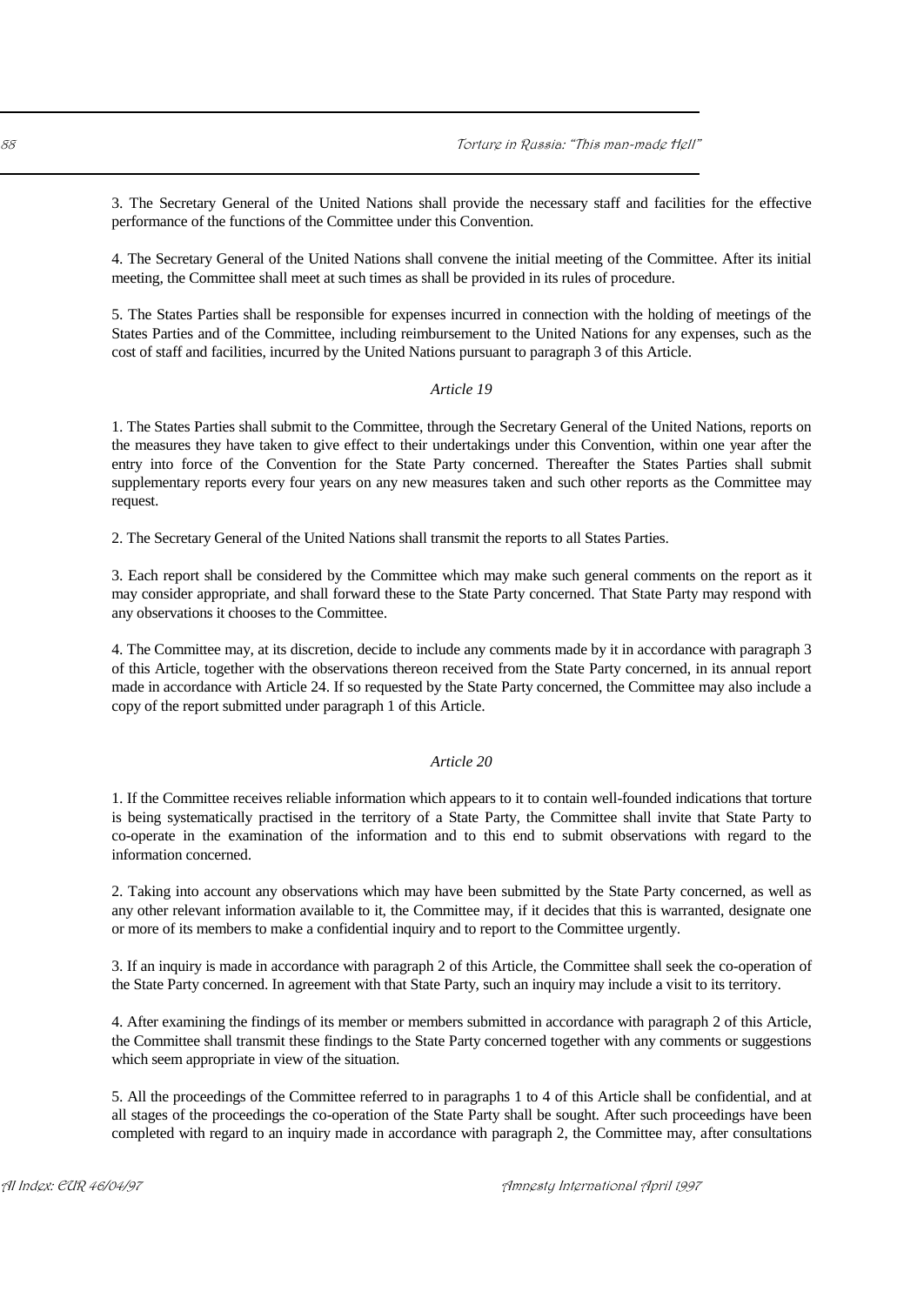3. The Secretary General of the United Nations shall provide the necessary staff and facilities for the effective performance of the functions of the Committee under this Convention.

4. The Secretary General of the United Nations shall convene the initial meeting of the Committee. After its initial meeting, the Committee shall meet at such times as shall be provided in its rules of procedure.

5. The States Parties shall be responsible for expenses incurred in connection with the holding of meetings of the States Parties and of the Committee, including reimbursement to the United Nations for any expenses, such as the cost of staff and facilities, incurred by the United Nations pursuant to paragraph 3 of this Article.

# *Article 19*

1. The States Parties shall submit to the Committee, through the Secretary General of the United Nations, reports on the measures they have taken to give effect to their undertakings under this Convention, within one year after the entry into force of the Convention for the State Party concerned. Thereafter the States Parties shall submit supplementary reports every four years on any new measures taken and such other reports as the Committee may request.

2. The Secretary General of the United Nations shall transmit the reports to all States Parties.

3. Each report shall be considered by the Committee which may make such general comments on the report as it may consider appropriate, and shall forward these to the State Party concerned. That State Party may respond with any observations it chooses to the Committee.

4. The Committee may, at its discretion, decide to include any comments made by it in accordance with paragraph 3 of this Article, together with the observations thereon received from the State Party concerned, in its annual report made in accordance with Article 24. If so requested by the State Party concerned, the Committee may also include a copy of the report submitted under paragraph 1 of this Article.

# *Article 20*

1. If the Committee receives reliable information which appears to it to contain well-founded indications that torture is being systematically practised in the territory of a State Party, the Committee shall invite that State Party to co-operate in the examination of the information and to this end to submit observations with regard to the information concerned.

2. Taking into account any observations which may have been submitted by the State Party concerned, as well as any other relevant information available to it, the Committee may, if it decides that this is warranted, designate one or more of its members to make a confidential inquiry and to report to the Committee urgently.

3. If an inquiry is made in accordance with paragraph 2 of this Article, the Committee shall seek the co-operation of the State Party concerned. In agreement with that State Party, such an inquiry may include a visit to its territory.

4. After examining the findings of its member or members submitted in accordance with paragraph 2 of this Article, the Committee shall transmit these findings to the State Party concerned together with any comments or suggestions which seem appropriate in view of the situation.

5. All the proceedings of the Committee referred to in paragraphs 1 to 4 of this Article shall be confidential, and at all stages of the proceedings the co-operation of the State Party shall be sought. After such proceedings have been completed with regard to an inquiry made in accordance with paragraph 2, the Committee may, after consultations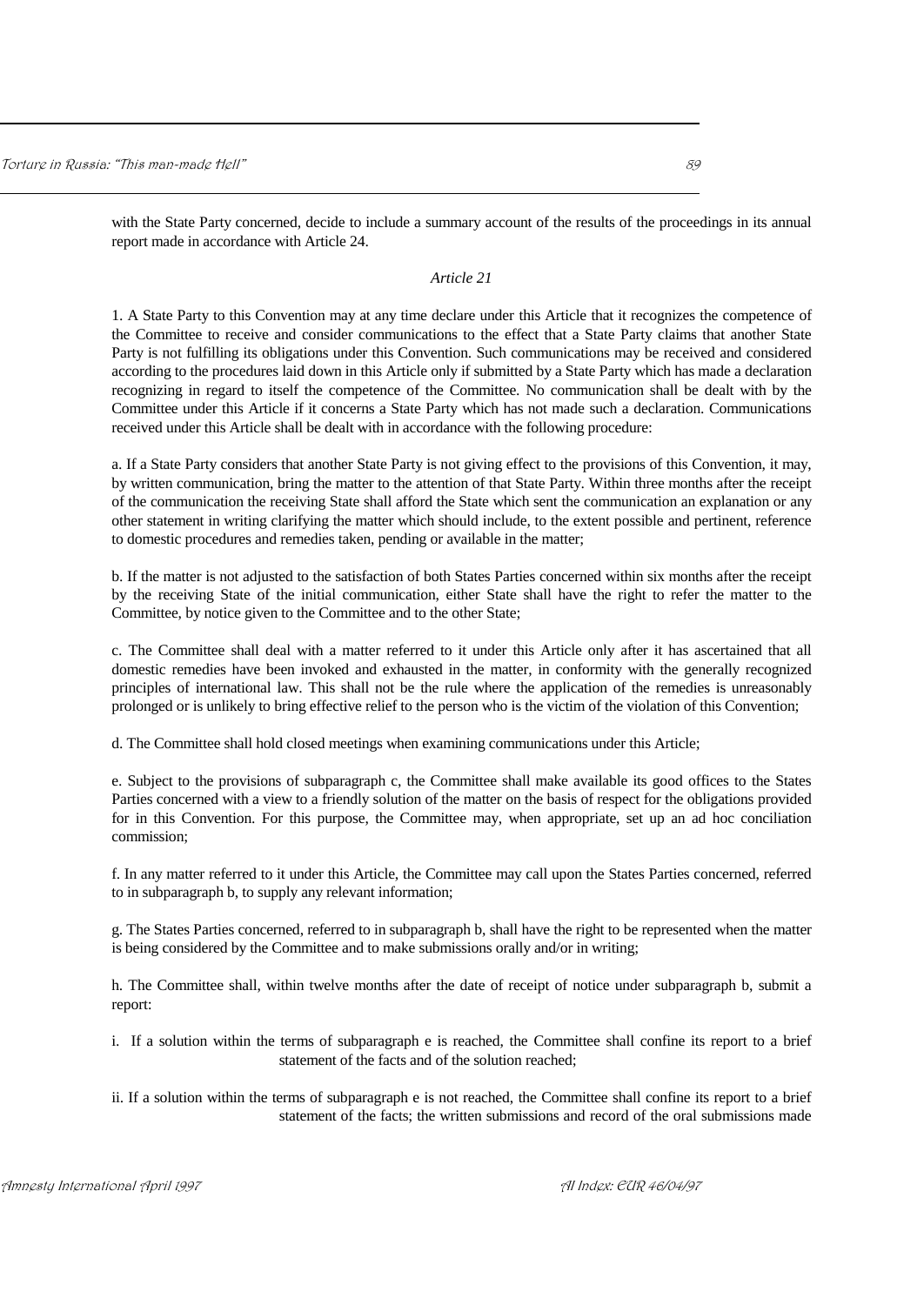with the State Party concerned, decide to include a summary account of the results of the proceedings in its annual report made in accordance with Article 24.

# *Article 21*

1. A State Party to this Convention may at any time declare under this Article that it recognizes the competence of the Committee to receive and consider communications to the effect that a State Party claims that another State Party is not fulfilling its obligations under this Convention. Such communications may be received and considered according to the procedures laid down in this Article only if submitted by a State Party which has made a declaration recognizing in regard to itself the competence of the Committee. No communication shall be dealt with by the Committee under this Article if it concerns a State Party which has not made such a declaration. Communications received under this Article shall be dealt with in accordance with the following procedure:

a. If a State Party considers that another State Party is not giving effect to the provisions of this Convention, it may, by written communication, bring the matter to the attention of that State Party. Within three months after the receipt of the communication the receiving State shall afford the State which sent the communication an explanation or any other statement in writing clarifying the matter which should include, to the extent possible and pertinent, reference to domestic procedures and remedies taken, pending or available in the matter;

b. If the matter is not adjusted to the satisfaction of both States Parties concerned within six months after the receipt by the receiving State of the initial communication, either State shall have the right to refer the matter to the Committee, by notice given to the Committee and to the other State;

c. The Committee shall deal with a matter referred to it under this Article only after it has ascertained that all domestic remedies have been invoked and exhausted in the matter, in conformity with the generally recognized principles of international law. This shall not be the rule where the application of the remedies is unreasonably prolonged or is unlikely to bring effective relief to the person who is the victim of the violation of this Convention;

d. The Committee shall hold closed meetings when examining communications under this Article;

e. Subject to the provisions of subparagraph c, the Committee shall make available its good offices to the States Parties concerned with a view to a friendly solution of the matter on the basis of respect for the obligations provided for in this Convention. For this purpose, the Committee may, when appropriate, set up an ad hoc conciliation commission;

f. In any matter referred to it under this Article, the Committee may call upon the States Parties concerned, referred to in subparagraph b, to supply any relevant information;

g. The States Parties concerned, referred to in subparagraph b, shall have the right to be represented when the matter is being considered by the Committee and to make submissions orally and/or in writing;

h. The Committee shall, within twelve months after the date of receipt of notice under subparagraph b, submit a report:

i. If a solution within the terms of subparagraph e is reached, the Committee shall confine its report to a brief statement of the facts and of the solution reached;

ii. If a solution within the terms of subparagraph e is not reached, the Committee shall confine its report to a brief statement of the facts; the written submissions and record of the oral submissions made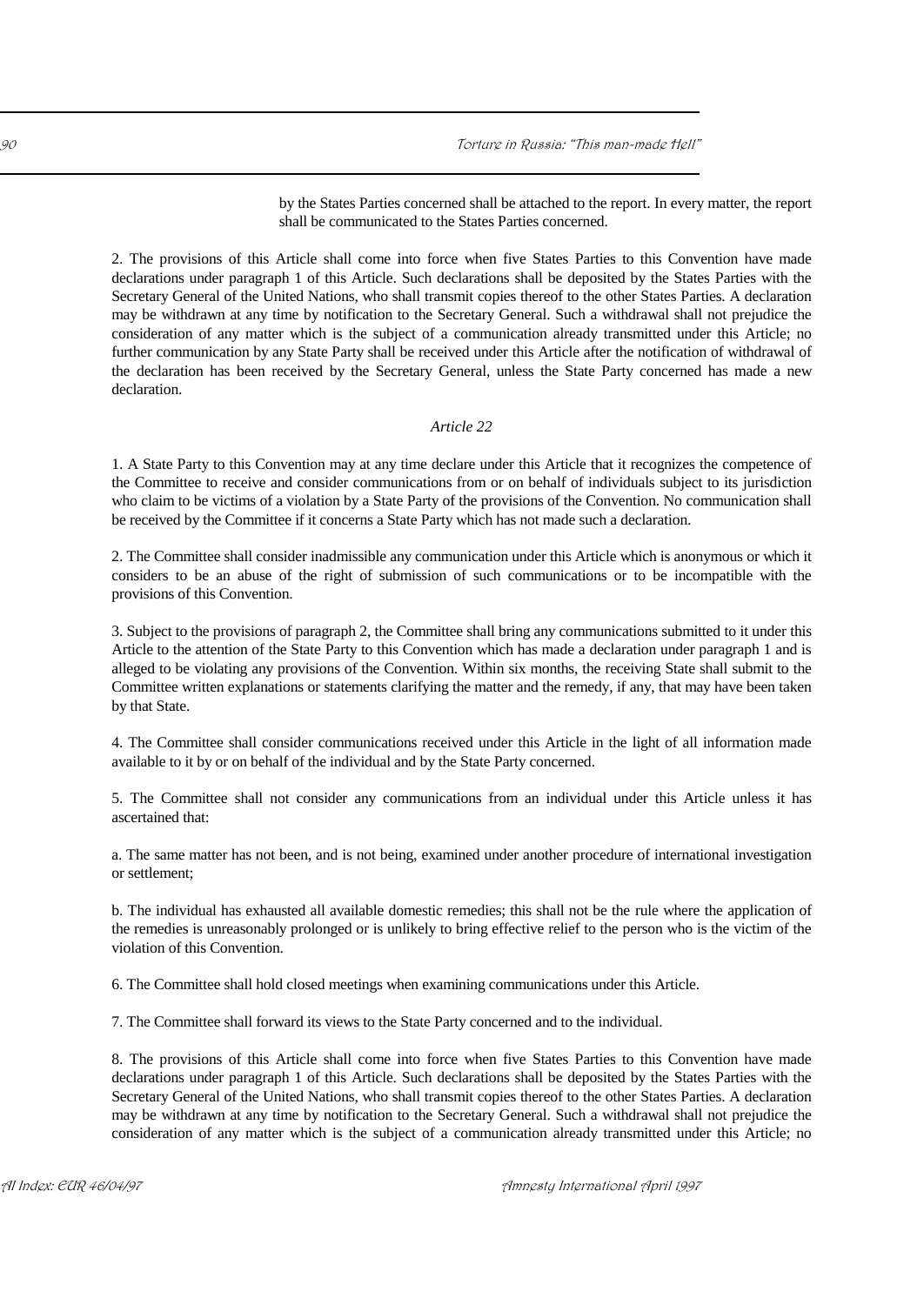by the States Parties concerned shall be attached to the report. In every matter, the report shall be communicated to the States Parties concerned.

2. The provisions of this Article shall come into force when five States Parties to this Convention have made declarations under paragraph 1 of this Article. Such declarations shall be deposited by the States Parties with the Secretary General of the United Nations, who shall transmit copies thereof to the other States Parties. A declaration may be withdrawn at any time by notification to the Secretary General. Such a withdrawal shall not prejudice the consideration of any matter which is the subject of a communication already transmitted under this Article; no further communication by any State Party shall be received under this Article after the notification of withdrawal of the declaration has been received by the Secretary General, unless the State Party concerned has made a new declaration.

### *Article 22*

1. A State Party to this Convention may at any time declare under this Article that it recognizes the competence of the Committee to receive and consider communications from or on behalf of individuals subject to its jurisdiction who claim to be victims of a violation by a State Party of the provisions of the Convention. No communication shall be received by the Committee if it concerns a State Party which has not made such a declaration.

2. The Committee shall consider inadmissible any communication under this Article which is anonymous or which it considers to be an abuse of the right of submission of such communications or to be incompatible with the provisions of this Convention.

3. Subject to the provisions of paragraph 2, the Committee shall bring any communications submitted to it under this Article to the attention of the State Party to this Convention which has made a declaration under paragraph 1 and is alleged to be violating any provisions of the Convention. Within six months, the receiving State shall submit to the Committee written explanations or statements clarifying the matter and the remedy, if any, that may have been taken by that State.

4. The Committee shall consider communications received under this Article in the light of all information made available to it by or on behalf of the individual and by the State Party concerned.

5. The Committee shall not consider any communications from an individual under this Article unless it has ascertained that:

a. The same matter has not been, and is not being, examined under another procedure of international investigation or settlement;

b. The individual has exhausted all available domestic remedies; this shall not be the rule where the application of the remedies is unreasonably prolonged or is unlikely to bring effective relief to the person who is the victim of the violation of this Convention.

6. The Committee shall hold closed meetings when examining communications under this Article.

7. The Committee shall forward its views to the State Party concerned and to the individual.

8. The provisions of this Article shall come into force when five States Parties to this Convention have made declarations under paragraph 1 of this Article. Such declarations shall be deposited by the States Parties with the Secretary General of the United Nations, who shall transmit copies thereof to the other States Parties. A declaration may be withdrawn at any time by notification to the Secretary General. Such a withdrawal shall not prejudice the consideration of any matter which is the subject of a communication already transmitted under this Article; no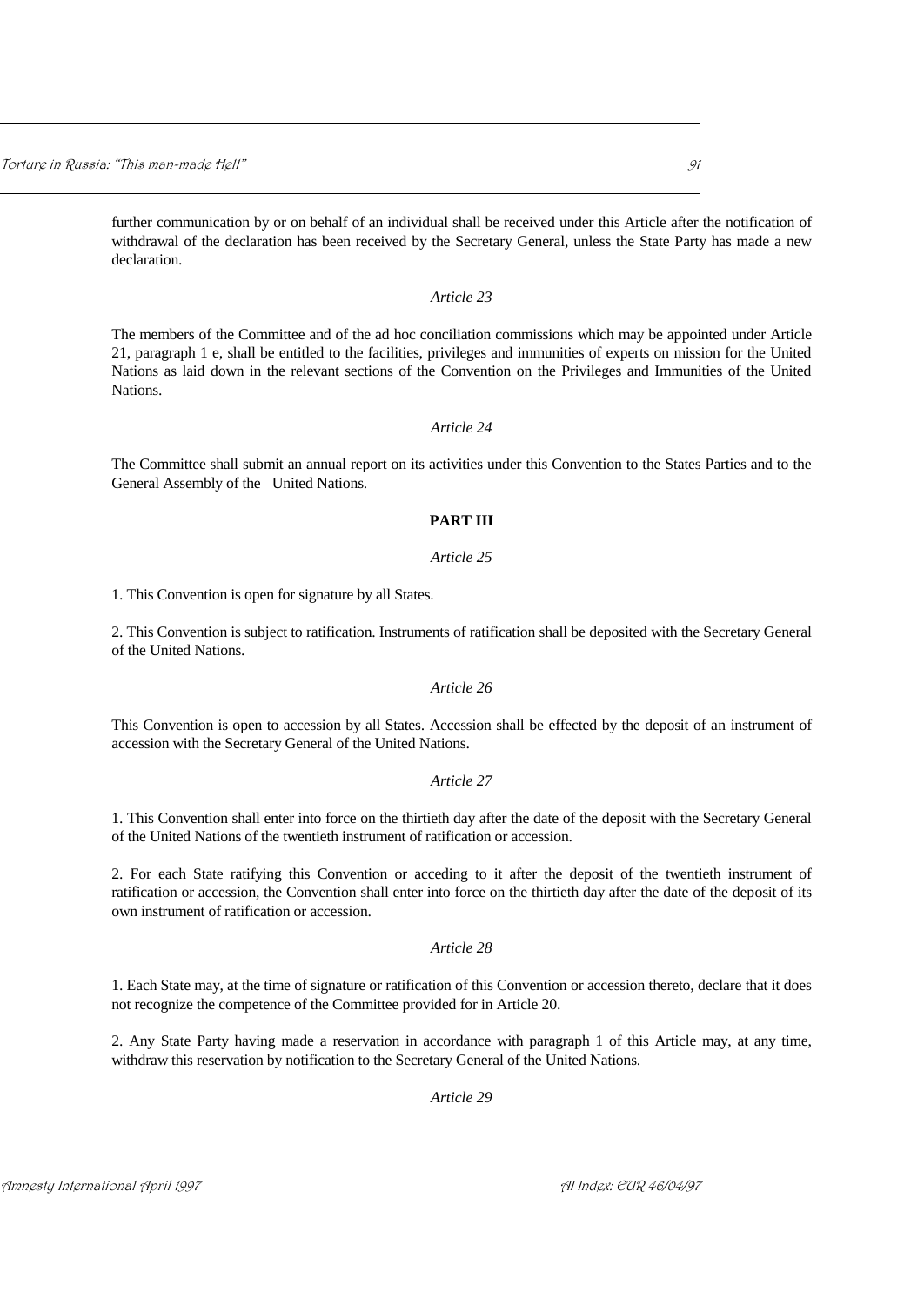further communication by or on behalf of an individual shall be received under this Article after the notification of withdrawal of the declaration has been received by the Secretary General, unless the State Party has made a new declaration.

# *Article 23*

The members of the Committee and of the ad hoc conciliation commissions which may be appointed under Article 21, paragraph 1 e, shall be entitled to the facilities, privileges and immunities of experts on mission for the United Nations as laid down in the relevant sections of the Convention on the Privileges and Immunities of the United Nations.

#### *Article 24*

The Committee shall submit an annual report on its activities under this Convention to the States Parties and to the General Assembly of the United Nations.

# **PART III**

### *Article 25*

1. This Convention is open for signature by all States.

2. This Convention is subject to ratification. Instruments of ratification shall be deposited with the Secretary General of the United Nations.

#### *Article 26*

This Convention is open to accession by all States. Accession shall be effected by the deposit of an instrument of accession with the Secretary General of the United Nations.

#### *Article 27*

1. This Convention shall enter into force on the thirtieth day after the date of the deposit with the Secretary General of the United Nations of the twentieth instrument of ratification or accession.

2. For each State ratifying this Convention or acceding to it after the deposit of the twentieth instrument of ratification or accession, the Convention shall enter into force on the thirtieth day after the date of the deposit of its own instrument of ratification or accession.

#### *Article 28*

1. Each State may, at the time of signature or ratification of this Convention or accession thereto, declare that it does not recognize the competence of the Committee provided for in Article 20.

2. Any State Party having made a reservation in accordance with paragraph 1 of this Article may, at any time, withdraw this reservation by notification to the Secretary General of the United Nations.

*Article 29*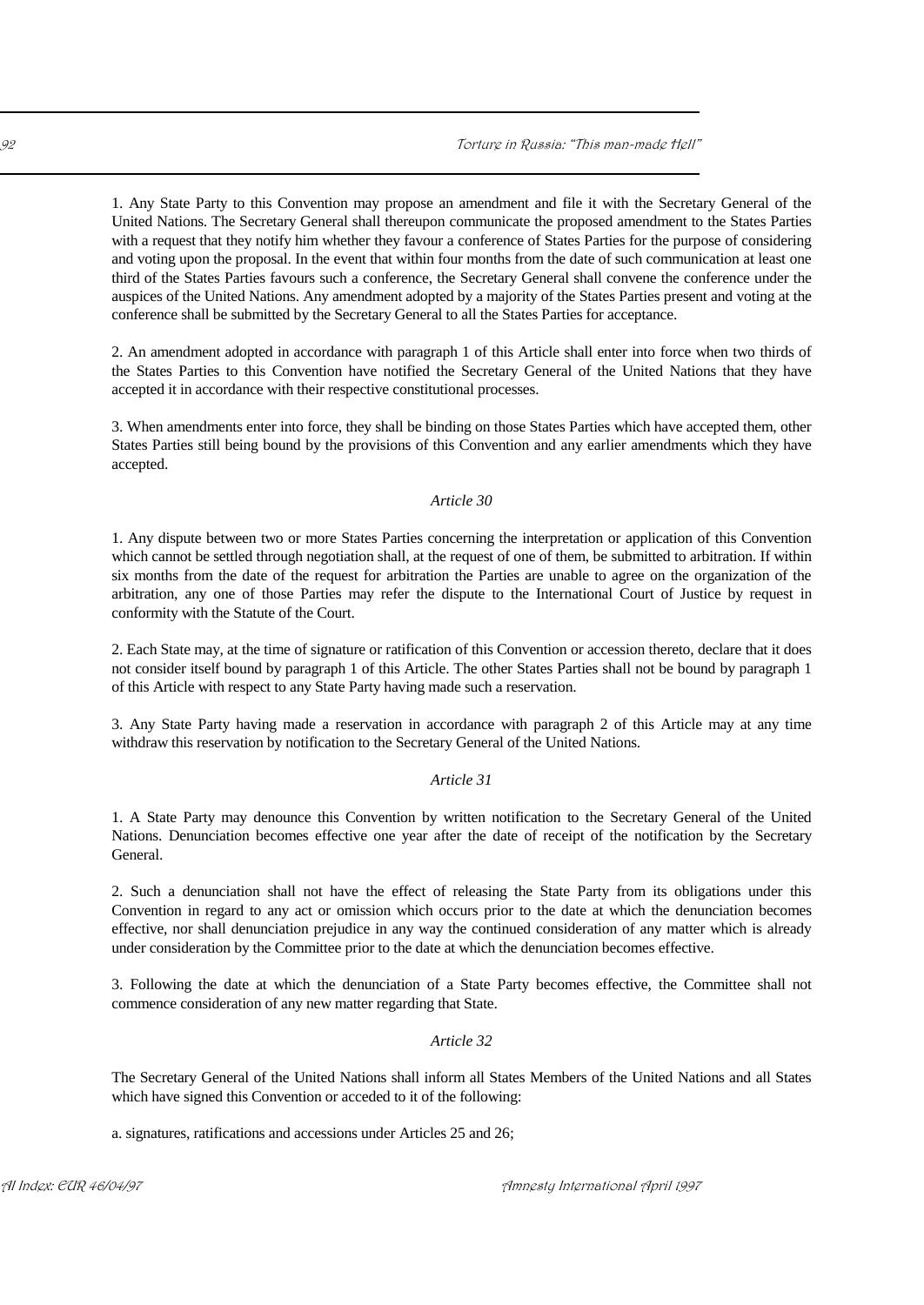1. Any State Party to this Convention may propose an amendment and file it with the Secretary General of the United Nations. The Secretary General shall thereupon communicate the proposed amendment to the States Parties with a request that they notify him whether they favour a conference of States Parties for the purpose of considering and voting upon the proposal. In the event that within four months from the date of such communication at least one third of the States Parties favours such a conference, the Secretary General shall convene the conference under the auspices of the United Nations. Any amendment adopted by a majority of the States Parties present and voting at the conference shall be submitted by the Secretary General to all the States Parties for acceptance.

2. An amendment adopted in accordance with paragraph 1 of this Article shall enter into force when two thirds of the States Parties to this Convention have notified the Secretary General of the United Nations that they have accepted it in accordance with their respective constitutional processes.

3. When amendments enter into force, they shall be binding on those States Parties which have accepted them, other States Parties still being bound by the provisions of this Convention and any earlier amendments which they have accepted.

# *Article 30*

1. Any dispute between two or more States Parties concerning the interpretation or application of this Convention which cannot be settled through negotiation shall, at the request of one of them, be submitted to arbitration. If within six months from the date of the request for arbitration the Parties are unable to agree on the organization of the arbitration, any one of those Parties may refer the dispute to the International Court of Justice by request in conformity with the Statute of the Court.

2. Each State may, at the time of signature or ratification of this Convention or accession thereto, declare that it does not consider itself bound by paragraph 1 of this Article. The other States Parties shall not be bound by paragraph 1 of this Article with respect to any State Party having made such a reservation.

3. Any State Party having made a reservation in accordance with paragraph 2 of this Article may at any time withdraw this reservation by notification to the Secretary General of the United Nations.

#### *Article 31*

1. A State Party may denounce this Convention by written notification to the Secretary General of the United Nations. Denunciation becomes effective one year after the date of receipt of the notification by the Secretary General.

2. Such a denunciation shall not have the effect of releasing the State Party from its obligations under this Convention in regard to any act or omission which occurs prior to the date at which the denunciation becomes effective, nor shall denunciation prejudice in any way the continued consideration of any matter which is already under consideration by the Committee prior to the date at which the denunciation becomes effective.

3. Following the date at which the denunciation of a State Party becomes effective, the Committee shall not commence consideration of any new matter regarding that State.

#### *Article 32*

The Secretary General of the United Nations shall inform all States Members of the United Nations and all States which have signed this Convention or acceded to it of the following:

a. signatures, ratifications and accessions under Articles 25 and 26;